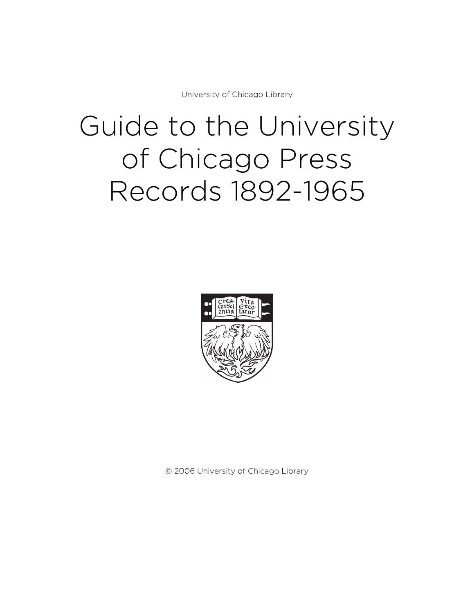University of Chicago Library

# Guide to the University of Chicago Press Records 1892-1965



© 2006 University of Chicago Library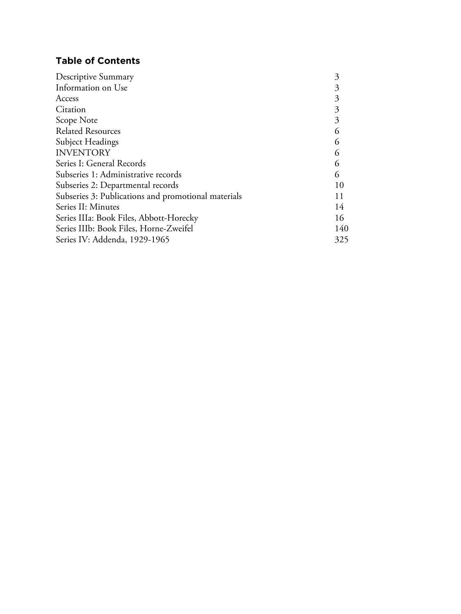# **Table of Contents**

| Descriptive Summary                                 | 3   |
|-----------------------------------------------------|-----|
| Information on Use                                  |     |
| Access                                              |     |
| Citation                                            | 3   |
| Scope Note                                          |     |
| <b>Related Resources</b>                            | 6   |
| Subject Headings                                    | 6   |
| <b>INVENTORY</b>                                    | 6   |
| Series I: General Records                           | 6   |
| Subseries 1: Administrative records                 | 6   |
| Subseries 2: Departmental records                   | 10  |
| Subseries 3: Publications and promotional materials | 11  |
| Series II: Minutes                                  | 14  |
| Series IIIa: Book Files, Abbott-Horecky             | 16  |
| Series IIIb: Book Files, Horne-Zweifel              | 140 |
| Series IV: Addenda, 1929-1965                       | 325 |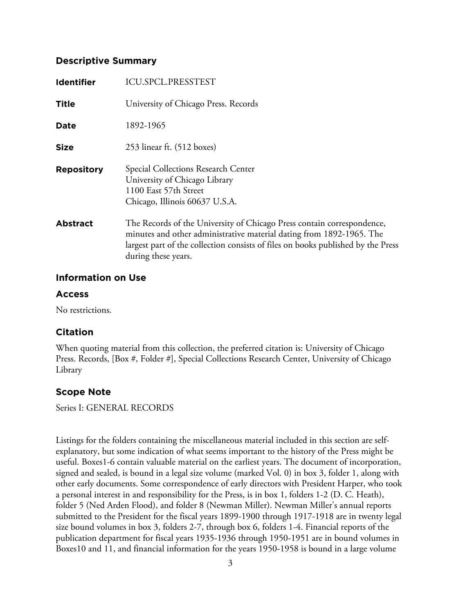## **Descriptive Summary**

| <b>Identifier</b> | <b>ICU.SPCL.PRESSTEST</b>                                                                                                                                                                                                                                 |
|-------------------|-----------------------------------------------------------------------------------------------------------------------------------------------------------------------------------------------------------------------------------------------------------|
| <b>Title</b>      | University of Chicago Press. Records                                                                                                                                                                                                                      |
| <b>Date</b>       | 1892-1965                                                                                                                                                                                                                                                 |
| <b>Size</b>       | 253 linear ft. (512 boxes)                                                                                                                                                                                                                                |
| <b>Repository</b> | Special Collections Research Center<br>University of Chicago Library<br>1100 East 57th Street<br>Chicago, Illinois 60637 U.S.A.                                                                                                                           |
| <b>Abstract</b>   | The Records of the University of Chicago Press contain correspondence,<br>minutes and other administrative material dating from 1892-1965. The<br>largest part of the collection consists of files on books published by the Press<br>during these years. |

## **Information on Use**

# **Access**

No restrictions.

# **Citation**

When quoting material from this collection, the preferred citation is: University of Chicago Press. Records, [Box #, Folder #], Special Collections Research Center, University of Chicago Library

# **Scope Note**

Series I: GENERAL RECORDS

Listings for the folders containing the miscellaneous material included in this section are selfexplanatory, but some indication of what seems important to the history of the Press might be useful. Boxes1-6 contain valuable material on the earliest years. The document of incorporation, signed and sealed, is bound in a legal size volume (marked Vol. 0) in box 3, folder 1, along with other early documents. Some correspondence of early directors with President Harper, who took a personal interest in and responsibility for the Press, is in box 1, folders 1-2 (D. C. Heath), folder 5 (Ned Arden Flood), and folder 8 (Newman Miller). Newman Miller's annual reports submitted to the President for the fiscal years 1899-1900 through 1917-1918 are in twenty legal size bound volumes in box 3, folders 2-7, through box 6, folders 1-4. Financial reports of the publication department for fiscal years 1935-1936 through 1950-1951 are in bound volumes in Boxes10 and 11, and financial information for the years 1950-1958 is bound in a large volume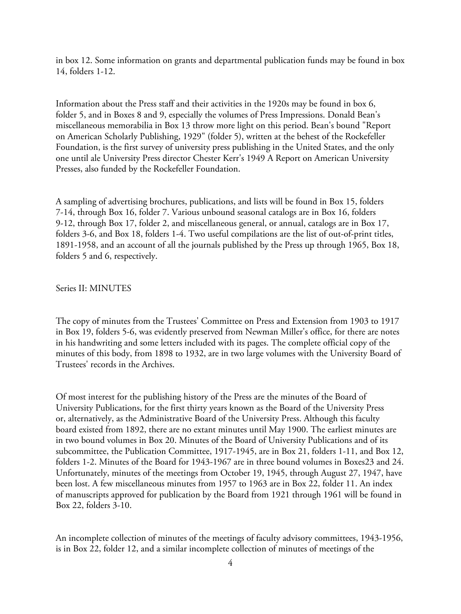in box 12. Some information on grants and departmental publication funds may be found in box 14, folders 1-12.

Information about the Press staff and their activities in the 1920s may be found in box 6, folder 5, and in Boxes 8 and 9, especially the volumes of Press Impressions. Donald Bean's miscellaneous memorabilia in Box 13 throw more light on this period. Bean's bound "Report on American Scholarly Publishing, 1929" (folder 5), written at the behest of the Rockefeller Foundation, is the first survey of university press publishing in the United States, and the only one until ale University Press director Chester Kerr's 1949 A Report on American University Presses, also funded by the Rockefeller Foundation.

A sampling of advertising brochures, publications, and lists will be found in Box 15, folders 7-14, through Box 16, folder 7. Various unbound seasonal catalogs are in Box 16, folders 9-12, through Box 17, folder 2, and miscellaneous general, or annual, catalogs are in Box 17, folders 3-6, and Box 18, folders 1-4. Two useful compilations are the list of out-of-print titles, 1891-1958, and an account of all the journals published by the Press up through 1965, Box 18, folders 5 and 6, respectively.

#### Series II: MINUTES

The copy of minutes from the Trustees' Committee on Press and Extension from 1903 to 1917 in Box 19, folders 5-6, was evidently preserved from Newman Miller's office, for there are notes in his handwriting and some letters included with its pages. The complete official copy of the minutes of this body, from 1898 to 1932, are in two large volumes with the University Board of Trustees' records in the Archives.

Of most interest for the publishing history of the Press are the minutes of the Board of University Publications, for the first thirty years known as the Board of the University Press or, alternatively, as the Administrative Board of the University Press. Although this faculty board existed from 1892, there are no extant minutes until May 1900. The earliest minutes are in two bound volumes in Box 20. Minutes of the Board of University Publications and of its subcommittee, the Publication Committee, 1917-1945, are in Box 21, folders 1-11, and Box 12, folders 1-2. Minutes of the Board for 1943-1967 are in three bound volumes in Boxes23 and 24. Unfortunately, minutes of the meetings from October 19, 1945, through August 27, 1947, have been lost. A few miscellaneous minutes from 1957 to 1963 are in Box 22, folder 11. An index of manuscripts approved for publication by the Board from 1921 through 1961 will be found in Box 22, folders 3-10.

An incomplete collection of minutes of the meetings of faculty advisory committees, 1943-1956, is in Box 22, folder 12, and a similar incomplete collection of minutes of meetings of the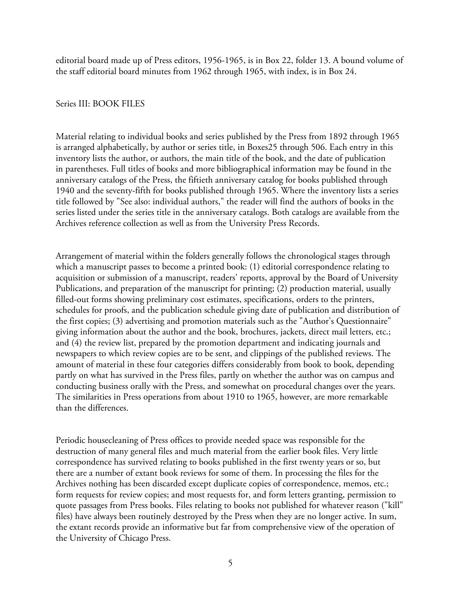editorial board made up of Press editors, 1956-1965, is in Box 22, folder 13. A bound volume of the staff editorial board minutes from 1962 through 1965, with index, is in Box 24.

#### Series III: BOOK FILES

Material relating to individual books and series published by the Press from 1892 through 1965 is arranged alphabetically, by author or series title, in Boxes25 through 506. Each entry in this inventory lists the author, or authors, the main title of the book, and the date of publication in parentheses. Full titles of books and more bibliographical information may be found in the anniversary catalogs of the Press, the fiftieth anniversary catalog for books published through 1940 and the seventy-fifth for books published through 1965. Where the inventory lists a series title followed by "See also: individual authors," the reader will find the authors of books in the series listed under the series title in the anniversary catalogs. Both catalogs are available from the Archives reference collection as well as from the University Press Records.

Arrangement of material within the folders generally follows the chronological stages through which a manuscript passes to become a printed book: (1) editorial correspondence relating to acquisition or submission of a manuscript, readers' reports, approval by the Board of University Publications, and preparation of the manuscript for printing; (2) production material, usually filled-out forms showing preliminary cost estimates, specifications, orders to the printers, schedules for proofs, and the publication schedule giving date of publication and distribution of the first copies; (3) advertising and promotion materials such as the "Author's Questionnaire" giving information about the author and the book, brochures, jackets, direct mail letters, etc.; and (4) the review list, prepared by the promotion department and indicating journals and newspapers to which review copies are to be sent, and clippings of the published reviews. The amount of material in these four categories differs considerably from book to book, depending partly on what has survived in the Press files, partly on whether the author was on campus and conducting business orally with the Press, and somewhat on procedural changes over the years. The similarities in Press operations from about 1910 to 1965, however, are more remarkable than the differences.

Periodic housecleaning of Press offices to provide needed space was responsible for the destruction of many general files and much material from the earlier book files. Very little correspondence has survived relating to books published in the first twenty years or so, but there are a number of extant book reviews for some of them. In processing the files for the Archives nothing has been discarded except duplicate copies of correspondence, memos, etc.; form requests for review copies; and most requests for, and form letters granting, permission to quote passages from Press books. Files relating to books not published for whatever reason ("kill" files) have always been routinely destroyed by the Press when they are no longer active. In sum, the extant records provide an informative but far from comprehensive view of the operation of the University of Chicago Press.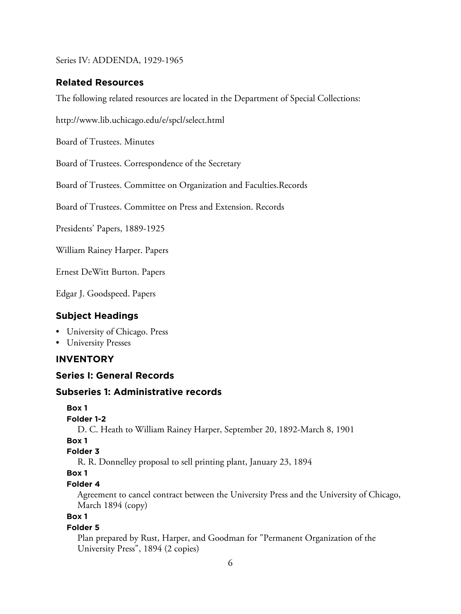Series IV: ADDENDA, 1929-1965

#### **Related Resources**

The following related resources are located in the Department of Special Collections:

http://www.lib.uchicago.edu/e/spcl/select.html

Board of Trustees. Minutes

Board of Trustees. Correspondence of the Secretary

Board of Trustees. Committee on Organization and Faculties.Records

Board of Trustees. Committee on Press and Extension. Records

Presidents' Papers, 1889-1925

William Rainey Harper. Papers

Ernest DeWitt Burton. Papers

Edgar J. Goodspeed. Papers

#### **Subject Headings**

• University of Chicago. Press

• University Presses

## **INVENTORY**

## **Series I: General Records**

#### **Subseries 1: Administrative records**

```
Box 1
```

```
Folder 1-2
```
D. C. Heath to William Rainey Harper, September 20, 1892-March 8, 1901

**Box 1**

```
Folder 3
```
R. R. Donnelley proposal to sell printing plant, January 23, 1894

# **Box 1**

#### **Folder 4**

Agreement to cancel contract between the University Press and the University of Chicago, March 1894 (copy)

# **Box 1**

#### **Folder 5**

Plan prepared by Rust, Harper, and Goodman for "Permanent Organization of the University Press", 1894 (2 copies)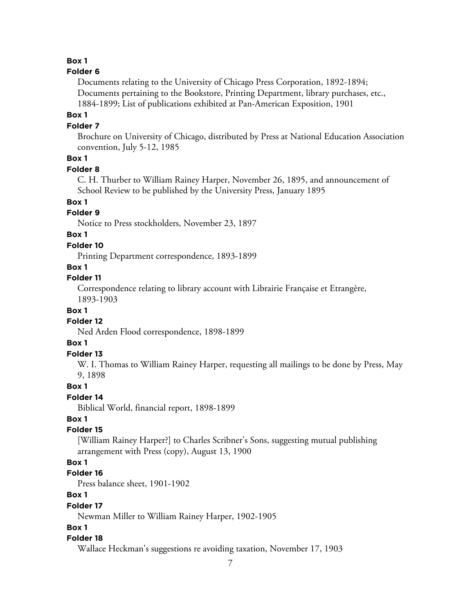#### **Box 1**

#### **Folder 6**

Documents relating to the University of Chicago Press Corporation, 1892-1894; Documents pertaining to the Bookstore, Printing Department, library purchases, etc., 1884-1899; List of publications exhibited at Pan-American Exposition, 1901

#### **Box 1**

#### **Folder 7**

Brochure on University of Chicago, distributed by Press at National Education Association convention, July 5-12, 1985

# **Box 1**

#### **Folder 8**

C. H. Thurber to William Rainey Harper, November 26, 1895, and announcement of School Review to be published by the University Press, January 1895

# **Box 1**

#### **Folder 9**

Notice to Press stockholders, November 23, 1897

## **Box 1**

#### **Folder 10**

Printing Department correspondence, 1893-1899

#### **Box 1**

#### **Folder 11**

Correspondence relating to library account with Librairie Française et Etrangère, 1893-1903

#### **Box 1**

#### **Folder 12**

Ned Arden Flood correspondence, 1898-1899

#### **Box 1**

#### **Folder 13**

W. I. Thomas to William Rainey Harper, requesting all mailings to be done by Press, May 9, 1898

#### **Box 1**

#### **Folder 14**

Biblical World, financial report, 1898-1899

#### **Box 1**

# **Folder 15**

[William Rainey Harper?] to Charles Scribner's Sons, suggesting mutual publishing arrangement with Press (copy), August 13, 1900

#### **Box 1**

#### **Folder 16**

Press balance sheet, 1901-1902

## **Box 1**

#### **Folder 17**

Newman Miller to William Rainey Harper, 1902-1905

#### **Box 1**

#### **Folder 18**

Wallace Heckman's suggestions re avoiding taxation, November 17, 1903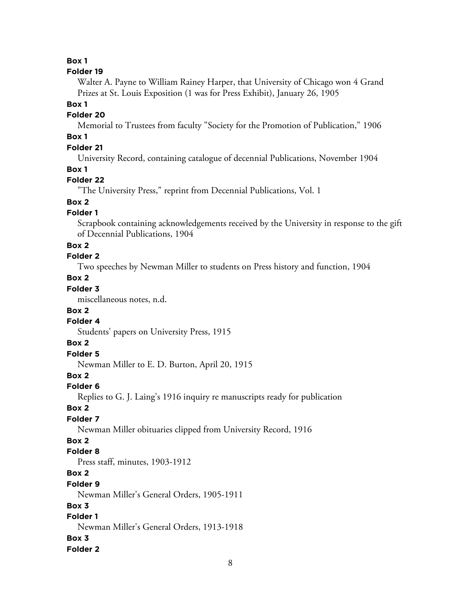**Box 1**

#### **Folder 19**

Walter A. Payne to William Rainey Harper, that University of Chicago won 4 Grand Prizes at St. Louis Exposition (1 was for Press Exhibit), January 26, 1905

#### **Box 1**

## **Folder 20**

Memorial to Trustees from faculty "Society for the Promotion of Publication," 1906

# **Box 1**

# **Folder 21**

University Record, containing catalogue of decennial Publications, November 1904

#### **Box 1**

# **Folder 22**

"The University Press," reprint from Decennial Publications, Vol. 1

# **Box 2**

# **Folder 1**

Scrapbook containing acknowledgements received by the University in response to the gift of Decennial Publications, 1904

# **Box 2**

# **Folder 2**

Two speeches by Newman Miller to students on Press history and function, 1904

# **Box 2**

# **Folder 3**

miscellaneous notes, n.d.

## **Box 2**

# **Folder 4**

Students' papers on University Press, 1915

## **Box 2**

# **Folder 5**

Newman Miller to E. D. Burton, April 20, 1915

## **Box 2**

# **Folder 6**

Replies to G. J. Laing's 1916 inquiry re manuscripts ready for publication

## **Box 2**

# **Folder 7**

Newman Miller obituaries clipped from University Record, 1916

# **Box 2**

## **Folder 8**

Press staff, minutes, 1903-1912

# **Box 2**

## **Folder 9**

Newman Miller's General Orders, 1905-1911

# **Box 3**

# **Folder 1**

Newman Miller's General Orders, 1913-1918

## **Box 3**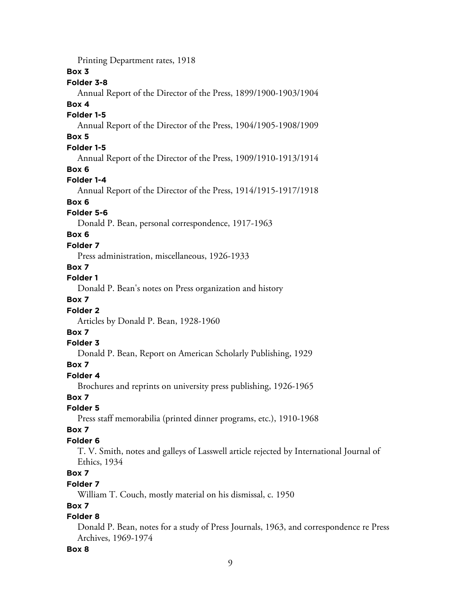Printing Department rates, 1918

#### **Box 3**

## **Folder 3-8**

Annual Report of the Director of the Press, 1899/1900-1903/1904

#### **Box 4**

#### **Folder 1-5**

Annual Report of the Director of the Press, 1904/1905-1908/1909 **Box 5**

# **Folder 1-5**

Annual Report of the Director of the Press, 1909/1910-1913/1914

## **Box 6**

# **Folder 1-4**

Annual Report of the Director of the Press, 1914/1915-1917/1918

## **Box 6**

# **Folder 5-6**

Donald P. Bean, personal correspondence, 1917-1963

# **Box 6**

# **Folder 7**

Press administration, miscellaneous, 1926-1933

# **Box 7**

# **Folder 1**

Donald P. Bean's notes on Press organization and history

# **Box 7**

# **Folder 2**

Articles by Donald P. Bean, 1928-1960

## **Box 7**

## **Folder 3**

Donald P. Bean, Report on American Scholarly Publishing, 1929

# **Box 7**

## **Folder 4**

Brochures and reprints on university press publishing, 1926-1965

## **Box 7**

## **Folder 5**

Press staff memorabilia (printed dinner programs, etc.), 1910-1968

# **Box 7**

# **Folder 6**

T. V. Smith, notes and galleys of Lasswell article rejected by International Journal of Ethics, 1934

# **Box 7**

## **Folder 7**

William T. Couch, mostly material on his dismissal, c. 1950

# **Box 7**

# **Folder 8**

Donald P. Bean, notes for a study of Press Journals, 1963, and correspondence re Press Archives, 1969-1974

## **Box 8**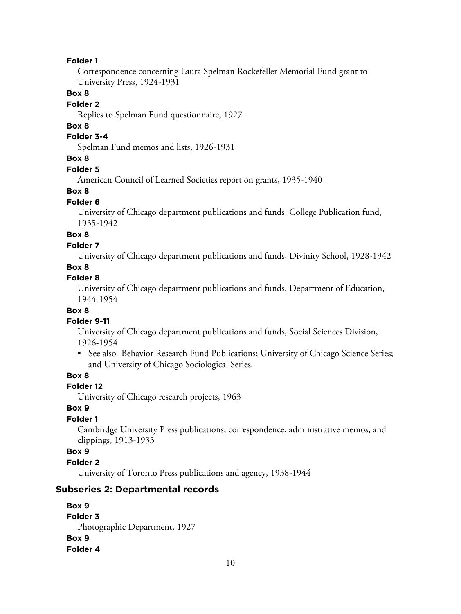#### **Folder 1**

Correspondence concerning Laura Spelman Rockefeller Memorial Fund grant to University Press, 1924-1931

#### **Box 8**

#### **Folder 2**

Replies to Spelman Fund questionnaire, 1927

#### **Box 8**

#### **Folder 3-4**

Spelman Fund memos and lists, 1926-1931

# **Box 8**

## **Folder 5**

American Council of Learned Societies report on grants, 1935-1940

#### **Box 8**

#### **Folder 6**

University of Chicago department publications and funds, College Publication fund, 1935-1942

# **Box 8**

#### **Folder 7**

University of Chicago department publications and funds, Divinity School, 1928-1942

#### **Box 8**

#### **Folder 8**

University of Chicago department publications and funds, Department of Education, 1944-1954

#### **Box 8**

#### **Folder 9-11**

University of Chicago department publications and funds, Social Sciences Division, 1926-1954

• See also- Behavior Research Fund Publications; University of Chicago Science Series; and University of Chicago Sociological Series.

## **Box 8**

#### **Folder 12**

University of Chicago research projects, 1963

## **Box 9**

# **Folder 1**

Cambridge University Press publications, correspondence, administrative memos, and clippings, 1913-1933

#### **Box 9**

#### **Folder 2**

University of Toronto Press publications and agency, 1938-1944

## **Subseries 2: Departmental records**

```
Box 9
Folder 3
  Photographic Department, 1927
Box 9
Folder 4
```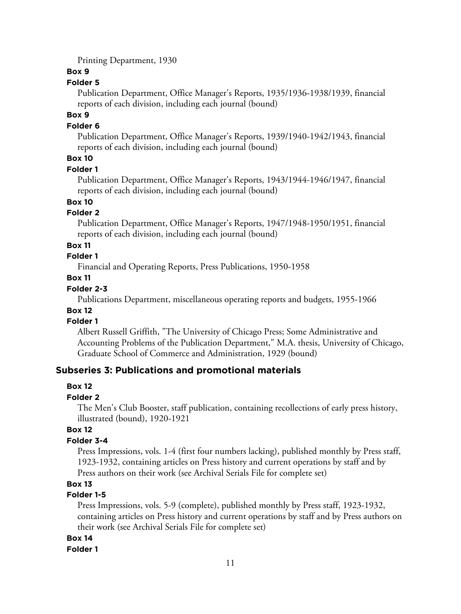Printing Department, 1930

#### **Box 9**

## **Folder 5**

Publication Department, Office Manager's Reports, 1935/1936-1938/1939, financial reports of each division, including each journal (bound)

#### **Box 9**

#### **Folder 6**

Publication Department, Office Manager's Reports, 1939/1940-1942/1943, financial reports of each division, including each journal (bound)

# **Box 10**

#### **Folder 1**

Publication Department, Office Manager's Reports, 1943/1944-1946/1947, financial reports of each division, including each journal (bound)

# **Box 10**

## **Folder 2**

Publication Department, Office Manager's Reports, 1947/1948-1950/1951, financial reports of each division, including each journal (bound)

#### **Box 11**

# **Folder 1**

Financial and Operating Reports, Press Publications, 1950-1958

#### **Box 11**

#### **Folder 2-3**

Publications Department, miscellaneous operating reports and budgets, 1955-1966

# **Box 12**

#### **Folder 1**

Albert Russell Griffith, "The University of Chicago Press; Some Administrative and Accounting Problems of the Publication Department," M.A. thesis, University of Chicago, Graduate School of Commerce and Administration, 1929 (bound)

# **Subseries 3: Publications and promotional materials**

## **Box 12**

#### **Folder 2**

The Men's Club Booster, staff publication, containing recollections of early press history, illustrated (bound), 1920-1921

## **Box 12**

## **Folder 3-4**

Press Impressions, vols. 1-4 (first four numbers lacking), published monthly by Press staff, 1923-1932, containing articles on Press history and current operations by staff and by Press authors on their work (see Archival Serials File for complete set)

# **Box 13**

## **Folder 1-5**

Press Impressions, vols. 5-9 (complete), published monthly by Press staff, 1923-1932, containing articles on Press history and current operations by staff and by Press authors on their work (see Archival Serials File for complete set)

## **Box 14**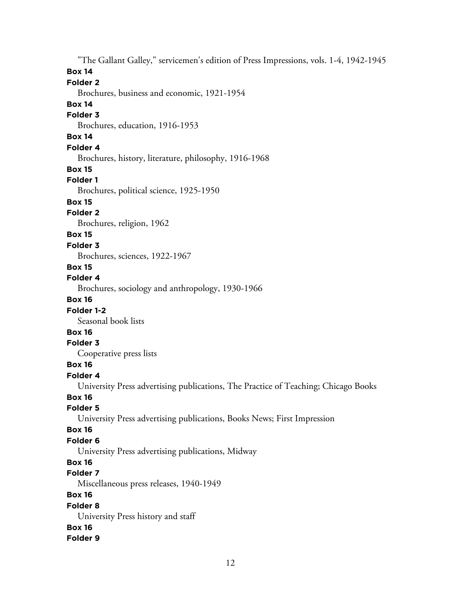"The Gallant Galley," servicemen's edition of Press Impressions, vols. 1-4, 1942-1945 **Box 14 Folder 2** Brochures, business and economic, 1921-1954 **Box 14 Folder 3** Brochures, education, 1916-1953 **Box 14 Folder 4** Brochures, history, literature, philosophy, 1916-1968 **Box 15 Folder 1** Brochures, political science, 1925-1950 **Box 15 Folder 2** Brochures, religion, 1962 **Box 15 Folder 3** Brochures, sciences, 1922-1967 **Box 15 Folder 4** Brochures, sociology and anthropology, 1930-1966 **Box 16 Folder 1-2** Seasonal book lists **Box 16 Folder 3** Cooperative press lists **Box 16 Folder 4** University Press advertising publications, The Practice of Teaching; Chicago Books **Box 16 Folder 5** University Press advertising publications, Books News; First Impression **Box 16 Folder 6** University Press advertising publications, Midway **Box 16 Folder 7** Miscellaneous press releases, 1940-1949 **Box 16 Folder 8** University Press history and staff **Box 16 Folder 9**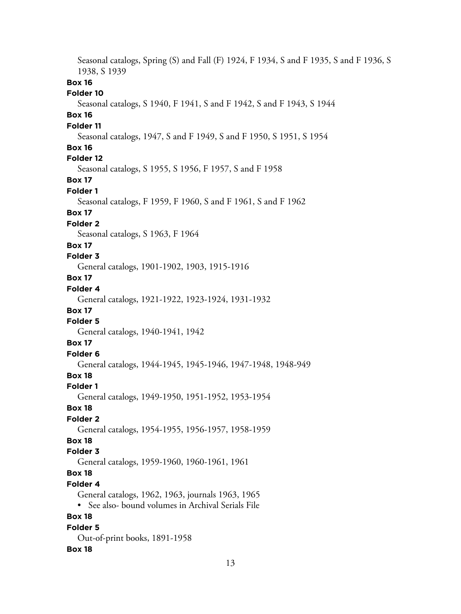Seasonal catalogs, Spring (S) and Fall (F) 1924, F 1934, S and F 1935, S and F 1936, S 1938, S 1939 **Box 16 Folder 10** Seasonal catalogs, S 1940, F 1941, S and F 1942, S and F 1943, S 1944 **Box 16 Folder 11** Seasonal catalogs, 1947, S and F 1949, S and F 1950, S 1951, S 1954 **Box 16 Folder 12** Seasonal catalogs, S 1955, S 1956, F 1957, S and F 1958 **Box 17 Folder 1** Seasonal catalogs, F 1959, F 1960, S and F 1961, S and F 1962 **Box 17 Folder 2** Seasonal catalogs, S 1963, F 1964 **Box 17 Folder 3** General catalogs, 1901-1902, 1903, 1915-1916 **Box 17 Folder 4** General catalogs, 1921-1922, 1923-1924, 1931-1932 **Box 17 Folder 5** General catalogs, 1940-1941, 1942 **Box 17 Folder 6** General catalogs, 1944-1945, 1945-1946, 1947-1948, 1948-949 **Box 18 Folder 1** General catalogs, 1949-1950, 1951-1952, 1953-1954 **Box 18 Folder 2** General catalogs, 1954-1955, 1956-1957, 1958-1959 **Box 18 Folder 3** General catalogs, 1959-1960, 1960-1961, 1961 **Box 18 Folder 4** General catalogs, 1962, 1963, journals 1963, 1965 • See also- bound volumes in Archival Serials File **Box 18 Folder 5** Out-of-print books, 1891-1958 **Box 18**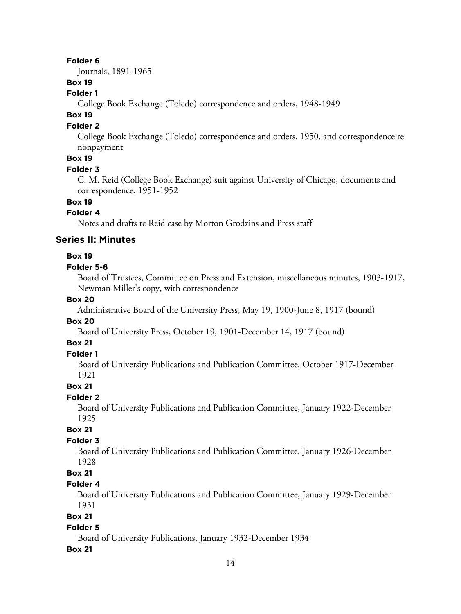#### **Folder 6**

Journals, 1891-1965

# **Box 19**

## **Folder 1**

College Book Exchange (Toledo) correspondence and orders, 1948-1949

# **Box 19**

#### **Folder 2**

College Book Exchange (Toledo) correspondence and orders, 1950, and correspondence re nonpayment

# **Box 19**

#### **Folder 3**

C. M. Reid (College Book Exchange) suit against University of Chicago, documents and correspondence, 1951-1952

#### **Box 19**

## **Folder 4**

Notes and drafts re Reid case by Morton Grodzins and Press staff

#### **Series II: Minutes**

#### **Box 19**

#### **Folder 5-6**

Board of Trustees, Committee on Press and Extension, miscellaneous minutes, 1903-1917, Newman Miller's copy, with correspondence

## **Box 20**

Administrative Board of the University Press, May 19, 1900-June 8, 1917 (bound)

#### **Box 20**

Board of University Press, October 19, 1901-December 14, 1917 (bound)

## **Box 21**

## **Folder 1**

Board of University Publications and Publication Committee, October 1917-December 1921

#### **Box 21**

#### **Folder 2**

Board of University Publications and Publication Committee, January 1922-December 1925

# **Box 21**

#### **Folder 3**

Board of University Publications and Publication Committee, January 1926-December 1928

# **Box 21**

#### **Folder 4**

Board of University Publications and Publication Committee, January 1929-December 1931

## **Box 21**

#### **Folder 5**

Board of University Publications, January 1932-December 1934

#### **Box 21**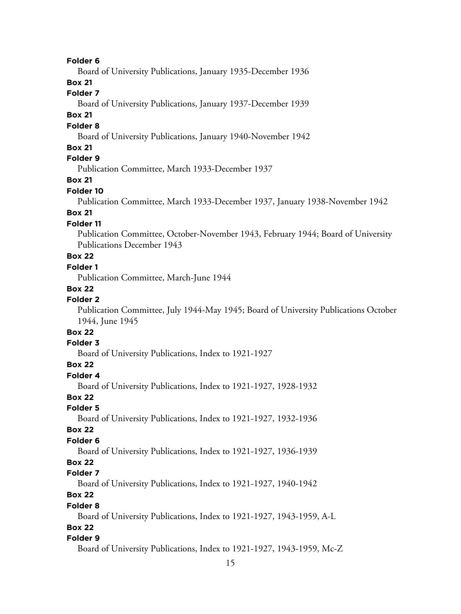#### **Folder 6**

Board of University Publications, January 1935-December 1936

# **Box 21**

# **Folder 7**

Board of University Publications, January 1937-December 1939

## **Box 21**

#### **Folder 8**

Board of University Publications, January 1940-November 1942

#### **Box 21**

# **Folder 9**

Publication Committee, March 1933-December 1937

## **Box 21**

## **Folder 10**

Publication Committee, March 1933-December 1937, January 1938-November 1942

# **Box 21**

## **Folder 11**

Publication Committee, October-November 1943, February 1944; Board of University Publications December 1943

# **Box 22**

## **Folder 1**

Publication Committee, March-June 1944

#### **Box 22**

# **Folder 2**

Publication Committee, July 1944-May 1945; Board of University Publications October 1944, June 1945

# **Box 22**

## **Folder 3**

Board of University Publications, Index to 1921-1927

#### **Box 22**

#### **Folder 4**

Board of University Publications, Index to 1921-1927, 1928-1932

## **Box 22**

# **Folder 5**

Board of University Publications, Index to 1921-1927, 1932-1936

#### **Box 22**

#### **Folder 6**

Board of University Publications, Index to 1921-1927, 1936-1939

## **Box 22**

#### **Folder 7**

Board of University Publications, Index to 1921-1927, 1940-1942

# **Box 22**

#### **Folder 8**

Board of University Publications, Index to 1921-1927, 1943-1959, A-L

#### **Box 22**

#### **Folder 9**

Board of University Publications, Index to 1921-1927, 1943-1959, Mc-Z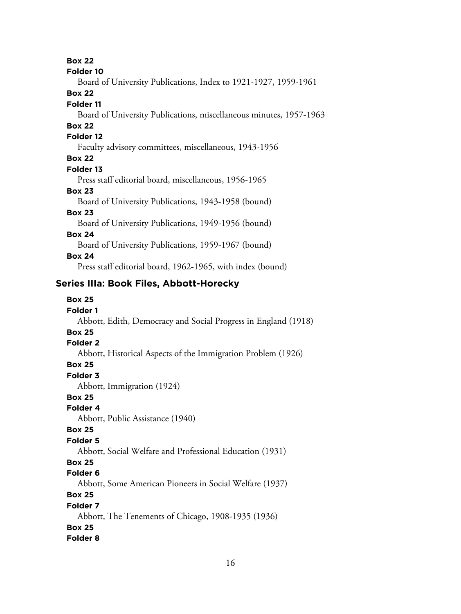**Box 22**

#### **Folder 10**

Board of University Publications, Index to 1921-1927, 1959-1961

#### **Box 22**

#### **Folder 11**

Board of University Publications, miscellaneous minutes, 1957-1963

# **Box 22**

#### **Folder 12**

Faculty advisory committees, miscellaneous, 1943-1956

#### **Box 22**

#### **Folder 13**

Press staff editorial board, miscellaneous, 1956-1965

#### **Box 23**

Board of University Publications, 1943-1958 (bound)

## **Box 23**

Board of University Publications, 1949-1956 (bound)

#### **Box 24**

Board of University Publications, 1959-1967 (bound)

#### **Box 24**

Press staff editorial board, 1962-1965, with index (bound)

# **Series IIIa: Book Files, Abbott-Horecky**

# **Box 25**

#### **Folder 1**

#### Abbott, Edith, Democracy and Social Progress in England (1918)

# **Box 25**

# **Folder 2**

#### Abbott, Historical Aspects of the Immigration Problem (1926)

#### **Box 25**

#### **Folder 3**

Abbott, Immigration (1924)

## **Box 25**

#### **Folder 4**

Abbott, Public Assistance (1940)

#### **Box 25**

#### **Folder 5**

Abbott, Social Welfare and Professional Education (1931)

# **Box 25**

#### **Folder 6**

Abbott, Some American Pioneers in Social Welfare (1937)

# **Box 25**

#### **Folder 7**

Abbott, The Tenements of Chicago, 1908-1935 (1936) **Box 25**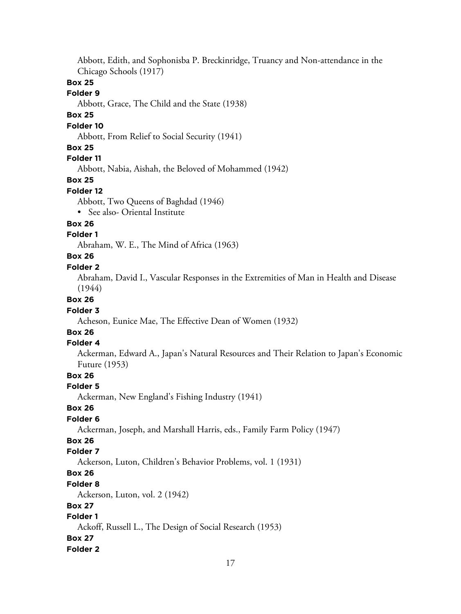Abbott, Edith, and Sophonisba P. Breckinridge, Truancy and Non-attendance in the Chicago Schools (1917)

## **Box 25**

#### **Folder 9**

Abbott, Grace, The Child and the State (1938)

# **Box 25**

#### **Folder 10**

Abbott, From Relief to Social Security (1941)

## **Box 25**

**Folder 11**

Abbott, Nabia, Aishah, the Beloved of Mohammed (1942)

#### **Box 25**

#### **Folder 12**

Abbott, Two Queens of Baghdad (1946)

• See also- Oriental Institute

#### **Box 26**

#### **Folder 1**

Abraham, W. E., The Mind of Africa (1963)

## **Box 26**

#### **Folder 2**

Abraham, David I., Vascular Responses in the Extremities of Man in Health and Disease (1944)

## **Box 26**

#### **Folder 3**

Acheson, Eunice Mae, The Effective Dean of Women (1932)

# **Box 26**

#### **Folder 4**

Ackerman, Edward A., Japan's Natural Resources and Their Relation to Japan's Economic Future (1953)

# **Box 26**

#### **Folder 5**

Ackerman, New England's Fishing Industry (1941)

## **Box 26**

# **Folder 6**

Ackerman, Joseph, and Marshall Harris, eds., Family Farm Policy (1947)

# **Box 26**

# **Folder 7**

Ackerson, Luton, Children's Behavior Problems, vol. 1 (1931)

# **Box 26**

#### **Folder 8**

Ackerson, Luton, vol. 2 (1942)

## **Box 27**

# **Folder 1**

Ackoff, Russell L., The Design of Social Research (1953)

#### **Box 27**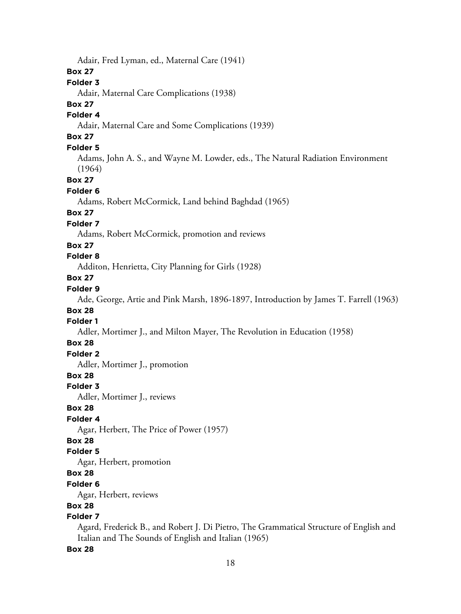Adair, Fred Lyman, ed., Maternal Care (1941)

## **Box 27**

# **Folder 3**

Adair, Maternal Care Complications (1938)

## **Box 27**

# **Folder 4**

Adair, Maternal Care and Some Complications (1939)

# **Box 27**

## **Folder 5**

Adams, John A. S., and Wayne M. Lowder, eds., The Natural Radiation Environment (1964)

**Box 27**

#### **Folder 6**

Adams, Robert McCormick, Land behind Baghdad (1965)

## **Box 27**

#### **Folder 7**

Adams, Robert McCormick, promotion and reviews

#### **Box 27**

## **Folder 8**

Additon, Henrietta, City Planning for Girls (1928)

## **Box 27**

# **Folder 9**

Ade, George, Artie and Pink Marsh, 1896-1897, Introduction by James T. Farrell (1963)

## **Box 28**

# **Folder 1**

Adler, Mortimer J., and Milton Mayer, The Revolution in Education (1958)

## **Box 28**

# **Folder 2**

Adler, Mortimer J., promotion

## **Box 28**

#### **Folder 3**

Adler, Mortimer J., reviews

## **Box 28**

# **Folder 4**

Agar, Herbert, The Price of Power (1957)

## **Box 28**

#### **Folder 5**

Agar, Herbert, promotion

# **Box 28**

#### **Folder 6**

Agar, Herbert, reviews

# **Box 28**

# **Folder 7**

Agard, Frederick B., and Robert J. Di Pietro, The Grammatical Structure of English and Italian and The Sounds of English and Italian (1965)

#### **Box 28**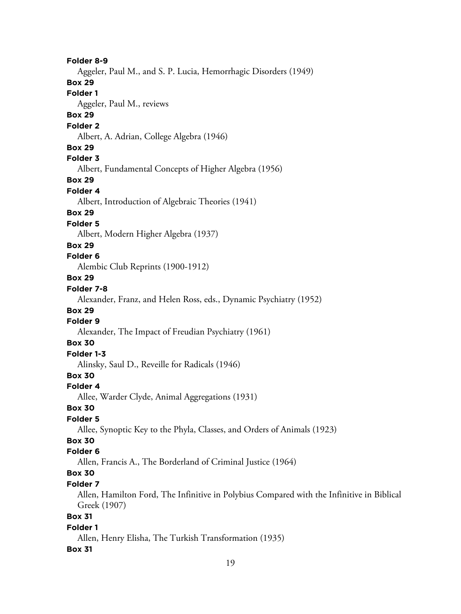**Folder 8-9** Aggeler, Paul M., and S. P. Lucia, Hemorrhagic Disorders (1949) **Box 29 Folder 1** Aggeler, Paul M., reviews **Box 29 Folder 2** Albert, A. Adrian, College Algebra (1946) **Box 29 Folder 3** Albert, Fundamental Concepts of Higher Algebra (1956) **Box 29 Folder 4** Albert, Introduction of Algebraic Theories (1941) **Box 29 Folder 5** Albert, Modern Higher Algebra (1937) **Box 29 Folder 6** Alembic Club Reprints (1900-1912) **Box 29 Folder 7-8** Alexander, Franz, and Helen Ross, eds., Dynamic Psychiatry (1952) **Box 29 Folder 9** Alexander, The Impact of Freudian Psychiatry (1961) **Box 30 Folder 1-3** Alinsky, Saul D., Reveille for Radicals (1946) **Box 30 Folder 4** Allee, Warder Clyde, Animal Aggregations (1931) **Box 30 Folder 5** Allee, Synoptic Key to the Phyla, Classes, and Orders of Animals (1923) **Box 30 Folder 6** Allen, Francis A., The Borderland of Criminal Justice (1964) **Box 30 Folder 7** Allen, Hamilton Ford, The Infinitive in Polybius Compared with the Infinitive in Biblical Greek (1907) **Box 31 Folder 1** Allen, Henry Elisha, The Turkish Transformation (1935) **Box 31**

#### 19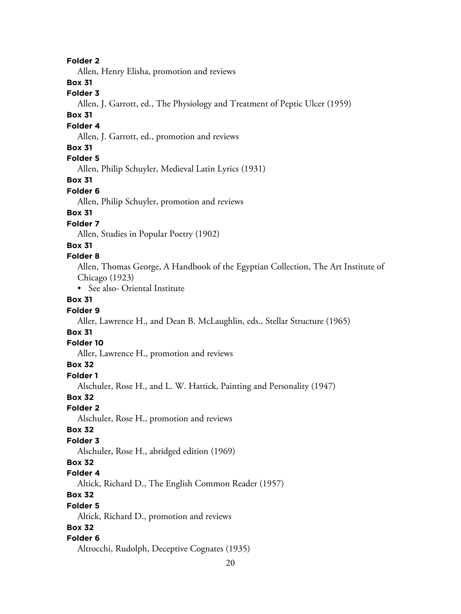#### **Folder 2**

Allen, Henry Elisha, promotion and reviews

## **Box 31**

## **Folder 3**

Allen, J. Garrott, ed., The Physiology and Treatment of Peptic Ulcer (1959)

## **Box 31**

#### **Folder 4**

Allen, J. Garrott, ed., promotion and reviews

#### **Box 31**

# **Folder 5**

Allen, Philip Schuyler, Medieval Latin Lyrics (1931)

#### **Box 31**

#### **Folder 6**

Allen, Philip Schuyler, promotion and reviews

# **Box 31**

## **Folder 7**

Allen, Studies in Popular Poetry (1902)

#### **Box 31**

#### **Folder 8**

Allen, Thomas George, A Handbook of the Egyptian Collection, The Art Institute of Chicago (1923)

• See also- Oriental Institute

# **Box 31**

## **Folder 9**

Aller, Lawrence H., and Dean B. McLaughlin, eds., Stellar Structure (1965)

# **Box 31**

#### **Folder 10**

Aller, Lawrence H., promotion and reviews

#### **Box 32**

#### **Folder 1**

Alschuler, Rose H., and L. W. Hattick, Painting and Personality (1947)

#### **Box 32**

# **Folder 2**

Alschuler, Rose H., promotion and reviews

#### **Box 32**

#### **Folder 3**

Alschuler, Rose H., abridged edition (1969)

#### **Box 32**

#### **Folder 4**

Altick, Richard D., The English Common Reader (1957)

# **Box 32**

#### **Folder 5**

Altick, Richard D., promotion and reviews

## **Box 32**

#### **Folder 6**

Altrocchi, Rudolph, Deceptive Cognates (1935)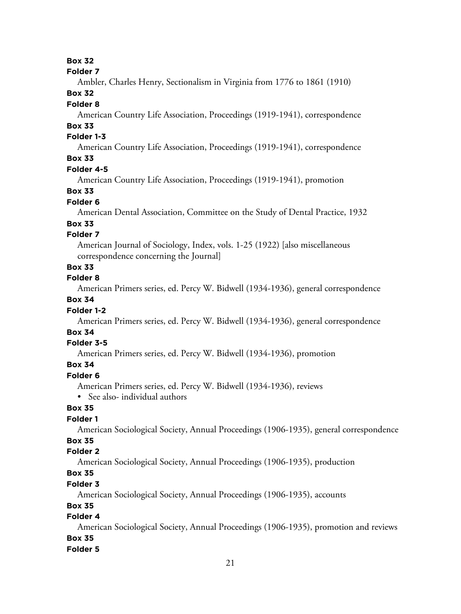# **Box 32**

#### **Folder 7**

Ambler, Charles Henry, Sectionalism in Virginia from 1776 to 1861 (1910)

## **Box 32**

#### **Folder 8**

American Country Life Association, Proceedings (1919-1941), correspondence

# **Box 33**

## **Folder 1-3**

American Country Life Association, Proceedings (1919-1941), correspondence

# **Box 33**

# **Folder 4-5**

American Country Life Association, Proceedings (1919-1941), promotion

#### **Box 33**

#### **Folder 6**

American Dental Association, Committee on the Study of Dental Practice, 1932

#### **Box 33**

#### **Folder 7**

American Journal of Sociology, Index, vols. 1-25 (1922) [also miscellaneous correspondence concerning the Journal]

# **Box 33**

#### **Folder 8**

American Primers series, ed. Percy W. Bidwell (1934-1936), general correspondence

# **Box 34**

## **Folder 1-2**

American Primers series, ed. Percy W. Bidwell (1934-1936), general correspondence

# **Box 34**

## **Folder 3-5**

American Primers series, ed. Percy W. Bidwell (1934-1936), promotion

## **Box 34**

#### **Folder 6**

American Primers series, ed. Percy W. Bidwell (1934-1936), reviews

• See also- individual authors

# **Box 35**

## **Folder 1**

American Sociological Society, Annual Proceedings (1906-1935), general correspondence

# **Box 35**

# **Folder 2**

American Sociological Society, Annual Proceedings (1906-1935), production

# **Box 35**

## **Folder 3**

American Sociological Society, Annual Proceedings (1906-1935), accounts

# **Box 35**

# **Folder 4**

American Sociological Society, Annual Proceedings (1906-1935), promotion and reviews **Box 35**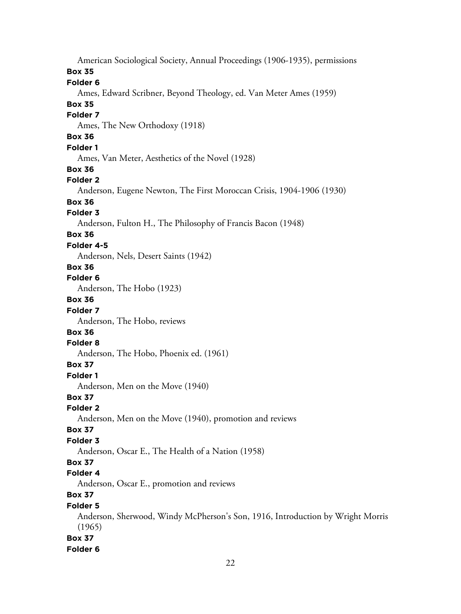American Sociological Society, Annual Proceedings (1906-1935), permissions **Box 35 Folder 6** Ames, Edward Scribner, Beyond Theology, ed. Van Meter Ames (1959) **Box 35 Folder 7** Ames, The New Orthodoxy (1918) **Box 36 Folder 1** Ames, Van Meter, Aesthetics of the Novel (1928) **Box 36 Folder 2** Anderson, Eugene Newton, The First Moroccan Crisis, 1904-1906 (1930) **Box 36 Folder 3** Anderson, Fulton H., The Philosophy of Francis Bacon (1948) **Box 36 Folder 4-5** Anderson, Nels, Desert Saints (1942) **Box 36 Folder 6** Anderson, The Hobo (1923) **Box 36 Folder 7** Anderson, The Hobo, reviews **Box 36 Folder 8** Anderson, The Hobo, Phoenix ed. (1961) **Box 37 Folder 1** Anderson, Men on the Move (1940) **Box 37 Folder 2** Anderson, Men on the Move (1940), promotion and reviews **Box 37 Folder 3** Anderson, Oscar E., The Health of a Nation (1958) **Box 37 Folder 4** Anderson, Oscar E., promotion and reviews **Box 37 Folder 5** Anderson, Sherwood, Windy McPherson's Son, 1916, Introduction by Wright Morris (1965) **Box 37 Folder 6**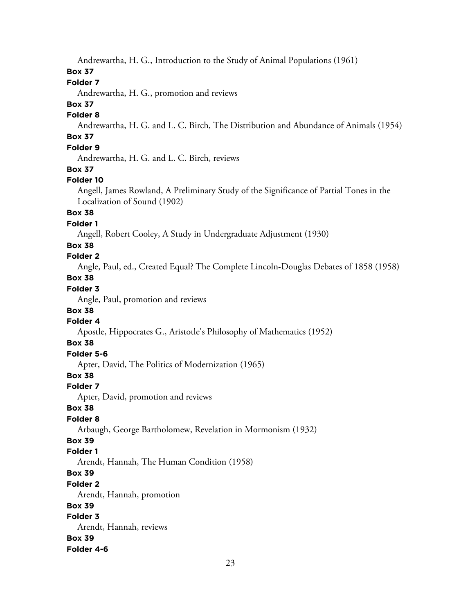Andrewartha, H. G., Introduction to the Study of Animal Populations (1961)

## **Box 37**

# **Folder 7**

Andrewartha, H. G., promotion and reviews

# **Box 37**

#### **Folder 8**

Andrewartha, H. G. and L. C. Birch, The Distribution and Abundance of Animals (1954)

# **Box 37**

# **Folder 9**

Andrewartha, H. G. and L. C. Birch, reviews

## **Box 37**

## **Folder 10**

Angell, James Rowland, A Preliminary Study of the Significance of Partial Tones in the Localization of Sound (1902)

# **Box 38**

#### **Folder 1**

Angell, Robert Cooley, A Study in Undergraduate Adjustment (1930)

## **Box 38**

# **Folder 2**

Angle, Paul, ed., Created Equal? The Complete Lincoln-Douglas Debates of 1858 (1958)

# **Box 38**

# **Folder 3**

Angle, Paul, promotion and reviews

## **Box 38**

# **Folder 4**

Apostle, Hippocrates G., Aristotle's Philosophy of Mathematics (1952)

# **Box 38**

# **Folder 5-6**

Apter, David, The Politics of Modernization (1965)

## **Box 38**

## **Folder 7**

Apter, David, promotion and reviews

## **Box 38**

# **Folder 8**

Arbaugh, George Bartholomew, Revelation in Mormonism (1932)

# **Box 39**

## **Folder 1**

Arendt, Hannah, The Human Condition (1958)

## **Box 39**

## **Folder 2**

Arendt, Hannah, promotion

## **Box 39**

# **Folder 3**

Arendt, Hannah, reviews **Box 39 Folder 4-6**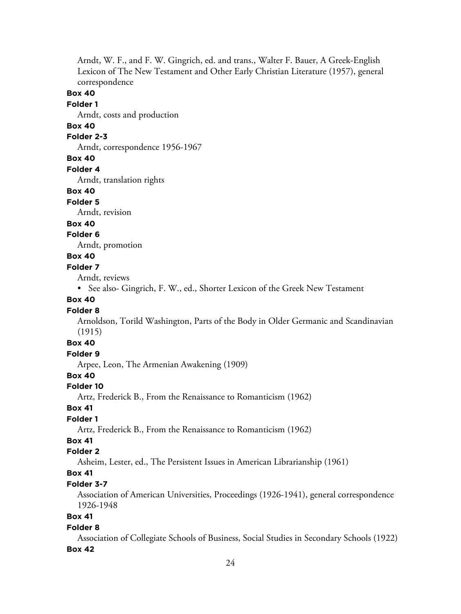Arndt, W. F., and F. W. Gingrich, ed. and trans., Walter F. Bauer, A Greek-English Lexicon of The New Testament and Other Early Christian Literature (1957), general correspondence

## **Box 40**

## **Folder 1**

Arndt, costs and production

# **Box 40**

# **Folder 2-3**

Arndt, correspondence 1956-1967

#### **Box 40**

#### **Folder 4**

Arndt, translation rights

#### **Box 40**

#### **Folder 5**

Arndt, revision

# **Box 40**

# **Folder 6**

Arndt, promotion

# **Box 40**

## **Folder 7**

Arndt, reviews

• See also- Gingrich, F. W., ed., Shorter Lexicon of the Greek New Testament

# **Box 40**

#### **Folder 8**

Arnoldson, Torild Washington, Parts of the Body in Older Germanic and Scandinavian (1915)

# **Box 40**

# **Folder 9**

Arpee, Leon, The Armenian Awakening (1909)

# **Box 40**

#### **Folder 10**

Artz, Frederick B., From the Renaissance to Romanticism (1962)

#### **Box 41**

# **Folder 1**

Artz, Frederick B., From the Renaissance to Romanticism (1962)

# **Box 41**

#### **Folder 2**

Asheim, Lester, ed., The Persistent Issues in American Librarianship (1961)

## **Box 41**

#### **Folder 3-7**

Association of American Universities, Proceedings (1926-1941), general correspondence 1926-1948

# **Box 41**

#### **Folder 8**

Association of Collegiate Schools of Business, Social Studies in Secondary Schools (1922)

#### **Box 42**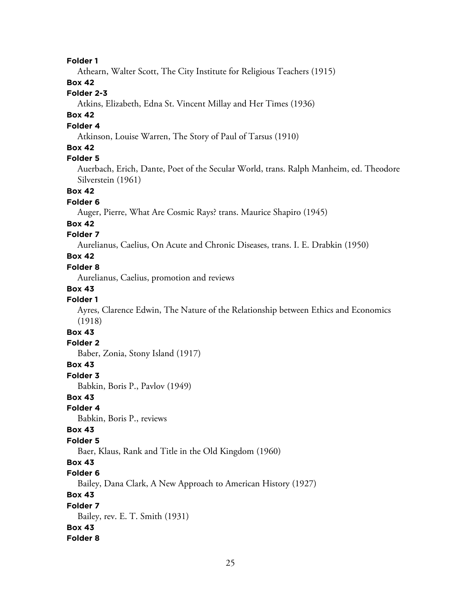#### **Folder 1**

Athearn, Walter Scott, The City Institute for Religious Teachers (1915)

# **Box 42**

# **Folder 2-3**

Atkins, Elizabeth, Edna St. Vincent Millay and Her Times (1936)

# **Box 42**

# **Folder 4**

Atkinson, Louise Warren, The Story of Paul of Tarsus (1910)

## **Box 42**

#### **Folder 5**

Auerbach, Erich, Dante, Poet of the Secular World, trans. Ralph Manheim, ed. Theodore Silverstein (1961)

## **Box 42**

#### **Folder 6**

Auger, Pierre, What Are Cosmic Rays? trans. Maurice Shapiro (1945)

#### **Box 42**

## **Folder 7**

Aurelianus, Caelius, On Acute and Chronic Diseases, trans. I. E. Drabkin (1950)

# **Box 42**

## **Folder 8**

Aurelianus, Caelius, promotion and reviews

#### **Box 43**

#### **Folder 1**

Ayres, Clarence Edwin, The Nature of the Relationship between Ethics and Economics (1918)

# **Box 43**

#### **Folder 2**

Baber, Zonia, Stony Island (1917)

#### **Box 43**

**Folder 3**

Babkin, Boris P., Pavlov (1949)

#### **Box 43**

#### **Folder 4**

Babkin, Boris P., reviews

#### **Box 43**

#### **Folder 5**

Baer, Klaus, Rank and Title in the Old Kingdom (1960)

#### **Box 43**

#### **Folder 6**

Bailey, Dana Clark, A New Approach to American History (1927)

#### **Box 43**

# **Folder 7**

Bailey, rev. E. T. Smith (1931) **Box 43**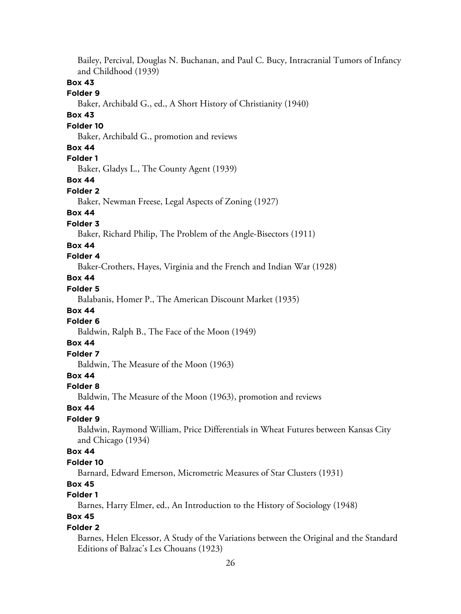Bailey, Percival, Douglas N. Buchanan, and Paul C. Bucy, Intracranial Tumors of Infancy and Childhood (1939) **Box 43 Folder 9** Baker, Archibald G., ed., A Short History of Christianity (1940) **Box 43 Folder 10** Baker, Archibald G., promotion and reviews **Box 44 Folder 1** Baker, Gladys L., The County Agent (1939) **Box 44 Folder 2** Baker, Newman Freese, Legal Aspects of Zoning (1927) **Box 44 Folder 3** Baker, Richard Philip, The Problem of the Angle-Bisectors (1911) **Box 44 Folder 4** Baker-Crothers, Hayes, Virginia and the French and Indian War (1928) **Box 44 Folder 5** Balabanis, Homer P., The American Discount Market (1935) **Box 44 Folder 6** Baldwin, Ralph B., The Face of the Moon (1949) **Box 44 Folder 7** Baldwin, The Measure of the Moon (1963) **Box 44 Folder 8** Baldwin, The Measure of the Moon (1963), promotion and reviews **Box 44 Folder 9** Baldwin, Raymond William, Price Differentials in Wheat Futures between Kansas City and Chicago (1934) **Box 44 Folder 10** Barnard, Edward Emerson, Micrometric Measures of Star Clusters (1931) **Box 45 Folder 1** Barnes, Harry Elmer, ed., An Introduction to the History of Sociology (1948) **Box 45 Folder 2** Barnes, Helen Elcessor, A Study of the Variations between the Original and the Standard Editions of Balzac's Les Chouans (1923)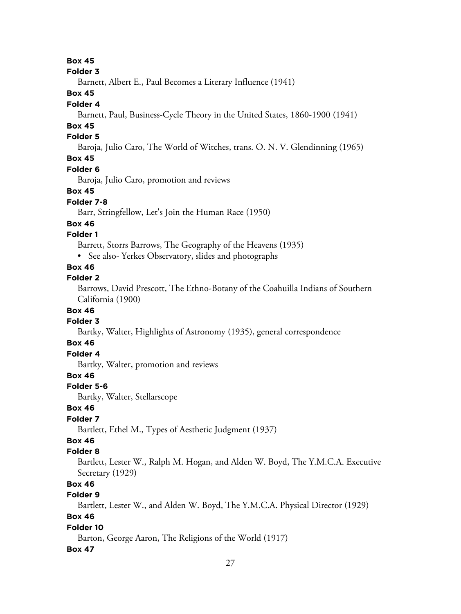**Box 45**

#### **Folder 3**

Barnett, Albert E., Paul Becomes a Literary Influence (1941)

## **Box 45**

#### **Folder 4**

Barnett, Paul, Business-Cycle Theory in the United States, 1860-1900 (1941)

# **Box 45**

## **Folder 5**

Baroja, Julio Caro, The World of Witches, trans. O. N. V. Glendinning (1965)

# **Box 45**

#### **Folder 6**

Baroja, Julio Caro, promotion and reviews

## **Box 45**

## **Folder 7-8**

Barr, Stringfellow, Let's Join the Human Race (1950)

## **Box 46**

## **Folder 1**

Barrett, Storrs Barrows, The Geography of the Heavens (1935)

• See also-Yerkes Observatory, slides and photographs

## **Box 46**

## **Folder 2**

Barrows, David Prescott, The Ethno-Botany of the Coahuilla Indians of Southern California (1900)

## **Box 46**

# **Folder 3**

Bartky, Walter, Highlights of Astronomy (1935), general correspondence

# **Box 46**

# **Folder 4**

Bartky, Walter, promotion and reviews

# **Box 46**

## **Folder 5-6**

Bartky, Walter, Stellarscope

## **Box 46**

# **Folder 7**

Bartlett, Ethel M., Types of Aesthetic Judgment (1937)

# **Box 46**

## **Folder 8**

Bartlett, Lester W., Ralph M. Hogan, and Alden W. Boyd, The Y.M.C.A. Executive Secretary (1929)

# **Box 46**

# **Folder 9**

Bartlett, Lester W., and Alden W. Boyd, The Y.M.C.A. Physical Director (1929)

# **Box 46**

## **Folder 10**

Barton, George Aaron, The Religions of the World (1917)

## **Box 47**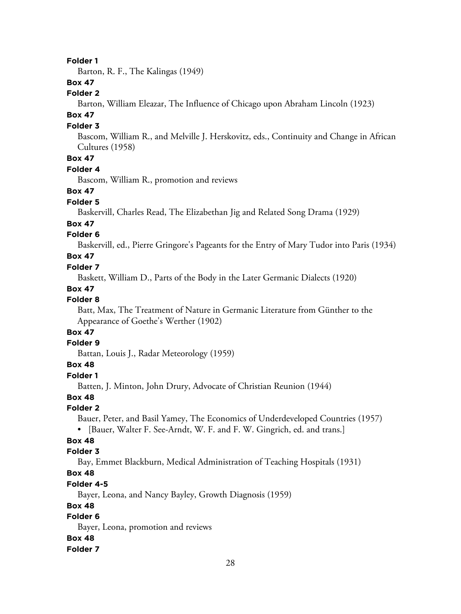#### **Folder 1**

Barton, R. F., The Kalingas (1949)

# **Box 47**

## **Folder 2**

Barton, William Eleazar, The Influence of Chicago upon Abraham Lincoln (1923)

## **Box 47**

#### **Folder 3**

Bascom, William R., and Melville J. Herskovitz, eds., Continuity and Change in African Cultures (1958)

# **Box 47**

## **Folder 4**

Bascom, William R., promotion and reviews

#### **Box 47**

#### **Folder 5**

Baskervill, Charles Read, The Elizabethan Jig and Related Song Drama (1929)

#### **Box 47**

## **Folder 6**

Baskervill, ed., Pierre Gringore's Pageants for the Entry of Mary Tudor into Paris (1934)

# **Box 47**

#### **Folder 7**

Baskett, William D., Parts of the Body in the Later Germanic Dialects (1920)

#### **Box 47**

## **Folder 8**

Batt, Max, The Treatment of Nature in Germanic Literature from Günther to the Appearance of Goethe's Werther (1902)

# **Box 47**

#### **Folder 9**

Battan, Louis J., Radar Meteorology (1959)

#### **Box 48**

#### **Folder 1**

Batten, J. Minton, John Drury, Advocate of Christian Reunion (1944)

#### **Box 48**

#### **Folder 2**

Bauer, Peter, and Basil Yamey, The Economics of Underdeveloped Countries (1957) • [Bauer, Walter F. See-Arndt, W. F. and F. W. Gingrich, ed. and trans.]

#### **Box 48**

#### **Folder 3**

Bay, Emmet Blackburn, Medical Administration of Teaching Hospitals (1931)

## **Box 48**

#### **Folder 4-5**

Bayer, Leona, and Nancy Bayley, Growth Diagnosis (1959)

## **Box 48**

# **Folder 6**

Bayer, Leona, promotion and reviews

#### **Box 48**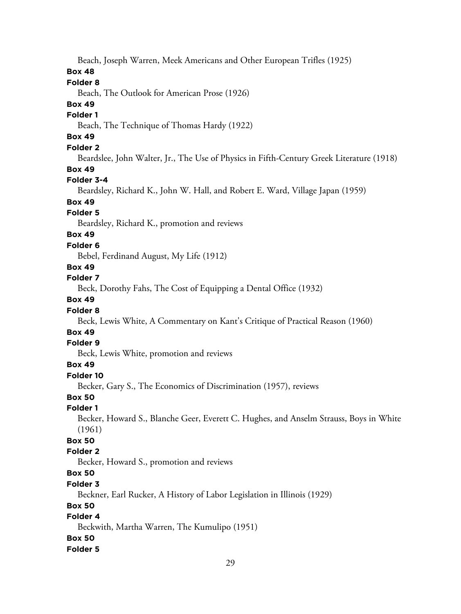Beach, Joseph Warren, Meek Americans and Other European Trifles (1925)

#### **Box 48**

## **Folder 8**

Beach, The Outlook for American Prose (1926)

#### **Box 49**

#### **Folder 1**

Beach, The Technique of Thomas Hardy (1922)

# **Box 49**

# **Folder 2**

Beardslee, John Walter, Jr., The Use of Physics in Fifth-Century Greek Literature (1918)

#### **Box 49**

#### **Folder 3-4**

Beardsley, Richard K., John W. Hall, and Robert E. Ward, Village Japan (1959)

# **Box 49**

#### **Folder 5**

Beardsley, Richard K., promotion and reviews

# **Box 49**

#### **Folder 6**

Bebel, Ferdinand August, My Life (1912)

## **Box 49**

## **Folder 7**

Beck, Dorothy Fahs, The Cost of Equipping a Dental Office (1932)

# **Box 49**

#### **Folder 8**

Beck, Lewis White, A Commentary on Kant's Critique of Practical Reason (1960)

# **Box 49**

#### **Folder 9**

Beck, Lewis White, promotion and reviews

## **Box 49**

#### **Folder 10**

Becker, Gary S., The Economics of Discrimination (1957), reviews

#### **Box 50**

## **Folder 1**

Becker, Howard S., Blanche Geer, Everett C. Hughes, and Anselm Strauss, Boys in White (1961)

## **Box 50**

## **Folder 2**

Becker, Howard S., promotion and reviews

# **Box 50**

#### **Folder 3**

Beckner, Earl Rucker, A History of Labor Legislation in Illinois (1929)

## **Box 50**

# **Folder 4**

Beckwith, Martha Warren, The Kumulipo (1951)

#### **Box 50**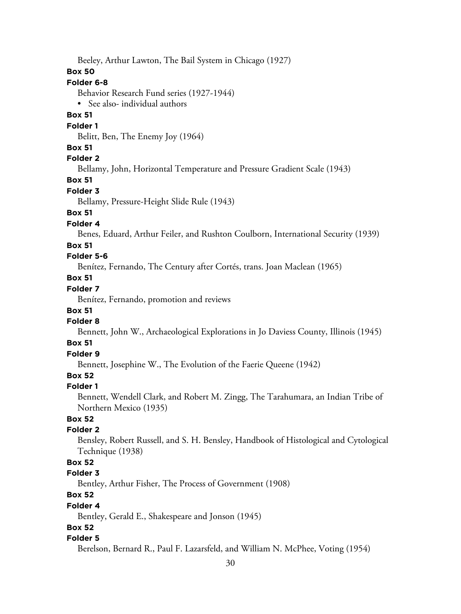Beeley, Arthur Lawton, The Bail System in Chicago (1927)

## **Box 50**

## **Folder 6-8**

Behavior Research Fund series (1927-1944)

• See also- individual authors

## **Box 51**

## **Folder 1**

Belitt, Ben, The Enemy Joy (1964)

## **Box 51**

# **Folder 2**

Bellamy, John, Horizontal Temperature and Pressure Gradient Scale (1943)

## **Box 51**

#### **Folder 3**

Bellamy, Pressure-Height Slide Rule (1943)

# **Box 51**

#### **Folder 4**

Benes, Eduard, Arthur Feiler, and Rushton Coulborn, International Security (1939)

## **Box 51**

## **Folder 5-6**

Benítez, Fernando, The Century after Cortés, trans. Joan Maclean (1965)

# **Box 51**

# **Folder 7**

Benítez, Fernando, promotion and reviews

## **Box 51**

# **Folder 8**

Bennett, John W., Archaeological Explorations in Jo Daviess County, Illinois (1945)

## **Box 51**

# **Folder 9**

Bennett, Josephine W., The Evolution of the Faerie Queene (1942)

# **Box 52**

# **Folder 1**

Bennett, Wendell Clark, and Robert M. Zingg, The Tarahumara, an Indian Tribe of Northern Mexico (1935)

# **Box 52**

# **Folder 2**

Bensley, Robert Russell, and S. H. Bensley, Handbook of Histological and Cytological Technique (1938)

# **Box 52**

# **Folder 3**

Bentley, Arthur Fisher, The Process of Government (1908)

# **Box 52**

## **Folder 4**

Bentley, Gerald E., Shakespeare and Jonson (1945)

# **Box 52**

# **Folder 5**

Berelson, Bernard R., Paul F. Lazarsfeld, and William N. McPhee, Voting (1954)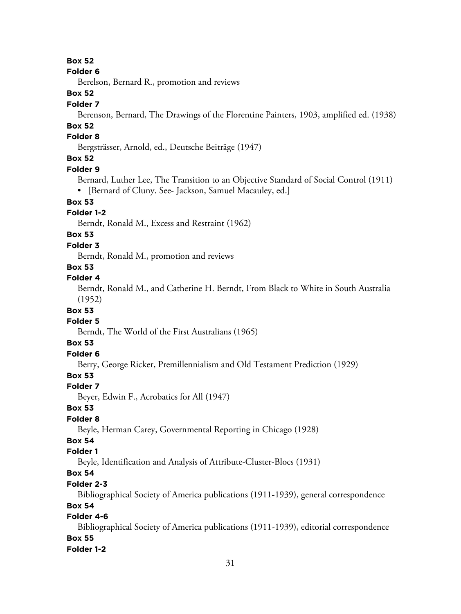**Box 52**

#### **Folder 6**

Berelson, Bernard R., promotion and reviews

## **Box 52**

#### **Folder 7**

Berenson, Bernard, The Drawings of the Florentine Painters, 1903, amplified ed. (1938)

# **Box 52**

# **Folder 8**

Bergsträsser, Arnold, ed., Deutsche Beiträge (1947)

# **Box 52**

#### **Folder 9**

Bernard, Luther Lee, The Transition to an Objective Standard of Social Control (1911) • [Bernard of Cluny. See- Jackson, Samuel Macauley, ed.]

# **Box 53**

# **Folder 1-2**

Berndt, Ronald M., Excess and Restraint (1962)

## **Box 53**

#### **Folder 3**

Berndt, Ronald M., promotion and reviews

# **Box 53**

## **Folder 4**

Berndt, Ronald M., and Catherine H. Berndt, From Black to White in South Australia (1952)

#### **Box 53**

## **Folder 5**

Berndt, The World of the First Australians (1965)

#### **Box 53**

# **Folder 6**

Berry, George Ricker, Premillennialism and Old Testament Prediction (1929)

# **Box 53**

## **Folder 7**

Beyer, Edwin F., Acrobatics for All (1947)

## **Box 53**

## **Folder 8**

Beyle, Herman Carey, Governmental Reporting in Chicago (1928)

# **Box 54**

## **Folder 1**

Beyle, Identification and Analysis of Attribute-Cluster-Blocs (1931)

# **Box 54**

## **Folder 2-3**

Bibliographical Society of America publications (1911-1939), general correspondence

# **Box 54**

# **Folder 4-6**

Bibliographical Society of America publications (1911-1939), editorial correspondence **Box 55**

## **Folder 1-2**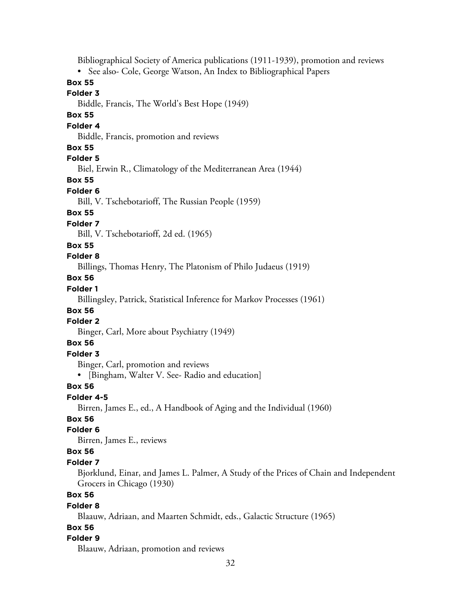Bibliographical Society of America publications (1911-1939), promotion and reviews

• See also- Cole, George Watson, An Index to Bibliographical Papers

## **Box 55**

#### **Folder 3**

Biddle, Francis, The World's Best Hope (1949)

## **Box 55**

## **Folder 4**

Biddle, Francis, promotion and reviews

## **Box 55**

# **Folder 5**

Biel, Erwin R., Climatology of the Mediterranean Area (1944)

#### **Box 55**

#### **Folder 6**

Bill, V. Tschebotarioff, The Russian People (1959)

## **Box 55**

#### **Folder 7**

Bill, V. Tschebotarioff, 2d ed. (1965)

#### **Box 55**

#### **Folder 8**

Billings, Thomas Henry, The Platonism of Philo Judaeus (1919)

# **Box 56**

# **Folder 1**

Billingsley, Patrick, Statistical Inference for Markov Processes (1961)

# **Box 56**

# **Folder 2**

Binger, Carl, More about Psychiatry (1949)

## **Box 56**

## **Folder 3**

Binger, Carl, promotion and reviews

• [Bingham, Walter V. See- Radio and education]

## **Box 56**

## **Folder 4-5**

Birren, James E., ed., A Handbook of Aging and the Individual (1960)

# **Box 56**

#### **Folder 6**

Birren, James E., reviews

## **Box 56**

## **Folder 7**

Bjorklund, Einar, and James L. Palmer, A Study of the Prices of Chain and Independent Grocers in Chicago (1930)

# **Box 56**

## **Folder 8**

Blaauw, Adriaan, and Maarten Schmidt, eds., Galactic Structure (1965)

## **Box 56**

## **Folder 9**

Blaauw, Adriaan, promotion and reviews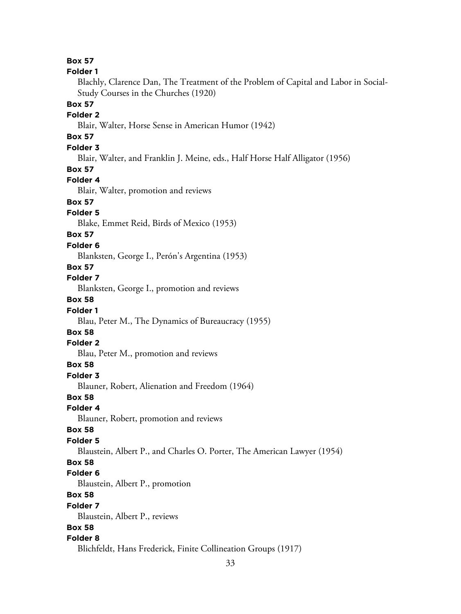33 **Box 57 Folder 1** Blachly, Clarence Dan, The Treatment of the Problem of Capital and Labor in Social-Study Courses in the Churches (1920) **Box 57 Folder 2** Blair, Walter, Horse Sense in American Humor (1942) **Box 57 Folder 3** Blair, Walter, and Franklin J. Meine, eds., Half Horse Half Alligator (1956) **Box 57 Folder 4** Blair, Walter, promotion and reviews **Box 57 Folder 5** Blake, Emmet Reid, Birds of Mexico (1953) **Box 57 Folder 6** Blanksten, George I., Perón's Argentina (1953) **Box 57 Folder 7** Blanksten, George I., promotion and reviews **Box 58 Folder 1** Blau, Peter M., The Dynamics of Bureaucracy (1955) **Box 58 Folder 2** Blau, Peter M., promotion and reviews **Box 58 Folder 3** Blauner, Robert, Alienation and Freedom (1964) **Box 58 Folder 4** Blauner, Robert, promotion and reviews **Box 58 Folder 5** Blaustein, Albert P., and Charles O. Porter, The American Lawyer (1954) **Box 58 Folder 6** Blaustein, Albert P., promotion **Box 58 Folder 7** Blaustein, Albert P., reviews **Box 58 Folder 8** Blichfeldt, Hans Frederick, Finite Collineation Groups (1917)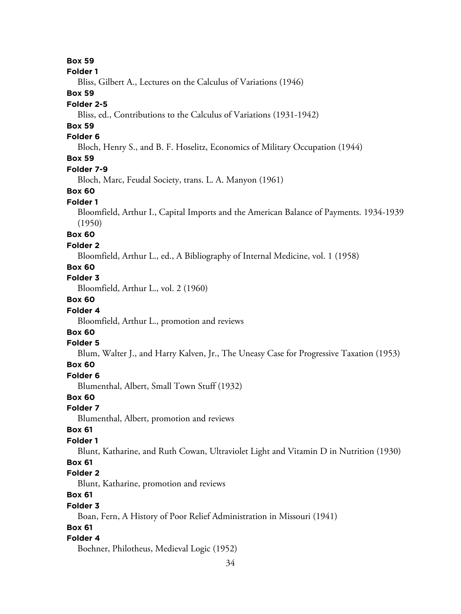**Box 59 Folder 1** Bliss, Gilbert A., Lectures on the Calculus of Variations (1946) **Box 59 Folder 2-5** Bliss, ed., Contributions to the Calculus of Variations (1931-1942) **Box 59 Folder 6** Bloch, Henry S., and B. F. Hoselitz, Economics of Military Occupation (1944) **Box 59 Folder 7-9** Bloch, Marc, Feudal Society, trans. L. A. Manyon (1961) **Box 60 Folder 1** Bloomfield, Arthur I., Capital Imports and the American Balance of Payments. 1934-1939 (1950) **Box 60 Folder 2** Bloomfield, Arthur L., ed., A Bibliography of Internal Medicine, vol. 1 (1958) **Box 60 Folder 3** Bloomfield, Arthur L., vol. 2 (1960) **Box 60 Folder 4** Bloomfield, Arthur L., promotion and reviews **Box 60 Folder 5** Blum, Walter J., and Harry Kalven, Jr., The Uneasy Case for Progressive Taxation (1953) **Box 60 Folder 6** Blumenthal, Albert, Small Town Stuff (1932) **Box 60 Folder 7** Blumenthal, Albert, promotion and reviews **Box 61 Folder 1** Blunt, Katharine, and Ruth Cowan, Ultraviolet Light and Vitamin D in Nutrition (1930) **Box 61 Folder 2** Blunt, Katharine, promotion and reviews **Box 61 Folder 3** Boan, Fern, A History of Poor Relief Administration in Missouri (1941) **Box 61 Folder 4**

Boehner, Philotheus, Medieval Logic (1952)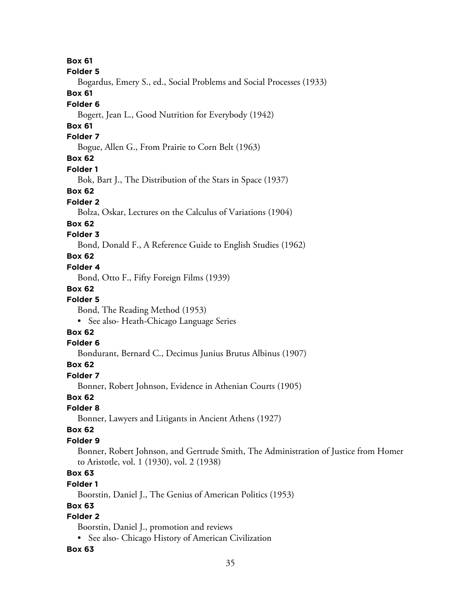**Box 61 Folder 5** Bogardus, Emery S., ed., Social Problems and Social Processes (1933) **Box 61 Folder 6** Bogert, Jean L., Good Nutrition for Everybody (1942) **Box 61 Folder 7** Bogue, Allen G., From Prairie to Corn Belt (1963) **Box 62 Folder 1** Bok, Bart J., The Distribution of the Stars in Space (1937) **Box 62 Folder 2** Bolza, Oskar, Lectures on the Calculus of Variations (1904) **Box 62 Folder 3** Bond, Donald F., A Reference Guide to English Studies (1962) **Box 62 Folder 4** Bond, Otto F., Fifty Foreign Films (1939) **Box 62 Folder 5** Bond, The Reading Method (1953) • See also- Heath-Chicago Language Series **Box 62 Folder 6** Bondurant, Bernard C., Decimus Junius Brutus Albinus (1907) **Box 62 Folder 7** Bonner, Robert Johnson, Evidence in Athenian Courts (1905) **Box 62 Folder 8**

Bonner, Lawyers and Litigants in Ancient Athens (1927)

## **Box 62**

## **Folder 9**

Bonner, Robert Johnson, and Gertrude Smith, The Administration of Justice from Homer to Aristotle, vol. 1 (1930), vol. 2 (1938)

# **Box 63**

## **Folder 1**

Boorstin, Daniel J., The Genius of American Politics (1953)

## **Box 63**

# **Folder 2**

Boorstin, Daniel J., promotion and reviews

• See also- Chicago History of American Civilization

## **Box 63**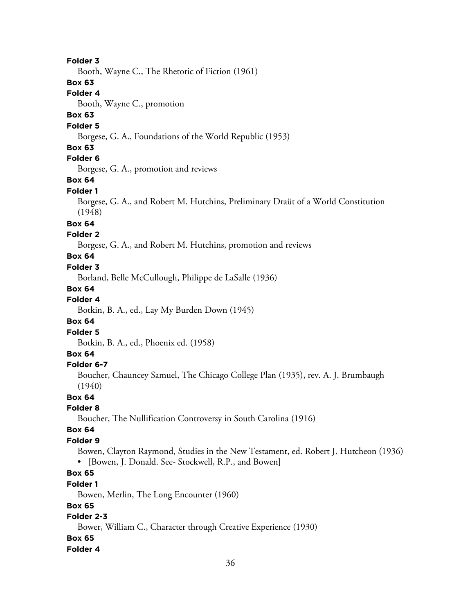#### **Folder 3**

Booth, Wayne C., The Rhetoric of Fiction (1961)

#### **Box 63**

**Folder 4**

Booth, Wayne C., promotion

## **Box 63**

#### **Folder 5**

Borgese, G. A., Foundations of the World Republic (1953)

#### **Box 63**

# **Folder 6**

Borgese, G. A., promotion and reviews

#### **Box 64**

#### **Folder 1**

Borgese, G. A., and Robert M. Hutchins, Preliminary Draüt of a World Constitution (1948)

#### **Box 64**

#### **Folder 2**

Borgese, G. A., and Robert M. Hutchins, promotion and reviews

# **Box 64**

#### **Folder 3**

Borland, Belle McCullough, Philippe de LaSalle (1936)

#### **Box 64**

#### **Folder 4**

Botkin, B. A., ed., Lay My Burden Down (1945)

#### **Box 64**

#### **Folder 5**

Botkin, B. A., ed., Phoenix ed. (1958)

#### **Box 64**

#### **Folder 6-7**

Boucher, Chauncey Samuel, The Chicago College Plan (1935), rev. A. J. Brumbaugh (1940)

#### **Box 64**

#### **Folder 8**

Boucher, The Nullification Controversy in South Carolina (1916)

#### **Box 64**

#### **Folder 9**

Bowen, Clayton Raymond, Studies in the New Testament, ed. Robert J. Hutcheon (1936) • [Bowen, J. Donald. See- Stockwell, R.P., and Bowen]

# **Box 65**

#### **Folder 1**

Bowen, Merlin, The Long Encounter (1960)

## **Box 65**

# **Folder 2-3**

Bower, William C., Character through Creative Experience (1930)

#### **Box 65**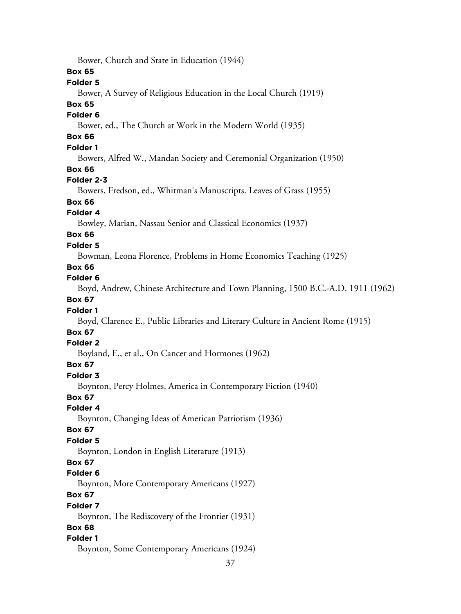37 Bower, Church and State in Education (1944) **Box 65 Folder 5** Bower, A Survey of Religious Education in the Local Church (1919) **Box 65 Folder 6** Bower, ed., The Church at Work in the Modern World (1935) **Box 66 Folder 1** Bowers, Alfred W., Mandan Society and Ceremonial Organization (1950) **Box 66 Folder 2-3** Bowers, Fredson, ed., Whitman's Manuscripts. Leaves of Grass (1955) **Box 66 Folder 4** Bowley, Marian, Nassau Senior and Classical Economics (1937) **Box 66 Folder 5** Bowman, Leona Florence, Problems in Home Economics Teaching (1925) **Box 66 Folder 6** Boyd, Andrew, Chinese Architecture and Town Planning, 1500 B.C.-A.D. 1911 (1962) **Box 67 Folder 1** Boyd, Clarence E., Public Libraries and Literary Culture in Ancient Rome (1915) **Box 67 Folder 2** Boyland, E., et al., On Cancer and Hormones (1962) **Box 67 Folder 3** Boynton, Percy Holmes, America in Contemporary Fiction (1940) **Box 67 Folder 4** Boynton, Changing Ideas of American Patriotism (1936) **Box 67 Folder 5** Boynton, London in English Literature (1913) **Box 67 Folder 6** Boynton, More Contemporary Americans (1927) **Box 67 Folder 7** Boynton, The Rediscovery of the Frontier (1931) **Box 68 Folder 1** Boynton, Some Contemporary Americans (1924)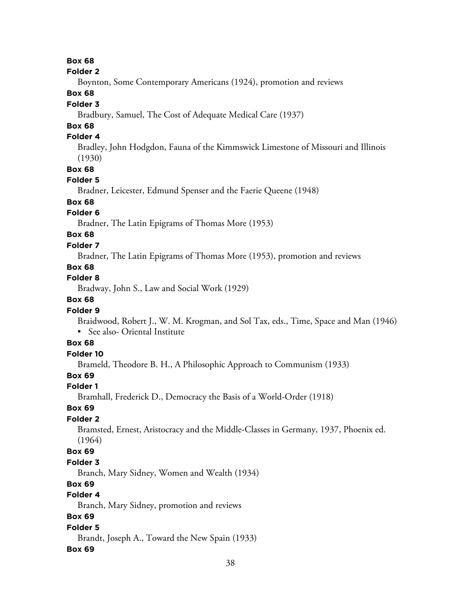#### **Folder 2**

Boynton, Some Contemporary Americans (1924), promotion and reviews

# **Box 68**

### **Folder 3**

Bradbury, Samuel, The Cost of Adequate Medical Care (1937)

# **Box 68**

# **Folder 4**

Bradley, John Hodgdon, Fauna of the Kimmswick Limestone of Missouri and Illinois (1930)

#### **Box 68**

## **Folder 5**

Bradner, Leicester, Edmund Spenser and the Faerie Queene (1948)

# **Box 68**

# **Folder 6**

Bradner, The Latin Epigrams of Thomas More (1953)

# **Box 68**

### **Folder 7**

Bradner, The Latin Epigrams of Thomas More (1953), promotion and reviews

# **Box 68**

# **Folder 8**

Bradway, John S., Law and Social Work (1929)

# **Box 68**

#### **Folder 9**

Braidwood, Robert J., W. M. Krogman, and Sol Tax, eds., Time, Space and Man (1946) • See also- Oriental Institute

# **Box 68**

# **Folder 10**

Brameld, Theodore B. H., A Philosophic Approach to Communism (1933)

# **Box 69**

#### **Folder 1**

Bramhall, Frederick D., Democracy the Basis of a World-Order (1918)

#### **Box 69**

#### **Folder 2**

Bramsted, Ernest, Aristocracy and the Middle-Classes in Germany, 1937, Phoenix ed. (1964)

#### **Box 69**

#### **Folder 3**

Branch, Mary Sidney, Women and Wealth (1934)

# **Box 69**

# **Folder 4**

Branch, Mary Sidney, promotion and reviews

# **Box 69**

### **Folder 5**

Brandt, Joseph A., Toward the New Spain (1933)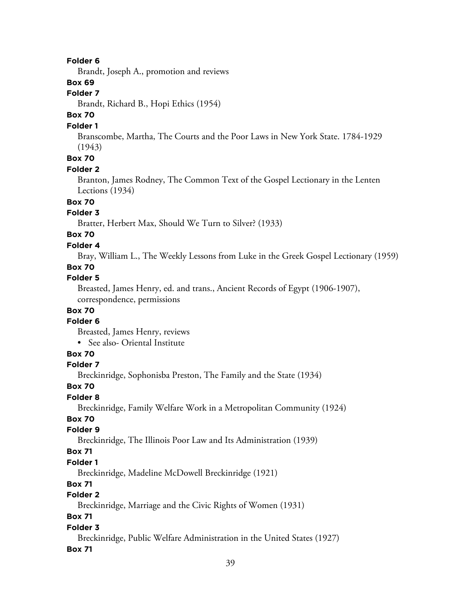Brandt, Joseph A., promotion and reviews

# **Box 69**

# **Folder 7**

Brandt, Richard B., Hopi Ethics (1954)

# **Box 70**

#### **Folder 1**

Branscombe, Martha, The Courts and the Poor Laws in New York State. 1784-1929 (1943)

# **Box 70**

### **Folder 2**

Branton, James Rodney, The Common Text of the Gospel Lectionary in the Lenten Lections (1934)

# **Box 70**

# **Folder 3**

Bratter, Herbert Max, Should We Turn to Silver? (1933)

# **Box 70**

# **Folder 4**

Bray, William L., The Weekly Lessons from Luke in the Greek Gospel Lectionary (1959)

# **Box 70**

### **Folder 5**

Breasted, James Henry, ed. and trans., Ancient Records of Egypt (1906-1907), correspondence, permissions

# **Box 70**

#### **Folder 6**

Breasted, James Henry, reviews

# • See also- Oriental Institute

# **Box 70**

# **Folder 7**

Breckinridge, Sophonisba Preston, The Family and the State (1934)

#### **Box 70**

#### **Folder 8**

Breckinridge, Family Welfare Work in a Metropolitan Community (1924)

# **Box 70**

# **Folder 9**

Breckinridge, The Illinois Poor Law and Its Administration (1939)

### **Box 71**

## **Folder 1**

Breckinridge, Madeline McDowell Breckinridge (1921)

# **Box 71**

# **Folder 2**

Breckinridge, Marriage and the Civic Rights of Women (1931)

# **Box 71**

### **Folder 3**

Breckinridge, Public Welfare Administration in the United States (1927)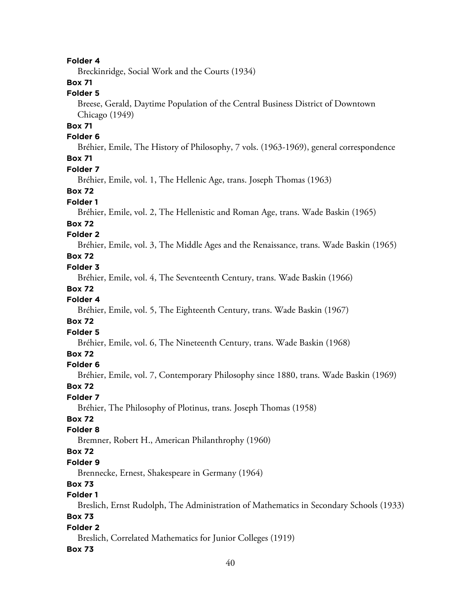Breckinridge, Social Work and the Courts (1934)

# **Box 71**

## **Folder 5**

Breese, Gerald, Daytime Population of the Central Business District of Downtown Chicago (1949)

# **Box 71**

### **Folder 6**

Bréhier, Emile, The History of Philosophy, 7 vols. (1963-1969), general correspondence

# **Box 71**

### **Folder 7**

Bréhier, Emile, vol. 1, The Hellenic Age, trans. Joseph Thomas (1963)

## **Box 72**

### **Folder 1**

Bréhier, Emile, vol. 2, The Hellenistic and Roman Age, trans. Wade Baskin (1965)

### **Box 72**

### **Folder 2**

Bréhier, Emile, vol. 3, The Middle Ages and the Renaissance, trans. Wade Baskin (1965)

# **Box 72**

# **Folder 3**

Bréhier, Emile, vol. 4, The Seventeenth Century, trans. Wade Baskin (1966)

### **Box 72**

# **Folder 4**

Bréhier, Emile, vol. 5, The Eighteenth Century, trans. Wade Baskin (1967)

#### **Box 72**

### **Folder 5**

Bréhier, Emile, vol. 6, The Nineteenth Century, trans. Wade Baskin (1968)

### **Box 72**

### **Folder 6**

Bréhier, Emile, vol. 7, Contemporary Philosophy since 1880, trans. Wade Baskin (1969)

#### **Box 72**

## **Folder 7**

Bréhier, The Philosophy of Plotinus, trans. Joseph Thomas (1958)

# **Box 72**

# **Folder 8**

Bremner, Robert H., American Philanthrophy (1960)

# **Box 72**

#### **Folder 9**

Brennecke, Ernest, Shakespeare in Germany (1964)

# **Box 73**

# **Folder 1**

Breslich, Ernst Rudolph, The Administration of Mathematics in Secondary Schools (1933)

# **Box 73**

# **Folder 2**

Breslich, Correlated Mathematics for Junior Colleges (1919)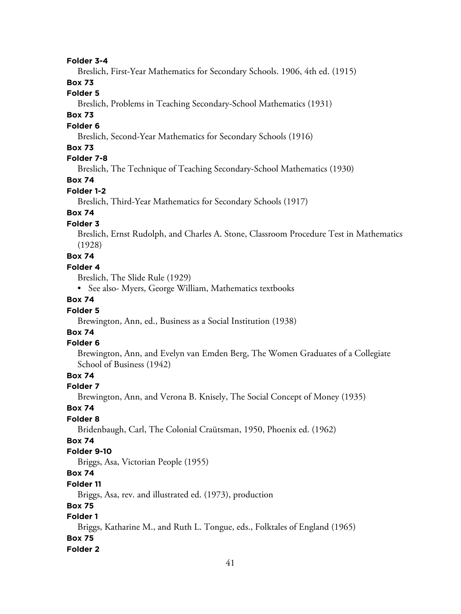#### **Folder 3-4**

Breslich, First-Year Mathematics for Secondary Schools. 1906, 4th ed. (1915)

# **Box 73**

# **Folder 5**

Breslich, Problems in Teaching Secondary-School Mathematics (1931)

# **Box 73**

## **Folder 6**

Breslich, Second-Year Mathematics for Secondary Schools (1916)

### **Box 73**

### **Folder 7-8**

Breslich, The Technique of Teaching Secondary-School Mathematics (1930)

## **Box 74**

## **Folder 1-2**

Breslich, Third-Year Mathematics for Secondary Schools (1917)

# **Box 74**

# **Folder 3**

Breslich, Ernst Rudolph, and Charles A. Stone, Classroom Procedure Test in Mathematics (1928)

# **Box 74**

### **Folder 4**

Breslich, The Slide Rule (1929)

• See also- Myers, George William, Mathematics textbooks

# **Box 74**

### **Folder 5**

Brewington, Ann, ed., Business as a Social Institution (1938)

# **Box 74**

# **Folder 6**

Brewington, Ann, and Evelyn van Emden Berg, The Women Graduates of a Collegiate School of Business (1942)

# **Box 74**

#### **Folder 7**

Brewington, Ann, and Verona B. Knisely, The Social Concept of Money (1935)

#### **Box 74**

### **Folder 8**

Bridenbaugh, Carl, The Colonial Craütsman, 1950, Phoenix ed. (1962)

### **Box 74**

### **Folder 9-10**

Briggs, Asa, Victorian People (1955)

# **Box 74**

### **Folder 11**

Briggs, Asa, rev. and illustrated ed. (1973), production

#### **Box 75**

### **Folder 1**

Briggs, Katharine M., and Ruth L. Tongue, eds., Folktales of England (1965)

# **Box 75**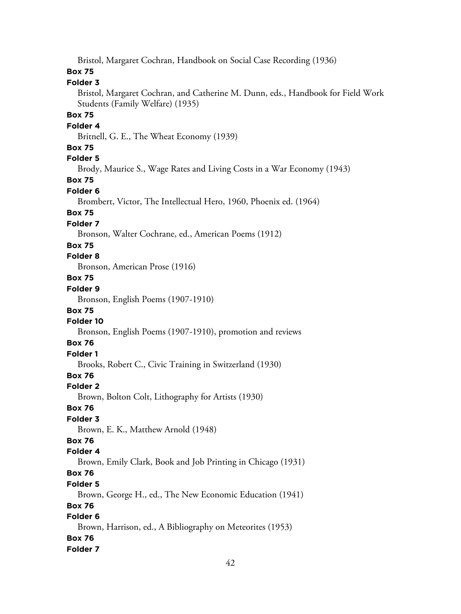Bristol, Margaret Cochran, Handbook on Social Case Recording (1936)

# **Box 75**

### **Folder 3**

Bristol, Margaret Cochran, and Catherine M. Dunn, eds., Handbook for Field Work Students (Family Welfare) (1935)

# **Box 75**

#### **Folder 4**

Britnell, G. E., The Wheat Economy (1939)

## **Box 75**

# **Folder 5**

Brody, Maurice S., Wage Rates and Living Costs in a War Economy (1943)

# **Box 75**

### **Folder 6**

Brombert, Victor, The Intellectual Hero, 1960, Phoenix ed. (1964)

### **Box 75**

#### **Folder 7**

Bronson, Walter Cochrane, ed., American Poems (1912)

#### **Box 75**

## **Folder 8**

Bronson, American Prose (1916)

# **Box 75**

# **Folder 9**

Bronson, English Poems (1907-1910)

#### **Box 75**

### **Folder 10**

Bronson, English Poems (1907-1910), promotion and reviews

### **Box 76**

# **Folder 1**

Brooks, Robert C., Civic Training in Switzerland (1930)

## **Box 76**

#### **Folder 2**

Brown, Bolton Colt, Lithography for Artists (1930)

#### **Box 76**

# **Folder 3**

Brown, E. K., Matthew Arnold (1948)

## **Box 76**

#### **Folder 4**

Brown, Emily Clark, Book and Job Printing in Chicago (1931)

# **Box 76**

### **Folder 5**

Brown, George H., ed., The New Economic Education (1941)

# **Box 76**

# **Folder 6**

Brown, Harrison, ed., A Bibliography on Meteorites (1953) **Box 76**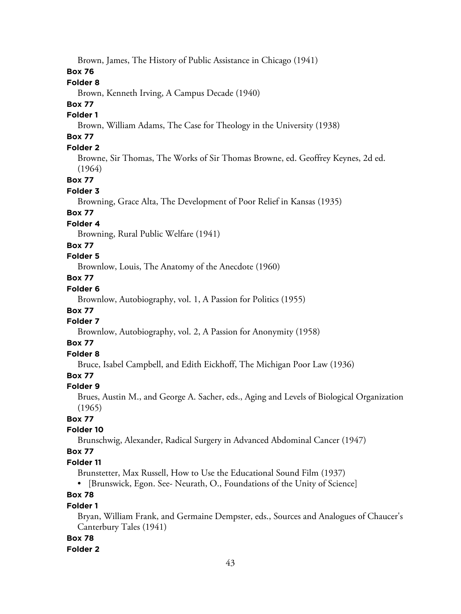Brown, James, The History of Public Assistance in Chicago (1941)

# **Box 76**

### **Folder 8**

Brown, Kenneth Irving, A Campus Decade (1940)

# **Box 77**

### **Folder 1**

Brown, William Adams, The Case for Theology in the University (1938)

# **Box 77**

# **Folder 2**

Browne, Sir Thomas, The Works of Sir Thomas Browne, ed. Geoffrey Keynes, 2d ed. (1964)

# **Box 77**

### **Folder 3**

Browning, Grace Alta, The Development of Poor Relief in Kansas (1935)

# **Box 77**

# **Folder 4**

Browning, Rural Public Welfare (1941)

# **Box 77**

# **Folder 5**

Brownlow, Louis, The Anatomy of the Anecdote (1960)

# **Box 77**

# **Folder 6**

Brownlow, Autobiography, vol. 1, A Passion for Politics (1955)

# **Box 77**

## **Folder 7**

Brownlow, Autobiography, vol. 2, A Passion for Anonymity (1958)

# **Box 77**

# **Folder 8**

Bruce, Isabel Campbell, and Edith Eickhoff, The Michigan Poor Law (1936)

# **Box 77**

#### **Folder 9**

Brues, Austin M., and George A. Sacher, eds., Aging and Levels of Biological Organization (1965)

# **Box 77**

#### **Folder 10**

Brunschwig, Alexander, Radical Surgery in Advanced Abdominal Cancer (1947)

# **Box 77**

### **Folder 11**

Brunstetter, Max Russell, How to Use the Educational Sound Film (1937)

• [Brunswick, Egon. See- Neurath, O., Foundations of the Unity of Science]

# **Box 78**

## **Folder 1**

Bryan, William Frank, and Germaine Dempster, eds., Sources and Analogues of Chaucer's Canterbury Tales (1941)

## **Box 78**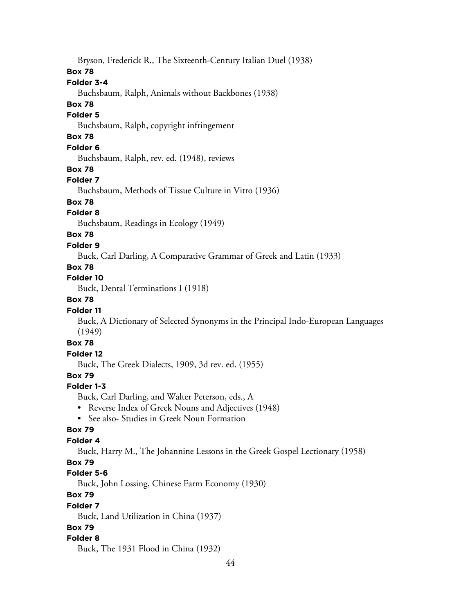Bryson, Frederick R., The Sixteenth-Century Italian Duel (1938)

### **Box 78**

## **Folder 3-4**

Buchsbaum, Ralph, Animals without Backbones (1938)

# **Box 78**

### **Folder 5**

Buchsbaum, Ralph, copyright infringement

# **Box 78**

# **Folder 6**

Buchsbaum, Ralph, rev. ed. (1948), reviews

### **Box 78**

## **Folder 7**

Buchsbaum, Methods of Tissue Culture in Vitro (1936)

# **Box 78**

# **Folder 8**

Buchsbaum, Readings in Ecology (1949)

# **Box 78**

## **Folder 9**

Buck, Carl Darling, A Comparative Grammar of Greek and Latin (1933)

# **Box 78**

# **Folder 10**

Buck, Dental Terminations I (1918)

# **Box 78**

# **Folder 11**

Buck, A Dictionary of Selected Synonyms in the Principal Indo-European Languages (1949)

# **Box 78**

# **Folder 12**

Buck, The Greek Dialects, 1909, 3d rev. ed. (1955)

# **Box 79**

# **Folder 1-3**

Buck, Carl Darling, and Walter Peterson, eds., A

- Reverse Index of Greek Nouns and Adjectives (1948)
- See also- Studies in Greek Noun Formation

# **Box 79**

# **Folder 4**

Buck, Harry M., The Johannine Lessons in the Greek Gospel Lectionary (1958)

# **Box 79**

# **Folder 5-6**

Buck, John Lossing, Chinese Farm Economy (1930)

# **Box 79**

## **Folder 7**

Buck, Land Utilization in China (1937)

# **Box 79**

## **Folder 8**

Buck, The 1931 Flood in China (1932)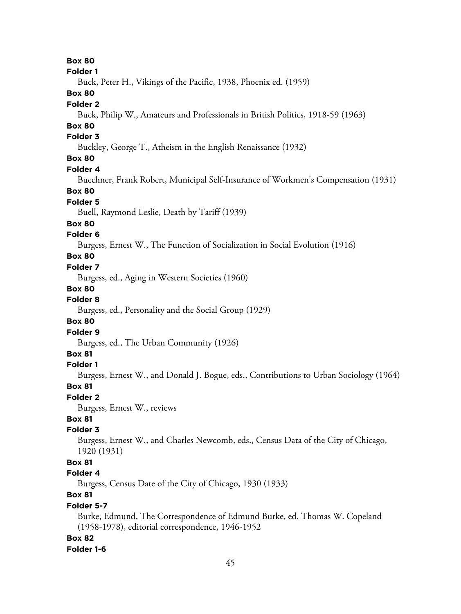**Box 80 Folder 1** Buck, Peter H., Vikings of the Pacific, 1938, Phoenix ed. (1959) **Box 80 Folder 2** Buck, Philip W., Amateurs and Professionals in British Politics, 1918-59 (1963) **Box 80 Folder 3** Buckley, George T., Atheism in the English Renaissance (1932) **Box 80 Folder 4** Buechner, Frank Robert, Municipal Self-Insurance of Workmen's Compensation (1931) **Box 80 Folder 5** Buell, Raymond Leslie, Death by Tariff (1939) **Box 80 Folder 6** Burgess, Ernest W., The Function of Socialization in Social Evolution (1916) **Box 80 Folder 7** Burgess, ed., Aging in Western Societies (1960) **Box 80 Folder 8** Burgess, ed., Personality and the Social Group (1929) **Box 80 Folder 9** Burgess, ed., The Urban Community (1926) **Box 81 Folder 1** Burgess, Ernest W., and Donald J. Bogue, eds., Contributions to Urban Sociology (1964) **Box 81 Folder 2** Burgess, Ernest W., reviews **Box 81 Folder 3** Burgess, Ernest W., and Charles Newcomb, eds., Census Data of the City of Chicago, 1920 (1931) **Box 81 Folder 4** Burgess, Census Date of the City of Chicago, 1930 (1933) **Box 81 Folder 5-7** Burke, Edmund, The Correspondence of Edmund Burke, ed. Thomas W. Copeland (1958-1978), editorial correspondence, 1946-1952 **Box 82**

**Folder 1-6**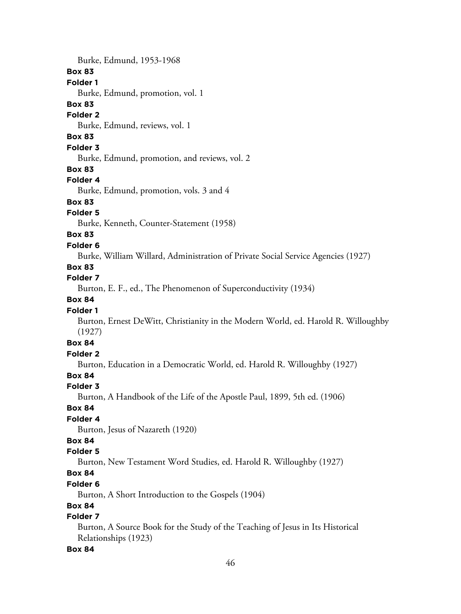Burke, Edmund, 1953-1968 **Box 83 Folder 1** Burke, Edmund, promotion, vol. 1 **Box 83 Folder 2** Burke, Edmund, reviews, vol. 1 **Box 83 Folder 3** Burke, Edmund, promotion, and reviews, vol. 2 **Box 83 Folder 4** Burke, Edmund, promotion, vols. 3 and 4 **Box 83 Folder 5** Burke, Kenneth, Counter-Statement (1958) **Box 83 Folder 6** Burke, William Willard, Administration of Private Social Service Agencies (1927) **Box 83 Folder 7** Burton, E. F., ed., The Phenomenon of Superconductivity (1934) **Box 84 Folder 1** Burton, Ernest DeWitt, Christianity in the Modern World, ed. Harold R. Willoughby (1927) **Box 84 Folder 2** Burton, Education in a Democratic World, ed. Harold R. Willoughby (1927) **Box 84 Folder 3** Burton, A Handbook of the Life of the Apostle Paul, 1899, 5th ed. (1906) **Box 84 Folder 4** Burton, Jesus of Nazareth (1920) **Box 84 Folder 5** Burton, New Testament Word Studies, ed. Harold R. Willoughby (1927) **Box 84 Folder 6**

Burton, A Short Introduction to the Gospels (1904)

# **Box 84**

# **Folder 7**

Burton, A Source Book for the Study of the Teaching of Jesus in Its Historical Relationships (1923)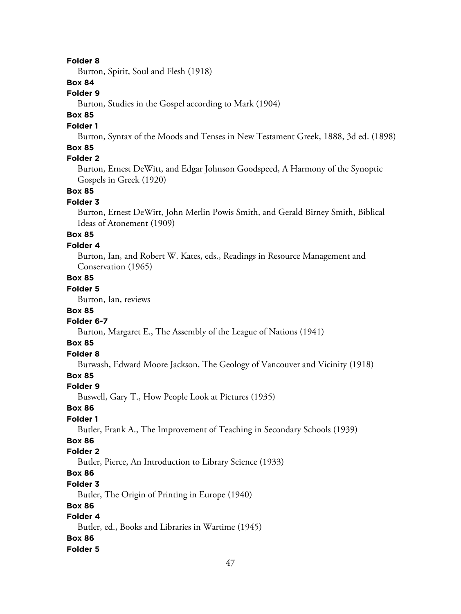Burton, Spirit, Soul and Flesh (1918)

## **Box 84**

## **Folder 9**

Burton, Studies in the Gospel according to Mark (1904)

# **Box 85**

### **Folder 1**

Burton, Syntax of the Moods and Tenses in New Testament Greek, 1888, 3d ed. (1898)

# **Box 85**

# **Folder 2**

Burton, Ernest DeWitt, and Edgar Johnson Goodspeed, A Harmony of the Synoptic Gospels in Greek (1920)

#### **Box 85**

#### **Folder 3**

Burton, Ernest DeWitt, John Merlin Powis Smith, and Gerald Birney Smith, Biblical Ideas of Atonement (1909)

# **Box 85**

### **Folder 4**

Burton, Ian, and Robert W. Kates, eds., Readings in Resource Management and Conservation (1965)

# **Box 85**

# **Folder 5**

Burton, Ian, reviews

### **Box 85**

#### **Folder 6-7**

Burton, Margaret E., The Assembly of the League of Nations (1941)

# **Box 85**

# **Folder 8**

Burwash, Edward Moore Jackson, The Geology of Vancouver and Vicinity (1918)

## **Box 85**

#### **Folder 9**

Buswell, Gary T., How People Look at Pictures (1935)

#### **Box 86**

# **Folder 1**

Butler, Frank A., The Improvement of Teaching in Secondary Schools (1939)

# **Box 86**

# **Folder 2**

Butler, Pierce, An Introduction to Library Science (1933)

# **Box 86**

### **Folder 3**

Butler, The Origin of Printing in Europe (1940)

### **Box 86**

# **Folder 4**

Butler, ed., Books and Libraries in Wartime (1945)

### **Box 86**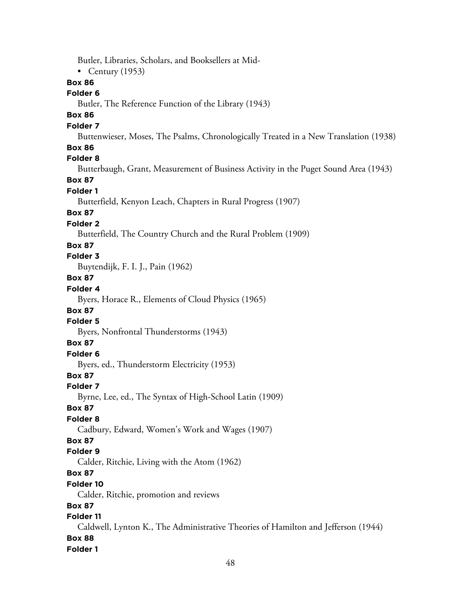Butler, Libraries, Scholars, and Booksellers at Mid- • Century  $(1953)$ **Box 86 Folder 6** Butler, The Reference Function of the Library (1943) **Box 86 Folder 7** Buttenwieser, Moses, The Psalms, Chronologically Treated in a New Translation (1938) **Box 86 Folder 8** Butterbaugh, Grant, Measurement of Business Activity in the Puget Sound Area (1943) **Box 87 Folder 1** Butterfield, Kenyon Leach, Chapters in Rural Progress (1907) **Box 87 Folder 2** Butterfield, The Country Church and the Rural Problem (1909) **Box 87 Folder 3** Buytendijk, F. I. J., Pain (1962) **Box 87 Folder 4** Byers, Horace R., Elements of Cloud Physics (1965) **Box 87 Folder 5** Byers, Nonfrontal Thunderstorms (1943) **Box 87 Folder 6** Byers, ed., Thunderstorm Electricity (1953) **Box 87 Folder 7** Byrne, Lee, ed., The Syntax of High-School Latin (1909) **Box 87 Folder 8** Cadbury, Edward, Women's Work and Wages (1907) **Box 87 Folder 9** Calder, Ritchie, Living with the Atom (1962) **Box 87 Folder 10** Calder, Ritchie, promotion and reviews **Box 87 Folder 11** Caldwell, Lynton K., The Administrative Theories of Hamilton and Jefferson (1944) **Box 88 Folder 1**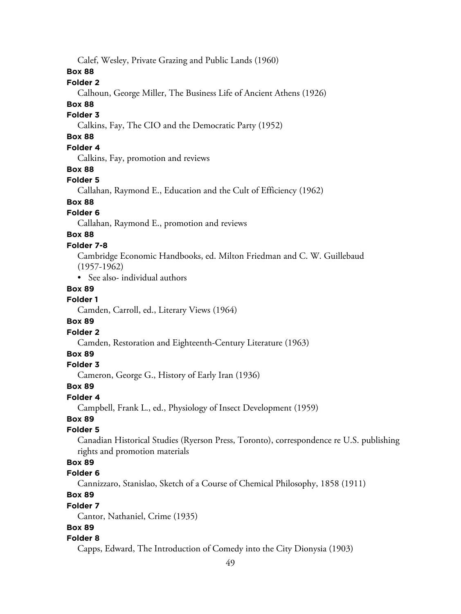Calef, Wesley, Private Grazing and Public Lands (1960)

# **Box 88**

# **Folder 2**

Calhoun, George Miller, The Business Life of Ancient Athens (1926)

# **Box 88**

# **Folder 3**

Calkins, Fay, The CIO and the Democratic Party (1952)

# **Box 88**

# **Folder 4**

Calkins, Fay, promotion and reviews

### **Box 88**

#### **Folder 5**

Callahan, Raymond E., Education and the Cult of Efficiency (1962)

# **Box 88**

# **Folder 6**

Callahan, Raymond E., promotion and reviews

# **Box 88**

### **Folder 7-8**

Cambridge Economic Handbooks, ed. Milton Friedman and C. W. Guillebaud (1957-1962)

• See also- individual authors

# **Box 89**

# **Folder 1**

Camden, Carroll, ed., Literary Views (1964)

#### **Box 89**

#### **Folder 2**

Camden, Restoration and Eighteenth-Century Literature (1963)

### **Box 89**

#### **Folder 3**

Cameron, George G., History of Early Iran (1936)

#### **Box 89**

#### **Folder 4**

Campbell, Frank L., ed., Physiology of Insect Development (1959)

# **Box 89**

### **Folder 5**

Canadian Historical Studies (Ryerson Press, Toronto), correspondence re U.S. publishing rights and promotion materials

# **Box 89**

#### **Folder 6**

Cannizzaro, Stanislao, Sketch of a Course of Chemical Philosophy, 1858 (1911)

# **Box 89**

#### **Folder 7**

Cantor, Nathaniel, Crime (1935)

### **Box 89**

#### **Folder 8**

Capps, Edward, The Introduction of Comedy into the City Dionysia (1903)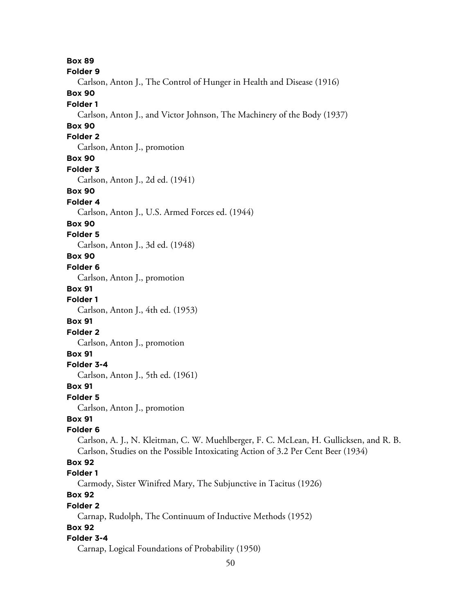**Box 89 Folder 9** Carlson, Anton J., The Control of Hunger in Health and Disease (1916) **Box 90 Folder 1** Carlson, Anton J., and Victor Johnson, The Machinery of the Body (1937) **Box 90 Folder 2** Carlson, Anton J., promotion **Box 90 Folder 3** Carlson, Anton J., 2d ed. (1941) **Box 90 Folder 4** Carlson, Anton J., U.S. Armed Forces ed. (1944) **Box 90 Folder 5** Carlson, Anton J., 3d ed. (1948) **Box 90 Folder 6** Carlson, Anton J., promotion **Box 91 Folder 1** Carlson, Anton J., 4th ed. (1953) **Box 91 Folder 2** Carlson, Anton J., promotion **Box 91 Folder 3-4** Carlson, Anton J., 5th ed. (1961) **Box 91 Folder 5** Carlson, Anton J., promotion **Box 91 Folder 6** Carlson, A. J., N. Kleitman, C. W. Muehlberger, F. C. McLean, H. Gullicksen, and R. B. Carlson, Studies on the Possible Intoxicating Action of 3.2 Per Cent Beer (1934) **Box 92 Folder 1** Carmody, Sister Winifred Mary, The Subjunctive in Tacitus (1926) **Box 92 Folder 2** Carnap, Rudolph, The Continuum of Inductive Methods (1952) **Box 92 Folder 3-4** Carnap, Logical Foundations of Probability (1950)

50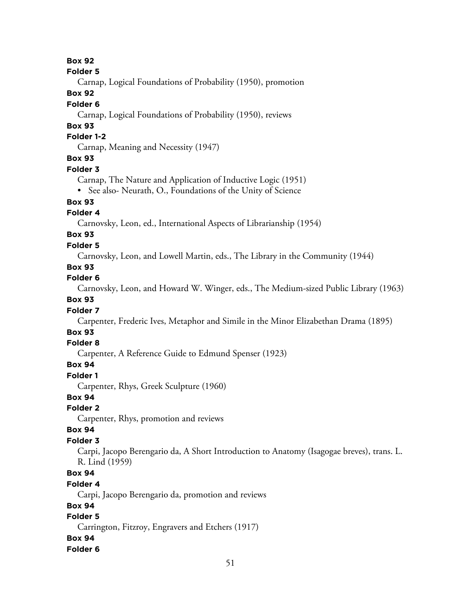#### **Folder 5**

Carnap, Logical Foundations of Probability (1950), promotion

# **Box 92**

### **Folder 6**

Carnap, Logical Foundations of Probability (1950), reviews

## **Box 93**

### **Folder 1-2**

Carnap, Meaning and Necessity (1947)

# **Box 93**

#### **Folder 3**

Carnap, The Nature and Application of Inductive Logic (1951)

• See also- Neurath, O., Foundations of the Unity of Science

# **Box 93**

# **Folder 4**

Carnovsky, Leon, ed., International Aspects of Librarianship (1954)

# **Box 93**

### **Folder 5**

Carnovsky, Leon, and Lowell Martin, eds., The Library in the Community (1944)

# **Box 93**

### **Folder 6**

Carnovsky, Leon, and Howard W. Winger, eds., The Medium-sized Public Library (1963)

# **Box 93**

## **Folder 7**

Carpenter, Frederic Ives, Metaphor and Simile in the Minor Elizabethan Drama (1895)

# **Box 93**

### **Folder 8**

Carpenter, A Reference Guide to Edmund Spenser (1923)

## **Box 94**

#### **Folder 1**

Carpenter, Rhys, Greek Sculpture (1960)

#### **Box 94**

#### **Folder 2**

Carpenter, Rhys, promotion and reviews

## **Box 94**

# **Folder 3**

Carpi, Jacopo Berengario da, A Short Introduction to Anatomy (Isagogae breves), trans. L. R. Lind (1959)

# **Box 94**

#### **Folder 4**

Carpi, Jacopo Berengario da, promotion and reviews

## **Box 94**

# **Folder 5**

Carrington, Fitzroy, Engravers and Etchers (1917)

# **Box 94**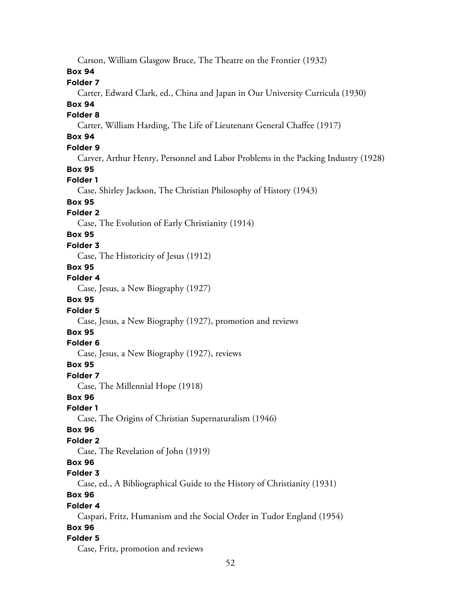Carson, William Glasgow Bruce, The Theatre on the Frontier (1932) **Box 94 Folder 7** Carter, Edward Clark, ed., China and Japan in Our University Curricula (1930) **Box 94 Folder 8** Carter, William Harding, The Life of Lieutenant General Chaffee (1917) **Box 94 Folder 9** Carver, Arthur Henry, Personnel and Labor Problems in the Packing Industry (1928) **Box 95 Folder 1** Case, Shirley Jackson, The Christian Philosophy of History (1943) **Box 95 Folder 2** Case, The Evolution of Early Christianity (1914) **Box 95 Folder 3** Case, The Historicity of Jesus (1912) **Box 95 Folder 4** Case, Jesus, a New Biography (1927) **Box 95 Folder 5** Case, Jesus, a New Biography (1927), promotion and reviews **Box 95 Folder 6** Case, Jesus, a New Biography (1927), reviews **Box 95 Folder 7** Case, The Millennial Hope (1918) **Box 96 Folder 1** Case, The Origins of Christian Supernaturalism (1946) **Box 96 Folder 2** Case, The Revelation of John (1919) **Box 96 Folder 3** Case, ed., A Bibliographical Guide to the History of Christianity (1931) **Box 96 Folder 4** Caspari, Fritz, Humanism and the Social Order in Tudor England (1954) **Box 96 Folder 5** Case, Fritz, promotion and reviews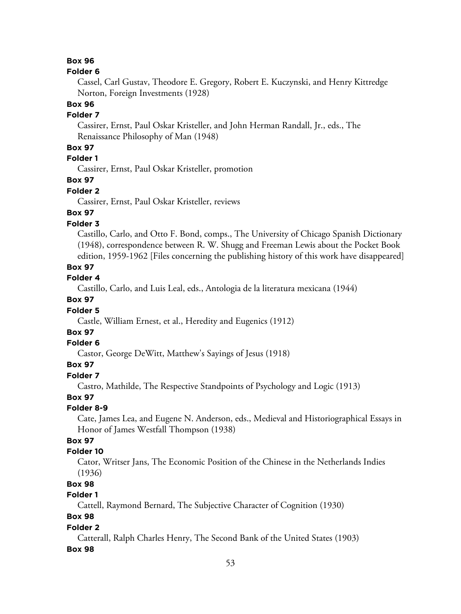#### **Folder 6**

Cassel, Carl Gustav, Theodore E. Gregory, Robert E. Kuczynski, and Henry Kittredge Norton, Foreign Investments (1928)

# **Box 96**

## **Folder 7**

Cassirer, Ernst, Paul Oskar Kristeller, and John Herman Randall, Jr., eds., The Renaissance Philosophy of Man (1948)

### **Box 97**

# **Folder 1**

Cassirer, Ernst, Paul Oskar Kristeller, promotion

### **Box 97**

### **Folder 2**

Cassirer, Ernst, Paul Oskar Kristeller, reviews

# **Box 97**

## **Folder 3**

Castillo, Carlo, and Otto F. Bond, comps., The University of Chicago Spanish Dictionary (1948), correspondence between R. W. Shugg and Freeman Lewis about the Pocket Book edition, 1959-1962 [Files concerning the publishing history of this work have disappeared]

#### **Box 97**

#### **Folder 4**

Castillo, Carlo, and Luis Leal, eds., Antologia de la literatura mexicana (1944)

# **Box 97**

#### **Folder 5**

Castle, William Ernest, et al., Heredity and Eugenics (1912)

# **Box 97**

#### **Folder 6**

Castor, George DeWitt, Matthew's Sayings of Jesus (1918)

### **Box 97**

#### **Folder 7**

Castro, Mathilde, The Respective Standpoints of Psychology and Logic (1913)

#### **Box 97**

#### **Folder 8-9**

Cate, James Lea, and Eugene N. Anderson, eds., Medieval and Historiographical Essays in Honor of James Westfall Thompson (1938)

# **Box 97**

### **Folder 10**

Cator, Writser Jans, The Economic Position of the Chinese in the Netherlands Indies (1936)

# **Box 98**

# **Folder 1**

Cattell, Raymond Bernard, The Subjective Character of Cognition (1930)

# **Box 98**

### **Folder 2**

Catterall, Ralph Charles Henry, The Second Bank of the United States (1903)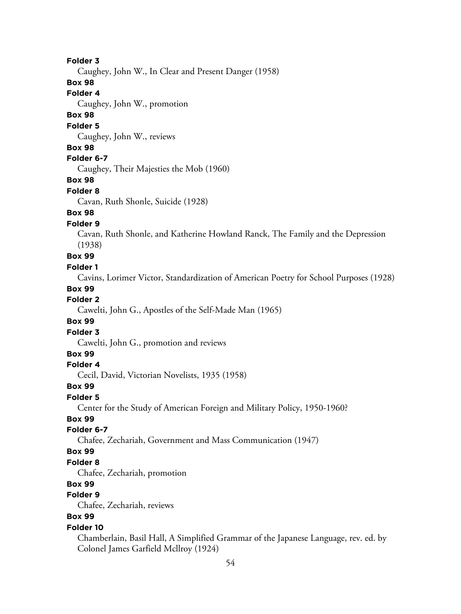Caughey, John W., In Clear and Present Danger (1958)

# **Box 98**

**Folder 4**

Caughey, John W., promotion

# **Box 98**

#### **Folder 5**

Caughey, John W., reviews

#### **Box 98**

#### **Folder 6-7**

Caughey, Their Majesties the Mob (1960)

### **Box 98**

#### **Folder 8**

Cavan, Ruth Shonle, Suicide (1928)

# **Box 98**

#### **Folder 9**

Cavan, Ruth Shonle, and Katherine Howland Ranck, The Family and the Depression (1938)

# **Box 99**

### **Folder 1**

Cavins, Lorimer Victor, Standardization of American Poetry for School Purposes (1928)

#### **Box 99**

### **Folder 2**

Cawelti, John G., Apostles of the Self-Made Man (1965)

### **Box 99**

#### **Folder 3**

Cawelti, John G., promotion and reviews

### **Box 99**

### **Folder 4**

Cecil, David, Victorian Novelists, 1935 (1958)

#### **Box 99**

#### **Folder 5**

Center for the Study of American Foreign and Military Policy, 1950-1960?

# **Box 99**

### **Folder 6-7**

Chafee, Zechariah, Government and Mass Communication (1947)

### **Box 99**

## **Folder 8**

Chafee, Zechariah, promotion

# **Box 99**

# **Folder 9**

Chafee, Zechariah, reviews

# **Box 99**

#### **Folder 10**

Chamberlain, Basil Hall, A Simplified Grammar of the Japanese Language, rev. ed. by Colonel James Garfield Mcllroy (1924)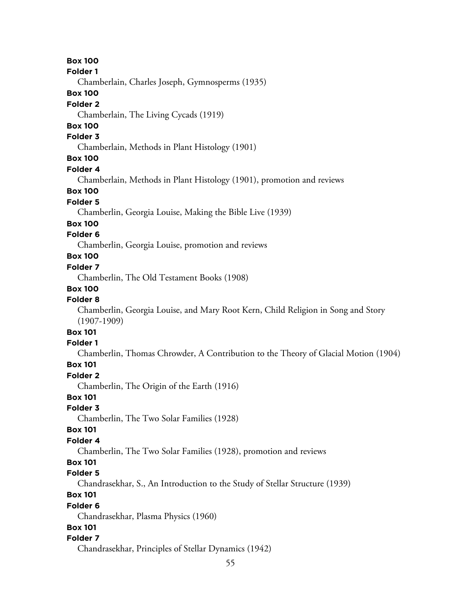**Box 100 Folder 1**

Chamberlain, Charles Joseph, Gymnosperms (1935)

# **Box 100**

# **Folder 2**

Chamberlain, The Living Cycads (1919)

# **Box 100**

# **Folder 3**

Chamberlain, Methods in Plant Histology (1901)

# **Box 100**

### **Folder 4**

Chamberlain, Methods in Plant Histology (1901), promotion and reviews

# **Box 100**

# **Folder 5**

Chamberlin, Georgia Louise, Making the Bible Live (1939)

# **Box 100**

# **Folder 6**

Chamberlin, Georgia Louise, promotion and reviews

# **Box 100**

# **Folder 7**

Chamberlin, The Old Testament Books (1908)

# **Box 100**

## **Folder 8**

Chamberlin, Georgia Louise, and Mary Root Kern, Child Religion in Song and Story (1907-1909)

# **Box 101**

# **Folder 1**

Chamberlin, Thomas Chrowder, A Contribution to the Theory of Glacial Motion (1904)

# **Box 101**

## **Folder 2**

Chamberlin, The Origin of the Earth (1916)

# **Box 101**

# **Folder 3**

Chamberlin, The Two Solar Families (1928)

## **Box 101**

# **Folder 4**

Chamberlin, The Two Solar Families (1928), promotion and reviews

# **Box 101**

# **Folder 5**

Chandrasekhar, S., An Introduction to the Study of Stellar Structure (1939)

# **Box 101**

# **Folder 6**

Chandrasekhar, Plasma Physics (1960)

# **Box 101**

# **Folder 7**

Chandrasekhar, Principles of Stellar Dynamics (1942)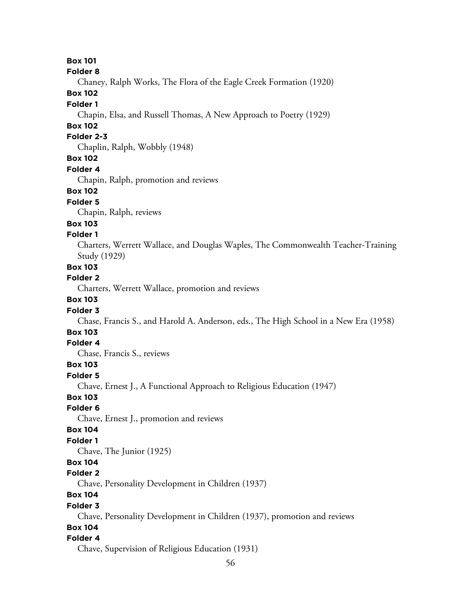**Folder 8**

Chaney, Ralph Works, The Flora of the Eagle Creek Formation (1920)

# **Box 102**

### **Folder 1**

Chapin, Elsa, and Russell Thomas, A New Approach to Poetry (1929)

# **Box 102**

# **Folder 2-3**

Chaplin, Ralph, Wobbly (1948)

# **Box 102**

#### **Folder 4**

Chapin, Ralph, promotion and reviews

### **Box 102**

#### **Folder 5**

Chapin, Ralph, reviews

## **Box 103**

### **Folder 1**

Charters, Werrett Wallace, and Douglas Waples, The Commonwealth Teacher-Training Study (1929)

# **Box 103**

### **Folder 2**

Charters, Werrett Wallace, promotion and reviews

## **Box 103**

#### **Folder 3**

Chase, Francis S., and Harold A. Anderson, eds., The High School in a New Era (1958)

# **Box 103**

# **Folder 4**

Chase, Francis S., reviews

# **Box 103**

## **Folder 5**

Chave, Ernest J., A Functional Approach to Religious Education (1947)

**Box 103**

# **Folder 6**

Chave, Ernest J., promotion and reviews

### **Box 104**

# **Folder 1**

Chave, The Junior (1925)

### **Box 104**

#### **Folder 2**

Chave, Personality Development in Children (1937)

# **Box 104**

#### **Folder 3**

Chave, Personality Development in Children (1937), promotion and reviews

### **Box 104**

### **Folder 4**

Chave, Supervision of Religious Education (1931)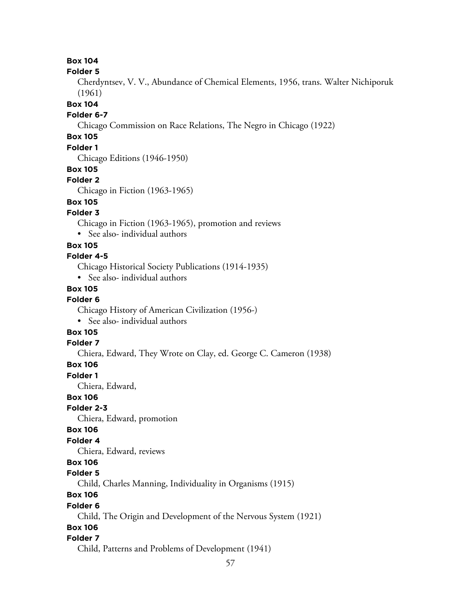**Folder 5**

Cherdyntsev, V. V., Abundance of Chemical Elements, 1956, trans. Walter Nichiporuk (1961)

**Box 104**

#### **Folder 6-7**

Chicago Commission on Race Relations, The Negro in Chicago (1922)

# **Box 105**

### **Folder 1**

Chicago Editions (1946-1950)

### **Box 105**

### **Folder 2**

Chicago in Fiction (1963-1965)

# **Box 105**

## **Folder 3**

Chicago in Fiction (1963-1965), promotion and reviews

• See also- individual authors

### **Box 105**

# **Folder 4-5**

Chicago Historical Society Publications (1914-1935)

• See also- individual authors

# **Box 105**

#### **Folder 6**

Chicago History of American Civilization (1956-)

• See also- individual authors

# **Box 105**

## **Folder 7**

Chiera, Edward, They Wrote on Clay, ed. George C. Cameron (1938)

## **Box 106**

**Folder 1**

Chiera, Edward,

## **Box 106**

**Folder 2-3**

Chiera, Edward, promotion

## **Box 106**

# **Folder 4**

Chiera, Edward, reviews

# **Box 106**

# **Folder 5**

Child, Charles Manning, Individuality in Organisms (1915)

# **Box 106**

#### **Folder 6**

Child, The Origin and Development of the Nervous System (1921)

# **Box 106**

## **Folder 7**

Child, Patterns and Problems of Development (1941)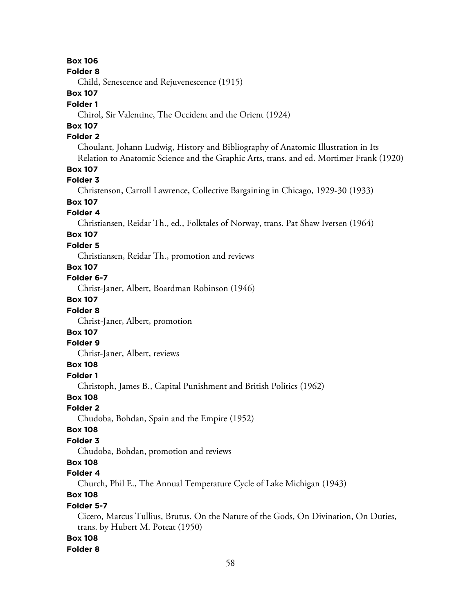#### **Folder 8**

Child, Senescence and Rejuvenescence (1915)

### **Box 107**

#### **Folder 1**

Chirol, Sir Valentine, The Occident and the Orient (1924)

# **Box 107**

# **Folder 2**

Choulant, Johann Ludwig, History and Bibliography of Anatomic Illustration in Its Relation to Anatomic Science and the Graphic Arts, trans. and ed. Mortimer Frank (1920)

# **Box 107**

### **Folder 3**

Christenson, Carroll Lawrence, Collective Bargaining in Chicago, 1929-30 (1933)

# **Box 107**

# **Folder 4**

Christiansen, Reidar Th., ed., Folktales of Norway, trans. Pat Shaw Iversen (1964)

# **Box 107**

# **Folder 5**

Christiansen, Reidar Th., promotion and reviews

### **Box 107**

### **Folder 6-7**

Christ-Janer, Albert, Boardman Robinson (1946)

# **Box 107**

## **Folder 8**

Christ-Janer, Albert, promotion

# **Box 107**

# **Folder 9**

Christ-Janer, Albert, reviews

# **Box 108**

#### **Folder 1**

Christoph, James B., Capital Punishment and British Politics (1962)

## **Box 108**

#### **Folder 2**

Chudoba, Bohdan, Spain and the Empire (1952)

#### **Box 108**

# **Folder 3**

Chudoba, Bohdan, promotion and reviews

# **Box 108**

## **Folder 4**

Church, Phil E., The Annual Temperature Cycle of Lake Michigan (1943)

# **Box 108**

### **Folder 5-7**

Cicero, Marcus Tullius, Brutus. On the Nature of the Gods, On Divination, On Duties, trans. by Hubert M. Poteat (1950)

#### **Box 108**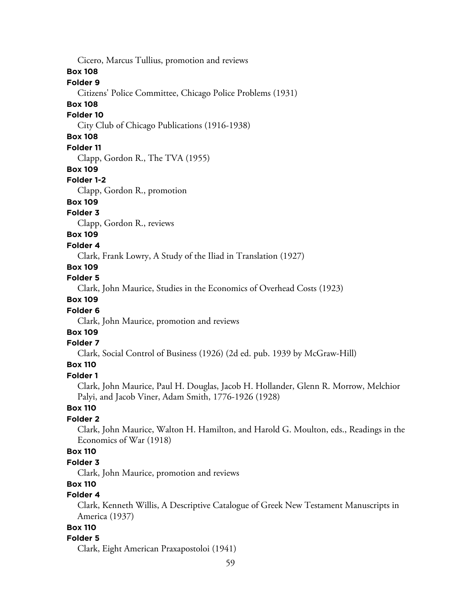Cicero, Marcus Tullius, promotion and reviews

## **Box 108**

# **Folder 9**

Citizens' Police Committee, Chicago Police Problems (1931)

# **Box 108**

### **Folder 10**

City Club of Chicago Publications (1916-1938)

# **Box 108**

# **Folder 11**

Clapp, Gordon R., The TVA (1955)

### **Box 109**

## **Folder 1-2**

Clapp, Gordon R., promotion

# **Box 109**

# **Folder 3**

Clapp, Gordon R., reviews

# **Box 109**

## **Folder 4**

Clark, Frank Lowry, A Study of the Iliad in Translation (1927)

# **Box 109**

### **Folder 5**

Clark, John Maurice, Studies in the Economics of Overhead Costs (1923)

## **Box 109**

## **Folder 6**

Clark, John Maurice, promotion and reviews

# **Box 109**

## **Folder 7**

Clark, Social Control of Business (1926) (2d ed. pub. 1939 by McGraw-Hill)

# **Box 110**

#### **Folder 1**

Clark, John Maurice, Paul H. Douglas, Jacob H. Hollander, Glenn R. Morrow, Melchior Palyi, and Jacob Viner, Adam Smith, 1776-1926 (1928)

# **Box 110**

# **Folder 2**

Clark, John Maurice, Walton H. Hamilton, and Harold G. Moulton, eds., Readings in the Economics of War (1918)

## **Box 110**

# **Folder 3**

Clark, John Maurice, promotion and reviews

# **Box 110**

# **Folder 4**

Clark, Kenneth Willis, A Descriptive Catalogue of Greek New Testament Manuscripts in America (1937)

# **Box 110**

# **Folder 5**

Clark, Eight American Praxapostoloi (1941)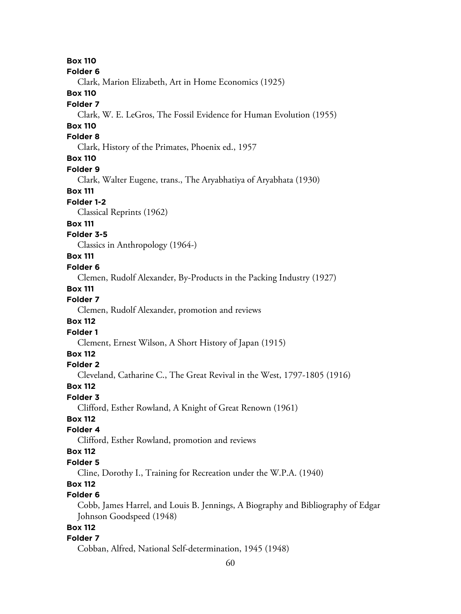#### **Folder 6**

Clark, Marion Elizabeth, Art in Home Economics (1925)

# **Box 110**

#### **Folder 7**

Clark, W. E. LeGros, The Fossil Evidence for Human Evolution (1955)

# **Box 110**

### **Folder 8**

Clark, History of the Primates, Phoenix ed., 1957

# **Box 110**

#### **Folder 9**

Clark, Walter Eugene, trans., The Aryabhatiya of Aryabhata (1930)

#### **Box 111**

#### **Folder 1-2**

Classical Reprints (1962)

# **Box 111**

### **Folder 3-5**

Classics in Anthropology (1964-)

## **Box 111**

#### **Folder 6**

Clemen, Rudolf Alexander, By-Products in the Packing Industry (1927)

#### **Box 111**

#### **Folder 7**

Clemen, Rudolf Alexander, promotion and reviews

#### **Box 112**

#### **Folder 1**

Clement, Ernest Wilson, A Short History of Japan (1915)

# **Box 112**

### **Folder 2**

Cleveland, Catharine C., The Great Revival in the West, 1797-1805 (1916)

### **Box 112**

## **Folder 3**

Clifford, Esther Rowland, A Knight of Great Renown (1961)

# **Box 112**

# **Folder 4**

Clifford, Esther Rowland, promotion and reviews

# **Box 112**

#### **Folder 5**

Cline, Dorothy I., Training for Recreation under the W.P.A. (1940)

# **Box 112**

# **Folder 6**

Cobb, James Harrel, and Louis B. Jennings, A Biography and Bibliography of Edgar Johnson Goodspeed (1948)

# **Box 112**

### **Folder 7**

Cobban, Alfred, National Self-determination, 1945 (1948)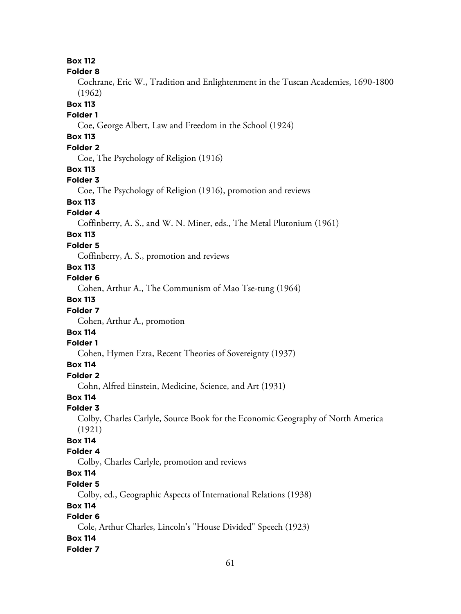#### **Folder 8**

Cochrane, Eric W., Tradition and Enlightenment in the Tuscan Academies, 1690-1800 (1962)

### **Box 113**

### **Folder 1**

Coe, George Albert, Law and Freedom in the School (1924)

# **Box 113**

# **Folder 2**

Coe, The Psychology of Religion (1916)

## **Box 113**

## **Folder 3**

Coe, The Psychology of Religion (1916), promotion and reviews

# **Box 113**

## **Folder 4**

Coffinberry, A. S., and W. N. Miner, eds., The Metal Plutonium (1961)

# **Box 113**

## **Folder 5**

Coffinberry, A. S., promotion and reviews

# **Box 113**

## **Folder 6**

Cohen, Arthur A., The Communism of Mao Tse-tung (1964)

# **Box 113**

## **Folder 7**

Cohen, Arthur A., promotion

# **Box 114**

# **Folder 1**

Cohen, Hymen Ezra, Recent Theories of Sovereignty (1937)

# **Box 114**

### **Folder 2**

Cohn, Alfred Einstein, Medicine, Science, and Art (1931)

### **Box 114**

## **Folder 3**

Colby, Charles Carlyle, Source Book for the Economic Geography of North America (1921)

## **Box 114**

# **Folder 4**

Colby, Charles Carlyle, promotion and reviews

# **Box 114**

# **Folder 5**

Colby, ed., Geographic Aspects of International Relations (1938)

## **Box 114**

# **Folder 6**

Cole, Arthur Charles, Lincoln's "House Divided" Speech (1923)

# **Box 114**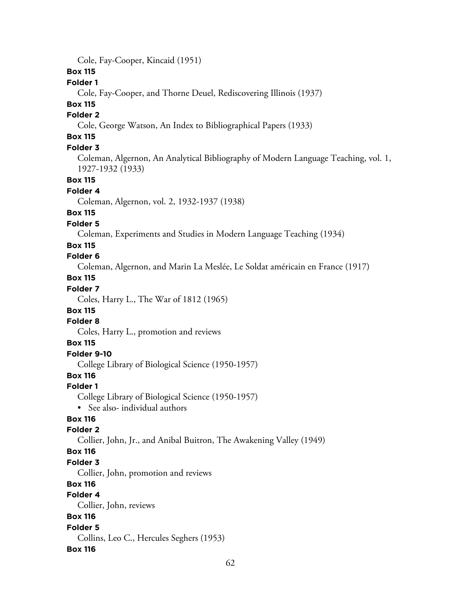Cole, Fay-Cooper, Kincaid (1951)

# **Box 115**

## **Folder 1**

Cole, Fay-Cooper, and Thorne Deuel, Rediscovering Illinois (1937)

# **Box 115**

# **Folder 2**

Cole, George Watson, An Index to Bibliographical Papers (1933)

# **Box 115**

# **Folder 3**

Coleman, Algernon, An Analytical Bibliography of Modern Language Teaching, vol. 1, 1927-1932 (1933)

### **Box 115**

#### **Folder 4**

Coleman, Algernon, vol. 2, 1932-1937 (1938)

## **Box 115**

#### **Folder 5**

Coleman, Experiments and Studies in Modern Language Teaching (1934)

#### **Box 115**

# **Folder 6**

Coleman, Algernon, and Marin La Meslée, Le Soldat américain en France (1917)

# **Box 115**

# **Folder 7**

Coles, Harry L., The War of 1812 (1965)

# **Box 115**

## **Folder 8**

Coles, Harry L., promotion and reviews

### **Box 115**

# **Folder 9-10**

College Library of Biological Science (1950-1957)

## **Box 116**

#### **Folder 1**

College Library of Biological Science (1950-1957) • See also- individual authors

# **Box 116**

#### **Folder 2**

Collier, John, Jr., and Anibal Buitron, The Awakening Valley (1949)

### **Box 116**

### **Folder 3**

Collier, John, promotion and reviews

# **Box 116**

# **Folder 4**

Collier, John, reviews

# **Box 116**

#### **Folder 5**

Collins, Leo C., Hercules Seghers (1953)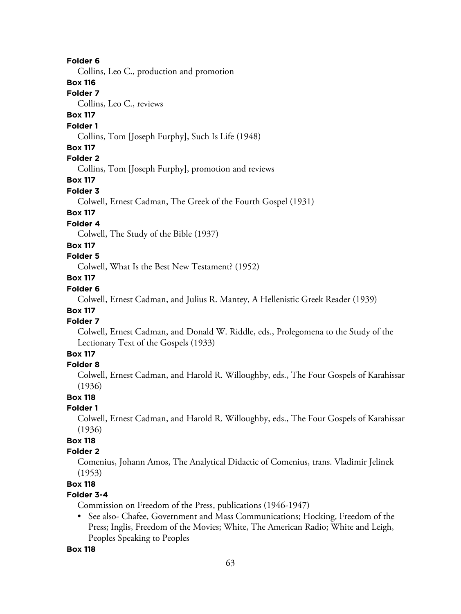Collins, Leo C., production and promotion

### **Box 116**

### **Folder 7**

Collins, Leo C., reviews

# **Box 117**

### **Folder 1**

Collins, Tom [Joseph Furphy], Such Is Life (1948)

### **Box 117**

# **Folder 2**

Collins, Tom [Joseph Furphy], promotion and reviews

# **Box 117**

### **Folder 3**

Colwell, Ernest Cadman, The Greek of the Fourth Gospel (1931)

# **Box 117**

### **Folder 4**

Colwell, The Study of the Bible (1937)

### **Box 117**

## **Folder 5**

Colwell, What Is the Best New Testament? (1952)

# **Box 117**

# **Folder 6**

Colwell, Ernest Cadman, and Julius R. Mantey, A Hellenistic Greek Reader (1939)

# **Box 117**

### **Folder 7**

Colwell, Ernest Cadman, and Donald W. Riddle, eds., Prolegomena to the Study of the Lectionary Text of the Gospels (1933)

# **Box 117**

### **Folder 8**

Colwell, Ernest Cadman, and Harold R. Willoughby, eds., The Four Gospels of Karahissar (1936)

#### **Box 118**

#### **Folder 1**

Colwell, Ernest Cadman, and Harold R. Willoughby, eds., The Four Gospels of Karahissar (1936)

# **Box 118**

# **Folder 2**

Comenius, Johann Amos, The Analytical Didactic of Comenius, trans. Vladimir Jelinek (1953)

# **Box 118**

# **Folder 3-4**

Commission on Freedom of the Press, publications (1946-1947)

• See also- Chafee, Government and Mass Communications; Hocking, Freedom of the Press; Inglis, Freedom of the Movies; White, The American Radio; White and Leigh, Peoples Speaking to Peoples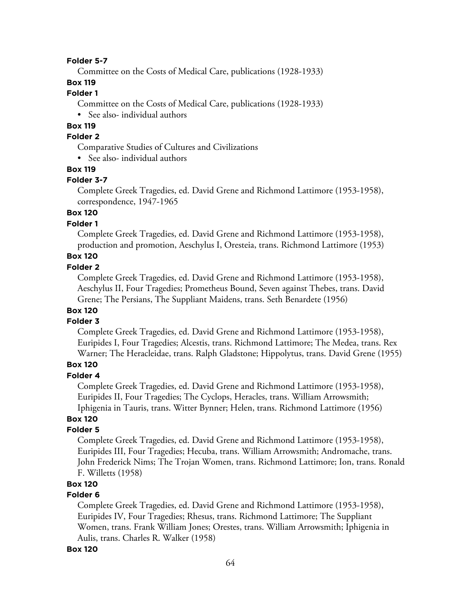#### **Folder 5-7**

Committee on the Costs of Medical Care, publications (1928-1933)

# **Box 119**

# **Folder 1**

Committee on the Costs of Medical Care, publications (1928-1933)

• See also- individual authors

# **Box 119**

# **Folder 2**

Comparative Studies of Cultures and Civilizations

• See also- individual authors

#### **Box 119**

#### **Folder 3-7**

Complete Greek Tragedies, ed. David Grene and Richmond Lattimore (1953-1958), correspondence, 1947-1965

# **Box 120**

## **Folder 1**

Complete Greek Tragedies, ed. David Grene and Richmond Lattimore (1953-1958), production and promotion, Aeschylus I, Oresteia, trans. Richmond Lattimore (1953)

# **Box 120**

## **Folder 2**

Complete Greek Tragedies, ed. David Grene and Richmond Lattimore (1953-1958), Aeschylus II, Four Tragedies; Prometheus Bound, Seven against Thebes, trans. David Grene; The Persians, The Suppliant Maidens, trans. Seth Benardete (1956)

# **Box 120**

# **Folder 3**

Complete Greek Tragedies, ed. David Grene and Richmond Lattimore (1953-1958), Euripides I, Four Tragedies; Alcestis, trans. Richmond Lattimore; The Medea, trans. Rex Warner; The Heracleidae, trans. Ralph Gladstone; Hippolytus, trans. David Grene (1955)

# **Box 120**

### **Folder 4**

Complete Greek Tragedies, ed. David Grene and Richmond Lattimore (1953-1958), Euripides II, Four Tragedies; The Cyclops, Heracles, trans. William Arrowsmith; Iphigenia in Tauris, trans. Witter Bynner; Helen, trans. Richmond Lattimore (1956)

# **Box 120**

# **Folder 5**

Complete Greek Tragedies, ed. David Grene and Richmond Lattimore (1953-1958), Euripides III, Four Tragedies; Hecuba, trans. William Arrowsmith; Andromache, trans. John Frederick Nims; The Trojan Women, trans. Richmond Lattimore; Ion, trans. Ronald F. Willetts (1958)

## **Box 120**

#### **Folder 6**

Complete Greek Tragedies, ed. David Grene and Richmond Lattimore (1953-1958), Euripides IV, Four Tragedies; Rhesus, trans. Richmond Lattimore; The Suppliant Women, trans. Frank William Jones; Orestes, trans. William Arrowsmith; Iphigenia in Aulis, trans. Charles R. Walker (1958)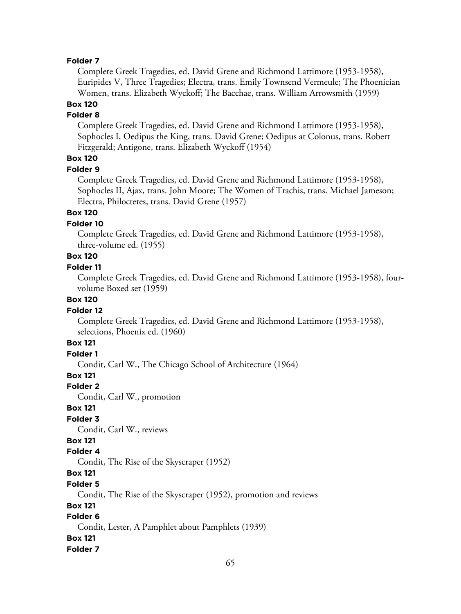Complete Greek Tragedies, ed. David Grene and Richmond Lattimore (1953-1958), Euripides V, Three Tragedies; Electra, trans. Emily Townsend Vermeule; The Phoenician Women, trans. Elizabeth Wyckoff; The Bacchae, trans. William Arrowsmith (1959)

# **Box 120**

### **Folder 8**

Complete Greek Tragedies, ed. David Grene and Richmond Lattimore (1953-1958), Sophocles I, Oedipus the King, trans. David Grene; Oedipus at Colonus, trans. Robert Fitzgerald; Antigone, trans. Elizabeth Wyckoff (1954)

# **Box 120**

**Folder 9**

Complete Greek Tragedies, ed. David Grene and Richmond Lattimore (1953-1958), Sophocles II, Ajax, trans. John Moore; The Women of Trachis, trans. Michael Jameson; Electra, Philoctetes, trans. David Grene (1957)

# **Box 120**

## **Folder 10**

Complete Greek Tragedies, ed. David Grene and Richmond Lattimore (1953-1958), three-volume ed. (1955)

# **Box 120**

#### **Folder 11**

Complete Greek Tragedies, ed. David Grene and Richmond Lattimore (1953-1958), fourvolume Boxed set (1959)

## **Box 120**

#### **Folder 12**

Complete Greek Tragedies, ed. David Grene and Richmond Lattimore (1953-1958), selections, Phoenix ed. (1960)

### **Box 121**

# **Folder 1**

Condit, Carl W., The Chicago School of Architecture (1964)

#### **Box 121**

#### **Folder 2**

Condit, Carl W., promotion

#### **Box 121**

# **Folder 3**

Condit, Carl W., reviews

### **Box 121**

### **Folder 4**

Condit, The Rise of the Skyscraper (1952)

# **Box 121**

#### **Folder 5**

Condit, The Rise of the Skyscraper (1952), promotion and reviews

### **Box 121**

# **Folder 6**

Condit, Lester, A Pamphlet about Pamphlets (1939)

#### **Box 121**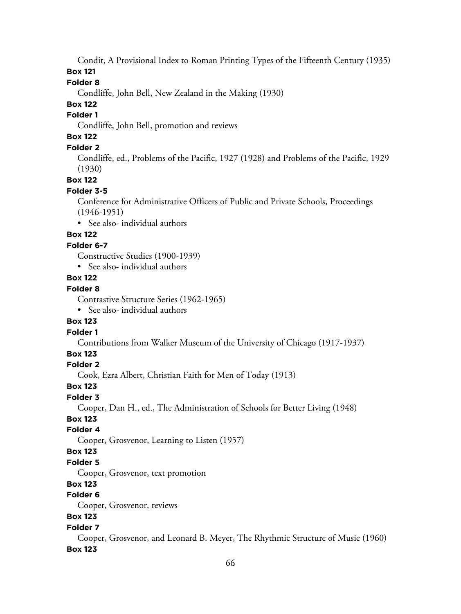Condit, A Provisional Index to Roman Printing Types of the Fifteenth Century (1935)

**Box 121**

# **Folder 8**

Condliffe, John Bell, New Zealand in the Making (1930)

# **Box 122**

# **Folder 1**

Condliffe, John Bell, promotion and reviews

# **Box 122**

# **Folder 2**

Condliffe, ed., Problems of the Pacific, 1927 (1928) and Problems of the Pacific, 1929 (1930)

# **Box 122**

## **Folder 3-5**

Conference for Administrative Officers of Public and Private Schools, Proceedings (1946-1951)

• See also- individual authors

# **Box 122**

## **Folder 6-7**

Constructive Studies (1900-1939)

• See also- individual authors

## **Box 122**

# **Folder 8**

Contrastive Structure Series (1962-1965)

• See also- individual authors

## **Box 123**

# **Folder 1**

Contributions from Walker Museum of the University of Chicago (1917-1937)

#### **Box 123**

## **Folder 2**

Cook, Ezra Albert, Christian Faith for Men of Today (1913)

## **Box 123**

## **Folder 3**

Cooper, Dan H., ed., The Administration of Schools for Better Living (1948)

## **Box 123**

#### **Folder 4**

Cooper, Grosvenor, Learning to Listen (1957)

## **Box 123**

## **Folder 5**

Cooper, Grosvenor, text promotion

## **Box 123**

# **Folder 6**

Cooper, Grosvenor, reviews

# **Box 123**

## **Folder 7**

Cooper, Grosvenor, and Leonard B. Meyer, The Rhythmic Structure of Music (1960) **Box 123**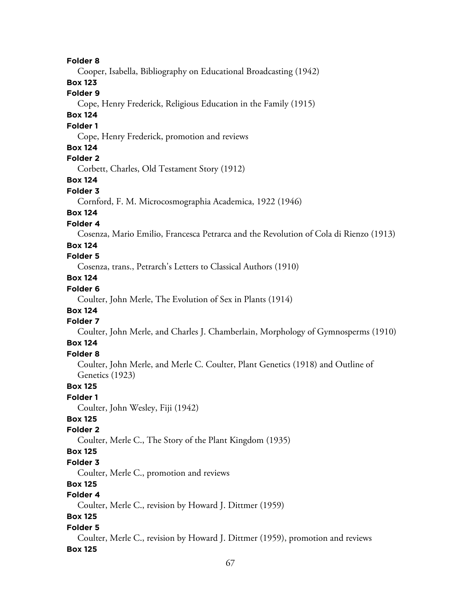**Folder 8** Cooper, Isabella, Bibliography on Educational Broadcasting (1942) **Box 123 Folder 9** Cope, Henry Frederick, Religious Education in the Family (1915) **Box 124 Folder 1** Cope, Henry Frederick, promotion and reviews **Box 124 Folder 2** Corbett, Charles, Old Testament Story (1912) **Box 124 Folder 3** Cornford, F. M. Microcosmographia Academica, 1922 (1946) **Box 124 Folder 4** Cosenza, Mario Emilio, Francesca Petrarca and the Revolution of Cola di Rienzo (1913) **Box 124 Folder 5** Cosenza, trans., Petrarch's Letters to Classical Authors (1910) **Box 124 Folder 6** Coulter, John Merle, The Evolution of Sex in Plants (1914) **Box 124 Folder 7** Coulter, John Merle, and Charles J. Chamberlain, Morphology of Gymnosperms (1910) **Box 124 Folder 8** Coulter, John Merle, and Merle C. Coulter, Plant Genetics (1918) and Outline of Genetics (1923) **Box 125 Folder 1** Coulter, John Wesley, Fiji (1942) **Box 125 Folder 2** Coulter, Merle C., The Story of the Plant Kingdom (1935) **Box 125 Folder 3** Coulter, Merle C., promotion and reviews **Box 125 Folder 4** Coulter, Merle C., revision by Howard J. Dittmer (1959) **Box 125 Folder 5** Coulter, Merle C., revision by Howard J. Dittmer (1959), promotion and reviews **Box 125**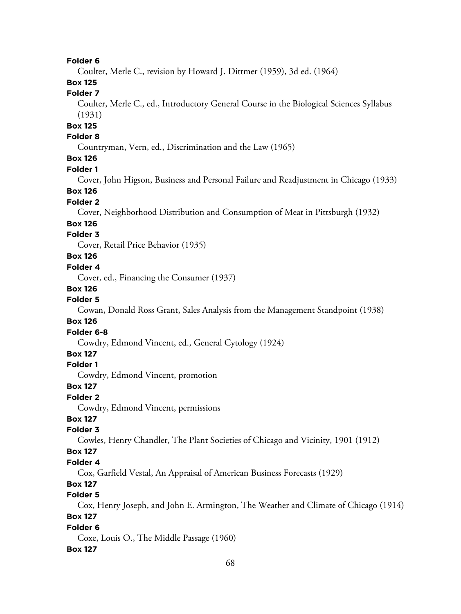Coulter, Merle C., revision by Howard J. Dittmer (1959), 3d ed. (1964)

# **Box 125**

# **Folder 7**

Coulter, Merle C., ed., Introductory General Course in the Biological Sciences Syllabus (1931)

# **Box 125**

# **Folder 8**

Countryman, Vern, ed., Discrimination and the Law (1965)

# **Box 126**

#### **Folder 1**

Cover, John Higson, Business and Personal Failure and Readjustment in Chicago (1933)

### **Box 126**

#### **Folder 2**

Cover, Neighborhood Distribution and Consumption of Meat in Pittsburgh (1932)

#### **Box 126**

### **Folder 3**

Cover, Retail Price Behavior (1935)

# **Box 126**

#### **Folder 4**

Cover, ed., Financing the Consumer (1937)

#### **Box 126**

#### **Folder 5**

Cowan, Donald Ross Grant, Sales Analysis from the Management Standpoint (1938)

# **Box 126**

#### **Folder 6-8**

Cowdry, Edmond Vincent, ed., General Cytology (1924)

#### **Box 127**

### **Folder 1**

Cowdry, Edmond Vincent, promotion

#### **Box 127**

#### **Folder 2**

Cowdry, Edmond Vincent, permissions

# **Box 127**

### **Folder 3**

Cowles, Henry Chandler, The Plant Societies of Chicago and Vicinity, 1901 (1912)

#### **Box 127**

#### **Folder 4**

Cox, Garfield Vestal, An Appraisal of American Business Forecasts (1929)

## **Box 127**

# **Folder 5**

Cox, Henry Joseph, and John E. Armington, The Weather and Climate of Chicago (1914)

# **Box 127**

#### **Folder 6**

Coxe, Louis O., The Middle Passage (1960)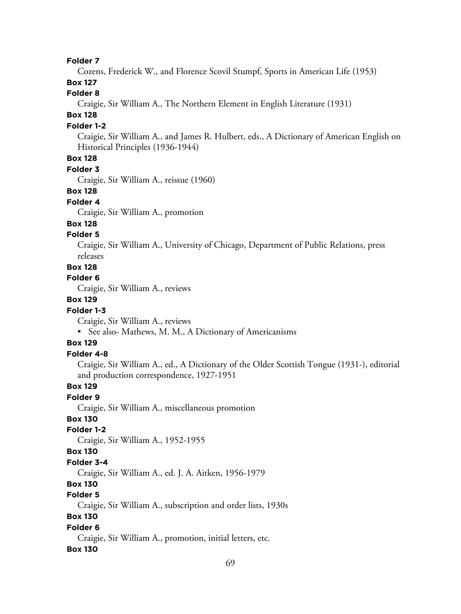Cozens, Frederick W., and Florence Scovil Stumpf, Sports in American Life (1953)

# **Box 127**

# **Folder 8**

Craigie, Sir William A., The Northern Element in English Literature (1931)

# **Box 128**

### **Folder 1-2**

Craigie, Sir William A., and James R. Hulbert, eds., A Dictionary of American English on Historical Principles (1936-1944)

# **Box 128**

#### **Folder 3**

Craigie, Sir William A., reissue (1960)

### **Box 128**

#### **Folder 4**

Craigie, Sir William A., promotion

#### **Box 128**

#### **Folder 5**

Craigie, Sir William A., University of Chicago, Department of Public Relations, press releases

## **Box 128**

### **Folder 6**

Craigie, Sir William A., reviews

# **Box 129**

### **Folder 1-3**

Craigie, Sir William A., reviews

• See also- Mathews, M. M., A Dictionary of Americanisms

#### **Box 129**

### **Folder 4-8**

Craigie, Sir William A., ed., A Dictionary of the Older Scottish Tongue (1931-), editorial and production correspondence, 1927-1951

## **Box 129**

### **Folder 9**

Craigie, Sir William A., miscellaneous promotion

# **Box 130**

### **Folder 1-2**

Craigie, Sir William A., 1952-1955

#### **Box 130**

#### **Folder 3-4**

Craigie, Sir William A., ed. J. A. Aitken, 1956-1979

### **Box 130**

# **Folder 5**

Craigie, Sir William A., subscription and order lists, 1930s

### **Box 130**

### **Folder 6**

Craigie, Sir William A., promotion, initial letters, etc.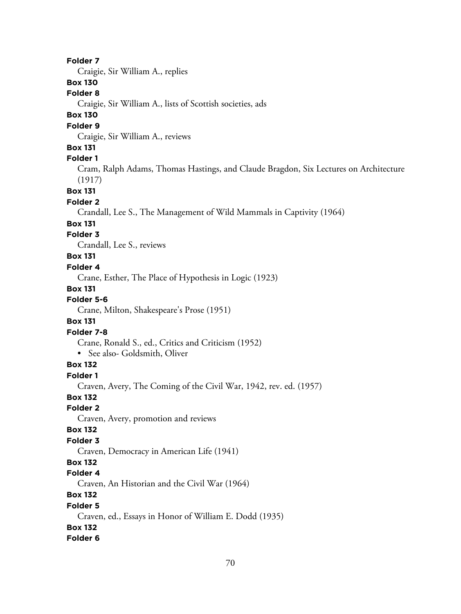Craigie, Sir William A., replies

# **Box 130**

### **Folder 8**

Craigie, Sir William A., lists of Scottish societies, ads

# **Box 130**

### **Folder 9**

Craigie, Sir William A., reviews

### **Box 131**

#### **Folder 1**

Cram, Ralph Adams, Thomas Hastings, and Claude Bragdon, Six Lectures on Architecture (1917)

**Box 131**

#### **Folder 2**

Crandall, Lee S., The Management of Wild Mammals in Captivity (1964)

#### **Box 131**

### **Folder 3**

Crandall, Lee S., reviews

# **Box 131**

### **Folder 4**

Crane, Esther, The Place of Hypothesis in Logic (1923)

#### **Box 131**

# **Folder 5-6**

Crane, Milton, Shakespeare's Prose (1951)

#### **Box 131**

### **Folder 7-8**

Crane, Ronald S., ed., Critics and Criticism (1952)

• See also- Goldsmith, Oliver

### **Box 132**

#### **Folder 1**

Craven, Avery, The Coming of the Civil War, 1942, rev. ed. (1957)

# **Box 132**

# **Folder 2**

Craven, Avery, promotion and reviews

#### **Box 132**

### **Folder 3**

Craven, Democracy in American Life (1941)

### **Box 132**

#### **Folder 4**

Craven, An Historian and the Civil War (1964)

# **Box 132**

#### **Folder 5**

Craven, ed., Essays in Honor of William E. Dodd (1935)

# **Box 132**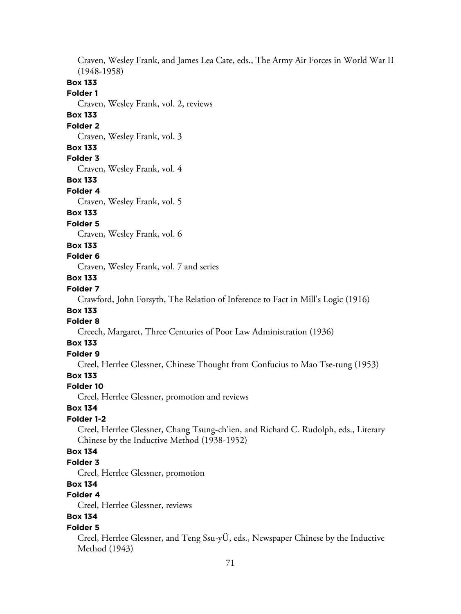Craven, Wesley Frank, and James Lea Cate, eds., The Army Air Forces in World War II (1948-1958) **Box 133 Folder 1** Craven, Wesley Frank, vol. 2, reviews **Box 133 Folder 2** Craven, Wesley Frank, vol. 3 **Box 133 Folder 3** Craven, Wesley Frank, vol. 4 **Box 133 Folder 4** Craven, Wesley Frank, vol. 5 **Box 133 Folder 5** Craven, Wesley Frank, vol. 6 **Box 133 Folder 6** Craven, Wesley Frank, vol. 7 and series **Box 133 Folder 7** Crawford, John Forsyth, The Relation of Inference to Fact in Mill's Logic (1916) **Box 133 Folder 8** Creech, Margaret, Three Centuries of Poor Law Administration (1936) **Box 133 Folder 9** Creel, Herrlee Glessner, Chinese Thought from Confucius to Mao Tse-tung (1953) **Box 133 Folder 10** Creel, Herrlee Glessner, promotion and reviews **Box 134 Folder 1-2** Creel, Herrlee Glessner, Chang Tsung-ch'ien, and Richard C. Rudolph, eds., Literary Chinese by the Inductive Method (1938-1952) **Box 134 Folder 3** Creel, Herrlee Glessner, promotion **Box 134 Folder 4** Creel, Herrlee Glessner, reviews **Box 134 Folder 5** Creel, Herrlee Glessner, and Teng Ssu-yÜ, eds., Newspaper Chinese by the Inductive

Method (1943)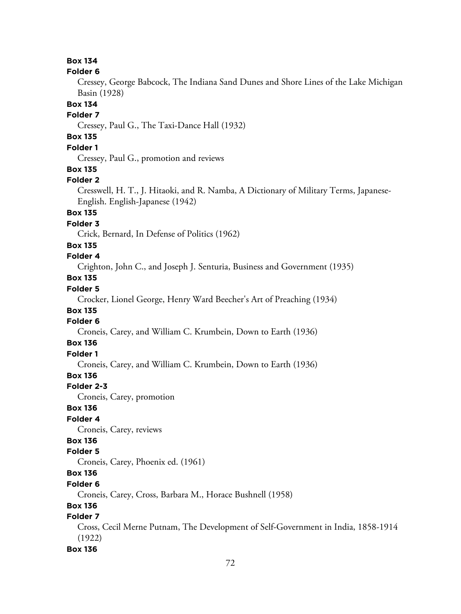#### **Folder 6**

Cressey, George Babcock, The Indiana Sand Dunes and Shore Lines of the Lake Michigan Basin (1928)

### **Box 134**

#### **Folder 7**

Cressey, Paul G., The Taxi-Dance Hall (1932)

# **Box 135**

## **Folder 1**

Cressey, Paul G., promotion and reviews

### **Box 135**

#### **Folder 2**

Cresswell, H. T., J. Hitaoki, and R. Namba, A Dictionary of Military Terms, Japanese-English. English-Japanese (1942)

# **Box 135**

### **Folder 3**

Crick, Bernard, In Defense of Politics (1962)

# **Box 135**

# **Folder 4**

Crighton, John C., and Joseph J. Senturia, Business and Government (1935)

# **Box 135**

# **Folder 5**

Crocker, Lionel George, Henry Ward Beecher's Art of Preaching (1934)

# **Box 135**

# **Folder 6**

Croneis, Carey, and William C. Krumbein, Down to Earth (1936)

# **Box 136**

# **Folder 1**

Croneis, Carey, and William C. Krumbein, Down to Earth (1936)

# **Box 136**

#### **Folder 2-3**

Croneis, Carey, promotion

# **Box 136**

# **Folder 4**

Croneis, Carey, reviews

# **Box 136**

#### **Folder 5**

Croneis, Carey, Phoenix ed. (1961)

# **Box 136**

#### **Folder 6**

Croneis, Carey, Cross, Barbara M., Horace Bushnell (1958)

### **Box 136**

# **Folder 7**

Cross, Cecil Merne Putnam, The Development of Self-Government in India, 1858-1914 (1922)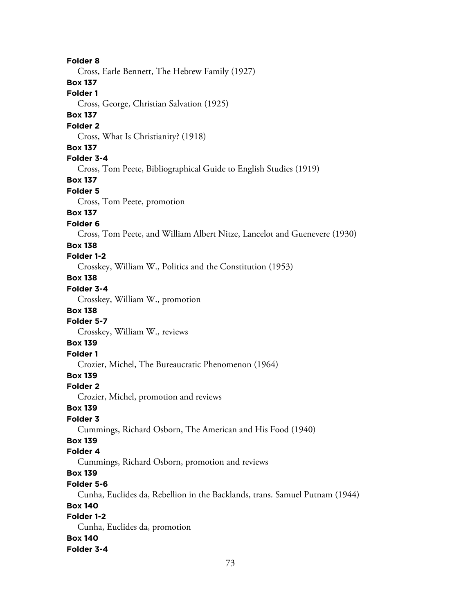**Folder 8** Cross, Earle Bennett, The Hebrew Family (1927) **Box 137 Folder 1** Cross, George, Christian Salvation (1925) **Box 137 Folder 2** Cross, What Is Christianity? (1918) **Box 137 Folder 3-4** Cross, Tom Peete, Bibliographical Guide to English Studies (1919) **Box 137 Folder 5** Cross, Tom Peete, promotion **Box 137 Folder 6** Cross, Tom Peete, and William Albert Nitze, Lancelot and Guenevere (1930) **Box 138 Folder 1-2** Crosskey, William W., Politics and the Constitution (1953) **Box 138 Folder 3-4** Crosskey, William W., promotion **Box 138 Folder 5-7** Crosskey, William W., reviews **Box 139 Folder 1** Crozier, Michel, The Bureaucratic Phenomenon (1964) **Box 139 Folder 2** Crozier, Michel, promotion and reviews **Box 139 Folder 3** Cummings, Richard Osborn, The American and His Food (1940) **Box 139 Folder 4** Cummings, Richard Osborn, promotion and reviews **Box 139 Folder 5-6** Cunha, Euclides da, Rebellion in the Backlands, trans. Samuel Putnam (1944) **Box 140 Folder 1-2** Cunha, Euclides da, promotion **Box 140 Folder 3-4**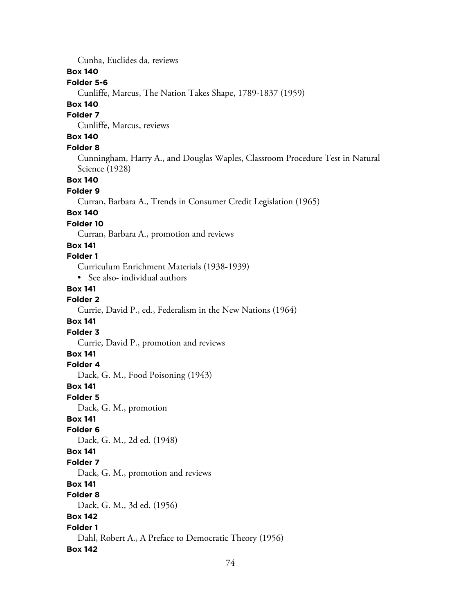Cunha, Euclides da, reviews

#### **Box 140**

#### **Folder 5-6**

Cunliffe, Marcus, The Nation Takes Shape, 1789-1837 (1959)

# **Box 140**

#### **Folder 7**

Cunliffe, Marcus, reviews

# **Box 140**

### **Folder 8**

Cunningham, Harry A., and Douglas Waples, Classroom Procedure Test in Natural Science (1928)

# **Box 140**

#### **Folder 9**

Curran, Barbara A., Trends in Consumer Credit Legislation (1965)

# **Box 140**

#### **Folder 10**

Curran, Barbara A., promotion and reviews

### **Box 141**

# **Folder 1**

Curriculum Enrichment Materials (1938-1939)

• See also- individual authors

#### **Box 141**

#### **Folder 2** Currie, David P., ed., Federalism in the New Nations (1964)

# **Box 141**

# **Folder 3**

Currie, David P., promotion and reviews

#### **Box 141**

#### **Folder 4**

Dack, G. M., Food Poisoning (1943)

#### **Box 141**

#### **Folder 5**

Dack, G. M., promotion

## **Box 141**

### **Folder 6**

Dack, G. M., 2d ed. (1948)

### **Box 141**

# **Folder 7**

Dack, G. M., promotion and reviews

# **Box 141**

# **Folder 8**

Dack, G. M., 3d ed. (1956)

# **Box 142**

# **Folder 1**

Dahl, Robert A., A Preface to Democratic Theory (1956)

## **Box 142**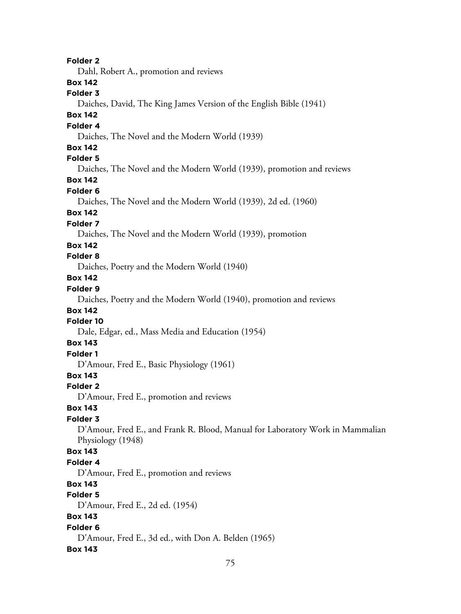**Folder 2** Dahl, Robert A., promotion and reviews **Box 142 Folder 3** Daiches, David, The King James Version of the English Bible (1941) **Box 142 Folder 4** Daiches, The Novel and the Modern World (1939) **Box 142 Folder 5** Daiches, The Novel and the Modern World (1939), promotion and reviews **Box 142 Folder 6** Daiches, The Novel and the Modern World (1939), 2d ed. (1960) **Box 142 Folder 7** Daiches, The Novel and the Modern World (1939), promotion **Box 142 Folder 8** Daiches, Poetry and the Modern World (1940) **Box 142 Folder 9** Daiches, Poetry and the Modern World (1940), promotion and reviews **Box 142 Folder 10** Dale, Edgar, ed., Mass Media and Education (1954) **Box 143 Folder 1** D'Amour, Fred E., Basic Physiology (1961) **Box 143 Folder 2** D'Amour, Fred E., promotion and reviews **Box 143 Folder 3** D'Amour, Fred E., and Frank R. Blood, Manual for Laboratory Work in Mammalian Physiology (1948) **Box 143 Folder 4** D'Amour, Fred E., promotion and reviews **Box 143 Folder 5** D'Amour, Fred E., 2d ed. (1954) **Box 143 Folder 6** D'Amour, Fred E., 3d ed., with Don A. Belden (1965) **Box 143**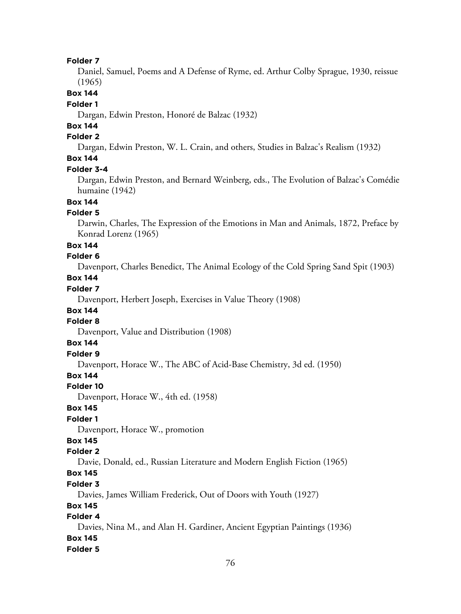#### **Folder 7**

Daniel, Samuel, Poems and A Defense of Ryme, ed. Arthur Colby Sprague, 1930, reissue (1965)

**Box 144**

#### **Folder 1**

Dargan, Edwin Preston, Honoré de Balzac (1932)

# **Box 144**

# **Folder 2**

Dargan, Edwin Preston, W. L. Crain, and others, Studies in Balzac's Realism (1932)

# **Box 144**

#### **Folder 3-4**

Dargan, Edwin Preston, and Bernard Weinberg, eds., The Evolution of Balzac's Comédie humaine (1942)

# **Box 144**

#### **Folder 5**

Darwin, Charles, The Expression of the Emotions in Man and Animals, 1872, Preface by Konrad Lorenz (1965)

#### **Box 144**

### **Folder 6**

Davenport, Charles Benedict, The Animal Ecology of the Cold Spring Sand Spit (1903)

# **Box 144**

# **Folder 7**

Davenport, Herbert Joseph, Exercises in Value Theory (1908)

# **Box 144**

# **Folder 8**

Davenport, Value and Distribution (1908)

# **Box 144**

# **Folder 9**

Davenport, Horace W., The ABC of Acid-Base Chemistry, 3d ed. (1950)

# **Box 144**

#### **Folder 10**

Davenport, Horace W., 4th ed. (1958)

#### **Box 145**

# **Folder 1**

Davenport, Horace W., promotion

# **Box 145**

### **Folder 2**

Davie, Donald, ed., Russian Literature and Modern English Fiction (1965)

# **Box 145**

#### **Folder 3**

Davies, James William Frederick, Out of Doors with Youth (1927)

#### **Box 145**

## **Folder 4**

Davies, Nina M., and Alan H. Gardiner, Ancient Egyptian Paintings (1936) **Box 145**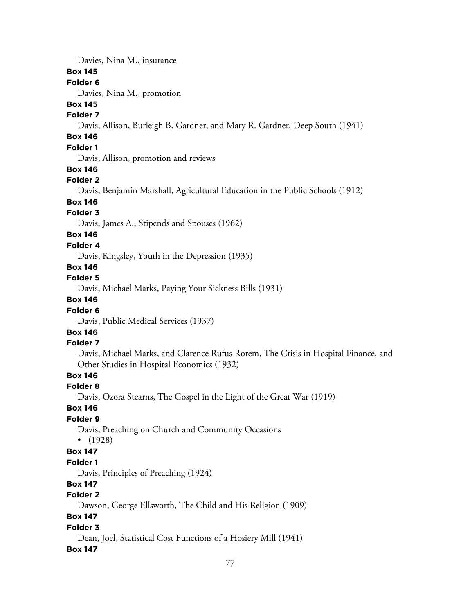Davies, Nina M., insurance

#### **Box 145**

#### **Folder 6**

Davies, Nina M., promotion

# **Box 145**

## **Folder 7**

Davis, Allison, Burleigh B. Gardner, and Mary R. Gardner, Deep South (1941)

# **Box 146**

# **Folder 1**

Davis, Allison, promotion and reviews

#### **Box 146**

#### **Folder 2**

Davis, Benjamin Marshall, Agricultural Education in the Public Schools (1912)

# **Box 146**

# **Folder 3**

Davis, James A., Stipends and Spouses (1962)

# **Box 146**

#### **Folder 4**

Davis, Kingsley, Youth in the Depression (1935)

# **Box 146**

### **Folder 5**

Davis, Michael Marks, Paying Your Sickness Bills (1931)

# **Box 146**

#### **Folder 6**

Davis, Public Medical Services (1937)

# **Box 146**

## **Folder 7**

Davis, Michael Marks, and Clarence Rufus Rorem, The Crisis in Hospital Finance, and Other Studies in Hospital Economics (1932)

# **Box 146**

#### **Folder 8**

Davis, Ozora Stearns, The Gospel in the Light of the Great War (1919)

# **Box 146**

## **Folder 9**

Davis, Preaching on Church and Community Occasions

• (1928)

### **Box 147**

#### **Folder 1**

Davis, Principles of Preaching (1924)

# **Box 147**

# **Folder 2**

Dawson, George Ellsworth, The Child and His Religion (1909)

# **Box 147**

### **Folder 3**

Dean, Joel, Statistical Cost Functions of a Hosiery Mill (1941)

#### **Box 147**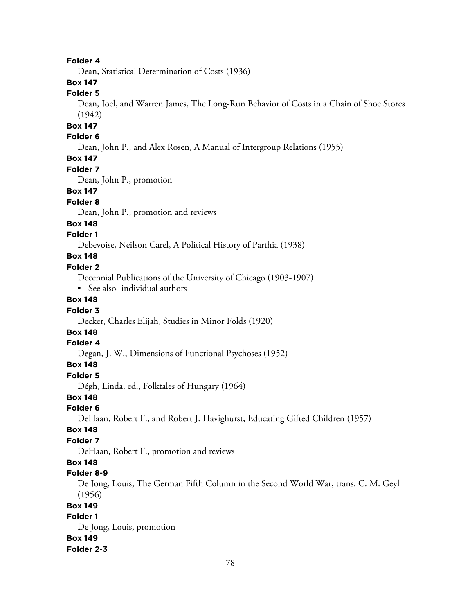#### **Folder 4**

Dean, Statistical Determination of Costs (1936)

# **Box 147**

# **Folder 5**

Dean, Joel, and Warren James, The Long-Run Behavior of Costs in a Chain of Shoe Stores (1942)

# **Box 147**

#### **Folder 6**

Dean, John P., and Alex Rosen, A Manual of Intergroup Relations (1955)

#### **Box 147**

#### **Folder 7**

Dean, John P., promotion

## **Box 147**

#### **Folder 8**

Dean, John P., promotion and reviews

#### **Box 148**

### **Folder 1**

Debevoise, Neilson Carel, A Political History of Parthia (1938)

# **Box 148**

#### **Folder 2**

Decennial Publications of the University of Chicago (1903-1907)

• See also- individual authors

#### **Box 148**

#### **Folder 3**

Decker, Charles Elijah, Studies in Minor Folds (1920)

# **Box 148**

# **Folder 4**

Degan, J. W., Dimensions of Functional Psychoses (1952)

#### **Box 148**

#### **Folder 5**

Dégh, Linda, ed., Folktales of Hungary (1964)

#### **Box 148**

# **Folder 6**

DeHaan, Robert F., and Robert J. Havighurst, Educating Gifted Children (1957)

#### **Box 148**

#### **Folder 7**

DeHaan, Robert F., promotion and reviews

# **Box 148**

#### **Folder 8-9**

De Jong, Louis, The German Fifth Column in the Second World War, trans. C. M. Geyl (1956)

#### **Box 149**

## **Folder 1**

De Jong, Louis, promotion **Box 149 Folder 2-3**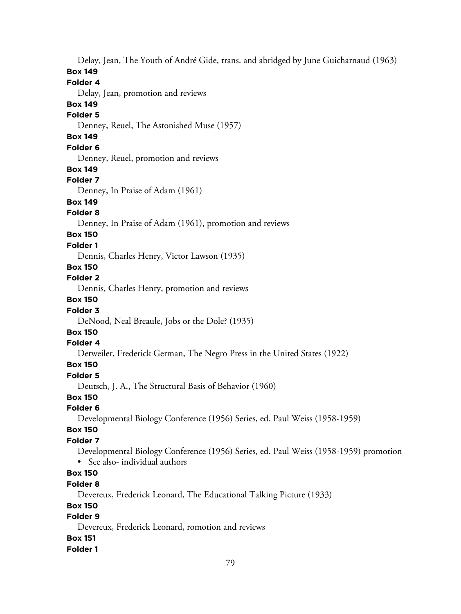Delay, Jean, The Youth of André Gide, trans. and abridged by June Guicharnaud (1963) **Box 149 Folder 4** Delay, Jean, promotion and reviews **Box 149 Folder 5** Denney, Reuel, The Astonished Muse (1957) **Box 149 Folder 6** Denney, Reuel, promotion and reviews **Box 149 Folder 7** Denney, In Praise of Adam (1961) **Box 149 Folder 8** Denney, In Praise of Adam (1961), promotion and reviews **Box 150 Folder 1** Dennis, Charles Henry, Victor Lawson (1935) **Box 150 Folder 2** Dennis, Charles Henry, promotion and reviews **Box 150 Folder 3** DeNood, Neal Breaule, Jobs or the Dole? (1935) **Box 150 Folder 4** Detweiler, Frederick German, The Negro Press in the United States (1922) **Box 150 Folder 5** Deutsch, J. A., The Structural Basis of Behavior (1960) **Box 150 Folder 6** Developmental Biology Conference (1956) Series, ed. Paul Weiss (1958-1959) **Box 150 Folder 7** Developmental Biology Conference (1956) Series, ed. Paul Weiss (1958-1959) promotion • See also- individual authors **Box 150 Folder 8** Devereux, Frederick Leonard, The Educational Talking Picture (1933) **Box 150 Folder 9** Devereux, Frederick Leonard, romotion and reviews **Box 151**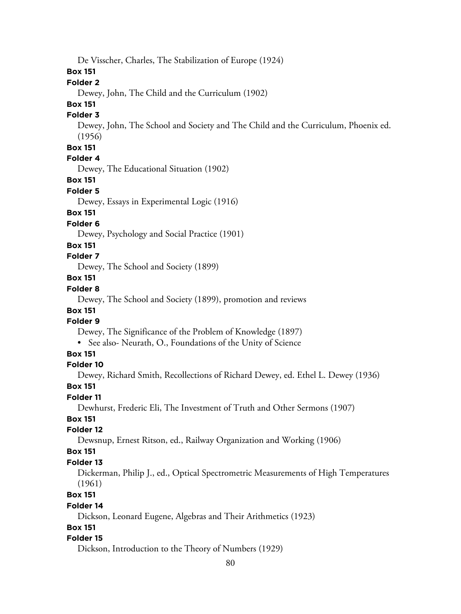De Visscher, Charles, The Stabilization of Europe (1924)

## **Box 151**

#### **Folder 2**

Dewey, John, The Child and the Curriculum (1902)

# **Box 151**

# **Folder 3**

Dewey, John, The School and Society and The Child and the Curriculum, Phoenix ed. (1956)

# **Box 151**

## **Folder 4**

Dewey, The Educational Situation (1902)

#### **Box 151**

#### **Folder 5**

Dewey, Essays in Experimental Logic (1916)

# **Box 151**

### **Folder 6**

Dewey, Psychology and Social Practice (1901)

#### **Box 151**

# **Folder 7**

Dewey, The School and Society (1899)

#### **Box 151**

#### **Folder 8**

Dewey, The School and Society (1899), promotion and reviews

# **Box 151**

# **Folder 9**

Dewey, The Significance of the Problem of Knowledge (1897)

• See also- Neurath, O., Foundations of the Unity of Science

# **Box 151**

#### **Folder 10**

Dewey, Richard Smith, Recollections of Richard Dewey, ed. Ethel L. Dewey (1936)

#### **Box 151**

#### **Folder 11**

Dewhurst, Frederic Eli, The Investment of Truth and Other Sermons (1907)

## **Box 151**

### **Folder 12**

Dewsnup, Ernest Ritson, ed., Railway Organization and Working (1906)

### **Box 151**

#### **Folder 13**

Dickerman, Philip J., ed., Optical Spectrometric Measurements of High Temperatures (1961)

#### **Box 151**

#### **Folder 14**

Dickson, Leonard Eugene, Algebras and Their Arithmetics (1923)

#### **Box 151**

#### **Folder 15**

Dickson, Introduction to the Theory of Numbers (1929)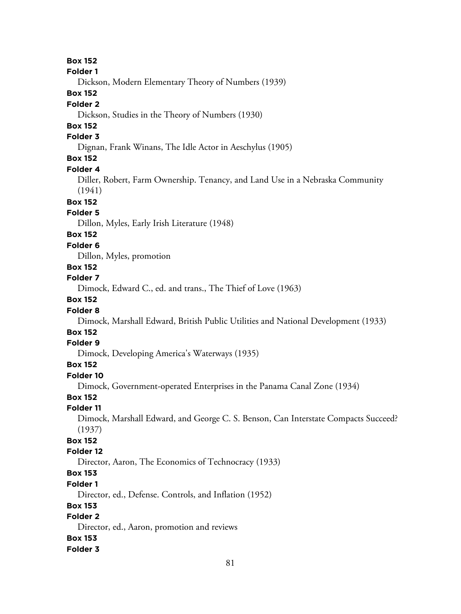**Box 152**

**Folder 1**

Dickson, Modern Elementary Theory of Numbers (1939)

# **Box 152**

#### **Folder 2**

Dickson, Studies in the Theory of Numbers (1930)

## **Box 152**

#### **Folder 3**

Dignan, Frank Winans, The Idle Actor in Aeschylus (1905)

## **Box 152**

#### **Folder 4**

Diller, Robert, Farm Ownership. Tenancy, and Land Use in a Nebraska Community (1941)

#### **Box 152**

#### **Folder 5**

Dillon, Myles, Early Irish Literature (1948)

### **Box 152**

#### **Folder 6**

Dillon, Myles, promotion

## **Box 152**

#### **Folder 7**

Dimock, Edward C., ed. and trans., The Thief of Love (1963)

## **Box 152**

#### **Folder 8**

Dimock, Marshall Edward, British Public Utilities and National Development (1933)

# **Box 152**

# **Folder 9**

Dimock, Developing America's Waterways (1935)

### **Box 152**

#### **Folder 10**

Dimock, Government-operated Enterprises in the Panama Canal Zone (1934)

### **Box 152**

#### **Folder 11**

Dimock, Marshall Edward, and George C. S. Benson, Can Interstate Compacts Succeed? (1937)

# **Box 152**

### **Folder 12**

Director, Aaron, The Economics of Technocracy (1933)

# **Box 153**

## **Folder 1**

Director, ed., Defense. Controls, and Inflation (1952)

### **Box 153**

# **Folder 2**

Director, ed., Aaron, promotion and reviews

#### **Box 153**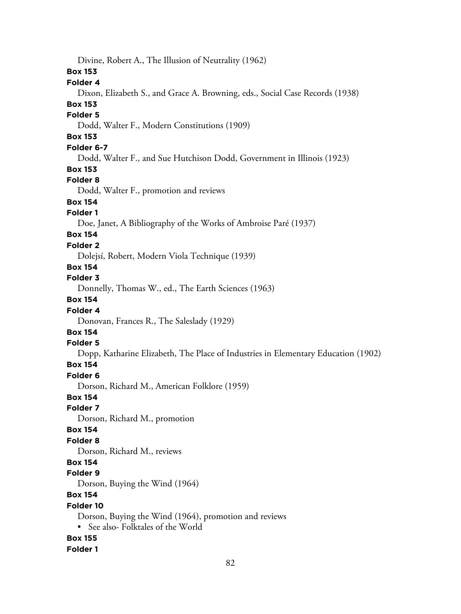Divine, Robert A., The Illusion of Neutrality (1962) **Box 153 Folder 4** Dixon, Elizabeth S., and Grace A. Browning, eds., Social Case Records (1938) **Box 153 Folder 5** Dodd, Walter F., Modern Constitutions (1909) **Box 153 Folder 6-7** Dodd, Walter F., and Sue Hutchison Dodd, Government in Illinois (1923) **Box 153 Folder 8** Dodd, Walter F., promotion and reviews **Box 154 Folder 1** Doe, Janet, A Bibliography of the Works of Ambroise Paré (1937) **Box 154 Folder 2** Dolejsí, Robert, Modern Viola Technique (1939) **Box 154 Folder 3** Donnelly, Thomas W., ed., The Earth Sciences (1963) **Box 154 Folder 4** Donovan, Frances R., The Saleslady (1929) **Box 154 Folder 5** Dopp, Katharine Elizabeth, The Place of Industries in Elementary Education (1902) **Box 154 Folder 6** Dorson, Richard M., American Folklore (1959) **Box 154 Folder 7** Dorson, Richard M., promotion **Box 154 Folder 8** Dorson, Richard M., reviews **Box 154 Folder 9** Dorson, Buying the Wind (1964) **Box 154 Folder 10** Dorson, Buying the Wind (1964), promotion and reviews • See also- Folktales of the World **Box 155 Folder 1**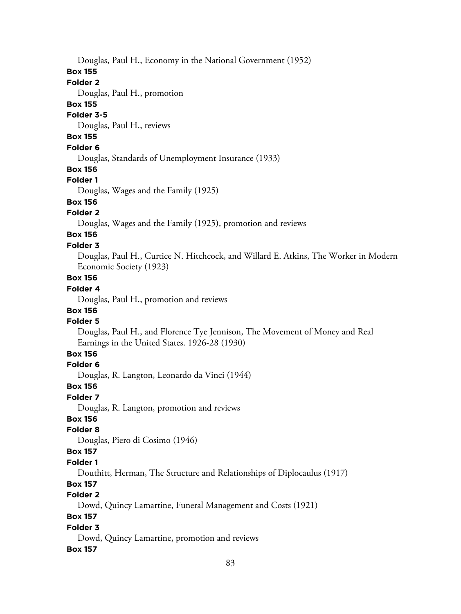Douglas, Paul H., Economy in the National Government (1952)

#### **Box 155**

# **Folder 2**

Douglas, Paul H., promotion

### **Box 155**

#### **Folder 3-5**

Douglas, Paul H., reviews

# **Box 155**

# **Folder 6**

Douglas, Standards of Unemployment Insurance (1933)

## **Box 156**

# **Folder 1**

Douglas, Wages and the Family (1925)

# **Box 156**

## **Folder 2**

Douglas, Wages and the Family (1925), promotion and reviews

#### **Box 156 Folder 3**

Douglas, Paul H., Curtice N. Hitchcock, and Willard E. Atkins, The Worker in Modern Economic Society (1923)

## **Box 156**

# **Folder 4**

Douglas, Paul H., promotion and reviews

# **Box 156**

# **Folder 5**

Douglas, Paul H., and Florence Tye Jennison, The Movement of Money and Real Earnings in the United States. 1926-28 (1930)

## **Box 156**

## **Folder 6**

Douglas, R. Langton, Leonardo da Vinci (1944)

## **Box 156**

## **Folder 7**

Douglas, R. Langton, promotion and reviews

## **Box 156**

## **Folder 8**

Douglas, Piero di Cosimo (1946)

## **Box 157**

## **Folder 1**

Douthitt, Herman, The Structure and Relationships of Diplocaulus (1917)

# **Box 157**

# **Folder 2**

Dowd, Quincy Lamartine, Funeral Management and Costs (1921)

# **Box 157**

## **Folder 3**

Dowd, Quincy Lamartine, promotion and reviews

# **Box 157**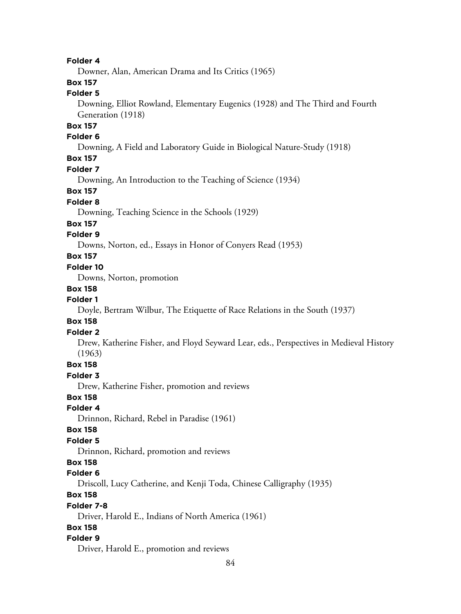#### **Folder 4**

Downer, Alan, American Drama and Its Critics (1965)

# **Box 157**

### **Folder 5**

Downing, Elliot Rowland, Elementary Eugenics (1928) and The Third and Fourth Generation (1918)

#### **Box 157**

#### **Folder 6**

Downing, A Field and Laboratory Guide in Biological Nature-Study (1918)

# **Box 157**

#### **Folder 7**

Downing, An Introduction to the Teaching of Science (1934)

### **Box 157**

#### **Folder 8**

Downing, Teaching Science in the Schools (1929)

#### **Box 157**

## **Folder 9**

Downs, Norton, ed., Essays in Honor of Conyers Read (1953)

# **Box 157**

### **Folder 10**

Downs, Norton, promotion

#### **Box 158**

#### **Folder 1**

Doyle, Bertram Wilbur, The Etiquette of Race Relations in the South (1937)

#### **Box 158**

#### **Folder 2**

Drew, Katherine Fisher, and Floyd Seyward Lear, eds., Perspectives in Medieval History (1963)

#### **Box 158**

#### **Folder 3**

Drew, Katherine Fisher, promotion and reviews

### **Box 158**

#### **Folder 4**

Drinnon, Richard, Rebel in Paradise (1961)

#### **Box 158**

#### **Folder 5**

Drinnon, Richard, promotion and reviews

# **Box 158**

### **Folder 6**

Driscoll, Lucy Catherine, and Kenji Toda, Chinese Calligraphy (1935)

## **Box 158**

#### **Folder 7-8**

Driver, Harold E., Indians of North America (1961)

#### **Box 158**

#### **Folder 9**

Driver, Harold E., promotion and reviews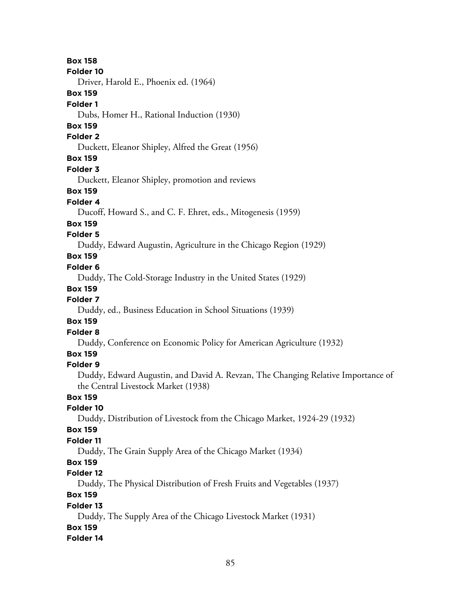**Box 158 Folder 10** Driver, Harold E., Phoenix ed. (1964) **Box 159 Folder 1** Dubs, Homer H., Rational Induction (1930) **Box 159 Folder 2** Duckett, Eleanor Shipley, Alfred the Great (1956) **Box 159 Folder 3** Duckett, Eleanor Shipley, promotion and reviews **Box 159 Folder 4** Ducoff, Howard S., and C. F. Ehret, eds., Mitogenesis (1959) **Box 159 Folder 5** Duddy, Edward Augustin, Agriculture in the Chicago Region (1929) **Box 159 Folder 6** Duddy, The Cold-Storage Industry in the United States (1929) **Box 159 Folder 7** Duddy, ed., Business Education in School Situations (1939) **Box 159 Folder 8** Duddy, Conference on Economic Policy for American Agriculture (1932) **Box 159 Folder 9** Duddy, Edward Augustin, and David A. Revzan, The Changing Relative Importance of the Central Livestock Market (1938) **Box 159 Folder 10** Duddy, Distribution of Livestock from the Chicago Market, 1924-29 (1932) **Box 159 Folder 11** Duddy, The Grain Supply Area of the Chicago Market (1934) **Box 159 Folder 12** Duddy, The Physical Distribution of Fresh Fruits and Vegetables (1937) **Box 159 Folder 13** Duddy, The Supply Area of the Chicago Livestock Market (1931) **Box 159 Folder 14**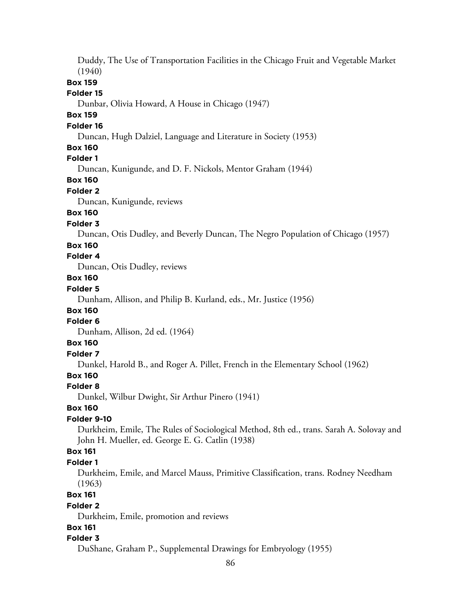Duddy, The Use of Transportation Facilities in the Chicago Fruit and Vegetable Market (1940) **Box 159 Folder 15** Dunbar, Olivia Howard, A House in Chicago (1947) **Box 159 Folder 16** Duncan, Hugh Dalziel, Language and Literature in Society (1953) **Box 160 Folder 1** Duncan, Kunigunde, and D. F. Nickols, Mentor Graham (1944) **Box 160 Folder 2** Duncan, Kunigunde, reviews **Box 160 Folder 3** Duncan, Otis Dudley, and Beverly Duncan, The Negro Population of Chicago (1957) **Box 160 Folder 4** Duncan, Otis Dudley, reviews **Box 160 Folder 5** Dunham, Allison, and Philip B. Kurland, eds., Mr. Justice (1956) **Box 160 Folder 6** Dunham, Allison, 2d ed. (1964) **Box 160 Folder 7** Dunkel, Harold B., and Roger A. Pillet, French in the Elementary School (1962) **Box 160 Folder 8** Dunkel, Wilbur Dwight, Sir Arthur Pinero (1941) **Box 160 Folder 9-10** Durkheim, Emile, The Rules of Sociological Method, 8th ed., trans. Sarah A. Solovay and John H. Mueller, ed. George E. G. Catlin (1938) **Box 161 Folder 1** Durkheim, Emile, and Marcel Mauss, Primitive Classification, trans. Rodney Needham (1963) **Box 161 Folder 2** Durkheim, Emile, promotion and reviews **Box 161 Folder 3** DuShane, Graham P., Supplemental Drawings for Embryology (1955)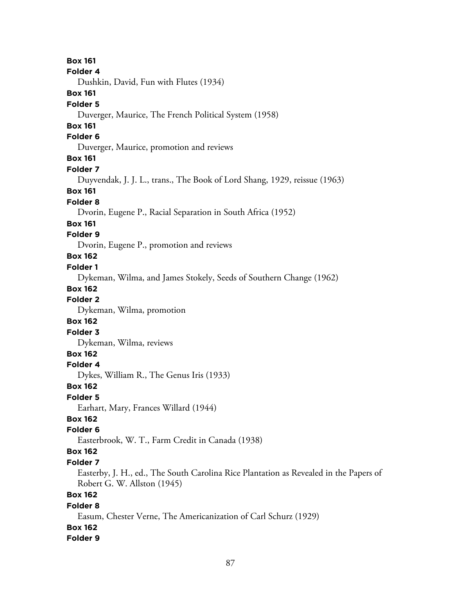**Box 161 Folder 4** Dushkin, David, Fun with Flutes (1934) **Box 161 Folder 5** Duverger, Maurice, The French Political System (1958) **Box 161 Folder 6** Duverger, Maurice, promotion and reviews **Box 161 Folder 7** Duyvendak, J. J. L., trans., The Book of Lord Shang, 1929, reissue (1963) **Box 161 Folder 8** Dvorin, Eugene P., Racial Separation in South Africa (1952) **Box 161 Folder 9** Dvorin, Eugene P., promotion and reviews **Box 162 Folder 1** Dykeman, Wilma, and James Stokely, Seeds of Southern Change (1962) **Box 162 Folder 2** Dykeman, Wilma, promotion **Box 162 Folder 3** Dykeman, Wilma, reviews **Box 162 Folder 4** Dykes, William R., The Genus Iris (1933) **Box 162 Folder 5** Earhart, Mary, Frances Willard (1944) **Box 162 Folder 6** Easterbrook, W. T., Farm Credit in Canada (1938) **Box 162 Folder 7** Easterby, J. H., ed., The South Carolina Rice Plantation as Revealed in the Papers of Robert G. W. Allston (1945) **Box 162 Folder 8** Easum, Chester Verne, The Americanization of Carl Schurz (1929) **Box 162 Folder 9**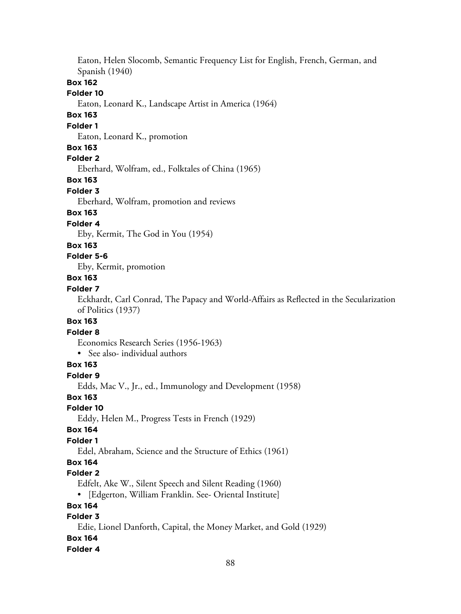Eaton, Helen Slocomb, Semantic Frequency List for English, French, German, and Spanish (1940)

#### **Box 162**

#### **Folder 10**

Eaton, Leonard K., Landscape Artist in America (1964)

## **Box 163**

#### **Folder 1**

Eaton, Leonard K., promotion

#### **Box 163**

**Folder 2**

Eberhard, Wolfram, ed., Folktales of China (1965)

### **Box 163**

#### **Folder 3**

Eberhard, Wolfram, promotion and reviews

# **Box 163**

# **Folder 4**

Eby, Kermit, The God in You (1954)

#### **Box 163**

# **Folder 5-6**

Eby, Kermit, promotion

# **Box 163**

# **Folder 7**

Eckhardt, Carl Conrad, The Papacy and World-Affairs as Reflected in the Secularization of Politics (1937)

# **Box 163**

#### **Folder 8**

Economics Research Series (1956-1963)

• See also- individual authors

### **Box 163**

**Folder 9**

Edds, Mac V., Jr., ed., Immunology and Development (1958)

# **Box 163**

**Folder 10**

Eddy, Helen M., Progress Tests in French (1929)

#### **Box 164**

## **Folder 1**

Edel, Abraham, Science and the Structure of Ethics (1961)

# **Box 164**

#### **Folder 2**

Edfelt, Ake W., Silent Speech and Silent Reading (1960)

• [Edgerton, William Franklin. See- Oriental Institute]

### **Box 164**

# **Folder 3**

Edie, Lionel Danforth, Capital, the Money Market, and Gold (1929)

# **Box 164**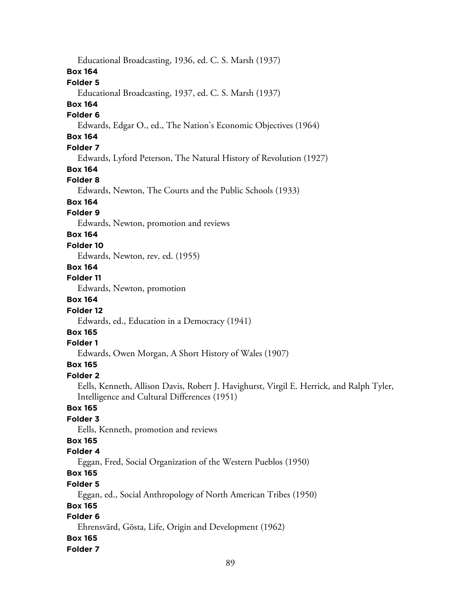Educational Broadcasting, 1936, ed. C. S. Marsh (1937) **Box 164 Folder 5** Educational Broadcasting, 1937, ed. C. S. Marsh (1937) **Box 164 Folder 6** Edwards, Edgar O., ed., The Nation's Economic Objectives (1964) **Box 164 Folder 7** Edwards, Lyford Peterson, The Natural History of Revolution (1927) **Box 164 Folder 8** Edwards, Newton, The Courts and the Public Schools (1933) **Box 164 Folder 9** Edwards, Newton, promotion and reviews **Box 164 Folder 10** Edwards, Newton, rev. ed. (1955) **Box 164 Folder 11** Edwards, Newton, promotion **Box 164 Folder 12** Edwards, ed., Education in a Democracy (1941) **Box 165 Folder 1** Edwards, Owen Morgan, A Short History of Wales (1907) **Box 165 Folder 2** Eells, Kenneth, Allison Davis, Robert J. Havighurst, Virgil E. Herrick, and Ralph Tyler, Intelligence and Cultural Differences (1951) **Box 165 Folder 3** Eells, Kenneth, promotion and reviews **Box 165 Folder 4** Eggan, Fred, Social Organization of the Western Pueblos (1950) **Box 165 Folder 5** Eggan, ed., Social Anthropology of North American Tribes (1950) **Box 165 Folder 6** Ehrensvärd, Gösta, Life, Origin and Development (1962) **Box 165**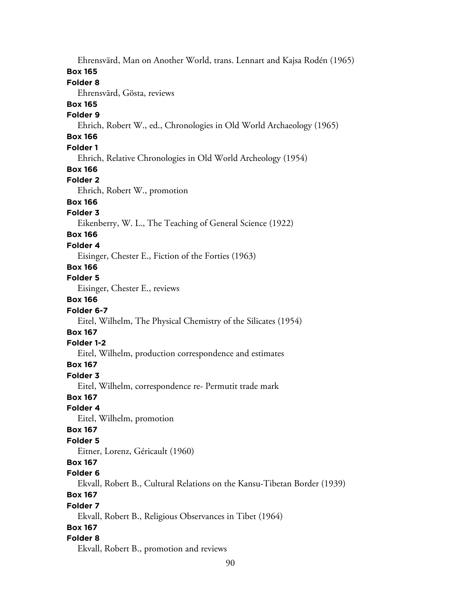Ehrensvärd, Man on Another World, trans. Lennart and Kajsa Rodén (1965) **Box 165 Folder 8** Ehrensvärd, Gösta, reviews **Box 165 Folder 9** Ehrich, Robert W., ed., Chronologies in Old World Archaeology (1965) **Box 166 Folder 1** Ehrich, Relative Chronologies in Old World Archeology (1954) **Box 166 Folder 2** Ehrich, Robert W., promotion **Box 166 Folder 3** Eikenberry, W. L., The Teaching of General Science (1922) **Box 166 Folder 4** Eisinger, Chester E., Fiction of the Forties (1963) **Box 166 Folder 5** Eisinger, Chester E., reviews **Box 166 Folder 6-7** Eitel, Wilhelm, The Physical Chemistry of the Silicates (1954) **Box 167 Folder 1-2** Eitel, Wilhelm, production correspondence and estimates **Box 167 Folder 3** Eitel, Wilhelm, correspondence re- Permutit trade mark **Box 167 Folder 4** Eitel, Wilhelm, promotion **Box 167 Folder 5** Eitner, Lorenz, Géricault (1960) **Box 167 Folder 6** Ekvall, Robert B., Cultural Relations on the Kansu-Tibetan Border (1939) **Box 167 Folder 7** Ekvall, Robert B., Religious Observances in Tibet (1964) **Box 167 Folder 8** Ekvall, Robert B., promotion and reviews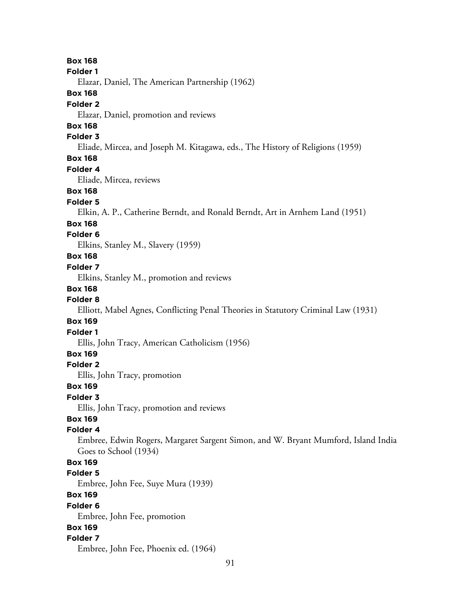91 **Box 168 Folder 1** Elazar, Daniel, The American Partnership (1962) **Box 168 Folder 2** Elazar, Daniel, promotion and reviews **Box 168 Folder 3** Eliade, Mircea, and Joseph M. Kitagawa, eds., The History of Religions (1959) **Box 168 Folder 4** Eliade, Mircea, reviews **Box 168 Folder 5** Elkin, A. P., Catherine Berndt, and Ronald Berndt, Art in Arnhem Land (1951) **Box 168 Folder 6** Elkins, Stanley M., Slavery (1959) **Box 168 Folder 7** Elkins, Stanley M., promotion and reviews **Box 168 Folder 8** Elliott, Mabel Agnes, Conflicting Penal Theories in Statutory Criminal Law (1931) **Box 169 Folder 1** Ellis, John Tracy, American Catholicism (1956) **Box 169 Folder 2** Ellis, John Tracy, promotion **Box 169 Folder 3** Ellis, John Tracy, promotion and reviews **Box 169 Folder 4** Embree, Edwin Rogers, Margaret Sargent Simon, and W. Bryant Mumford, Island India Goes to School (1934) **Box 169 Folder 5** Embree, John Fee, Suye Mura (1939) **Box 169 Folder 6** Embree, John Fee, promotion **Box 169 Folder 7** Embree, John Fee, Phoenix ed. (1964)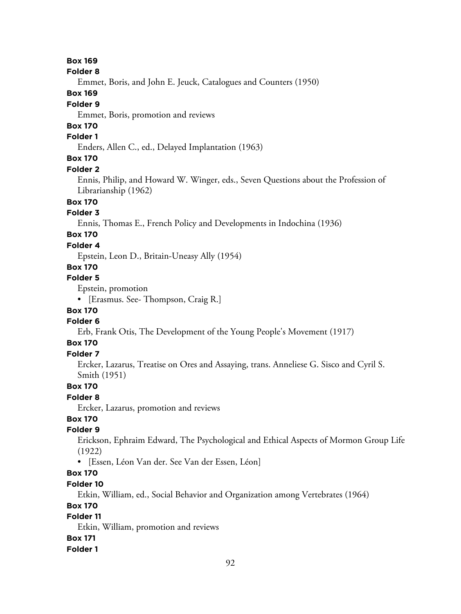#### **Box 169**

#### **Folder 8**

Emmet, Boris, and John E. Jeuck, Catalogues and Counters (1950)

### **Box 169**

#### **Folder 9**

Emmet, Boris, promotion and reviews

# **Box 170**

# **Folder 1**

Enders, Allen C., ed., Delayed Implantation (1963)

# **Box 170**

#### **Folder 2**

Ennis, Philip, and Howard W. Winger, eds., Seven Questions about the Profession of Librarianship (1962)

# **Box 170**

#### **Folder 3**

Ennis, Thomas E., French Policy and Developments in Indochina (1936)

# **Box 170**

# **Folder 4**

Epstein, Leon D., Britain-Uneasy Ally (1954)

# **Box 170**

### **Folder 5**

Epstein, promotion

• [Erasmus. See- Thompson, Craig R.]

# **Box 170**

## **Folder 6**

Erb, Frank Otis, The Development of the Young People's Movement (1917)

# **Box 170**

## **Folder 7**

Ercker, Lazarus, Treatise on Ores and Assaying, trans. Anneliese G. Sisco and Cyril S. Smith (1951)

#### **Box 170**

#### **Folder 8**

Ercker, Lazarus, promotion and reviews

# **Box 170**

# **Folder 9**

Erickson, Ephraim Edward, The Psychological and Ethical Aspects of Mormon Group Life (1922)

• [Essen, Léon Van der. See Van der Essen, Léon]

# **Box 170**

#### **Folder 10**

Etkin, William, ed., Social Behavior and Organization among Vertebrates (1964)

#### **Box 170**

# **Folder 11**

Etkin, William, promotion and reviews

#### **Box 171**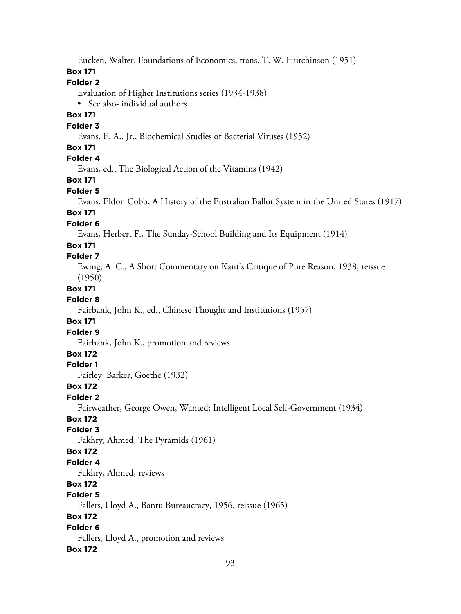Eucken, Walter, Foundations of Economics, trans. T. W. Hutchinson (1951)

# **Box 171**

# **Folder 2**

Evaluation of Higher Institutions series (1934-1938)

• See also- individual authors

## **Box 171**

### **Folder 3**

Evans, E. A., Jr., Biochemical Studies of Bacterial Viruses (1952)

# **Box 171**

# **Folder 4**

Evans, ed., The Biological Action of the Vitamins (1942)

# **Box 171**

#### **Folder 5**

Evans, Eldon Cobb, A History of the Eustralian Ballot System in the United States (1917)

# **Box 171**

#### **Folder 6**

Evans, Herbert F., The Sunday-School Building and Its Equipment (1914)

## **Box 171**

#### **Folder 7**

Ewing, A. C., A Short Commentary on Kant's Critique of Pure Reason, 1938, reissue (1950)

## **Box 171**

#### **Folder 8**

Fairbank, John K., ed., Chinese Thought and Institutions (1957)

## **Box 171**

# **Folder 9**

Fairbank, John K., promotion and reviews

# **Box 172**

## **Folder 1**

Fairley, Barker, Goethe (1932)

## **Box 172**

#### **Folder 2**

Fairweather, George Owen, Wanted; Intelligent Local Self-Government (1934)

# **Box 172**

## **Folder 3**

Fakhry, Ahmed, The Pyramids (1961)

## **Box 172**

## **Folder 4**

Fakhry, Ahmed, reviews

# **Box 172**

# **Folder 5**

Fallers, Lloyd A., Bantu Bureaucracy, 1956, reissue (1965)

## **Box 172**

## **Folder 6**

Fallers, Lloyd A., promotion and reviews

## **Box 172**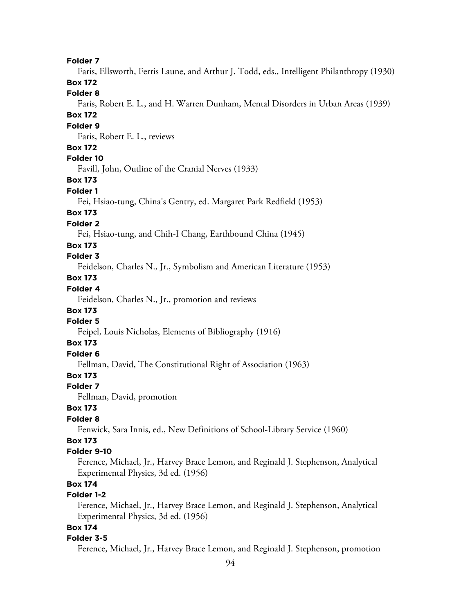#### **Folder 7**

Faris, Ellsworth, Ferris Laune, and Arthur J. Todd, eds., Intelligent Philanthropy (1930)

# **Box 172**

**Folder 8**

Faris, Robert E. L., and H. Warren Dunham, Mental Disorders in Urban Areas (1939) **Box 172**

# **Folder 9**

Faris, Robert E. L., reviews

#### **Box 172**

#### **Folder 10**

Favill, John, Outline of the Cranial Nerves (1933)

**Box 173**

#### **Folder 1**

Fei, Hsiao-tung, China's Gentry, ed. Margaret Park Redfield (1953)

## **Box 173**

#### **Folder 2**

Fei, Hsiao-tung, and Chih-I Chang, Earthbound China (1945)

#### **Box 173**

### **Folder 3**

Feidelson, Charles N., Jr., Symbolism and American Literature (1953)

# **Box 173**

# **Folder 4**

Feidelson, Charles N., Jr., promotion and reviews

# **Box 173**

## **Folder 5**

Feipel, Louis Nicholas, Elements of Bibliography (1916)

## **Box 173**

### **Folder 6**

Fellman, David, The Constitutional Right of Association (1963)

# **Box 173**

#### **Folder 7**

Fellman, David, promotion

## **Box 173**

# **Folder 8**

Fenwick, Sara Innis, ed., New Definitions of School-Library Service (1960)

# **Box 173**

#### **Folder 9-10**

Ference, Michael, Jr., Harvey Brace Lemon, and Reginald J. Stephenson, Analytical Experimental Physics, 3d ed. (1956)

# **Box 174**

# **Folder 1-2**

Ference, Michael, Jr., Harvey Brace Lemon, and Reginald J. Stephenson, Analytical Experimental Physics, 3d ed. (1956)

# **Box 174**

#### **Folder 3-5**

Ference, Michael, Jr., Harvey Brace Lemon, and Reginald J. Stephenson, promotion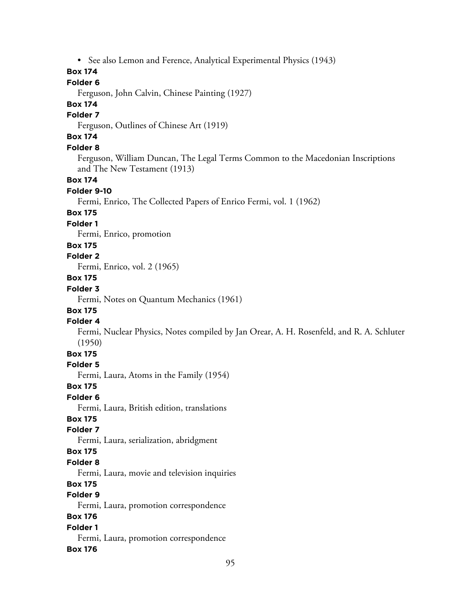• See also Lemon and Ference, Analytical Experimental Physics (1943)

# **Box 174**

## **Folder 6**

Ferguson, John Calvin, Chinese Painting (1927)

# **Box 174**

#### **Folder 7**

Ferguson, Outlines of Chinese Art (1919)

# **Box 174**

## **Folder 8**

Ferguson, William Duncan, The Legal Terms Common to the Macedonian Inscriptions and The New Testament (1913)

#### **Box 174**

#### **Folder 9-10**

Fermi, Enrico, The Collected Papers of Enrico Fermi, vol. 1 (1962)

#### **Box 175**

#### **Folder 1**

Fermi, Enrico, promotion

# **Box 175**

# **Folder 2**

Fermi, Enrico, vol. 2 (1965)

# **Box 175**

# **Folder 3**

Fermi, Notes on Quantum Mechanics (1961)

# **Box 175**

# **Folder 4**

Fermi, Nuclear Physics, Notes compiled by Jan Orear, A. H. Rosenfeld, and R. A. Schluter (1950)

# **Box 175**

### **Folder 5**

Fermi, Laura, Atoms in the Family (1954)

#### **Box 175**

#### **Folder 6**

Fermi, Laura, British edition, translations

# **Box 175**

# **Folder 7**

Fermi, Laura, serialization, abridgment

### **Box 175**

#### **Folder 8**

Fermi, Laura, movie and television inquiries

# **Box 175**

# **Folder 9**

Fermi, Laura, promotion correspondence

## **Box 176**

#### **Folder 1**

Fermi, Laura, promotion correspondence

#### **Box 176**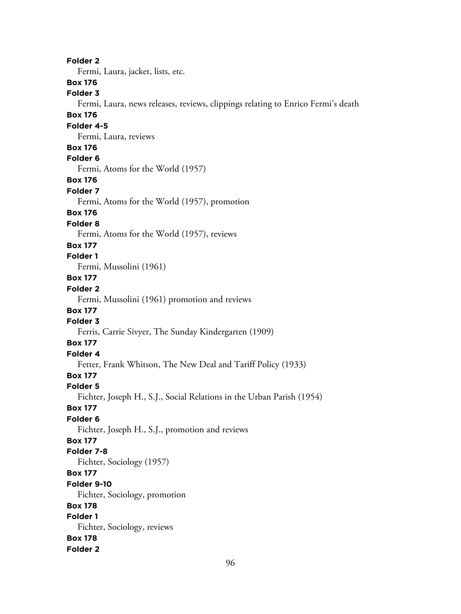96 **Folder 2** Fermi, Laura, jacket, lists, etc. **Box 176 Folder 3** Fermi, Laura, news releases, reviews, clippings relating to Enrico Fermi's death **Box 176 Folder 4-5** Fermi, Laura, reviews **Box 176 Folder 6** Fermi, Atoms for the World (1957) **Box 176 Folder 7** Fermi, Atoms for the World (1957), promotion **Box 176 Folder 8** Fermi, Atoms for the World (1957), reviews **Box 177 Folder 1** Fermi, Mussolini (1961) **Box 177 Folder 2** Fermi, Mussolini (1961) promotion and reviews **Box 177 Folder 3** Ferris, Carrie Sivyer, The Sunday Kindergarten (1909) **Box 177 Folder 4** Fetter, Frank Whitson, The New Deal and Tariff Policy (1933) **Box 177 Folder 5** Fichter, Joseph H., S.J., Social Relations in the Urban Parish (1954) **Box 177 Folder 6** Fichter, Joseph H., S.J., promotion and reviews **Box 177 Folder 7-8** Fichter, Sociology (1957) **Box 177 Folder 9-10** Fichter, Sociology, promotion **Box 178 Folder 1** Fichter, Sociology, reviews **Box 178 Folder 2**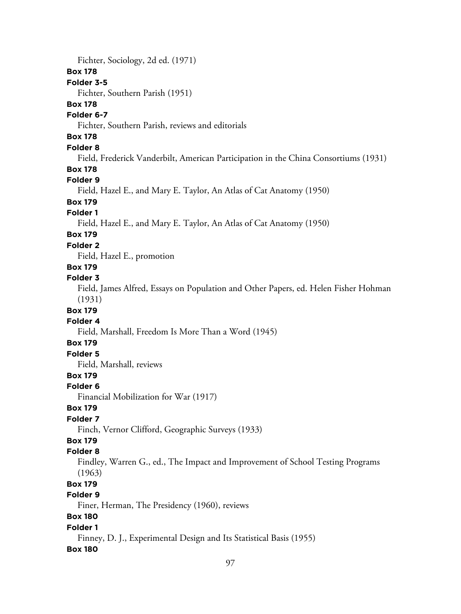Fichter, Sociology, 2d ed. (1971) **Box 178 Folder 3-5** Fichter, Southern Parish (1951) **Box 178 Folder 6-7** Fichter, Southern Parish, reviews and editorials **Box 178 Folder 8** Field, Frederick Vanderbilt, American Participation in the China Consortiums (1931) **Box 178 Folder 9** Field, Hazel E., and Mary E. Taylor, An Atlas of Cat Anatomy (1950) **Box 179 Folder 1** Field, Hazel E., and Mary E. Taylor, An Atlas of Cat Anatomy (1950) **Box 179 Folder 2** Field, Hazel E., promotion **Box 179 Folder 3** Field, James Alfred, Essays on Population and Other Papers, ed. Helen Fisher Hohman (1931) **Box 179 Folder 4** Field, Marshall, Freedom Is More Than a Word (1945) **Box 179 Folder 5** Field, Marshall, reviews **Box 179 Folder 6** Financial Mobilization for War (1917) **Box 179 Folder 7** Finch, Vernor Clifford, Geographic Surveys (1933) **Box 179 Folder 8** Findley, Warren G., ed., The Impact and Improvement of School Testing Programs (1963) **Box 179 Folder 9** Finer, Herman, The Presidency (1960), reviews **Box 180 Folder 1** Finney, D. J., Experimental Design and Its Statistical Basis (1955) **Box 180**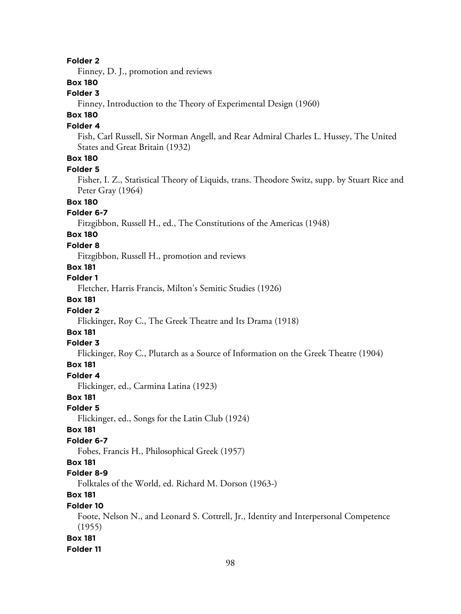#### **Folder 2**

Finney, D. J., promotion and reviews

# **Box 180**

### **Folder 3**

Finney, Introduction to the Theory of Experimental Design (1960)

# **Box 180**

#### **Folder 4**

Fish, Carl Russell, Sir Norman Angell, and Rear Admiral Charles L. Hussey, The United States and Great Britain (1932)

# **Box 180**

#### **Folder 5**

Fisher, I. Z., Statistical Theory of Liquids, trans. Theodore Switz, supp. by Stuart Rice and Peter Gray (1964)

### **Box 180**

#### **Folder 6-7**

Fitzgibbon, Russell H., ed., The Constitutions of the Americas (1948)

# **Box 180**

# **Folder 8**

Fitzgibbon, Russell H., promotion and reviews

# **Box 181**

**Folder 1**

Fletcher, Harris Francis, Milton's Semitic Studies (1926)

# **Box 181**

# **Folder 2**

Flickinger, Roy C., The Greek Theatre and Its Drama (1918)

# **Box 181**

### **Folder 3**

Flickinger, Roy C., Plutarch as a Source of Information on the Greek Theatre (1904)

#### **Box 181**

#### **Folder 4**

Flickinger, ed., Carmina Latina (1923)

### **Box 181**

# **Folder 5**

Flickinger, ed., Songs for the Latin Club (1924)

#### **Box 181**

#### **Folder 6-7**

Fobes, Francis H., Philosophical Greek (1957)

#### **Box 181**

#### **Folder 8-9**

Folktales of the World, ed. Richard M. Dorson (1963-)

## **Box 181**

#### **Folder 10**

Foote, Nelson N., and Leonard S. Cottrell, Jr., Identity and Interpersonal Competence (1955)

#### **Box 181**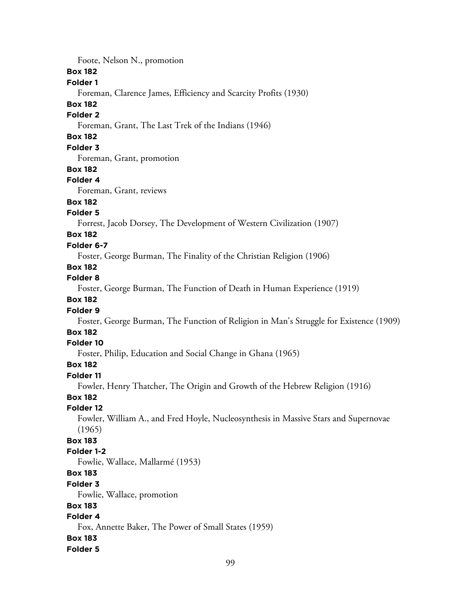Foote, Nelson N., promotion

#### **Box 182**

### **Folder 1**

Foreman, Clarence James, Efficiency and Scarcity Profits (1930)

#### **Box 182**

#### **Folder 2**

Foreman, Grant, The Last Trek of the Indians (1946)

# **Box 182**

## **Folder 3**

Foreman, Grant, promotion

#### **Box 182**

#### **Folder 4**

Foreman, Grant, reviews

# **Box 182**

### **Folder 5**

Forrest, Jacob Dorsey, The Development of Western Civilization (1907)

## **Box 182**

#### **Folder 6-7**

Foster, George Burman, The Finality of the Christian Religion (1906)

# **Box 182**

## **Folder 8**

Foster, George Burman, The Function of Death in Human Experience (1919)

## **Box 182**

#### **Folder 9**

Foster, George Burman, The Function of Religion in Man's Struggle for Existence (1909)

## **Box 182**

#### **Folder 10**

Foster, Philip, Education and Social Change in Ghana (1965)

#### **Box 182**

#### **Folder 11**

Fowler, Henry Thatcher, The Origin and Growth of the Hebrew Religion (1916)

#### **Box 182**

#### **Folder 12**

Fowler, William A., and Fred Hoyle, Nucleosynthesis in Massive Stars and Supernovae (1965)

# **Box 183**

#### **Folder 1-2**

Fowlie, Wallace, Mallarmé (1953)

# **Box 183**

#### **Folder 3**

Fowlie, Wallace, promotion

### **Box 183**

# **Folder 4**

Fox, Annette Baker, The Power of Small States (1959)

#### **Box 183**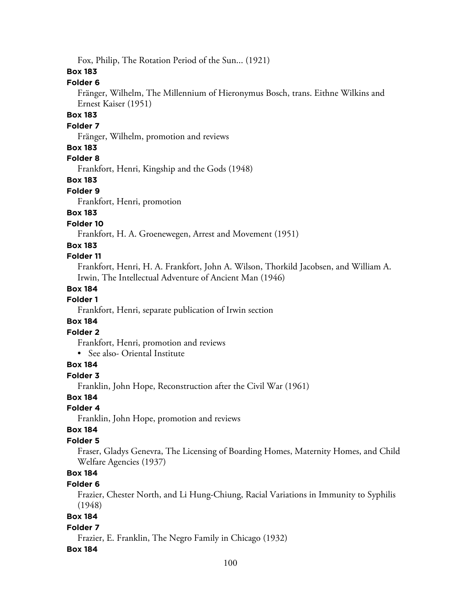Fox, Philip, The Rotation Period of the Sun... (1921)

### **Box 183**

### **Folder 6**

Fränger, Wilhelm, The Millennium of Hieronymus Bosch, trans. Eithne Wilkins and Ernest Kaiser (1951)

### **Box 183**

#### **Folder 7**

Fränger, Wilhelm, promotion and reviews

#### **Box 183**

## **Folder 8**

Frankfort, Henri, Kingship and the Gods (1948)

## **Box 183**

#### **Folder 9**

Frankfort, Henri, promotion

# **Box 183**

**Folder 10**

Frankfort, H. A. Groenewegen, Arrest and Movement (1951)

## **Box 183**

### **Folder 11**

Frankfort, Henri, H. A. Frankfort, John A. Wilson, Thorkild Jacobsen, and William A. Irwin, The Intellectual Adventure of Ancient Man (1946)

## **Box 184**

# **Folder 1**

Frankfort, Henri, separate publication of Irwin section

## **Box 184**

# **Folder 2**

Frankfort, Henri, promotion and reviews

• See also- Oriental Institute

## **Box 184**

#### **Folder 3**

Franklin, John Hope, Reconstruction after the Civil War (1961)

# **Box 184**

## **Folder 4**

Franklin, John Hope, promotion and reviews

#### **Box 184**

## **Folder 5**

Fraser, Gladys Genevra, The Licensing of Boarding Homes, Maternity Homes, and Child Welfare Agencies (1937)

# **Box 184**

## **Folder 6**

Frazier, Chester North, and Li Hung-Chiung, Racial Variations in Immunity to Syphilis (1948)

# **Box 184**

## **Folder 7**

Frazier, E. Franklin, The Negro Family in Chicago (1932)

## **Box 184**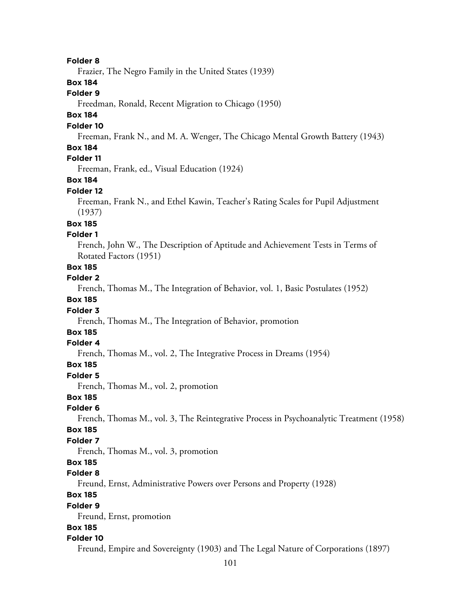#### **Folder 8**

Frazier, The Negro Family in the United States (1939)

## **Box 184**

### **Folder 9**

Freedman, Ronald, Recent Migration to Chicago (1950)

# **Box 184**

#### **Folder 10**

Freeman, Frank N., and M. A. Wenger, The Chicago Mental Growth Battery (1943)

### **Box 184**

# **Folder 11**

Freeman, Frank, ed., Visual Education (1924)

### **Box 184**

#### **Folder 12**

Freeman, Frank N., and Ethel Kawin, Teacher's Rating Scales for Pupil Adjustment (1937)

## **Box 185**

#### **Folder 1**

French, John W., The Description of Aptitude and Achievement Tests in Terms of Rotated Factors (1951)

# **Box 185**

#### **Folder 2**

French, Thomas M., The Integration of Behavior, vol. 1, Basic Postulates (1952)

### **Box 185**

#### **Folder 3**

French, Thomas M., The Integration of Behavior, promotion

# **Box 185**

## **Folder 4**

French, Thomas M., vol. 2, The Integrative Process in Dreams (1954)

#### **Box 185**

#### **Folder 5**

French, Thomas M., vol. 2, promotion

#### **Box 185**

# **Folder 6**

French, Thomas M., vol. 3, The Reintegrative Process in Psychoanalytic Treatment (1958)

#### **Box 185**

#### **Folder 7**

French, Thomas M., vol. 3, promotion

# **Box 185**

#### **Folder 8**

Freund, Ernst, Administrative Powers over Persons and Property (1928)

# **Box 185**

#### **Folder 9**

Freund, Ernst, promotion

#### **Box 185**

#### **Folder 10**

Freund, Empire and Sovereignty (1903) and The Legal Nature of Corporations (1897)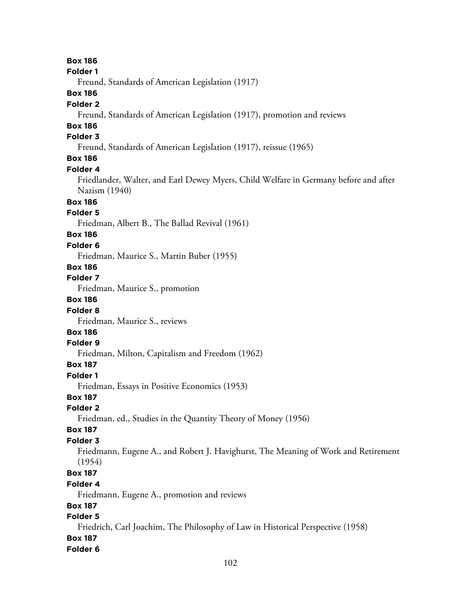**Box 186 Folder 1** Freund, Standards of American Legislation (1917) **Box 186 Folder 2** Freund, Standards of American Legislation (1917), promotion and reviews **Box 186 Folder 3** Freund, Standards of American Legislation (1917), reissue (1965) **Box 186 Folder 4** Friedlander, Walter, and Earl Dewey Myers, Child Welfare in Germany before and after Nazism (1940) **Box 186 Folder 5** Friedman, Albert B., The Ballad Revival (1961) **Box 186 Folder 6** Friedman, Maurice S., Martin Buber (1955) **Box 186 Folder 7** Friedman, Maurice S., promotion **Box 186 Folder 8** Friedman, Maurice S., reviews **Box 186 Folder 9** Friedman, Milton, Capitalism and Freedom (1962) **Box 187 Folder 1** Friedman, Essays in Positive Economics (1953) **Box 187 Folder 2** Friedman, ed., Studies in the Quantity Theory of Money (1956) **Box 187 Folder 3** Friedmann, Eugene A., and Robert J. Havighurst, The Meaning of Work and Retirement (1954) **Box 187 Folder 4** Friedmann, Eugene A., promotion and reviews **Box 187 Folder 5** Friedrich, Carl Joachim, The Philosophy of Law in Historical Perspective (1958) **Box 187 Folder 6**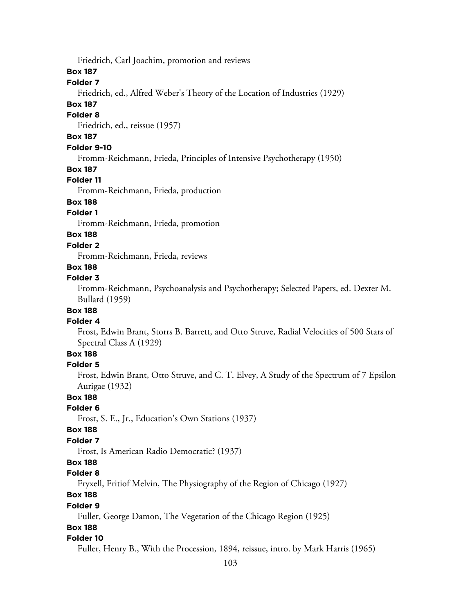Friedrich, Carl Joachim, promotion and reviews

## **Box 187**

# **Folder 7**

Friedrich, ed., Alfred Weber's Theory of the Location of Industries (1929)

#### **Box 187**

#### **Folder 8**

Friedrich, ed., reissue (1957)

# **Box 187**

## **Folder 9-10**

Fromm-Reichmann, Frieda, Principles of Intensive Psychotherapy (1950)

#### **Box 187**

#### **Folder 11**

Fromm-Reichmann, Frieda, production

# **Box 188**

# **Folder 1**

Fromm-Reichmann, Frieda, promotion

# **Box 188**

#### **Folder 2**

Fromm-Reichmann, Frieda, reviews

# **Box 188**

### **Folder 3**

Fromm-Reichmann, Psychoanalysis and Psychotherapy; Selected Papers, ed. Dexter M. Bullard (1959)

## **Box 188**

#### **Folder 4**

Frost, Edwin Brant, Storrs B. Barrett, and Otto Struve, Radial Velocities of 500 Stars of Spectral Class A (1929)

# **Box 188**

#### **Folder 5**

Frost, Edwin Brant, Otto Struve, and C. T. Elvey, A Study of the Spectrum of 7 Epsilon Aurigae (1932)

#### **Box 188**

#### **Folder 6**

Frost, S. E., Jr., Education's Own Stations (1937)

#### **Box 188**

#### **Folder 7**

Frost, Is American Radio Democratic? (1937)

# **Box 188**

#### **Folder 8**

Fryxell, Fritiof Melvin, The Physiography of the Region of Chicago (1927)

# **Box 188**

#### **Folder 9**

Fuller, George Damon, The Vegetation of the Chicago Region (1925)

# **Box 188**

## **Folder 10**

Fuller, Henry B., With the Procession, 1894, reissue, intro. by Mark Harris (1965)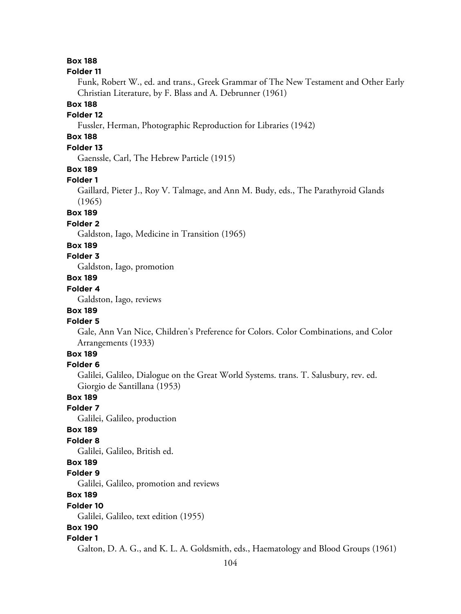## **Box 188**

#### **Folder 11**

Funk, Robert W., ed. and trans., Greek Grammar of The New Testament and Other Early Christian Literature, by F. Blass and A. Debrunner (1961)

### **Box 188**

# **Folder 12**

Fussler, Herman, Photographic Reproduction for Libraries (1942)

# **Box 188**

# **Folder 13**

Gaenssle, Carl, The Hebrew Particle (1915)

### **Box 189**

#### **Folder 1**

Gaillard, Pieter J., Roy V. Talmage, and Ann M. Budy, eds., The Parathyroid Glands (1965)

#### **Box 189**

#### **Folder 2**

Galdston, Iago, Medicine in Transition (1965)

#### **Box 189**

# **Folder 3**

Galdston, Iago, promotion

# **Box 189**

## **Folder 4**

Galdston, Iago, reviews

# **Box 189**

#### **Folder 5**

Gale, Ann Van Nice, Children's Preference for Colors. Color Combinations, and Color Arrangements (1933)

# **Box 189**

#### **Folder 6**

Galilei, Galileo, Dialogue on the Great World Systems. trans. T. Salusbury, rev. ed. Giorgio de Santillana (1953)

#### **Box 189**

# **Folder 7**

Galilei, Galileo, production

### **Box 189**

### **Folder 8**

Galilei, Galileo, British ed.

#### **Box 189**

#### **Folder 9**

Galilei, Galileo, promotion and reviews

# **Box 189**

#### **Folder 10**

Galilei, Galileo, text edition (1955)

### **Box 190**

#### **Folder 1**

Galton, D. A. G., and K. L. A. Goldsmith, eds., Haematology and Blood Groups (1961)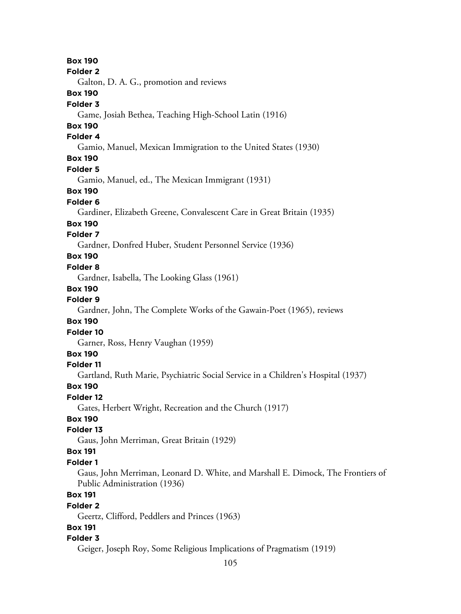105 **Box 190 Folder 2** Galton, D. A. G., promotion and reviews **Box 190 Folder 3** Game, Josiah Bethea, Teaching High-School Latin (1916) **Box 190 Folder 4** Gamio, Manuel, Mexican Immigration to the United States (1930) **Box 190 Folder 5** Gamio, Manuel, ed., The Mexican Immigrant (1931) **Box 190 Folder 6** Gardiner, Elizabeth Greene, Convalescent Care in Great Britain (1935) **Box 190 Folder 7** Gardner, Donfred Huber, Student Personnel Service (1936) **Box 190 Folder 8** Gardner, Isabella, The Looking Glass (1961) **Box 190 Folder 9** Gardner, John, The Complete Works of the Gawain-Poet (1965), reviews **Box 190 Folder 10** Garner, Ross, Henry Vaughan (1959) **Box 190 Folder 11** Gartland, Ruth Marie, Psychiatric Social Service in a Children's Hospital (1937) **Box 190 Folder 12** Gates, Herbert Wright, Recreation and the Church (1917) **Box 190 Folder 13** Gaus, John Merriman, Great Britain (1929) **Box 191 Folder 1** Gaus, John Merriman, Leonard D. White, and Marshall E. Dimock, The Frontiers of Public Administration (1936) **Box 191 Folder 2** Geertz, Clifford, Peddlers and Princes (1963) **Box 191 Folder 3** Geiger, Joseph Roy, Some Religious Implications of Pragmatism (1919)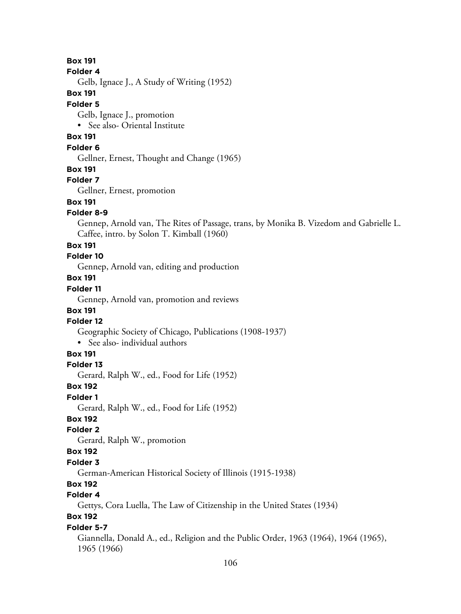**Box 191**

#### **Folder 4**

Gelb, Ignace J., A Study of Writing (1952)

### **Box 191**

#### **Folder 5**

Gelb, Ignace J., promotion

• See also- Oriental Institute

# **Box 191**

## **Folder 6**

Gellner, Ernest, Thought and Change (1965)

#### **Box 191**

## **Folder 7**

Gellner, Ernest, promotion

# **Box 191**

## **Folder 8-9**

Gennep, Arnold van, The Rites of Passage, trans, by Monika B. Vizedom and Gabrielle L. Caffee, intro. by Solon T. Kimball (1960)

#### **Box 191**

# **Folder 10**

Gennep, Arnold van, editing and production

# **Box 191**

# **Folder 11**

Gennep, Arnold van, promotion and reviews

# **Box 191**

## **Folder 12**

Geographic Society of Chicago, Publications (1908-1937)

• See also- individual authors

## **Box 191**

#### **Folder 13**

Gerard, Ralph W., ed., Food for Life (1952)

#### **Box 192**

#### **Folder 1**

Gerard, Ralph W., ed., Food for Life (1952)

# **Box 192**

## **Folder 2**

Gerard, Ralph W., promotion

## **Box 192**

## **Folder 3**

German-American Historical Society of Illinois (1915-1938)

# **Box 192**

# **Folder 4**

Gettys, Cora Luella, The Law of Citizenship in the United States (1934)

# **Box 192**

## **Folder 5-7**

Giannella, Donald A., ed., Religion and the Public Order, 1963 (1964), 1964 (1965), 1965 (1966)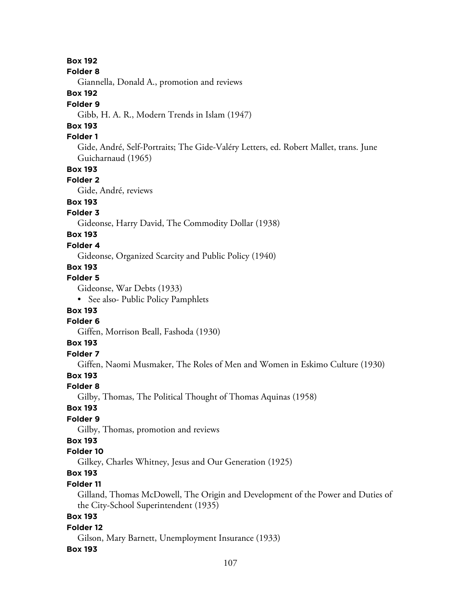**Box 192**

**Folder 8**

Giannella, Donald A., promotion and reviews

# **Box 192**

### **Folder 9**

Gibb, H. A. R., Modern Trends in Islam (1947)

# **Box 193**

## **Folder 1**

Gide, André, Self-Portraits; The Gide-Valéry Letters, ed. Robert Mallet, trans. June Guicharnaud (1965)

# **Box 193**

## **Folder 2**

Gide, André, reviews

# **Box 193**

# **Folder 3**

Gideonse, Harry David, The Commodity Dollar (1938)

# **Box 193**

# **Folder 4**

Gideonse, Organized Scarcity and Public Policy (1940)

# **Box 193**

# **Folder 5**

Gideonse, War Debts (1933)

• See also- Public Policy Pamphlets

# **Box 193**

## **Folder 6**

Giffen, Morrison Beall, Fashoda (1930)

# **Box 193**

# **Folder 7**

Giffen, Naomi Musmaker, The Roles of Men and Women in Eskimo Culture (1930)

# **Box 193**

# **Folder 8**

Gilby, Thomas, The Political Thought of Thomas Aquinas (1958)

# **Box 193**

# **Folder 9**

Gilby, Thomas, promotion and reviews

# **Box 193**

# **Folder 10**

Gilkey, Charles Whitney, Jesus and Our Generation (1925)

# **Box 193**

# **Folder 11**

Gilland, Thomas McDowell, The Origin and Development of the Power and Duties of the City-School Superintendent (1935)

# **Box 193**

# **Folder 12**

Gilson, Mary Barnett, Unemployment Insurance (1933)

# **Box 193**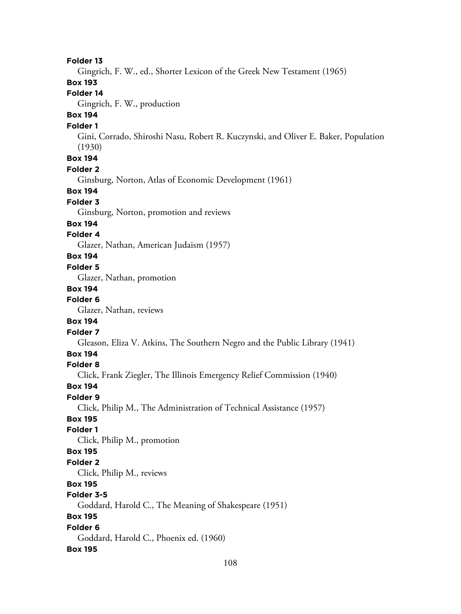**Folder 13** Gingrich, F. W., ed., Shorter Lexicon of the Greek New Testament (1965) **Box 193 Folder 14** Gingrich, F. W., production **Box 194 Folder 1** Gini, Corrado, Shiroshi Nasu, Robert R. Kuczynski, and Oliver E. Baker, Population (1930) **Box 194 Folder 2** Ginsburg, Norton, Atlas of Economic Development (1961) **Box 194 Folder 3** Ginsburg, Norton, promotion and reviews **Box 194 Folder 4** Glazer, Nathan, American Judaism (1957) **Box 194 Folder 5** Glazer, Nathan, promotion **Box 194 Folder 6** Glazer, Nathan, reviews **Box 194 Folder 7** Gleason, Eliza V. Atkins, The Southern Negro and the Public Library (1941) **Box 194 Folder 8** Click, Frank Ziegler, The Illinois Emergency Relief Commission (1940) **Box 194 Folder 9** Click, Philip M., The Administration of Technical Assistance (1957) **Box 195 Folder 1** Click, Philip M., promotion **Box 195 Folder 2** Click, Philip M., reviews **Box 195 Folder 3-5** Goddard, Harold C., The Meaning of Shakespeare (1951) **Box 195 Folder 6** Goddard, Harold C., Phoenix ed. (1960) **Box 195**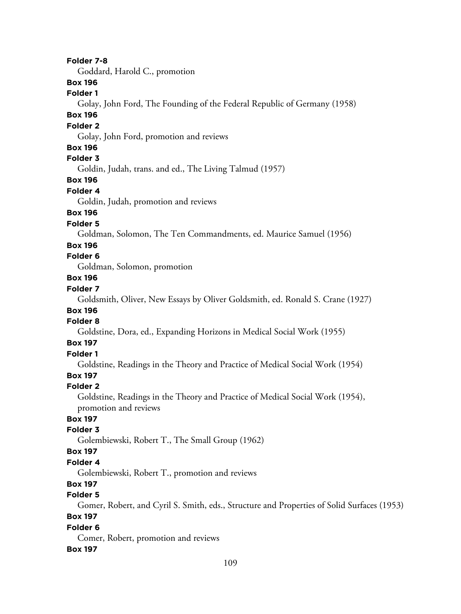#### **Folder 7-8**

Goddard, Harold C., promotion

### **Box 196**

### **Folder 1**

Golay, John Ford, The Founding of the Federal Republic of Germany (1958)

## **Box 196**

#### **Folder 2**

Golay, John Ford, promotion and reviews

### **Box 196**

## **Folder 3**

Goldin, Judah, trans. and ed., The Living Talmud (1957)

### **Box 196**

#### **Folder 4**

Goldin, Judah, promotion and reviews

### **Box 196**

#### **Folder 5**

Goldman, Solomon, The Ten Commandments, ed. Maurice Samuel (1956)

#### **Box 196**

#### **Folder 6**

Goldman, Solomon, promotion

#### **Box 196**

## **Folder 7**

Goldsmith, Oliver, New Essays by Oliver Goldsmith, ed. Ronald S. Crane (1927)

# **Box 196**

## **Folder 8**

Goldstine, Dora, ed., Expanding Horizons in Medical Social Work (1955)

#### **Box 197**

# **Folder 1**

Goldstine, Readings in the Theory and Practice of Medical Social Work (1954)

## **Box 197**

#### **Folder 2**

Goldstine, Readings in the Theory and Practice of Medical Social Work (1954), promotion and reviews

# **Box 197**

#### **Folder 3**

Golembiewski, Robert T., The Small Group (1962)

#### **Box 197**

#### **Folder 4**

Golembiewski, Robert T., promotion and reviews

### **Box 197**

### **Folder 5**

Gomer, Robert, and Cyril S. Smith, eds., Structure and Properties of Solid Surfaces (1953)

### **Box 197**

#### **Folder 6**

Comer, Robert, promotion and reviews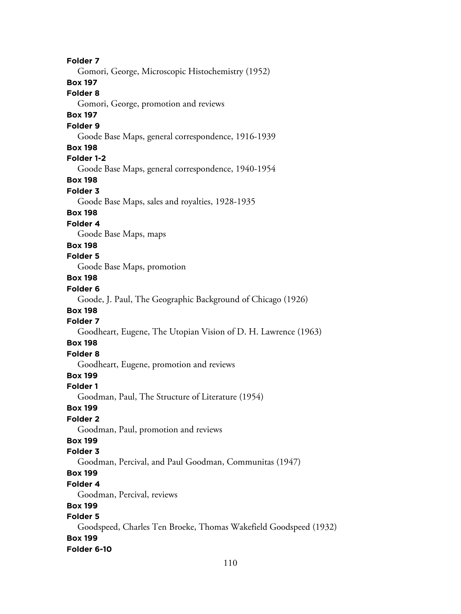**Folder 7** Gomori, George, Microscopic Histochemistry (1952) **Box 197 Folder 8** Gomori, George, promotion and reviews **Box 197 Folder 9** Goode Base Maps, general correspondence, 1916-1939 **Box 198 Folder 1-2** Goode Base Maps, general correspondence, 1940-1954 **Box 198 Folder 3** Goode Base Maps, sales and royalties, 1928-1935 **Box 198 Folder 4** Goode Base Maps, maps **Box 198 Folder 5** Goode Base Maps, promotion **Box 198 Folder 6** Goode, J. Paul, The Geographic Background of Chicago (1926) **Box 198 Folder 7** Goodheart, Eugene, The Utopian Vision of D. H. Lawrence (1963) **Box 198 Folder 8** Goodheart, Eugene, promotion and reviews **Box 199 Folder 1** Goodman, Paul, The Structure of Literature (1954) **Box 199 Folder 2** Goodman, Paul, promotion and reviews **Box 199 Folder 3** Goodman, Percival, and Paul Goodman, Communitas (1947) **Box 199 Folder 4** Goodman, Percival, reviews **Box 199 Folder 5** Goodspeed, Charles Ten Broeke, Thomas Wakefield Goodspeed (1932) **Box 199 Folder 6-10**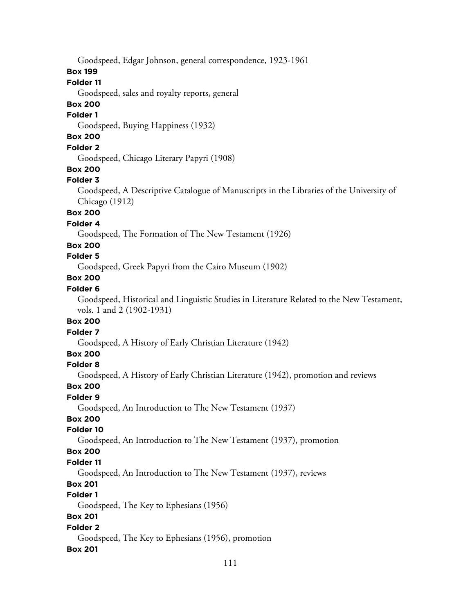Goodspeed, Edgar Johnson, general correspondence, 1923-1961

#### **Box 199**

#### **Folder 11**

Goodspeed, sales and royalty reports, general

### **Box 200**

#### **Folder 1**

Goodspeed, Buying Happiness (1932)

# **Box 200**

### **Folder 2**

Goodspeed, Chicago Literary Papyri (1908)

#### **Box 200**

### **Folder 3**

Goodspeed, A Descriptive Catalogue of Manuscripts in the Libraries of the University of Chicago (1912)

### **Box 200**

#### **Folder 4**

Goodspeed, The Formation of The New Testament (1926)

### **Box 200**

## **Folder 5**

Goodspeed, Greek Papyri from the Cairo Museum (1902)

### **Box 200**

### **Folder 6**

Goodspeed, Historical and Linguistic Studies in Literature Related to the New Testament, vols. 1 and 2 (1902-1931)

#### **Box 200**

#### **Folder 7**

Goodspeed, A History of Early Christian Literature (1942)

### **Box 200**

#### **Folder 8**

Goodspeed, A History of Early Christian Literature (1942), promotion and reviews

#### **Box 200**

#### **Folder 9**

Goodspeed, An Introduction to The New Testament (1937)

### **Box 200**

#### **Folder 10**

Goodspeed, An Introduction to The New Testament (1937), promotion

#### **Box 200**

### **Folder 11**

Goodspeed, An Introduction to The New Testament (1937), reviews

### **Box 201**

### **Folder 1**

Goodspeed, The Key to Ephesians (1956)

### **Box 201**

### **Folder 2**

Goodspeed, The Key to Ephesians (1956), promotion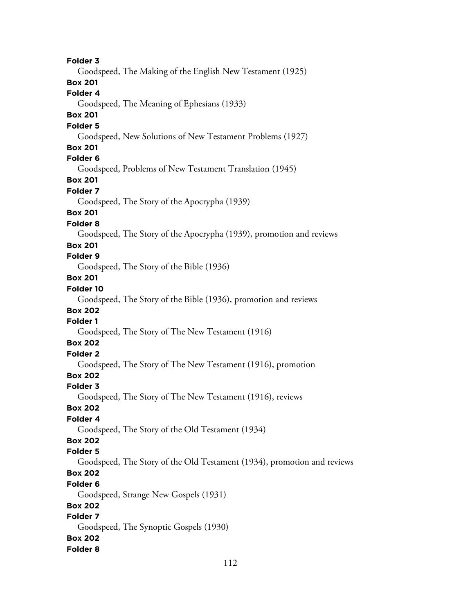**Folder 3** Goodspeed, The Making of the English New Testament (1925) **Box 201 Folder 4** Goodspeed, The Meaning of Ephesians (1933) **Box 201 Folder 5** Goodspeed, New Solutions of New Testament Problems (1927) **Box 201 Folder 6** Goodspeed, Problems of New Testament Translation (1945) **Box 201 Folder 7** Goodspeed, The Story of the Apocrypha (1939) **Box 201 Folder 8** Goodspeed, The Story of the Apocrypha (1939), promotion and reviews **Box 201 Folder 9** Goodspeed, The Story of the Bible (1936) **Box 201 Folder 10** Goodspeed, The Story of the Bible (1936), promotion and reviews **Box 202 Folder 1** Goodspeed, The Story of The New Testament (1916) **Box 202 Folder 2** Goodspeed, The Story of The New Testament (1916), promotion **Box 202 Folder 3** Goodspeed, The Story of The New Testament (1916), reviews **Box 202 Folder 4** Goodspeed, The Story of the Old Testament (1934) **Box 202 Folder 5** Goodspeed, The Story of the Old Testament (1934), promotion and reviews **Box 202 Folder 6** Goodspeed, Strange New Gospels (1931) **Box 202 Folder 7** Goodspeed, The Synoptic Gospels (1930) **Box 202 Folder 8**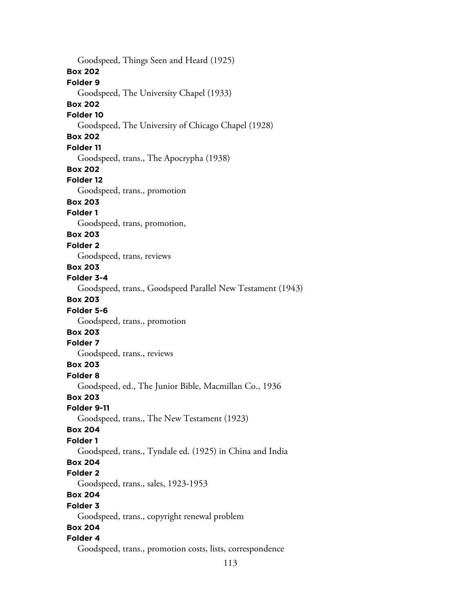Goodspeed, Things Seen and Heard (1925) **Box 202 Folder 9** Goodspeed, The University Chapel (1933) **Box 202 Folder 10** Goodspeed, The University of Chicago Chapel (1928) **Box 202 Folder 11** Goodspeed, trans., The Apocrypha (1938) **Box 202 Folder 12** Goodspeed, trans., promotion **Box 203 Folder 1** Goodspeed, trans, promotion, **Box 203 Folder 2** Goodspeed, trans, reviews **Box 203 Folder 3-4** Goodspeed, trans., Goodspeed Parallel New Testament (1943) **Box 203 Folder 5-6** Goodspeed, trans., promotion **Box 203 Folder 7** Goodspeed, trans., reviews **Box 203 Folder 8** Goodspeed, ed., The Junior Bible, Macmillan Co., 1936 **Box 203 Folder 9-11** Goodspeed, trans., The New Testament (1923) **Box 204 Folder 1** Goodspeed, trans., Tyndale ed. (1925) in China and India **Box 204 Folder 2** Goodspeed, trans., sales, 1923-1953 **Box 204 Folder 3** Goodspeed, trans., copyright renewal problem **Box 204 Folder 4** Goodspeed, trans., promotion costs, lists, correspondence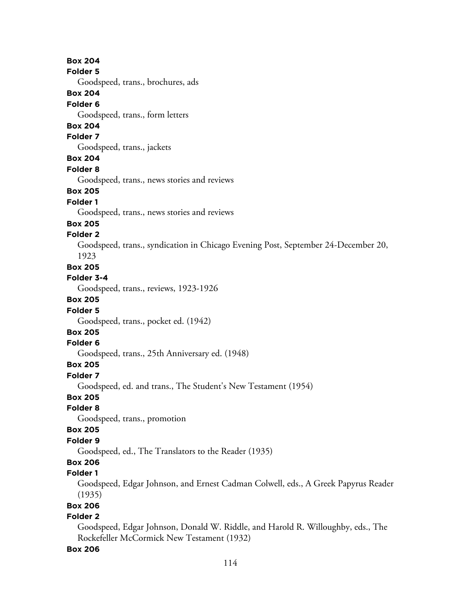**Box 204 Folder 5** Goodspeed, trans., brochures, ads **Box 204 Folder 6** Goodspeed, trans., form letters **Box 204 Folder 7** Goodspeed, trans., jackets **Box 204 Folder 8** Goodspeed, trans., news stories and reviews **Box 205 Folder 1** Goodspeed, trans., news stories and reviews **Box 205 Folder 2** Goodspeed, trans., syndication in Chicago Evening Post, September 24-December 20, 1923 **Box 205 Folder 3-4** Goodspeed, trans., reviews, 1923-1926 **Box 205 Folder 5** Goodspeed, trans., pocket ed. (1942) **Box 205 Folder 6** Goodspeed, trans., 25th Anniversary ed. (1948) **Box 205 Folder 7** Goodspeed, ed. and trans., The Student's New Testament (1954) **Box 205 Folder 8** Goodspeed, trans., promotion **Box 205 Folder 9** Goodspeed, ed., The Translators to the Reader (1935) **Box 206 Folder 1** Goodspeed, Edgar Johnson, and Ernest Cadman Colwell, eds., A Greek Papyrus Reader (1935) **Box 206 Folder 2** Goodspeed, Edgar Johnson, Donald W. Riddle, and Harold R. Willoughby, eds., The Rockefeller McCormick New Testament (1932)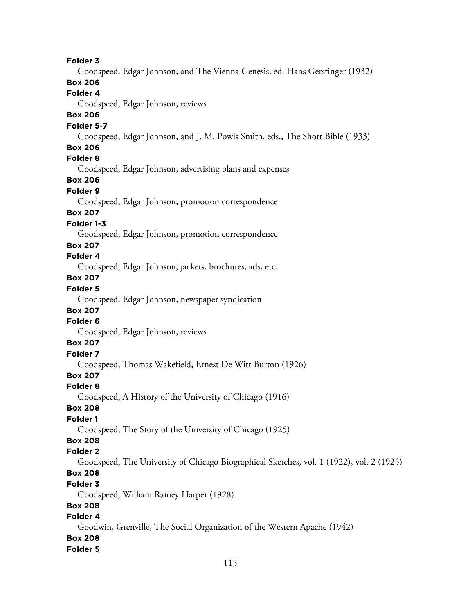#### **Folder 3**

Goodspeed, Edgar Johnson, and The Vienna Genesis, ed. Hans Gerstinger (1932)

## **Box 206**

# **Folder 4**

Goodspeed, Edgar Johnson, reviews

### **Box 206**

#### **Folder 5-7**

Goodspeed, Edgar Johnson, and J. M. Powis Smith, eds., The Short Bible (1933)

#### **Box 206**

### **Folder 8**

Goodspeed, Edgar Johnson, advertising plans and expenses

# **Box 206**

### **Folder 9**

Goodspeed, Edgar Johnson, promotion correspondence

### **Box 207**

### **Folder 1-3**

Goodspeed, Edgar Johnson, promotion correspondence

#### **Box 207**

## **Folder 4**

Goodspeed, Edgar Johnson, jackets, brochures, ads, etc.

## **Box 207**

### **Folder 5**

Goodspeed, Edgar Johnson, newspaper syndication

## **Box 207**

### **Folder 6**

Goodspeed, Edgar Johnson, reviews

#### **Box 207**

# **Folder 7**

Goodspeed, Thomas Wakefield, Ernest De Witt Burton (1926)

## **Box 207**

#### **Folder 8**

Goodspeed, A History of the University of Chicago (1916)

#### **Box 208**

### **Folder 1**

Goodspeed, The Story of the University of Chicago (1925)

# **Box 208**

### **Folder 2**

Goodspeed, The University of Chicago Biographical Sketches, vol. 1 (1922), vol. 2 (1925)

# **Box 208**

#### **Folder 3**

Goodspeed, William Rainey Harper (1928)

### **Box 208**

## **Folder 4**

Goodwin, Grenville, The Social Organization of the Western Apache (1942)

### **Box 208**

#### **Folder 5**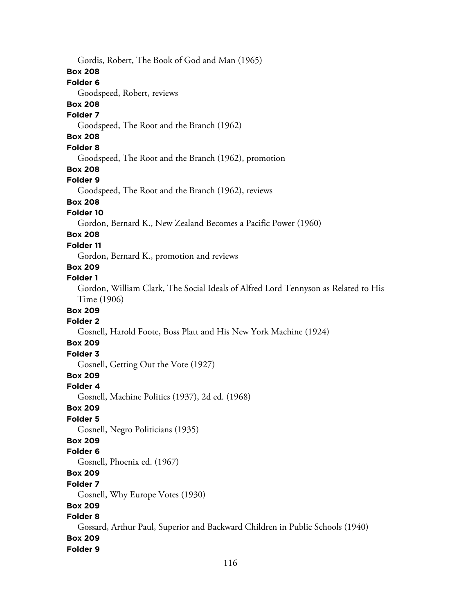Gordis, Robert, The Book of God and Man (1965) **Box 208 Folder 6** Goodspeed, Robert, reviews **Box 208 Folder 7** Goodspeed, The Root and the Branch (1962) **Box 208 Folder 8** Goodspeed, The Root and the Branch (1962), promotion **Box 208 Folder 9** Goodspeed, The Root and the Branch (1962), reviews **Box 208 Folder 10** Gordon, Bernard K., New Zealand Becomes a Pacific Power (1960) **Box 208 Folder 11** Gordon, Bernard K., promotion and reviews **Box 209 Folder 1** Gordon, William Clark, The Social Ideals of Alfred Lord Tennyson as Related to His Time (1906) **Box 209 Folder 2** Gosnell, Harold Foote, Boss Platt and His New York Machine (1924) **Box 209 Folder 3** Gosnell, Getting Out the Vote (1927) **Box 209 Folder 4** Gosnell, Machine Politics (1937), 2d ed. (1968) **Box 209 Folder 5** Gosnell, Negro Politicians (1935) **Box 209 Folder 6** Gosnell, Phoenix ed. (1967) **Box 209 Folder 7** Gosnell, Why Europe Votes (1930) **Box 209 Folder 8** Gossard, Arthur Paul, Superior and Backward Children in Public Schools (1940) **Box 209 Folder 9**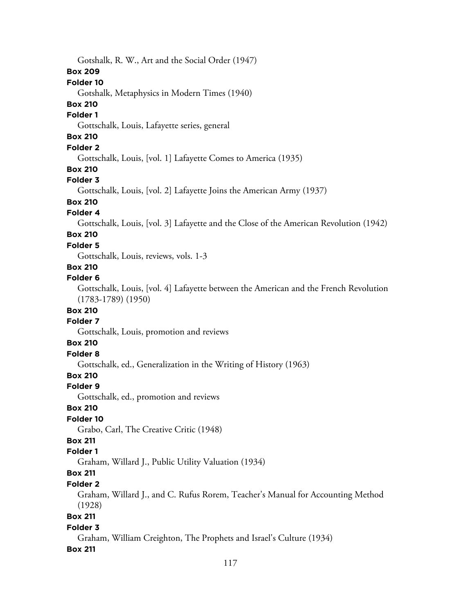Gotshalk, R. W., Art and the Social Order (1947) **Box 209 Folder 10** Gotshalk, Metaphysics in Modern Times (1940) **Box 210 Folder 1** Gottschalk, Louis, Lafayette series, general **Box 210 Folder 2** Gottschalk, Louis, [vol. 1] Lafayette Comes to America (1935) **Box 210 Folder 3** Gottschalk, Louis, [vol. 2] Lafayette Joins the American Army (1937) **Box 210 Folder 4** Gottschalk, Louis, [vol. 3] Lafayette and the Close of the American Revolution (1942) **Box 210 Folder 5** Gottschalk, Louis, reviews, vols. 1-3 **Box 210 Folder 6** Gottschalk, Louis, [vol. 4] Lafayette between the American and the French Revolution (1783-1789) (1950) **Box 210 Folder 7** Gottschalk, Louis, promotion and reviews **Box 210 Folder 8** Gottschalk, ed., Generalization in the Writing of History (1963) **Box 210 Folder 9** Gottschalk, ed., promotion and reviews **Box 210 Folder 10** Grabo, Carl, The Creative Critic (1948) **Box 211 Folder 1** Graham, Willard J., Public Utility Valuation (1934) **Box 211 Folder 2** Graham, Willard J., and C. Rufus Rorem, Teacher's Manual for Accounting Method (1928) **Box 211 Folder 3** Graham, William Creighton, The Prophets and Israel's Culture (1934) **Box 211**

#### 117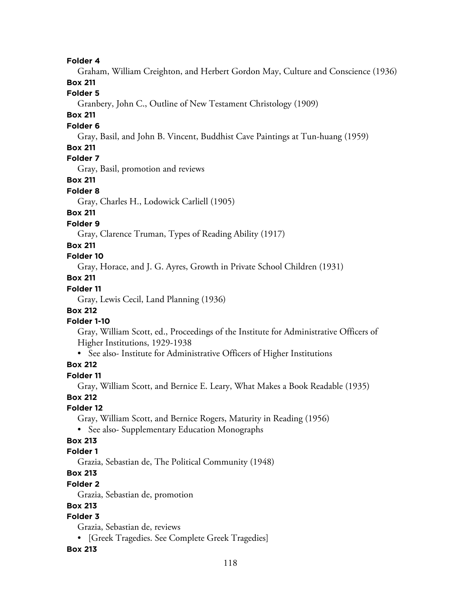**Folder 4**

Graham, William Creighton, and Herbert Gordon May, Culture and Conscience (1936)

### **Box 211**

**Folder 5**

Granbery, John C., Outline of New Testament Christology (1909)

### **Box 211**

### **Folder 6**

Gray, Basil, and John B. Vincent, Buddhist Cave Paintings at Tun-huang (1959)

### **Box 211**

# **Folder 7**

Gray, Basil, promotion and reviews

## **Box 211**

### **Folder 8**

Gray, Charles H., Lodowick Carliell (1905)

# **Box 211**

### **Folder 9**

Gray, Clarence Truman, Types of Reading Ability (1917)

### **Box 211**

### **Folder 10**

Gray, Horace, and J. G. Ayres, Growth in Private School Children (1931)

## **Box 211**

## **Folder 11**

Gray, Lewis Cecil, Land Planning (1936)

### **Box 212**

## **Folder 1-10**

Gray, William Scott, ed., Proceedings of the Institute for Administrative Officers of Higher Institutions, 1929-1938

• See also- Institute for Administrative Officers of Higher Institutions

## **Box 212**

### **Folder 11**

Gray, William Scott, and Bernice E. Leary, What Makes a Book Readable (1935)

### **Box 212**

## **Folder 12**

Gray, William Scott, and Bernice Rogers, Maturity in Reading (1956)

• See also- Supplementary Education Monographs

# **Box 213**

## **Folder 1**

Grazia, Sebastian de, The Political Community (1948)

# **Box 213**

### **Folder 2**

Grazia, Sebastian de, promotion

## **Box 213**

# **Folder 3**

Grazia, Sebastian de, reviews

• [Greek Tragedies. See Complete Greek Tragedies]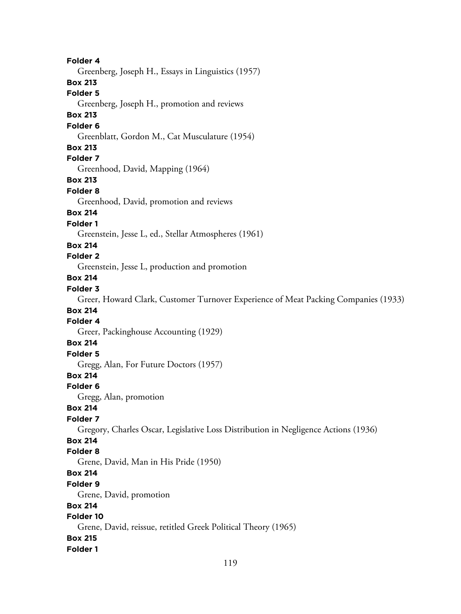**Folder 4** Greenberg, Joseph H., Essays in Linguistics (1957) **Box 213 Folder 5** Greenberg, Joseph H., promotion and reviews **Box 213 Folder 6** Greenblatt, Gordon M., Cat Musculature (1954) **Box 213 Folder 7** Greenhood, David, Mapping (1964) **Box 213 Folder 8** Greenhood, David, promotion and reviews **Box 214 Folder 1** Greenstein, Jesse L, ed., Stellar Atmospheres (1961) **Box 214 Folder 2** Greenstein, Jesse L, production and promotion **Box 214 Folder 3** Greer, Howard Clark, Customer Turnover Experience of Meat Packing Companies (1933) **Box 214 Folder 4** Greer, Packinghouse Accounting (1929) **Box 214 Folder 5** Gregg, Alan, For Future Doctors (1957) **Box 214 Folder 6** Gregg, Alan, promotion **Box 214 Folder 7** Gregory, Charles Oscar, Legislative Loss Distribution in Negligence Actions (1936) **Box 214 Folder 8** Grene, David, Man in His Pride (1950) **Box 214 Folder 9** Grene, David, promotion **Box 214 Folder 10** Grene, David, reissue, retitled Greek Political Theory (1965) **Box 215 Folder 1**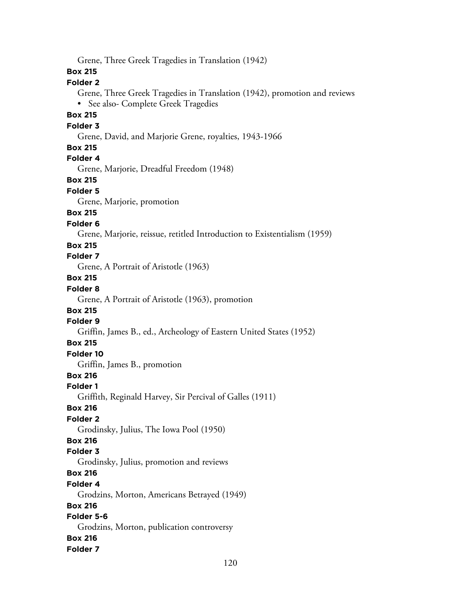Grene, Three Greek Tragedies in Translation (1942) **Box 215 Folder 2** Grene, Three Greek Tragedies in Translation (1942), promotion and reviews • See also- Complete Greek Tragedies **Box 215 Folder 3** Grene, David, and Marjorie Grene, royalties, 1943-1966 **Box 215 Folder 4** Grene, Marjorie, Dreadful Freedom (1948) **Box 215 Folder 5** Grene, Marjorie, promotion **Box 215 Folder 6** Grene, Marjorie, reissue, retitled Introduction to Existentialism (1959) **Box 215 Folder 7** Grene, A Portrait of Aristotle (1963) **Box 215 Folder 8** Grene, A Portrait of Aristotle (1963), promotion **Box 215 Folder 9** Griffin, James B., ed., Archeology of Eastern United States (1952) **Box 215 Folder 10** Griffin, James B., promotion **Box 216 Folder 1** Griffith, Reginald Harvey, Sir Percival of Galles (1911) **Box 216 Folder 2** Grodinsky, Julius, The Iowa Pool (1950) **Box 216 Folder 3** Grodinsky, Julius, promotion and reviews **Box 216 Folder 4** Grodzins, Morton, Americans Betrayed (1949) **Box 216 Folder 5-6** Grodzins, Morton, publication controversy **Box 216 Folder 7**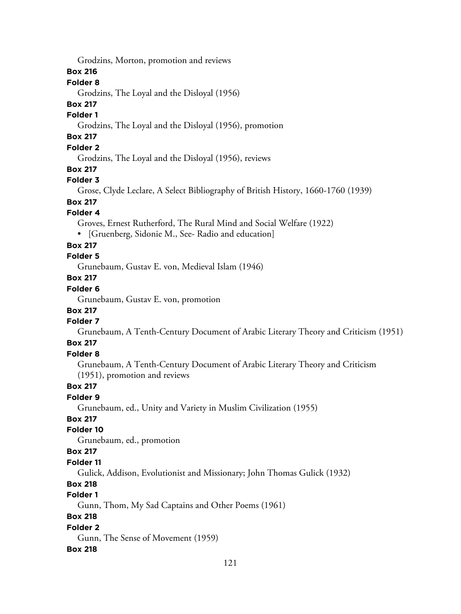Grodzins, Morton, promotion and reviews

### **Box 216**

#### **Folder 8**

Grodzins, The Loyal and the Disloyal (1956)

#### **Box 217**

#### **Folder 1**

Grodzins, The Loyal and the Disloyal (1956), promotion

# **Box 217**

## **Folder 2**

Grodzins, The Loyal and the Disloyal (1956), reviews

#### **Box 217**

#### **Folder 3**

Grose, Clyde Leclare, A Select Bibliography of British History, 1660-1760 (1939)

# **Box 217**

### **Folder 4**

Groves, Ernest Rutherford, The Rural Mind and Social Welfare (1922)

• [Gruenberg, Sidonie M., See- Radio and education]

#### **Box 217**

## **Folder 5**

Grunebaum, Gustav E. von, Medieval Islam (1946)

# **Box 217**

# **Folder 6**

Grunebaum, Gustav E. von, promotion

# **Box 217**

# **Folder 7**

Grunebaum, A Tenth-Century Document of Arabic Literary Theory and Criticism (1951)

### **Box 217**

### **Folder 8**

Grunebaum, A Tenth-Century Document of Arabic Literary Theory and Criticism (1951), promotion and reviews

### **Box 217**

### **Folder 9**

Grunebaum, ed., Unity and Variety in Muslim Civilization (1955)

### **Box 217**

#### **Folder 10**

Grunebaum, ed., promotion

#### **Box 217**

#### **Folder 11**

Gulick, Addison, Evolutionist and Missionary; John Thomas Gulick (1932)

## **Box 218**

### **Folder 1**

Gunn, Thom, My Sad Captains and Other Poems (1961)

### **Box 218**

#### **Folder 2**

Gunn, The Sense of Movement (1959)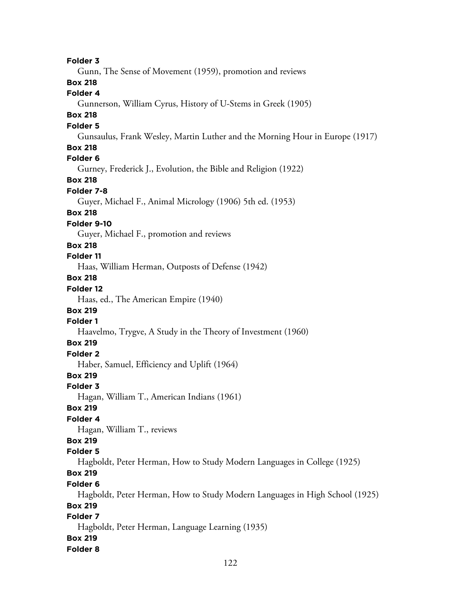**Folder 3** Gunn, The Sense of Movement (1959), promotion and reviews **Box 218 Folder 4** Gunnerson, William Cyrus, History of U-Stems in Greek (1905) **Box 218 Folder 5** Gunsaulus, Frank Wesley, Martin Luther and the Morning Hour in Europe (1917) **Box 218 Folder 6** Gurney, Frederick J., Evolution, the Bible and Religion (1922) **Box 218 Folder 7-8** Guyer, Michael F., Animal Micrology (1906) 5th ed. (1953) **Box 218 Folder 9-10** Guyer, Michael F., promotion and reviews **Box 218 Folder 11** Haas, William Herman, Outposts of Defense (1942) **Box 218 Folder 12** Haas, ed., The American Empire (1940) **Box 219 Folder 1** Haavelmo, Trygve, A Study in the Theory of Investment (1960) **Box 219 Folder 2** Haber, Samuel, Efficiency and Uplift (1964) **Box 219 Folder 3** Hagan, William T., American Indians (1961) **Box 219 Folder 4** Hagan, William T., reviews **Box 219 Folder 5** Hagboldt, Peter Herman, How to Study Modern Languages in College (1925) **Box 219 Folder 6** Hagboldt, Peter Herman, How to Study Modern Languages in High School (1925) **Box 219 Folder 7** Hagboldt, Peter Herman, Language Learning (1935) **Box 219 Folder 8**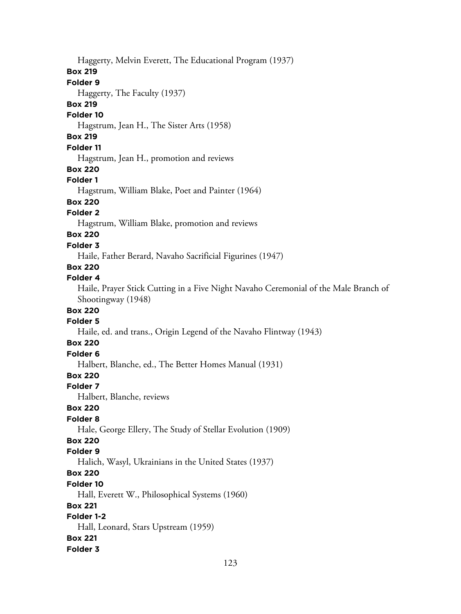Haggerty, Melvin Everett, The Educational Program (1937) **Box 219 Folder 9** Haggerty, The Faculty (1937) **Box 219 Folder 10** Hagstrum, Jean H., The Sister Arts (1958) **Box 219 Folder 11** Hagstrum, Jean H., promotion and reviews **Box 220 Folder 1** Hagstrum, William Blake, Poet and Painter (1964) **Box 220 Folder 2** Hagstrum, William Blake, promotion and reviews **Box 220 Folder 3** Haile, Father Berard, Navaho Sacrificial Figurines (1947) **Box 220 Folder 4** Haile, Prayer Stick Cutting in a Five Night Navaho Ceremonial of the Male Branch of Shootingway (1948) **Box 220 Folder 5** Haile, ed. and trans., Origin Legend of the Navaho Flintway (1943) **Box 220 Folder 6** Halbert, Blanche, ed., The Better Homes Manual (1931) **Box 220 Folder 7** Halbert, Blanche, reviews **Box 220 Folder 8** Hale, George Ellery, The Study of Stellar Evolution (1909) **Box 220 Folder 9** Halich, Wasyl, Ukrainians in the United States (1937) **Box 220 Folder 10** Hall, Everett W., Philosophical Systems (1960) **Box 221 Folder 1-2** Hall, Leonard, Stars Upstream (1959) **Box 221 Folder 3**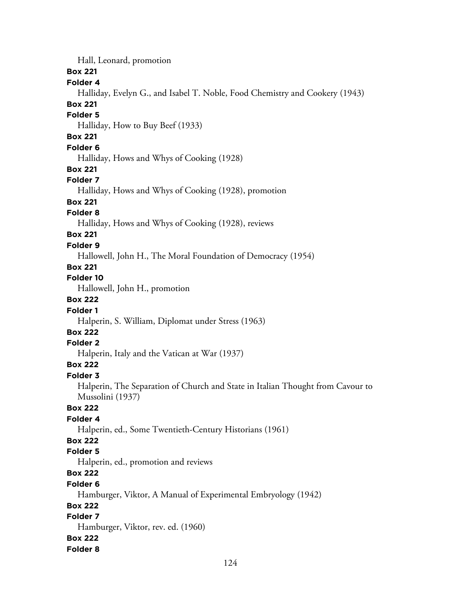Hall, Leonard, promotion

### **Box 221**

**Folder 4**

Halliday, Evelyn G., and Isabel T. Noble, Food Chemistry and Cookery (1943)

## **Box 221**

**Folder 5**

Halliday, How to Buy Beef (1933)

# **Box 221**

**Folder 6**

Halliday, Hows and Whys of Cooking (1928)

#### **Box 221**

#### **Folder 7**

Halliday, Hows and Whys of Cooking (1928), promotion

# **Box 221**

#### **Folder 8**

Halliday, Hows and Whys of Cooking (1928), reviews

# **Box 221**

#### **Folder 9**

Hallowell, John H., The Moral Foundation of Democracy (1954)

# **Box 221**

### **Folder 10**

Hallowell, John H., promotion

### **Box 222**

#### **Folder 1**

Halperin, S. William, Diplomat under Stress (1963)

# **Box 222**

# **Folder 2**

Halperin, Italy and the Vatican at War (1937)

# **Box 222**

#### **Folder 3**

Halperin, The Separation of Church and State in Italian Thought from Cavour to Mussolini (1937)

## **Box 222**

### **Folder 4**

Halperin, ed., Some Twentieth-Century Historians (1961)

# **Box 222**

#### **Folder 5**

Halperin, ed., promotion and reviews

# **Box 222**

#### **Folder 6**

Hamburger, Viktor, A Manual of Experimental Embryology (1942)

### **Box 222**

### **Folder 7**

Hamburger, Viktor, rev. ed. (1960)

### **Box 222**

### **Folder 8**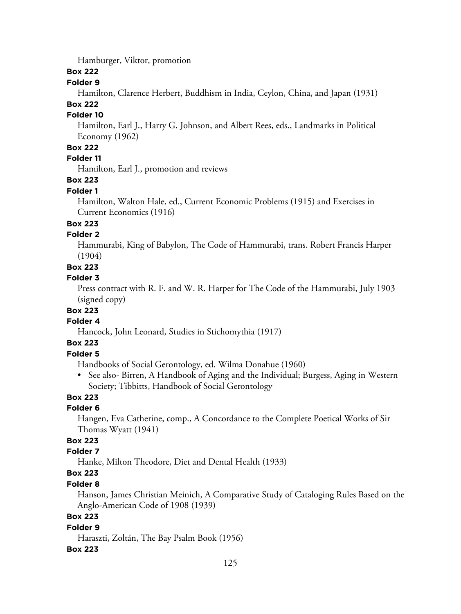Hamburger, Viktor, promotion

**Box 222**

#### **Folder 9**

Hamilton, Clarence Herbert, Buddhism in India, Ceylon, China, and Japan (1931)

## **Box 222**

### **Folder 10**

Hamilton, Earl J., Harry G. Johnson, and Albert Rees, eds., Landmarks in Political Economy (1962)

## **Box 222**

# **Folder 11**

Hamilton, Earl J., promotion and reviews

# **Box 223**

#### **Folder 1**

Hamilton, Walton Hale, ed., Current Economic Problems (1915) and Exercises in Current Economics (1916)

### **Box 223**

#### **Folder 2**

Hammurabi, King of Babylon, The Code of Hammurabi, trans. Robert Francis Harper (1904)

#### **Box 223**

### **Folder 3**

Press contract with R. F. and W. R. Harper for The Code of the Hammurabi, July 1903 (signed copy)

# **Box 223**

### **Folder 4**

Hancock, John Leonard, Studies in Stichomythia (1917)

## **Box 223**

### **Folder 5**

Handbooks of Social Gerontology, ed. Wilma Donahue (1960)

• See also- Birren, A Handbook of Aging and the Individual; Burgess, Aging in Western Society; Tibbitts, Handbook of Social Gerontology

### **Box 223**

## **Folder 6**

Hangen, Eva Catherine, comp., A Concordance to the Complete Poetical Works of Sir Thomas Wyatt (1941)

## **Box 223**

# **Folder 7**

Hanke, Milton Theodore, Diet and Dental Health (1933)

# **Box 223**

### **Folder 8**

Hanson, James Christian Meinich, A Comparative Study of Cataloging Rules Based on the Anglo-American Code of 1908 (1939)

### **Box 223**

### **Folder 9**

Haraszti, Zoltán, The Bay Psalm Book (1956)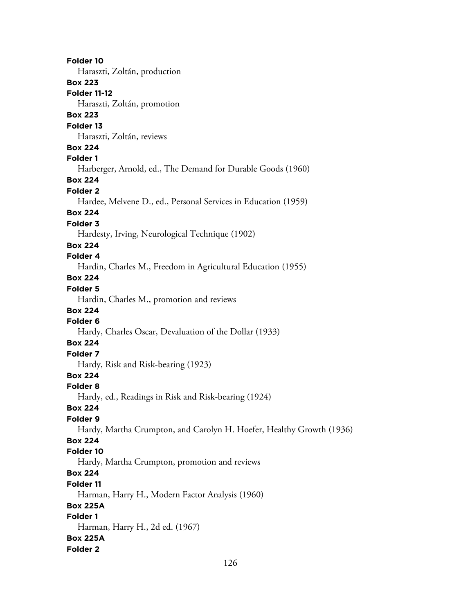**Folder 10** Haraszti, Zoltán, production **Box 223 Folder 11-12** Haraszti, Zoltán, promotion **Box 223 Folder 13** Haraszti, Zoltán, reviews **Box 224 Folder 1** Harberger, Arnold, ed., The Demand for Durable Goods (1960) **Box 224 Folder 2** Hardee, Melvene D., ed., Personal Services in Education (1959) **Box 224 Folder 3** Hardesty, Irving, Neurological Technique (1902) **Box 224 Folder 4** Hardin, Charles M., Freedom in Agricultural Education (1955) **Box 224 Folder 5** Hardin, Charles M., promotion and reviews **Box 224 Folder 6** Hardy, Charles Oscar, Devaluation of the Dollar (1933) **Box 224 Folder 7** Hardy, Risk and Risk-bearing (1923) **Box 224 Folder 8** Hardy, ed., Readings in Risk and Risk-bearing (1924) **Box 224 Folder 9** Hardy, Martha Crumpton, and Carolyn H. Hoefer, Healthy Growth (1936) **Box 224 Folder 10** Hardy, Martha Crumpton, promotion and reviews **Box 224 Folder 11** Harman, Harry H., Modern Factor Analysis (1960) **Box 225A Folder 1** Harman, Harry H., 2d ed. (1967) **Box 225A Folder 2**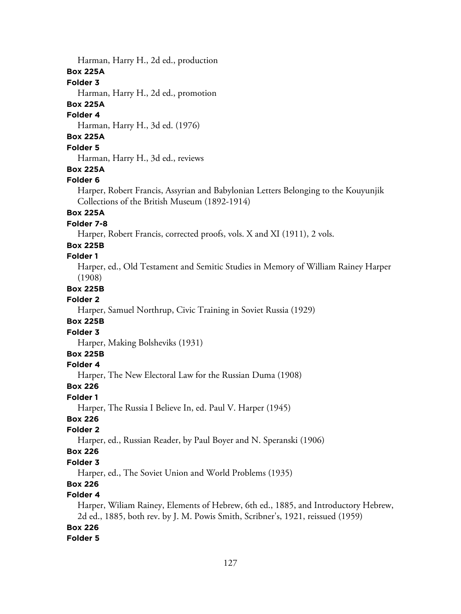Harman, Harry H., 2d ed., production

#### **Box 225A**

#### **Folder 3**

Harman, Harry H., 2d ed., promotion

### **Box 225A**

#### **Folder 4**

Harman, Harry H., 3d ed. (1976)

## **Box 225A**

**Folder 5**

Harman, Harry H., 3d ed., reviews

## **Box 225A**

## **Folder 6**

Harper, Robert Francis, Assyrian and Babylonian Letters Belonging to the Kouyunjik Collections of the British Museum (1892-1914)

# **Box 225A**

## **Folder 7-8**

Harper, Robert Francis, corrected proofs, vols. X and XI (1911), 2 vols.

## **Box 225B**

# **Folder 1**

Harper, ed., Old Testament and Semitic Studies in Memory of William Rainey Harper (1908)

### **Box 225B**

### **Folder 2**

Harper, Samuel Northrup, Civic Training in Soviet Russia (1929)

## **Box 225B**

### **Folder 3**

Harper, Making Bolsheviks (1931)

## **Box 225B**

## **Folder 4**

Harper, The New Electoral Law for the Russian Duma (1908)

### **Box 226**

### **Folder 1**

Harper, The Russia I Believe In, ed. Paul V. Harper (1945)

# **Box 226**

### **Folder 2**

Harper, ed., Russian Reader, by Paul Boyer and N. Speranski (1906)

## **Box 226**

## **Folder 3**

Harper, ed., The Soviet Union and World Problems (1935)

# **Box 226**

## **Folder 4**

Harper, Wiliam Rainey, Elements of Hebrew, 6th ed., 1885, and Introductory Hebrew, 2d ed., 1885, both rev. by J. M. Powis Smith, Scribner's, 1921, reissued (1959)

## **Box 226**

## **Folder 5**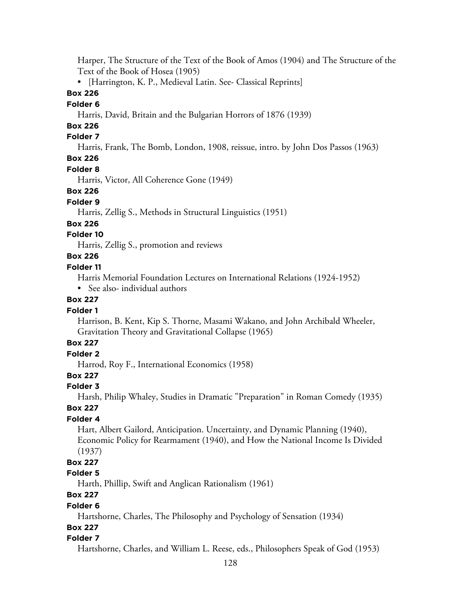Harper, The Structure of the Text of the Book of Amos (1904) and The Structure of the Text of the Book of Hosea (1905)

• [Harrington, K. P., Medieval Latin. See- Classical Reprints]

### **Box 226**

#### **Folder 6**

Harris, David, Britain and the Bulgarian Horrors of 1876 (1939)

# **Box 226**

### **Folder 7**

Harris, Frank, The Bomb, London, 1908, reissue, intro. by John Dos Passos (1963)

# **Box 226**

### **Folder 8**

Harris, Victor, All Coherence Gone (1949)

## **Box 226**

### **Folder 9**

Harris, Zellig S., Methods in Structural Linguistics (1951)

### **Box 226**

### **Folder 10**

Harris, Zellig S., promotion and reviews

# **Box 226**

### **Folder 11**

Harris Memorial Foundation Lectures on International Relations (1924-1952)

• See also- individual authors

### **Box 227**

### **Folder 1**

Harrison, B. Kent, Kip S. Thorne, Masami Wakano, and John Archibald Wheeler, Gravitation Theory and Gravitational Collapse (1965)

## **Box 227**

# **Folder 2**

Harrod, Roy F., International Economics (1958)

## **Box 227**

## **Folder 3**

Harsh, Philip Whaley, Studies in Dramatic "Preparation" in Roman Comedy (1935)

# **Box 227**

## **Folder 4**

Hart, Albert Gailord, Anticipation. Uncertainty, and Dynamic Planning (1940), Economic Policy for Rearmament (1940), and How the National Income Is Divided (1937)

# **Box 227**

## **Folder 5**

Harth, Phillip, Swift and Anglican Rationalism (1961)

# **Box 227**

## **Folder 6**

Hartshorne, Charles, The Philosophy and Psychology of Sensation (1934)

### **Box 227**

## **Folder 7**

Hartshorne, Charles, and William L. Reese, eds., Philosophers Speak of God (1953)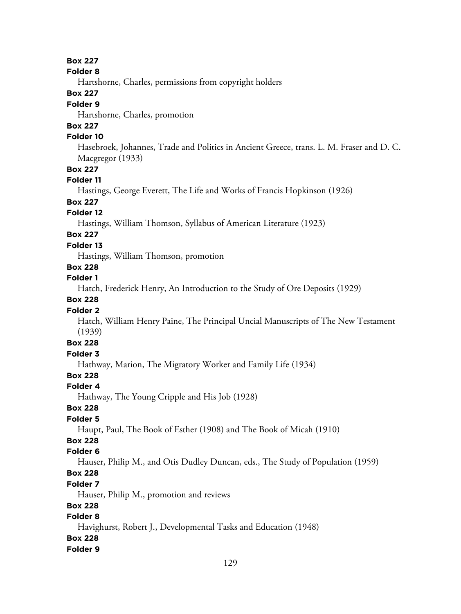#### **Box 227**

**Folder 8**

Hartshorne, Charles, permissions from copyright holders

### **Box 227**

#### **Folder 9**

Hartshorne, Charles, promotion

# **Box 227**

### **Folder 10**

Hasebroek, Johannes, Trade and Politics in Ancient Greece, trans. L. M. Fraser and D. C. Macgregor (1933)

#### **Box 227**

#### **Folder 11**

Hastings, George Everett, The Life and Works of Francis Hopkinson (1926)

# **Box 227**

### **Folder 12**

Hastings, William Thomson, Syllabus of American Literature (1923)

## **Box 227**

### **Folder 13**

Hastings, William Thomson, promotion

# **Box 228**

### **Folder 1**

Hatch, Frederick Henry, An Introduction to the Study of Ore Deposits (1929)

### **Box 228**

### **Folder 2**

Hatch, William Henry Paine, The Principal Uncial Manuscripts of The New Testament (1939)

# **Box 228**

# **Folder 3**

Hathway, Marion, The Migratory Worker and Family Life (1934)

# **Box 228**

### **Folder 4**

Hathway, The Young Cripple and His Job (1928)

### **Box 228**

### **Folder 5**

Haupt, Paul, The Book of Esther (1908) and The Book of Micah (1910)

# **Box 228**

### **Folder 6**

Hauser, Philip M., and Otis Dudley Duncan, eds., The Study of Population (1959)

## **Box 228**

### **Folder 7**

Hauser, Philip M., promotion and reviews

### **Box 228**

## **Folder 8**

Havighurst, Robert J., Developmental Tasks and Education (1948)

### **Box 228**

### **Folder 9**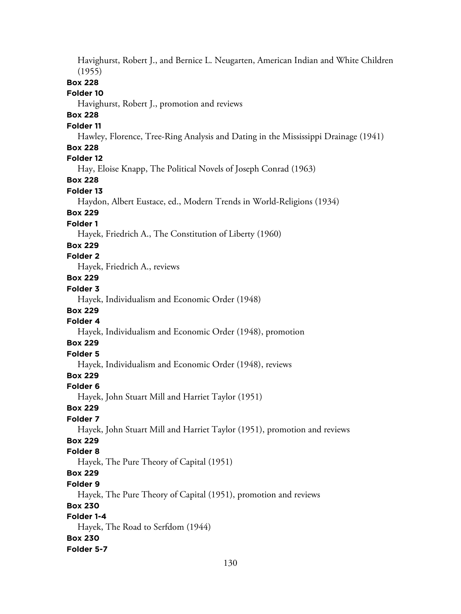Havighurst, Robert J., and Bernice L. Neugarten, American Indian and White Children (1955) **Box 228 Folder 10** Havighurst, Robert J., promotion and reviews **Box 228 Folder 11** Hawley, Florence, Tree-Ring Analysis and Dating in the Mississippi Drainage (1941) **Box 228 Folder 12** Hay, Eloise Knapp, The Political Novels of Joseph Conrad (1963) **Box 228 Folder 13** Haydon, Albert Eustace, ed., Modern Trends in World-Religions (1934) **Box 229 Folder 1** Hayek, Friedrich A., The Constitution of Liberty (1960) **Box 229 Folder 2** Hayek, Friedrich A., reviews **Box 229 Folder 3** Hayek, Individualism and Economic Order (1948) **Box 229 Folder 4** Hayek, Individualism and Economic Order (1948), promotion **Box 229 Folder 5** Hayek, Individualism and Economic Order (1948), reviews **Box 229 Folder 6** Hayek, John Stuart Mill and Harriet Taylor (1951) **Box 229 Folder 7** Hayek, John Stuart Mill and Harriet Taylor (1951), promotion and reviews **Box 229 Folder 8** Hayek, The Pure Theory of Capital (1951) **Box 229 Folder 9** Hayek, The Pure Theory of Capital (1951), promotion and reviews **Box 230 Folder 1-4** Hayek, The Road to Serfdom (1944) **Box 230 Folder 5-7**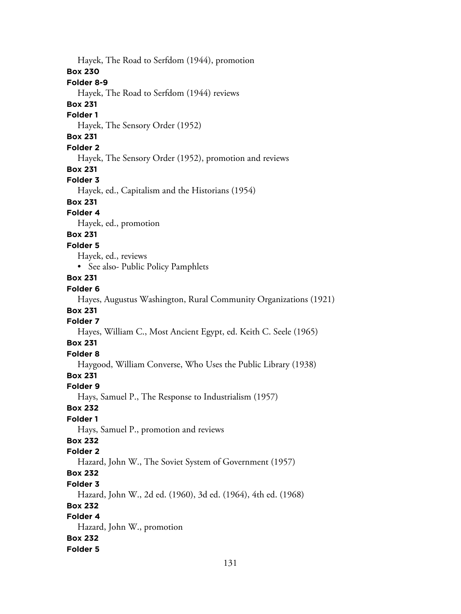Hayek, The Road to Serfdom (1944), promotion **Box 230 Folder 8-9** Hayek, The Road to Serfdom (1944) reviews **Box 231 Folder 1** Hayek, The Sensory Order (1952) **Box 231 Folder 2** Hayek, The Sensory Order (1952), promotion and reviews **Box 231 Folder 3** Hayek, ed., Capitalism and the Historians (1954) **Box 231 Folder 4** Hayek, ed., promotion **Box 231 Folder 5** Hayek, ed., reviews • See also- Public Policy Pamphlets **Box 231 Folder 6** Hayes, Augustus Washington, Rural Community Organizations (1921) **Box 231 Folder 7** Hayes, William C., Most Ancient Egypt, ed. Keith C. Seele (1965) **Box 231 Folder 8** Haygood, William Converse, Who Uses the Public Library (1938) **Box 231 Folder 9** Hays, Samuel P., The Response to Industrialism (1957) **Box 232 Folder 1** Hays, Samuel P., promotion and reviews **Box 232 Folder 2** Hazard, John W., The Soviet System of Government (1957) **Box 232 Folder 3** Hazard, John W., 2d ed. (1960), 3d ed. (1964), 4th ed. (1968) **Box 232 Folder 4** Hazard, John W., promotion **Box 232 Folder 5**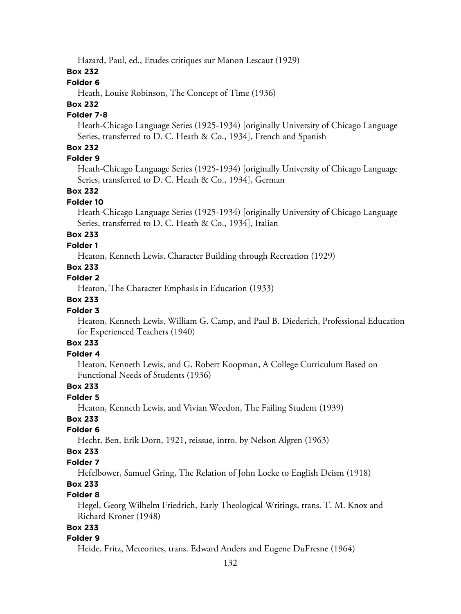Hazard, Paul, ed., Etudes critiques sur Manon Lescaut (1929)

### **Box 232**

### **Folder 6**

Heath, Louise Robinson, The Concept of Time (1936)

# **Box 232**

# **Folder 7-8**

Heath-Chicago Language Series (1925-1934) [originally University of Chicago Language Series, transferred to D. C. Heath & Co., 1934], French and Spanish

### **Box 232**

### **Folder 9**

Heath-Chicago Language Series (1925-1934) [originally University of Chicago Language Series, transferred to D. C. Heath & Co., 1934], German

#### **Box 232**

#### **Folder 10**

Heath-Chicago Language Series (1925-1934) [originally University of Chicago Language Series, transferred to D. C. Heath & Co., 1934], Italian

# **Box 233**

#### **Folder 1**

Heaton, Kenneth Lewis, Character Building through Recreation (1929)

### **Box 233**

### **Folder 2**

Heaton, The Character Emphasis in Education (1933)

### **Box 233**

#### **Folder 3**

Heaton, Kenneth Lewis, William G. Camp, and Paul B. Diederich, Professional Education for Experienced Teachers (1940)

## **Box 233**

### **Folder 4**

Heaton, Kenneth Lewis, and G. Robert Koopman, A College Curriculum Based on Functional Needs of Students (1936)

#### **Box 233**

#### **Folder 5**

Heaton, Kenneth Lewis, and Vivian Weedon, The Failing Student (1939)

### **Box 233**

#### **Folder 6**

Hecht, Ben, Erik Dorn, 1921, reissue, intro. by Nelson Algren (1963)

#### **Box 233**

### **Folder 7**

Hefelbower, Samuel Gring, The Relation of John Locke to English Deism (1918)

## **Box 233**

### **Folder 8**

Hegel, Georg Wilhelm Friedrich, Early Theological Writings, trans. T. M. Knox and Richard Kroner (1948)

### **Box 233**

### **Folder 9**

Heide, Fritz, Meteorites, trans. Edward Anders and Eugene DuFresne (1964)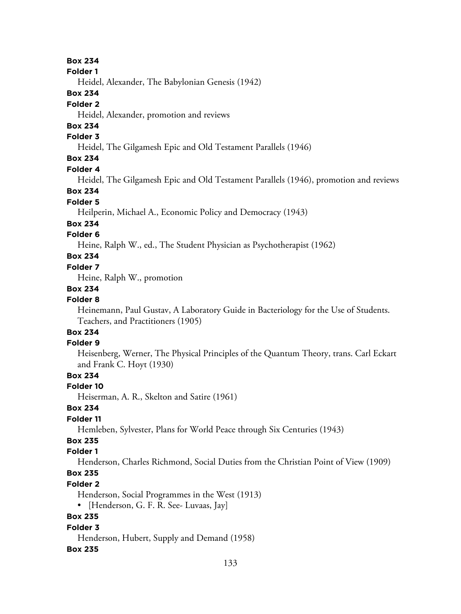**Box 234**

**Folder 1**

Heidel, Alexander, The Babylonian Genesis (1942)

#### **Box 234**

#### **Folder 2**

Heidel, Alexander, promotion and reviews

## **Box 234**

## **Folder 3**

Heidel, The Gilgamesh Epic and Old Testament Parallels (1946)

### **Box 234**

#### **Folder 4**

Heidel, The Gilgamesh Epic and Old Testament Parallels (1946), promotion and reviews

#### **Box 234**

#### **Folder 5**

Heilperin, Michael A., Economic Policy and Democracy (1943)

#### **Box 234**

#### **Folder 6**

Heine, Ralph W., ed., The Student Physician as Psychotherapist (1962)

### **Box 234**

#### **Folder 7**

Heine, Ralph W., promotion

#### **Box 234**

## **Folder 8**

Heinemann, Paul Gustav, A Laboratory Guide in Bacteriology for the Use of Students. Teachers, and Practitioners (1905)

#### **Box 234 Folder 9**

Heisenberg, Werner, The Physical Principles of the Quantum Theory, trans. Carl Eckart and Frank C. Hoyt (1930)

## **Box 234**

#### **Folder 10**

Heiserman, A. R., Skelton and Satire (1961)

### **Box 234**

### **Folder 11**

Hemleben, Sylvester, Plans for World Peace through Six Centuries (1943)

## **Box 235**

### **Folder 1**

Henderson, Charles Richmond, Social Duties from the Christian Point of View (1909)

# **Box 235**

### **Folder 2**

Henderson, Social Programmes in the West (1913)

• [Henderson, G. F. R. See- Luvaas, Jay]

## **Box 235**

#### **Folder 3**

Henderson, Hubert, Supply and Demand (1958)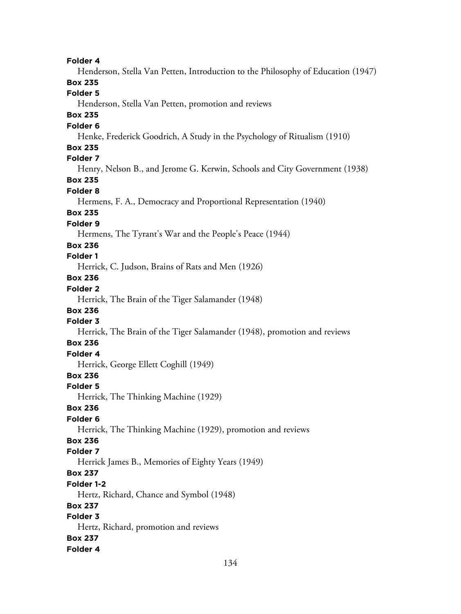**Folder 4** Henderson, Stella Van Petten, Introduction to the Philosophy of Education (1947) **Box 235 Folder 5** Henderson, Stella Van Petten, promotion and reviews **Box 235 Folder 6** Henke, Frederick Goodrich, A Study in the Psychology of Ritualism (1910) **Box 235 Folder 7** Henry, Nelson B., and Jerome G. Kerwin, Schools and City Government (1938) **Box 235 Folder 8** Hermens, F. A., Democracy and Proportional Representation (1940) **Box 235 Folder 9** Hermens, The Tyrant's War and the People's Peace (1944) **Box 236 Folder 1** Herrick, C. Judson, Brains of Rats and Men (1926) **Box 236 Folder 2** Herrick, The Brain of the Tiger Salamander (1948) **Box 236 Folder 3** Herrick, The Brain of the Tiger Salamander (1948), promotion and reviews **Box 236 Folder 4** Herrick, George Ellett Coghill (1949) **Box 236 Folder 5** Herrick, The Thinking Machine (1929) **Box 236 Folder 6** Herrick, The Thinking Machine (1929), promotion and reviews **Box 236 Folder 7** Herrick James B., Memories of Eighty Years (1949) **Box 237 Folder 1-2** Hertz, Richard, Chance and Symbol (1948) **Box 237 Folder 3** Hertz, Richard, promotion and reviews **Box 237 Folder 4**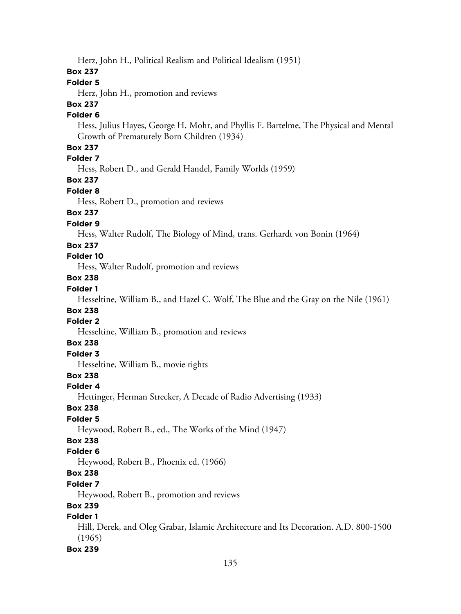Herz, John H., Political Realism and Political Idealism (1951)

### **Box 237**

### **Folder 5**

Herz, John H., promotion and reviews

# **Box 237**

### **Folder 6**

Hess, Julius Hayes, George H. Mohr, and Phyllis F. Bartelme, The Physical and Mental Growth of Prematurely Born Children (1934)

### **Box 237**

# **Folder 7**

Hess, Robert D., and Gerald Handel, Family Worlds (1959)

### **Box 237**

### **Folder 8**

Hess, Robert D., promotion and reviews

### **Box 237**

#### **Folder 9**

Hess, Walter Rudolf, The Biology of Mind, trans. Gerhardt von Bonin (1964)

#### **Box 237**

### **Folder 10**

Hess, Walter Rudolf, promotion and reviews

### **Box 238**

# **Folder 1**

Hesseltine, William B., and Hazel C. Wolf, The Blue and the Gray on the Nile (1961)

## **Box 238**

### **Folder 2**

Hesseltine, William B., promotion and reviews

#### **Box 238**

## **Folder 3**

Hesseltine, William B., movie rights

### **Box 238**

### **Folder 4**

Hettinger, Herman Strecker, A Decade of Radio Advertising (1933)

### **Box 238**

### **Folder 5**

Heywood, Robert B., ed., The Works of the Mind (1947)

### **Box 238**

### **Folder 6**

Heywood, Robert B., Phoenix ed. (1966)

# **Box 238**

#### **Folder 7**

Heywood, Robert B., promotion and reviews

### **Box 239**

### **Folder 1**

Hill, Derek, and Oleg Grabar, Islamic Architecture and Its Decoration. A.D. 800-1500 (1965)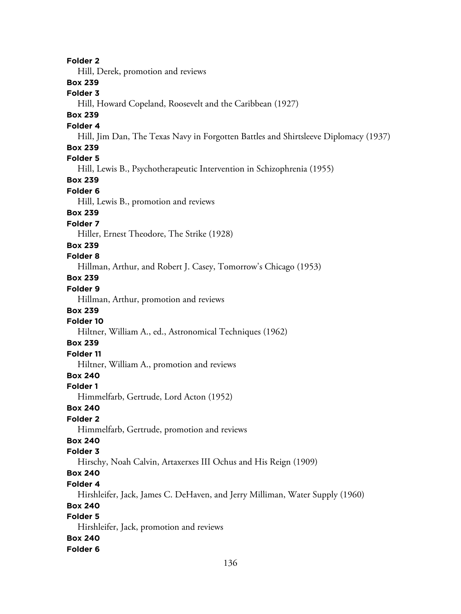**Folder 2** Hill, Derek, promotion and reviews **Box 239 Folder 3** Hill, Howard Copeland, Roosevelt and the Caribbean (1927) **Box 239 Folder 4** Hill, Jim Dan, The Texas Navy in Forgotten Battles and Shirtsleeve Diplomacy (1937) **Box 239 Folder 5** Hill, Lewis B., Psychotherapeutic Intervention in Schizophrenia (1955) **Box 239 Folder 6** Hill, Lewis B., promotion and reviews **Box 239 Folder 7** Hiller, Ernest Theodore, The Strike (1928) **Box 239 Folder 8** Hillman, Arthur, and Robert J. Casey, Tomorrow's Chicago (1953) **Box 239 Folder 9** Hillman, Arthur, promotion and reviews **Box 239 Folder 10** Hiltner, William A., ed., Astronomical Techniques (1962) **Box 239 Folder 11** Hiltner, William A., promotion and reviews **Box 240 Folder 1** Himmelfarb, Gertrude, Lord Acton (1952) **Box 240 Folder 2** Himmelfarb, Gertrude, promotion and reviews **Box 240 Folder 3** Hirschy, Noah Calvin, Artaxerxes III Ochus and His Reign (1909) **Box 240 Folder 4** Hirshleifer, Jack, James C. DeHaven, and Jerry Milliman, Water Supply (1960) **Box 240 Folder 5** Hirshleifer, Jack, promotion and reviews **Box 240 Folder 6**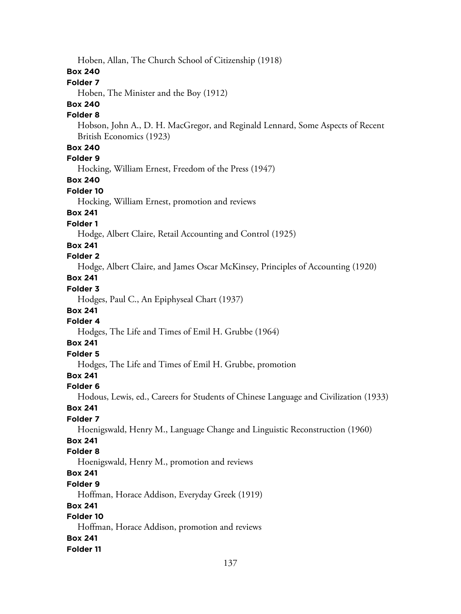Hoben, Allan, The Church School of Citizenship (1918)

#### **Box 240**

#### **Folder 7**

Hoben, The Minister and the Boy (1912)

### **Box 240**

#### **Folder 8**

Hobson, John A., D. H. MacGregor, and Reginald Lennard, Some Aspects of Recent British Economics (1923)

### **Box 240**

**Folder 9**

Hocking, William Ernest, Freedom of the Press (1947)

### **Box 240**

#### **Folder 10**

Hocking, William Ernest, promotion and reviews

## **Box 241**

**Folder 1**

Hodge, Albert Claire, Retail Accounting and Control (1925)

### **Box 241**

### **Folder 2**

Hodge, Albert Claire, and James Oscar McKinsey, Principles of Accounting (1920)

# **Box 241**

# **Folder 3**

Hodges, Paul C., An Epiphyseal Chart (1937)

### **Box 241**

# **Folder 4**

Hodges, The Life and Times of Emil H. Grubbe (1964)

# **Box 241**

# **Folder 5**

Hodges, The Life and Times of Emil H. Grubbe, promotion

# **Box 241**

### **Folder 6**

Hodous, Lewis, ed., Careers for Students of Chinese Language and Civilization (1933)

### **Box 241**

### **Folder 7**

Hoenigswald, Henry M., Language Change and Linguistic Reconstruction (1960)

# **Box 241**

### **Folder 8**

Hoenigswald, Henry M., promotion and reviews

# **Box 241**

#### **Folder 9**

Hoffman, Horace Addison, Everyday Greek (1919)

### **Box 241**

## **Folder 10**

Hoffman, Horace Addison, promotion and reviews

### **Box 241**

### **Folder 11**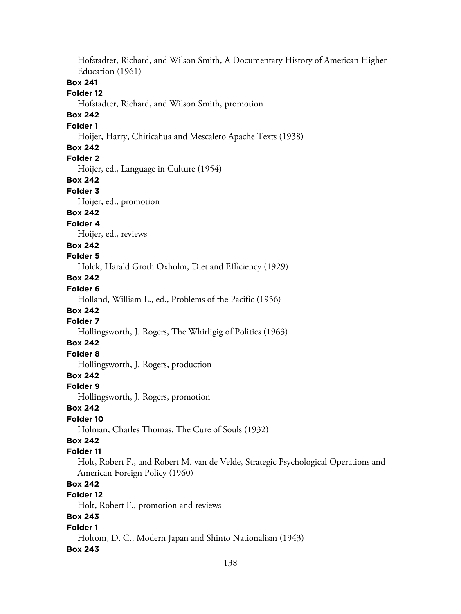Hofstadter, Richard, and Wilson Smith, A Documentary History of American Higher Education (1961) **Box 241 Folder 12** Hofstadter, Richard, and Wilson Smith, promotion **Box 242 Folder 1** Hoijer, Harry, Chiricahua and Mescalero Apache Texts (1938) **Box 242 Folder 2** Hoijer, ed., Language in Culture (1954) **Box 242 Folder 3** Hoijer, ed., promotion **Box 242 Folder 4** Hoijer, ed., reviews **Box 242 Folder 5** Holck, Harald Groth Oxholm, Diet and Efficiency (1929) **Box 242 Folder 6** Holland, William L., ed., Problems of the Pacific (1936) **Box 242 Folder 7** Hollingsworth, J. Rogers, The Whirligig of Politics (1963) **Box 242 Folder 8** Hollingsworth, J. Rogers, production **Box 242 Folder 9** Hollingsworth, J. Rogers, promotion **Box 242 Folder 10** Holman, Charles Thomas, The Cure of Souls (1932) **Box 242 Folder 11** Holt, Robert F., and Robert M. van de Velde, Strategic Psychological Operations and American Foreign Policy (1960) **Box 242 Folder 12** Holt, Robert F., promotion and reviews **Box 243 Folder 1** Holtom, D. C., Modern Japan and Shinto Nationalism (1943) **Box 243**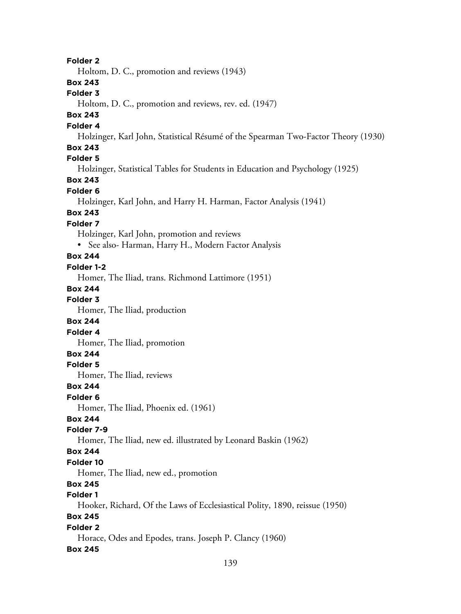**Folder 2**

Holtom, D. C., promotion and reviews (1943)

#### **Box 243**

#### **Folder 3**

Holtom, D. C., promotion and reviews, rev. ed. (1947)

## **Box 243**

### **Folder 4**

Holzinger, Karl John, Statistical Résumé of the Spearman Two-Factor Theory (1930)

#### **Box 243**

## **Folder 5**

Holzinger, Statistical Tables for Students in Education and Psychology (1925)

## **Box 243**

### **Folder 6**

Holzinger, Karl John, and Harry H. Harman, Factor Analysis (1941)

## **Box 243**

## **Folder 7**

Holzinger, Karl John, promotion and reviews

• See also- Harman, Harry H., Modern Factor Analysis

### **Box 244**

#### **Folder 1-2**

Homer, The Iliad, trans. Richmond Lattimore (1951)

#### **Box 244**

#### **Folder 3**

Homer, The Iliad, production

#### **Box 244**

**Folder 4**

Homer, The Iliad, promotion

### **Box 244**

### **Folder 5**

Homer, The Iliad, reviews

### **Box 244**

#### **Folder 6**

Homer, The Iliad, Phoenix ed. (1961)

### **Box 244**

### **Folder 7-9**

Homer, The Iliad, new ed. illustrated by Leonard Baskin (1962)

## **Box 244**

### **Folder 10**

Homer, The Iliad, new ed., promotion

# **Box 245**

# **Folder 1**

Hooker, Richard, Of the Laws of Ecclesiastical Polity, 1890, reissue (1950)

# **Box 245**

## **Folder 2**

Horace, Odes and Epodes, trans. Joseph P. Clancy (1960)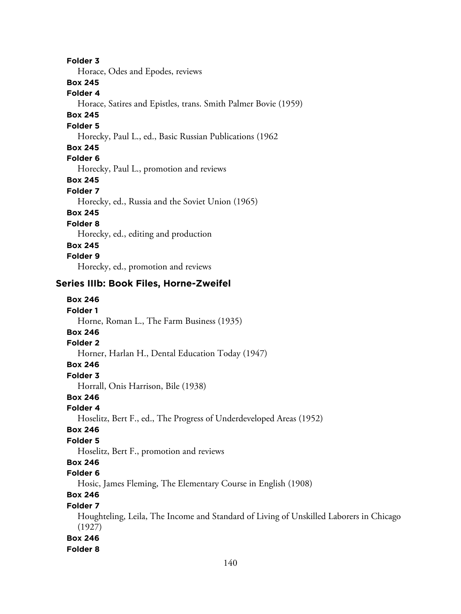**Folder 3**

Horace, Odes and Epodes, reviews

**Box 245**

**Folder 4**

Horace, Satires and Epistles, trans. Smith Palmer Bovie (1959)

## **Box 245**

#### **Folder 5**

Horecky, Paul L., ed., Basic Russian Publications (1962

### **Box 245**

**Folder 6**

Horecky, Paul L., promotion and reviews

**Box 245**

### **Folder 7**

Horecky, ed., Russia and the Soviet Union (1965)

# **Box 245**

**Folder 8**

Horecky, ed., editing and production

### **Box 245**

**Folder 9**

Horecky, ed., promotion and reviews

# **Series IIIb: Book Files, Horne-Zweifel**

| <b>Box 246</b>                                                                                   |
|--------------------------------------------------------------------------------------------------|
| <b>Folder 1</b>                                                                                  |
| Horne, Roman L., The Farm Business (1935)                                                        |
| <b>Box 246</b>                                                                                   |
| <b>Folder 2</b>                                                                                  |
| Horner, Harlan H., Dental Education Today (1947)                                                 |
| <b>Box 246</b>                                                                                   |
| Folder 3                                                                                         |
| Horrall, Onis Harrison, Bile (1938)                                                              |
| <b>Box 246</b>                                                                                   |
| Folder 4                                                                                         |
| Hoselitz, Bert F., ed., The Progress of Underdeveloped Areas (1952)                              |
| <b>Box 246</b>                                                                                   |
| <b>Folder 5</b>                                                                                  |
| Hoselitz, Bert F., promotion and reviews                                                         |
| <b>Box 246</b>                                                                                   |
| Folder <sub>6</sub>                                                                              |
| Hosic, James Fleming, The Elementary Course in English (1908)                                    |
| <b>Box 246</b>                                                                                   |
| <b>Folder 7</b>                                                                                  |
| Houghteling, Leila, The Income and Standard of Living of Unskilled Laborers in Chicago<br>(1927) |
| <b>Box 246</b>                                                                                   |
| <b>Folder 8</b>                                                                                  |
|                                                                                                  |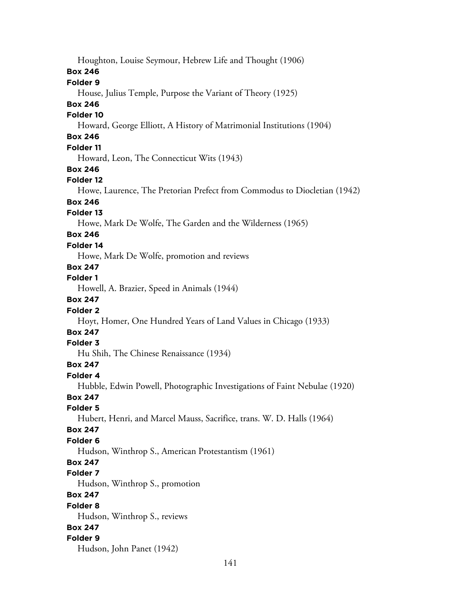Houghton, Louise Seymour, Hebrew Life and Thought (1906) **Box 246 Folder 9** House, Julius Temple, Purpose the Variant of Theory (1925) **Box 246 Folder 10** Howard, George Elliott, A History of Matrimonial Institutions (1904) **Box 246 Folder 11** Howard, Leon, The Connecticut Wits (1943) **Box 246 Folder 12** Howe, Laurence, The Pretorian Prefect from Commodus to Diocletian (1942) **Box 246 Folder 13** Howe, Mark De Wolfe, The Garden and the Wilderness (1965) **Box 246 Folder 14** Howe, Mark De Wolfe, promotion and reviews **Box 247 Folder 1** Howell, A. Brazier, Speed in Animals (1944) **Box 247 Folder 2** Hoyt, Homer, One Hundred Years of Land Values in Chicago (1933) **Box 247 Folder 3** Hu Shih, The Chinese Renaissance (1934) **Box 247 Folder 4** Hubble, Edwin Powell, Photographic Investigations of Faint Nebulae (1920) **Box 247 Folder 5** Hubert, Henri, and Marcel Mauss, Sacrifice, trans. W. D. Halls (1964) **Box 247 Folder 6** Hudson, Winthrop S., American Protestantism (1961) **Box 247 Folder 7** Hudson, Winthrop S., promotion **Box 247 Folder 8** Hudson, Winthrop S., reviews **Box 247 Folder 9** Hudson, John Panet (1942)

141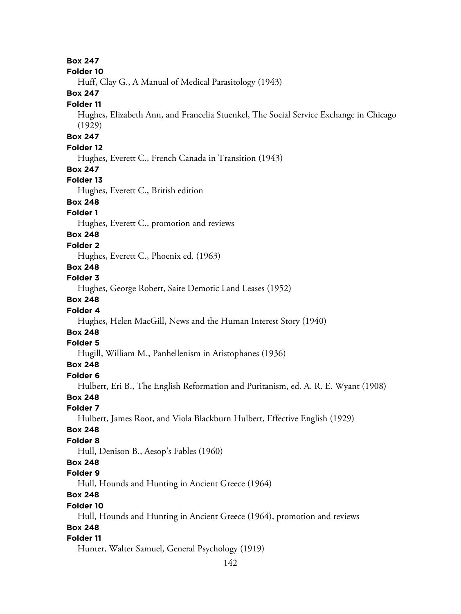**Box 247 Folder 10** Huff, Clay G., A Manual of Medical Parasitology (1943) **Box 247 Folder 11** Hughes, Elizabeth Ann, and Francelia Stuenkel, The Social Service Exchange in Chicago (1929) **Box 247 Folder 12** Hughes, Everett C., French Canada in Transition (1943) **Box 247 Folder 13** Hughes, Everett C., British edition **Box 248 Folder 1** Hughes, Everett C., promotion and reviews **Box 248 Folder 2** Hughes, Everett C., Phoenix ed. (1963) **Box 248 Folder 3** Hughes, George Robert, Saite Demotic Land Leases (1952) **Box 248 Folder 4** Hughes, Helen MacGill, News and the Human Interest Story (1940) **Box 248 Folder 5** Hugill, William M., Panhellenism in Aristophanes (1936) **Box 248 Folder 6** Hulbert, Eri B., The English Reformation and Puritanism, ed. A. R. E. Wyant (1908) **Box 248 Folder 7** Hulbert, James Root, and Viola Blackburn Hulbert, Effective English (1929) **Box 248 Folder 8** Hull, Denison B., Aesop's Fables (1960) **Box 248 Folder 9** Hull, Hounds and Hunting in Ancient Greece (1964) **Box 248 Folder 10** Hull, Hounds and Hunting in Ancient Greece (1964), promotion and reviews **Box 248 Folder 11** Hunter, Walter Samuel, General Psychology (1919)

```
142
```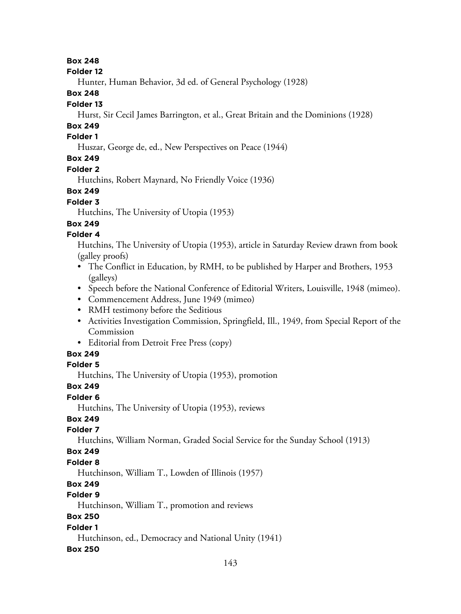#### **Box 248**

#### **Folder 12**

Hunter, Human Behavior, 3d ed. of General Psychology (1928)

#### **Box 248**

### **Folder 13**

Hurst, Sir Cecil James Barrington, et al., Great Britain and the Dominions (1928)

# **Box 249**

## **Folder 1**

Huszar, George de, ed., New Perspectives on Peace (1944)

# **Box 249**

### **Folder 2**

Hutchins, Robert Maynard, No Friendly Voice (1936)

# **Box 249**

## **Folder 3**

Hutchins, The University of Utopia (1953)

# **Box 249**

# **Folder 4**

Hutchins, The University of Utopia (1953), article in Saturday Review drawn from book (galley proofs)

- The Conflict in Education, by RMH, to be published by Harper and Brothers, 1953 (galleys)
- Speech before the National Conference of Editorial Writers, Louisville, 1948 (mimeo).
- Commencement Address, June 1949 (mimeo)
- RMH testimony before the Seditious
- Activities Investigation Commission, Springfield, Ill., 1949, from Special Report of the Commission
- Editorial from Detroit Free Press (copy)

# **Box 249**

## **Folder 5**

Hutchins, The University of Utopia (1953), promotion

# **Box 249**

## **Folder 6**

Hutchins, The University of Utopia (1953), reviews

# **Box 249**

## **Folder 7**

Hutchins, William Norman, Graded Social Service for the Sunday School (1913)

## **Box 249**

## **Folder 8**

Hutchinson, William T., Lowden of Illinois (1957)

# **Box 249**

# **Folder 9**

Hutchinson, William T., promotion and reviews

# **Box 250**

# **Folder 1**

Hutchinson, ed., Democracy and National Unity (1941)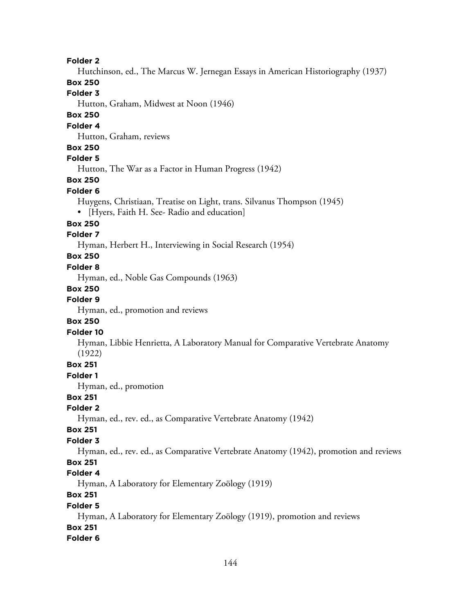#### **Folder 2**

Hutchinson, ed., The Marcus W. Jernegan Essays in American Historiography (1937)

## **Box 250**

# **Folder 3**

Hutton, Graham, Midwest at Noon (1946)

#### **Box 250**

#### **Folder 4**

Hutton, Graham, reviews

#### **Box 250**

#### **Folder 5**

Hutton, The War as a Factor in Human Progress (1942)

## **Box 250**

#### **Folder 6**

- Huygens, Christiaan, Treatise on Light, trans. Silvanus Thompson (1945)
- [Hyers, Faith H. See- Radio and education]

#### **Box 250**

#### **Folder 7**

Hyman, Herbert H., Interviewing in Social Research (1954)

#### **Box 250**

#### **Folder 8**

Hyman, ed., Noble Gas Compounds (1963)

#### **Box 250**

#### **Folder 9**

Hyman, ed., promotion and reviews

### **Box 250**

### **Folder 10**

Hyman, Libbie Henrietta, A Laboratory Manual for Comparative Vertebrate Anatomy (1922)

#### **Box 251**

#### **Folder 1**

Hyman, ed., promotion

### **Box 251**

#### **Folder 2**

Hyman, ed., rev. ed., as Comparative Vertebrate Anatomy (1942)

#### **Box 251**

#### **Folder 3**

Hyman, ed., rev. ed., as Comparative Vertebrate Anatomy (1942), promotion and reviews

# **Box 251**

## **Folder 4**

Hyman, A Laboratory for Elementary Zoölogy (1919)

### **Box 251**

#### **Folder 5**

Hyman, A Laboratory for Elementary Zoölogy (1919), promotion and reviews **Box 251**

#### **Folder 6**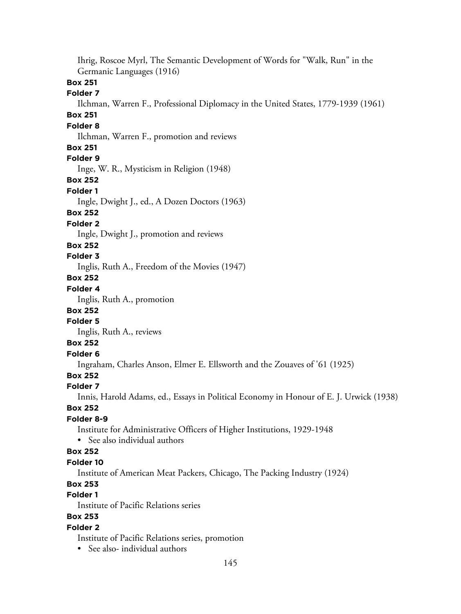Ihrig, Roscoe Myrl, The Semantic Development of Words for "Walk, Run" in the Germanic Languages (1916)

## **Box 251**

### **Folder 7**

Ilchman, Warren F., Professional Diplomacy in the United States, 1779-1939 (1961)

# **Box 251**

# **Folder 8**

Ilchman, Warren F., promotion and reviews

### **Box 251**

## **Folder 9**

Inge, W. R., Mysticism in Religion (1948)

#### **Box 252**

#### **Folder 1**

Ingle, Dwight J., ed., A Dozen Doctors (1963)

### **Box 252**

#### **Folder 2**

Ingle, Dwight J., promotion and reviews

#### **Box 252**

#### **Folder 3**

Inglis, Ruth A., Freedom of the Movies (1947)

### **Box 252**

## **Folder 4**

Inglis, Ruth A., promotion

### **Box 252**

## **Folder 5**

Inglis, Ruth A., reviews

## **Box 252**

## **Folder 6**

Ingraham, Charles Anson, Elmer E. Ellsworth and the Zouaves of '61 (1925)

## **Box 252**

#### **Folder 7**

Innis, Harold Adams, ed., Essays in Political Economy in Honour of E. J. Urwick (1938)

### **Box 252**

### **Folder 8-9**

Institute for Administrative Officers of Higher Institutions, 1929-1948

• See also individual authors

### **Box 252**

### **Folder 10**

Institute of American Meat Packers, Chicago, The Packing Industry (1924)

## **Box 253**

## **Folder 1**

Institute of Pacific Relations series

## **Box 253**

## **Folder 2**

Institute of Pacific Relations series, promotion

• See also- individual authors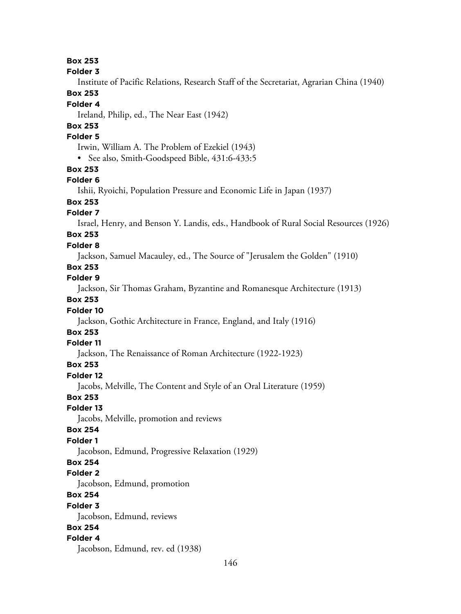**Folder 3**

Institute of Pacific Relations, Research Staff of the Secretariat, Agrarian China (1940)

### **Box 253**

#### **Folder 4**

Ireland, Philip, ed., The Near East (1942)

## **Box 253**

## **Folder 5**

Irwin, William A. The Problem of Ezekiel (1943)

• See also, Smith-Goodspeed Bible, 431:6-433:5

### **Box 253**

#### **Folder 6**

Ishii, Ryoichi, Population Pressure and Economic Life in Japan (1937)

# **Box 253**

## **Folder 7**

Israel, Henry, and Benson Y. Landis, eds., Handbook of Rural Social Resources (1926)

## **Box 253**

#### **Folder 8**

Jackson, Samuel Macauley, ed., The Source of "Jerusalem the Golden" (1910)

## **Box 253**

## **Folder 9**

Jackson, Sir Thomas Graham, Byzantine and Romanesque Architecture (1913)

## **Box 253**

### **Folder 10**

Jackson, Gothic Architecture in France, England, and Italy (1916)

## **Box 253**

## **Folder 11**

Jackson, The Renaissance of Roman Architecture (1922-1923)

### **Box 253**

#### **Folder 12**

Jacobs, Melville, The Content and Style of an Oral Literature (1959)

#### **Box 253**

#### **Folder 13**

Jacobs, Melville, promotion and reviews

#### **Box 254**

## **Folder 1**

Jacobson, Edmund, Progressive Relaxation (1929)

### **Box 254**

### **Folder 2**

Jacobson, Edmund, promotion

## **Box 254**

#### **Folder 3**

Jacobson, Edmund, reviews

#### **Box 254**

## **Folder 4**

Jacobson, Edmund, rev. ed (1938)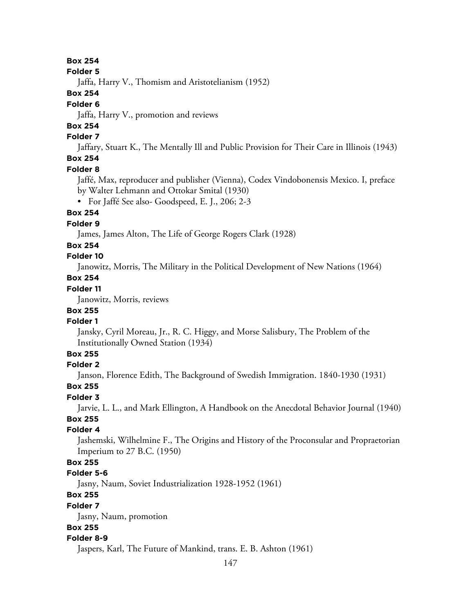#### **Folder 5**

Jaffa, Harry V., Thomism and Aristotelianism (1952)

#### **Box 254**

### **Folder 6**

Jaffa, Harry V., promotion and reviews

# **Box 254**

## **Folder 7**

Jaffary, Stuart K., The Mentally Ill and Public Provision for Their Care in Illinois (1943)

#### **Box 254 Folder 8**

Jaffé, Max, reproducer and publisher (Vienna), Codex Vindobonensis Mexico. I, preface by Walter Lehmann and Ottokar Smital (1930)

• For Jaffé See also- Goodspeed, E. J., 206; 2-3

## **Box 254**

## **Folder 9**

James, James Alton, The Life of George Rogers Clark (1928)

## **Box 254**

## **Folder 10**

Janowitz, Morris, The Military in the Political Development of New Nations (1964)

## **Box 254**

## **Folder 11**

Janowitz, Morris, reviews

## **Box 255**

## **Folder 1**

Jansky, Cyril Moreau, Jr., R. C. Higgy, and Morse Salisbury, The Problem of the Institutionally Owned Station (1934)

## **Box 255**

## **Folder 2**

Janson, Florence Edith, The Background of Swedish Immigration. 1840-1930 (1931)

## **Box 255**

## **Folder 3**

Jarvie, L. L., and Mark Ellington, A Handbook on the Anecdotal Behavior Journal (1940)

# **Box 255**

## **Folder 4**

Jashemski, Wilhelmine F., The Origins and History of the Proconsular and Propraetorian Imperium to 27 B.C. (1950)

## **Box 255**

## **Folder 5-6**

Jasny, Naum, Soviet Industrialization 1928-1952 (1961)

## **Box 255**

#### **Folder 7**

Jasny, Naum, promotion

## **Box 255**

## **Folder 8-9**

Jaspers, Karl, The Future of Mankind, trans. E. B. Ashton (1961)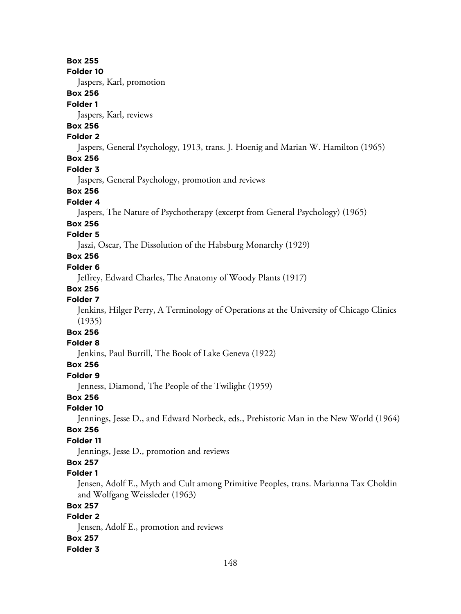**Folder 10**

Jaspers, Karl, promotion

### **Box 256**

#### **Folder 1**

Jaspers, Karl, reviews

# **Box 256**

## **Folder 2**

Jaspers, General Psychology, 1913, trans. J. Hoenig and Marian W. Hamilton (1965)

## **Box 256**

### **Folder 3**

Jaspers, General Psychology, promotion and reviews

## **Box 256**

### **Folder 4**

Jaspers, The Nature of Psychotherapy (excerpt from General Psychology) (1965)

#### **Box 256**

### **Folder 5**

Jaszi, Oscar, The Dissolution of the Habsburg Monarchy (1929)

## **Box 256**

#### **Folder 6**

Jeffrey, Edward Charles, The Anatomy of Woody Plants (1917)

### **Box 256**

## **Folder 7**

Jenkins, Hilger Perry, A Terminology of Operations at the University of Chicago Clinics (1935)

# **Box 256**

#### **Folder 8**

Jenkins, Paul Burrill, The Book of Lake Geneva (1922)

## **Box 256**

#### **Folder 9**

Jenness, Diamond, The People of the Twilight (1959)

## **Box 256**

### **Folder 10**

Jennings, Jesse D., and Edward Norbeck, eds., Prehistoric Man in the New World (1964)

## **Box 256**

## **Folder 11**

Jennings, Jesse D., promotion and reviews

# **Box 257**

### **Folder 1**

Jensen, Adolf E., Myth and Cult among Primitive Peoples, trans. Marianna Tax Choldin and Wolfgang Weissleder (1963)

### **Box 257**

## **Folder 2**

Jensen, Adolf E., promotion and reviews

### **Box 257**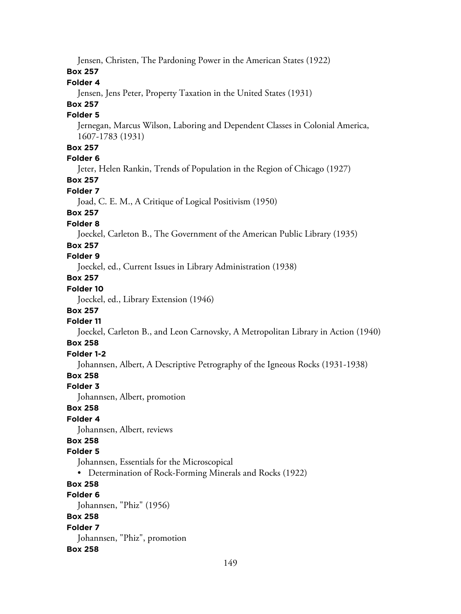Jensen, Christen, The Pardoning Power in the American States (1922)

### **Box 257**

## **Folder 4**

Jensen, Jens Peter, Property Taxation in the United States (1931)

## **Box 257**

## **Folder 5**

Jernegan, Marcus Wilson, Laboring and Dependent Classes in Colonial America, 1607-1783 (1931)

## **Box 257**

## **Folder 6**

Jeter, Helen Rankin, Trends of Population in the Region of Chicago (1927)

## **Box 257**

## **Folder 7**

Joad, C. E. M., A Critique of Logical Positivism (1950)

## **Box 257**

## **Folder 8**

Joeckel, Carleton B., The Government of the American Public Library (1935)

## **Box 257**

## **Folder 9**

Joeckel, ed., Current Issues in Library Administration (1938)

# **Box 257**

# **Folder 10**

Joeckel, ed., Library Extension (1946)

## **Box 257**

## **Folder 11**

Joeckel, Carleton B., and Leon Carnovsky, A Metropolitan Library in Action (1940)

# **Box 258**

# **Folder 1-2**

Johannsen, Albert, A Descriptive Petrography of the Igneous Rocks (1931-1938)

# **Box 258**

## **Folder 3**

Johannsen, Albert, promotion

## **Box 258**

## **Folder 4**

Johannsen, Albert, reviews

# **Box 258**

## **Folder 5**

Johannsen, Essentials for the Microscopical

• Determination of Rock-Forming Minerals and Rocks (1922)

# **Box 258**

## **Folder 6**

Johannsen, "Phiz" (1956)

## **Box 258**

# **Folder 7**

Johannsen, "Phiz", promotion

## **Box 258**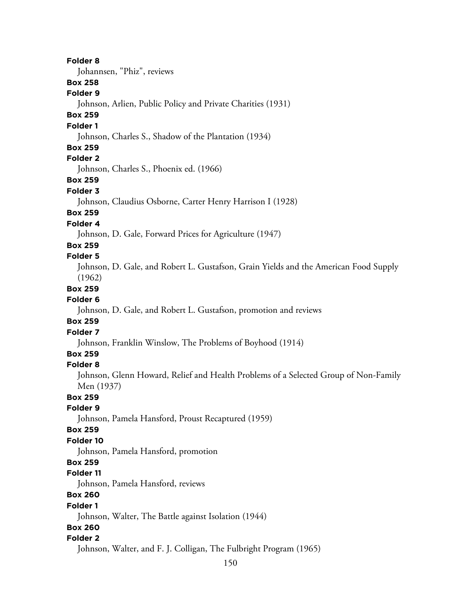150 **Folder 8** Johannsen, "Phiz", reviews **Box 258 Folder 9** Johnson, Arlien, Public Policy and Private Charities (1931) **Box 259 Folder 1** Johnson, Charles S., Shadow of the Plantation (1934) **Box 259 Folder 2** Johnson, Charles S., Phoenix ed. (1966) **Box 259 Folder 3** Johnson, Claudius Osborne, Carter Henry Harrison I (1928) **Box 259 Folder 4** Johnson, D. Gale, Forward Prices for Agriculture (1947) **Box 259 Folder 5** Johnson, D. Gale, and Robert L. Gustafson, Grain Yields and the American Food Supply (1962) **Box 259 Folder 6** Johnson, D. Gale, and Robert L. Gustafson, promotion and reviews **Box 259 Folder 7** Johnson, Franklin Winslow, The Problems of Boyhood (1914) **Box 259 Folder 8** Johnson, Glenn Howard, Relief and Health Problems of a Selected Group of Non-Family Men (1937) **Box 259 Folder 9** Johnson, Pamela Hansford, Proust Recaptured (1959) **Box 259 Folder 10** Johnson, Pamela Hansford, promotion **Box 259 Folder 11** Johnson, Pamela Hansford, reviews **Box 260 Folder 1** Johnson, Walter, The Battle against Isolation (1944) **Box 260 Folder 2** Johnson, Walter, and F. J. Colligan, The Fulbright Program (1965)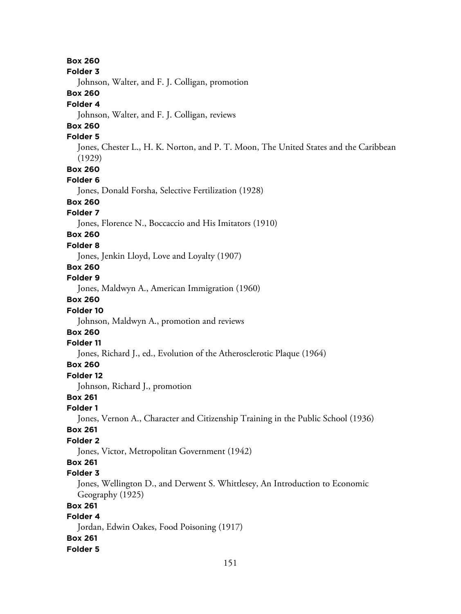**Box 260 Folder 3** Johnson, Walter, and F. J. Colligan, promotion **Box 260 Folder 4** Johnson, Walter, and F. J. Colligan, reviews **Box 260 Folder 5** Jones, Chester L., H. K. Norton, and P. T. Moon, The United States and the Caribbean (1929) **Box 260 Folder 6** Jones, Donald Forsha, Selective Fertilization (1928) **Box 260 Folder 7** Jones, Florence N., Boccaccio and His Imitators (1910) **Box 260 Folder 8** Jones, Jenkin Lloyd, Love and Loyalty (1907) **Box 260 Folder 9** Jones, Maldwyn A., American Immigration (1960) **Box 260 Folder 10** Johnson, Maldwyn A., promotion and reviews **Box 260 Folder 11** Jones, Richard J., ed., Evolution of the Atherosclerotic Plaque (1964) **Box 260 Folder 12** Johnson, Richard J., promotion **Box 261 Folder 1** Jones, Vernon A., Character and Citizenship Training in the Public School (1936) **Box 261 Folder 2** Jones, Victor, Metropolitan Government (1942) **Box 261 Folder 3** Jones, Wellington D., and Derwent S. Whittlesey, An Introduction to Economic Geography (1925) **Box 261 Folder 4** Jordan, Edwin Oakes, Food Poisoning (1917) **Box 261 Folder 5**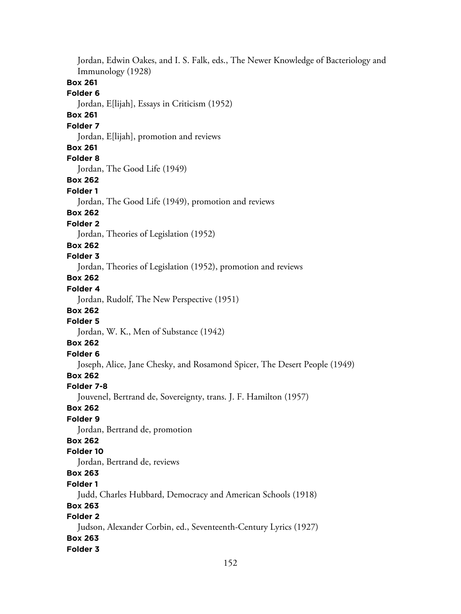Jordan, Edwin Oakes, and I. S. Falk, eds., The Newer Knowledge of Bacteriology and Immunology (1928) **Box 261 Folder 6** Jordan, E[lijah], Essays in Criticism (1952) **Box 261 Folder 7** Jordan, E[lijah], promotion and reviews **Box 261 Folder 8** Jordan, The Good Life (1949) **Box 262 Folder 1** Jordan, The Good Life (1949), promotion and reviews **Box 262 Folder 2** Jordan, Theories of Legislation (1952) **Box 262 Folder 3** Jordan, Theories of Legislation (1952), promotion and reviews **Box 262 Folder 4** Jordan, Rudolf, The New Perspective (1951) **Box 262 Folder 5** Jordan, W. K., Men of Substance (1942) **Box 262 Folder 6** Joseph, Alice, Jane Chesky, and Rosamond Spicer, The Desert People (1949) **Box 262 Folder 7-8** Jouvenel, Bertrand de, Sovereignty, trans. J. F. Hamilton (1957) **Box 262 Folder 9** Jordan, Bertrand de, promotion **Box 262 Folder 10** Jordan, Bertrand de, reviews **Box 263 Folder 1** Judd, Charles Hubbard, Democracy and American Schools (1918) **Box 263 Folder 2** Judson, Alexander Corbin, ed., Seventeenth-Century Lyrics (1927) **Box 263 Folder 3**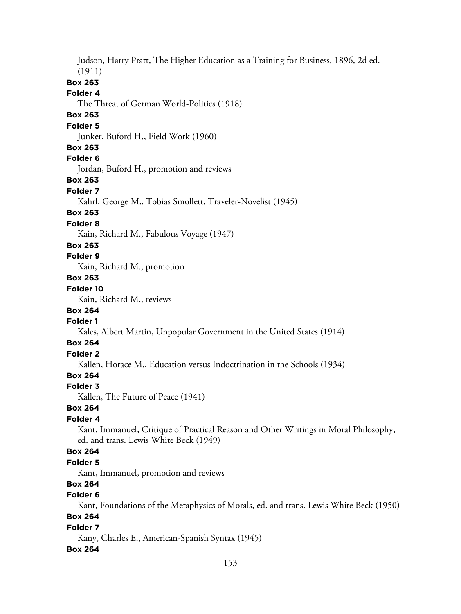Judson, Harry Pratt, The Higher Education as a Training for Business, 1896, 2d ed. (1911) **Box 263 Folder 4** The Threat of German World-Politics (1918) **Box 263 Folder 5** Junker, Buford H., Field Work (1960) **Box 263 Folder 6** Jordan, Buford H., promotion and reviews **Box 263 Folder 7** Kahrl, George M., Tobias Smollett. Traveler-Novelist (1945) **Box 263 Folder 8** Kain, Richard M., Fabulous Voyage (1947) **Box 263 Folder 9** Kain, Richard M., promotion **Box 263 Folder 10** Kain, Richard M., reviews **Box 264 Folder 1** Kales, Albert Martin, Unpopular Government in the United States (1914) **Box 264 Folder 2** Kallen, Horace M., Education versus Indoctrination in the Schools (1934) **Box 264 Folder 3** Kallen, The Future of Peace (1941) **Box 264 Folder 4** Kant, Immanuel, Critique of Practical Reason and Other Writings in Moral Philosophy, ed. and trans. Lewis White Beck (1949) **Box 264 Folder 5** Kant, Immanuel, promotion and reviews **Box 264 Folder 6** Kant, Foundations of the Metaphysics of Morals, ed. and trans. Lewis White Beck (1950) **Box 264 Folder 7** Kany, Charles E., American-Spanish Syntax (1945)

#### **Box 264**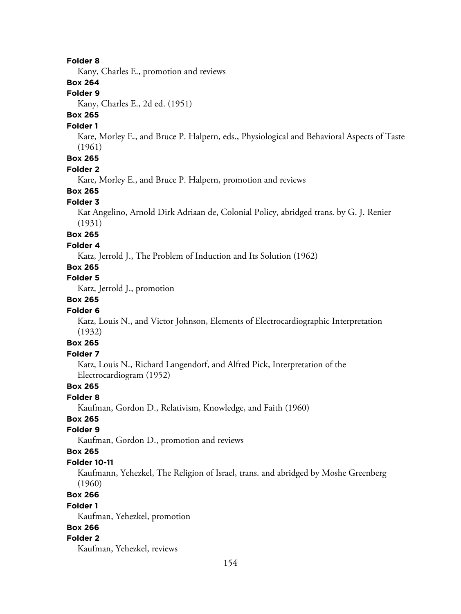#### **Folder 8**

Kany, Charles E., promotion and reviews

## **Box 264**

### **Folder 9**

Kany, Charles E., 2d ed. (1951)

## **Box 265**

#### **Folder 1**

Kare, Morley E., and Bruce P. Halpern, eds., Physiological and Behavioral Aspects of Taste (1961)

# **Box 265**

## **Folder 2**

Kare, Morley E., and Bruce P. Halpern, promotion and reviews

## **Box 265**

### **Folder 3**

Kat Angelino, Arnold Dirk Adriaan de, Colonial Policy, abridged trans. by G. J. Renier (1931)

#### **Box 265**

#### **Folder 4**

Katz, Jerrold J., The Problem of Induction and Its Solution (1962)

## **Box 265**

**Folder 5**

Katz, Jerrold J., promotion

## **Box 265**

### **Folder 6**

Katz, Louis N., and Victor Johnson, Elements of Electrocardiographic Interpretation (1932)

## **Box 265**

#### **Folder 7**

Katz, Louis N., Richard Langendorf, and Alfred Pick, Interpretation of the Electrocardiogram (1952)

### **Box 265**

**Folder 8**

Kaufman, Gordon D., Relativism, Knowledge, and Faith (1960)

## **Box 265**

## **Folder 9**

Kaufman, Gordon D., promotion and reviews

#### **Box 265**

#### **Folder 10-11**

Kaufmann, Yehezkel, The Religion of Israel, trans. and abridged by Moshe Greenberg (1960)

## **Box 266**

#### **Folder 1**

Kaufman, Yehezkel, promotion

## **Box 266**

#### **Folder 2**

Kaufman, Yehezkel, reviews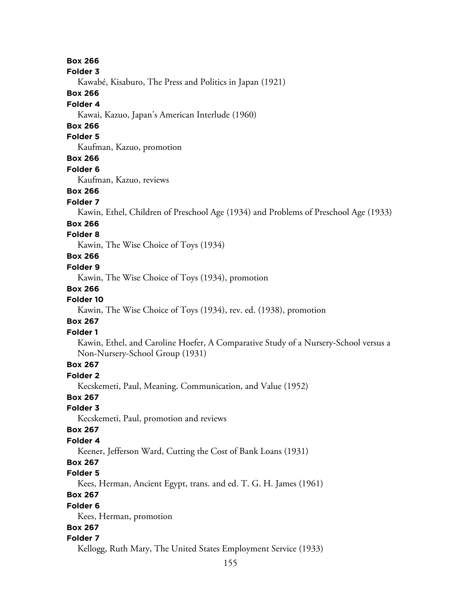**Folder 3**

Kawabé, Kisaburo, The Press and Politics in Japan (1921)

**Box 266**

#### **Folder 4**

Kawai, Kazuo, Japan's American Interlude (1960)

## **Box 266**

## **Folder 5**

Kaufman, Kazuo, promotion

## **Box 266**

**Folder 6**

Kaufman, Kazuo, reviews

## **Box 266**

## **Folder 7**

Kawin, Ethel, Children of Preschool Age (1934) and Problems of Preschool Age (1933)

## **Box 266**

## **Folder 8**

Kawin, The Wise Choice of Toys (1934)

## **Box 266**

## **Folder 9**

Kawin, The Wise Choice of Toys (1934), promotion

## **Box 266**

## **Folder 10**

Kawin, The Wise Choice of Toys (1934), rev. ed. (1938), promotion

## **Box 267**

## **Folder 1**

Kawin, Ethel, and Caroline Hoefer, A Comparative Study of a Nursery-School versus a Non-Nursery-School Group (1931)

## **Box 267**

## **Folder 2**

Kecskemeti, Paul, Meaning. Communication, and Value (1952)

## **Box 267**

## **Folder 3**

Kecskemeti, Paul, promotion and reviews

## **Box 267**

## **Folder 4**

Keener, Jefferson Ward, Cutting the Cost of Bank Loans (1931)

## **Box 267**

## **Folder 5**

Kees, Herman, Ancient Egypt, trans. and ed. T. G. H. James (1961)

## **Box 267**

## **Folder 6**

Kees, Herman, promotion

## **Box 267**

## **Folder 7**

Kellogg, Ruth Mary, The United States Employment Service (1933)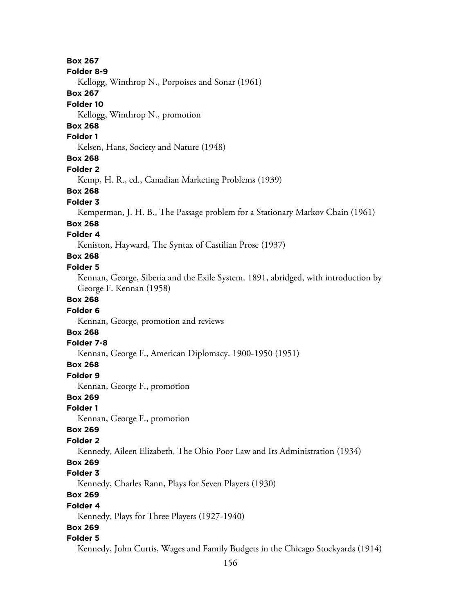156 **Box 267 Folder 8-9** Kellogg, Winthrop N., Porpoises and Sonar (1961) **Box 267 Folder 10** Kellogg, Winthrop N., promotion **Box 268 Folder 1** Kelsen, Hans, Society and Nature (1948) **Box 268 Folder 2** Kemp, H. R., ed., Canadian Marketing Problems (1939) **Box 268 Folder 3** Kemperman, J. H. B., The Passage problem for a Stationary Markov Chain (1961) **Box 268 Folder 4** Keniston, Hayward, The Syntax of Castilian Prose (1937) **Box 268 Folder 5** Kennan, George, Siberia and the Exile System. 1891, abridged, with introduction by George F. Kennan (1958) **Box 268 Folder 6** Kennan, George, promotion and reviews **Box 268 Folder 7-8** Kennan, George F., American Diplomacy. 1900-1950 (1951) **Box 268 Folder 9** Kennan, George F., promotion **Box 269 Folder 1** Kennan, George F., promotion **Box 269 Folder 2** Kennedy, Aileen Elizabeth, The Ohio Poor Law and Its Administration (1934) **Box 269 Folder 3** Kennedy, Charles Rann, Plays for Seven Players (1930) **Box 269 Folder 4** Kennedy, Plays for Three Players (1927-1940) **Box 269 Folder 5** Kennedy, John Curtis, Wages and Family Budgets in the Chicago Stockyards (1914)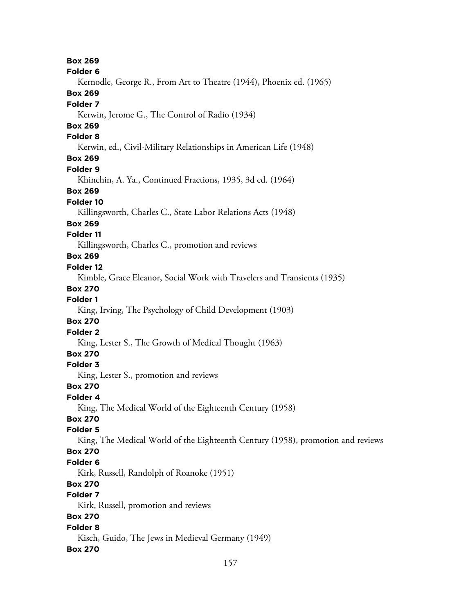**Box 269 Folder 6** Kernodle, George R., From Art to Theatre (1944), Phoenix ed. (1965) **Box 269 Folder 7** Kerwin, Jerome G., The Control of Radio (1934) **Box 269 Folder 8** Kerwin, ed., Civil-Military Relationships in American Life (1948) **Box 269 Folder 9** Khinchin, A. Ya., Continued Fractions, 1935, 3d ed. (1964) **Box 269 Folder 10** Killingsworth, Charles C., State Labor Relations Acts (1948) **Box 269 Folder 11** Killingsworth, Charles C., promotion and reviews **Box 269 Folder 12** Kimble, Grace Eleanor, Social Work with Travelers and Transients (1935) **Box 270 Folder 1** King, Irving, The Psychology of Child Development (1903) **Box 270 Folder 2** King, Lester S., The Growth of Medical Thought (1963) **Box 270 Folder 3** King, Lester S., promotion and reviews **Box 270 Folder 4** King, The Medical World of the Eighteenth Century (1958) **Box 270 Folder 5** King, The Medical World of the Eighteenth Century (1958), promotion and reviews **Box 270 Folder 6** Kirk, Russell, Randolph of Roanoke (1951) **Box 270 Folder 7** Kirk, Russell, promotion and reviews **Box 270 Folder 8** Kisch, Guido, The Jews in Medieval Germany (1949) **Box 270**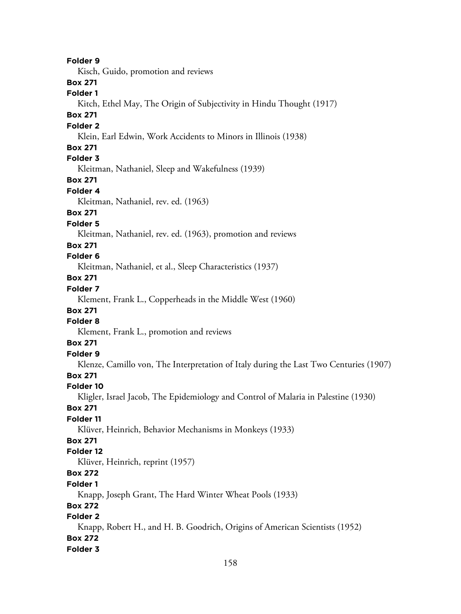**Folder 9** Kisch, Guido, promotion and reviews **Box 271 Folder 1** Kitch, Ethel May, The Origin of Subjectivity in Hindu Thought (1917) **Box 271 Folder 2** Klein, Earl Edwin, Work Accidents to Minors in Illinois (1938) **Box 271 Folder 3** Kleitman, Nathaniel, Sleep and Wakefulness (1939) **Box 271 Folder 4** Kleitman, Nathaniel, rev. ed. (1963) **Box 271 Folder 5** Kleitman, Nathaniel, rev. ed. (1963), promotion and reviews **Box 271 Folder 6** Kleitman, Nathaniel, et al., Sleep Characteristics (1937) **Box 271 Folder 7** Klement, Frank L., Copperheads in the Middle West (1960) **Box 271 Folder 8** Klement, Frank L., promotion and reviews **Box 271 Folder 9** Klenze, Camillo von, The Interpretation of Italy during the Last Two Centuries (1907) **Box 271 Folder 10** Kligler, Israel Jacob, The Epidemiology and Control of Malaria in Palestine (1930) **Box 271 Folder 11** Klüver, Heinrich, Behavior Mechanisms in Monkeys (1933) **Box 271 Folder 12** Klüver, Heinrich, reprint (1957) **Box 272 Folder 1** Knapp, Joseph Grant, The Hard Winter Wheat Pools (1933) **Box 272 Folder 2** Knapp, Robert H., and H. B. Goodrich, Origins of American Scientists (1952) **Box 272 Folder 3**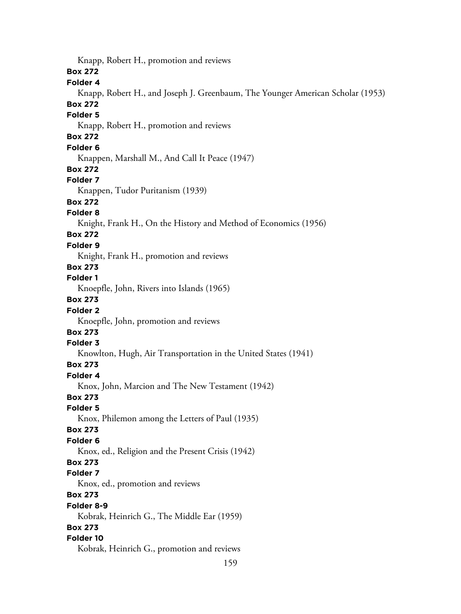159 Knapp, Robert H., promotion and reviews **Box 272 Folder 4** Knapp, Robert H., and Joseph J. Greenbaum, The Younger American Scholar (1953) **Box 272 Folder 5** Knapp, Robert H., promotion and reviews **Box 272 Folder 6** Knappen, Marshall M., And Call It Peace (1947) **Box 272 Folder 7** Knappen, Tudor Puritanism (1939) **Box 272 Folder 8** Knight, Frank H., On the History and Method of Economics (1956) **Box 272 Folder 9** Knight, Frank H., promotion and reviews **Box 273 Folder 1** Knoepfle, John, Rivers into Islands (1965) **Box 273 Folder 2** Knoepfle, John, promotion and reviews **Box 273 Folder 3** Knowlton, Hugh, Air Transportation in the United States (1941) **Box 273 Folder 4** Knox, John, Marcion and The New Testament (1942) **Box 273 Folder 5** Knox, Philemon among the Letters of Paul (1935) **Box 273 Folder 6** Knox, ed., Religion and the Present Crisis (1942) **Box 273 Folder 7** Knox, ed., promotion and reviews **Box 273 Folder 8-9** Kobrak, Heinrich G., The Middle Ear (1959) **Box 273 Folder 10** Kobrak, Heinrich G., promotion and reviews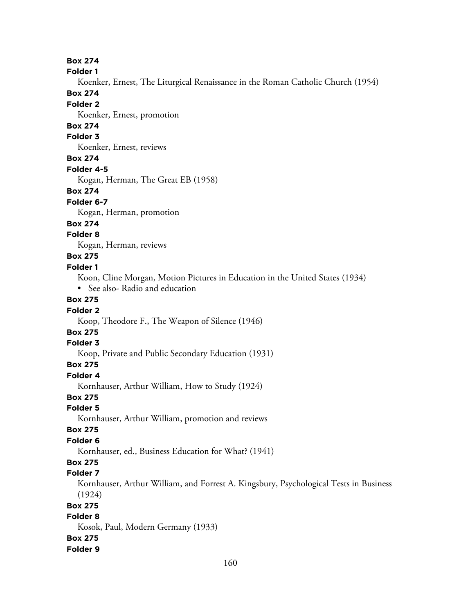**Folder 1**

Koenker, Ernest, The Liturgical Renaissance in the Roman Catholic Church (1954)

**Box 274**

**Folder 2**

Koenker, Ernest, promotion

## **Box 274**

## **Folder 3**

Koenker, Ernest, reviews

## **Box 274**

**Folder 4-5**

Kogan, Herman, The Great EB (1958)

#### **Box 274**

**Folder 6-7**

Kogan, Herman, promotion

#### **Box 274**

### **Folder 8**

Kogan, Herman, reviews

### **Box 275**

### **Folder 1**

Koon, Cline Morgan, Motion Pictures in Education in the United States (1934)

• See also-Radio and education

## **Box 275**

#### **Folder 2**

Koop, Theodore F., The Weapon of Silence (1946)

## **Box 275**

### **Folder 3**

Koop, Private and Public Secondary Education (1931)

## **Box 275**

**Folder 4**

Kornhauser, Arthur William, How to Study (1924)

## **Box 275**

## **Folder 5**

Kornhauser, Arthur William, promotion and reviews

### **Box 275**

## **Folder 6**

Kornhauser, ed., Business Education for What? (1941)

# **Box 275**

## **Folder 7**

Kornhauser, Arthur William, and Forrest A. Kingsbury, Psychological Tests in Business (1924)

## **Box 275**

## **Folder 8**

Kosok, Paul, Modern Germany (1933)

## **Box 275**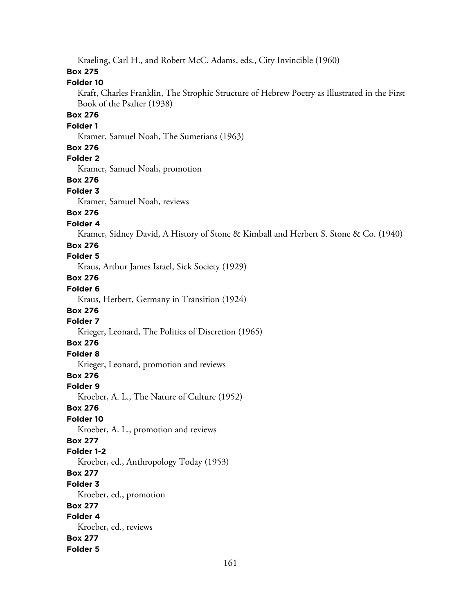Kraeling, Carl H., and Robert McC. Adams, eds., City Invincible (1960)

## **Box 275**

## **Folder 10**

Kraft, Charles Franklin, The Strophic Structure of Hebrew Poetry as Illustrated in the First Book of the Psalter (1938)

## **Box 276**

#### **Folder 1**

Kramer, Samuel Noah, The Sumerians (1963)

## **Box 276**

## **Folder 2**

Kramer, Samuel Noah, promotion

## **Box 276**

#### **Folder 3**

Kramer, Samuel Noah, reviews

## **Box 276**

#### **Folder 4**

Kramer, Sidney David, A History of Stone & Kimball and Herbert S. Stone & Co. (1940)

#### **Box 276**

## **Folder 5**

Kraus, Arthur James Israel, Sick Society (1929)

# **Box 276**

## **Folder 6**

Kraus, Herbert, Germany in Transition (1924)

### **Box 276**

## **Folder 7**

Krieger, Leonard, The Politics of Discretion (1965)

## **Box 276**

## **Folder 8**

Krieger, Leonard, promotion and reviews

## **Box 276**

## **Folder 9**

Kroeber, A. L., The Nature of Culture (1952)

#### **Box 276**

#### **Folder 10**

Kroeber, A. L., promotion and reviews

### **Box 277**

#### **Folder 1-2**

Kroeber, ed., Anthropology Today (1953)

### **Box 277**

## **Folder 3**

Kroeber, ed., promotion

## **Box 277**

#### **Folder 4** Kroeber, ed., reviews

# **Box 277**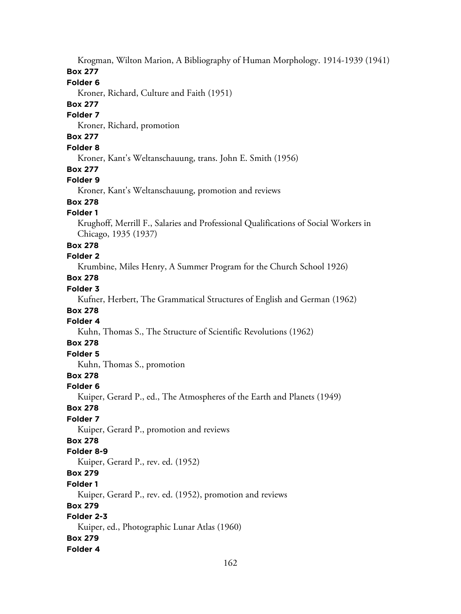Krogman, Wilton Marion, A Bibliography of Human Morphology. 1914-1939 (1941)

### **Box 277**

## **Folder 6**

Kroner, Richard, Culture and Faith (1951)

## **Box 277**

#### **Folder 7**

Kroner, Richard, promotion

## **Box 277**

### **Folder 8**

Kroner, Kant's Weltanschauung, trans. John E. Smith (1956)

## **Box 277**

## **Folder 9**

Kroner, Kant's Weltanschauung, promotion and reviews

## **Box 278**

## **Folder 1**

Krughoff, Merrill F., Salaries and Professional Qualifications of Social Workers in Chicago, 1935 (1937)

## **Box 278**

## **Folder 2**

Krumbine, Miles Henry, A Summer Program for the Church School 1926)

# **Box 278**

## **Folder 3**

Kufner, Herbert, The Grammatical Structures of English and German (1962)

## **Box 278**

# **Folder 4**

Kuhn, Thomas S., The Structure of Scientific Revolutions (1962)

## **Box 278**

## **Folder 5**

Kuhn, Thomas S., promotion

## **Box 278**

## **Folder 6**

Kuiper, Gerard P., ed., The Atmospheres of the Earth and Planets (1949)

## **Box 278**

## **Folder 7**

Kuiper, Gerard P., promotion and reviews

## **Box 278**

## **Folder 8-9**

Kuiper, Gerard P., rev. ed. (1952)

## **Box 279**

## **Folder 1**

Kuiper, Gerard P., rev. ed. (1952), promotion and reviews

## **Box 279**

## **Folder 2-3**

Kuiper, ed., Photographic Lunar Atlas (1960)

## **Box 279**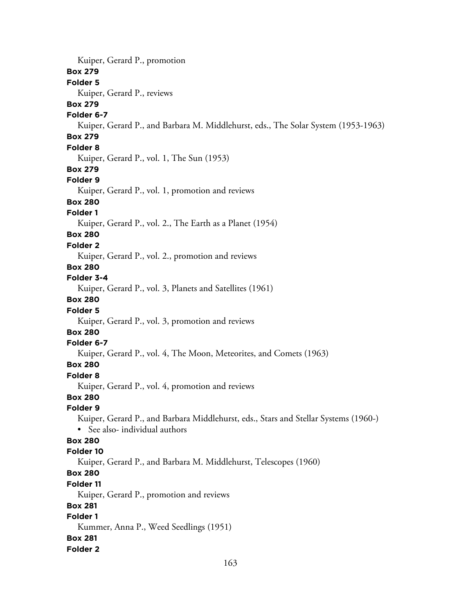Kuiper, Gerard P., promotion **Box 279 Folder 5** Kuiper, Gerard P., reviews **Box 279 Folder 6-7** Kuiper, Gerard P., and Barbara M. Middlehurst, eds., The Solar System (1953-1963) **Box 279 Folder 8** Kuiper, Gerard P., vol. 1, The Sun (1953) **Box 279 Folder 9** Kuiper, Gerard P., vol. 1, promotion and reviews **Box 280 Folder 1** Kuiper, Gerard P., vol. 2., The Earth as a Planet (1954) **Box 280 Folder 2** Kuiper, Gerard P., vol. 2., promotion and reviews **Box 280 Folder 3-4** Kuiper, Gerard P., vol. 3, Planets and Satellites (1961) **Box 280 Folder 5** Kuiper, Gerard P., vol. 3, promotion and reviews **Box 280 Folder 6-7** Kuiper, Gerard P., vol. 4, The Moon, Meteorites, and Comets (1963) **Box 280 Folder 8** Kuiper, Gerard P., vol. 4, promotion and reviews **Box 280 Folder 9** Kuiper, Gerard P., and Barbara Middlehurst, eds., Stars and Stellar Systems (1960-) • See also- individual authors **Box 280 Folder 10** Kuiper, Gerard P., and Barbara M. Middlehurst, Telescopes (1960) **Box 280 Folder 11** Kuiper, Gerard P., promotion and reviews **Box 281 Folder 1** Kummer, Anna P., Weed Seedlings (1951) **Box 281 Folder 2**

163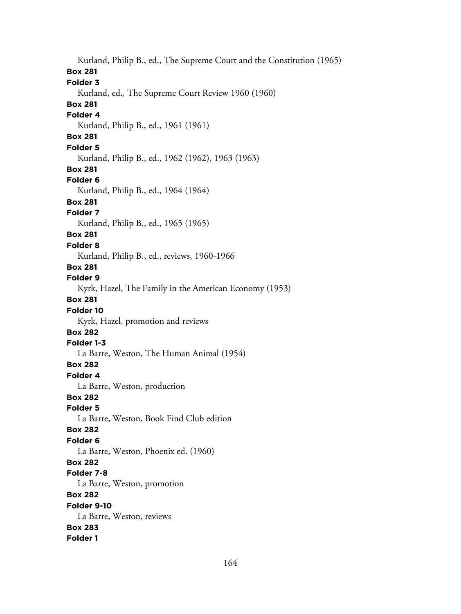Kurland, Philip B., ed., The Supreme Court and the Constitution (1965) **Box 281 Folder 3** Kurland, ed., The Supreme Court Review 1960 (1960) **Box 281 Folder 4** Kurland, Philip B., ed., 1961 (1961) **Box 281 Folder 5** Kurland, Philip B., ed., 1962 (1962), 1963 (1963) **Box 281 Folder 6** Kurland, Philip B., ed., 1964 (1964) **Box 281 Folder 7** Kurland, Philip B., ed., 1965 (1965) **Box 281 Folder 8** Kurland, Philip B., ed., reviews, 1960-1966 **Box 281 Folder 9** Kyrk, Hazel, The Family in the American Economy (1953) **Box 281 Folder 10** Kyrk, Hazel, promotion and reviews **Box 282 Folder 1-3** La Barre, Weston, The Human Animal (1954) **Box 282 Folder 4** La Barre, Weston, production **Box 282 Folder 5** La Barre, Weston, Book Find Club edition **Box 282 Folder 6** La Barre, Weston, Phoenix ed. (1960) **Box 282 Folder 7-8** La Barre, Weston, promotion **Box 282 Folder 9-10** La Barre, Weston, reviews **Box 283 Folder 1**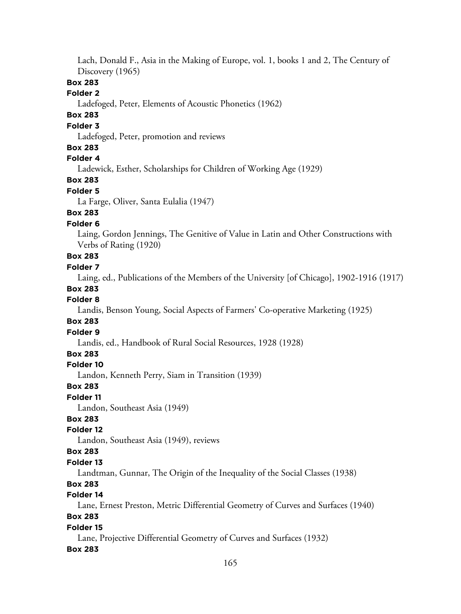Lach, Donald F., Asia in the Making of Europe, vol. 1, books 1 and 2, The Century of Discovery (1965)

## **Box 283**

### **Folder 2**

Ladefoged, Peter, Elements of Acoustic Phonetics (1962)

## **Box 283**

## **Folder 3**

Ladefoged, Peter, promotion and reviews

### **Box 283**

## **Folder 4**

Ladewick, Esther, Scholarships for Children of Working Age (1929)

## **Box 283**

#### **Folder 5**

La Farge, Oliver, Santa Eulalia (1947)

## **Box 283**

## **Folder 6**

Laing, Gordon Jennings, The Genitive of Value in Latin and Other Constructions with Verbs of Rating (1920)

## **Box 283**

## **Folder 7**

Laing, ed., Publications of the Members of the University [of Chicago], 1902-1916 (1917)

### **Box 283**

#### **Folder 8**

Landis, Benson Young, Social Aspects of Farmers' Co-operative Marketing (1925)

#### **Box 283**

#### **Folder 9**

Landis, ed., Handbook of Rural Social Resources, 1928 (1928)

#### **Box 283**

#### **Folder 10**

Landon, Kenneth Perry, Siam in Transition (1939)

#### **Box 283**

#### **Folder 11**

Landon, Southeast Asia (1949)

## **Box 283**

#### **Folder 12**

Landon, Southeast Asia (1949), reviews

#### **Box 283**

## **Folder 13**

Landtman, Gunnar, The Origin of the Inequality of the Social Classes (1938)

## **Box 283**

## **Folder 14**

Lane, Ernest Preston, Metric Differential Geometry of Curves and Surfaces (1940)

## **Box 283**

## **Folder 15**

Lane, Projective Differential Geometry of Curves and Surfaces (1932)

## **Box 283**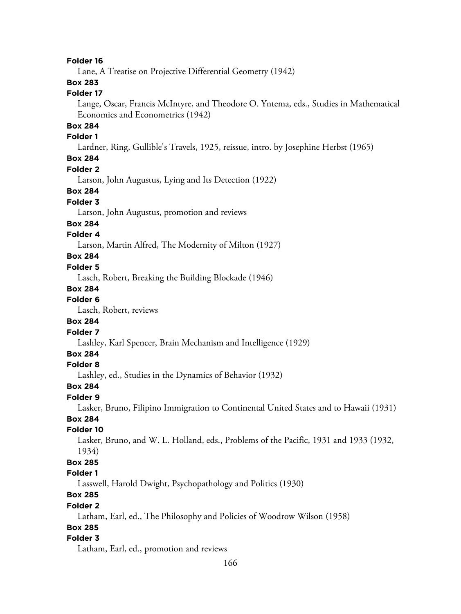#### **Folder 16**

Lane, A Treatise on Projective Differential Geometry (1942)

## **Box 283**

## **Folder 17**

Lange, Oscar, Francis McIntyre, and Theodore O. Yntema, eds., Studies in Mathematical Economics and Econometrics (1942)

### **Box 284**

#### **Folder 1**

Lardner, Ring, Gullible's Travels, 1925, reissue, intro. by Josephine Herbst (1965)

## **Box 284**

#### **Folder 2**

Larson, John Augustus, Lying and Its Detection (1922)

### **Box 284**

## **Folder 3**

Larson, John Augustus, promotion and reviews

#### **Box 284**

### **Folder 4**

Larson, Martin Alfred, The Modernity of Milton (1927)

## **Box 284**

#### **Folder 5**

Lasch, Robert, Breaking the Building Blockade (1946)

#### **Box 284**

## **Folder 6**

Lasch, Robert, reviews

#### **Box 284**

#### **Folder 7**

Lashley, Karl Spencer, Brain Mechanism and Intelligence (1929)

## **Box 284**

### **Folder 8**

Lashley, ed., Studies in the Dynamics of Behavior (1932)

#### **Box 284**

### **Folder 9**

Lasker, Bruno, Filipino Immigration to Continental United States and to Hawaii (1931)

## **Box 284**

## **Folder 10**

Lasker, Bruno, and W. L. Holland, eds., Problems of the Pacific, 1931 and 1933 (1932, 1934)

## **Box 285**

## **Folder 1**

Lasswell, Harold Dwight, Psychopathology and Politics (1930)

## **Box 285**

#### **Folder 2**

Latham, Earl, ed., The Philosophy and Policies of Woodrow Wilson (1958)

### **Box 285**

#### **Folder 3**

Latham, Earl, ed., promotion and reviews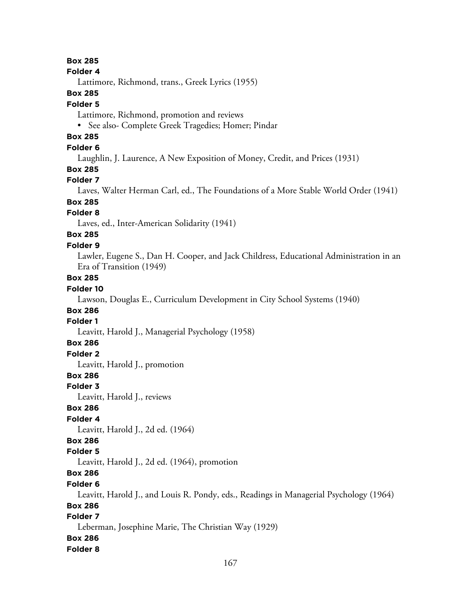#### **Folder 4**

Lattimore, Richmond, trans., Greek Lyrics (1955)

### **Box 285**

#### **Folder 5**

Lattimore, Richmond, promotion and reviews

• See also- Complete Greek Tragedies; Homer; Pindar

## **Box 285**

## **Folder 6**

Laughlin, J. Laurence, A New Exposition of Money, Credit, and Prices (1931)

### **Box 285**

## **Folder 7**

Laves, Walter Herman Carl, ed., The Foundations of a More Stable World Order (1941)

# **Box 285**

## **Folder 8**

Laves, ed., Inter-American Solidarity (1941)

# **Box 285**

## **Folder 9**

Lawler, Eugene S., Dan H. Cooper, and Jack Childress, Educational Administration in an Era of Transition (1949)

## **Box 285**

## **Folder 10**

Lawson, Douglas E., Curriculum Development in City School Systems (1940)

## **Box 286**

## **Folder 1**

Leavitt, Harold J., Managerial Psychology (1958)

## **Box 286**

## **Folder 2**

Leavitt, Harold J., promotion

## **Box 286**

#### **Folder 3**

Leavitt, Harold J., reviews

## **Box 286**

## **Folder 4**

Leavitt, Harold J., 2d ed. (1964)

## **Box 286**

#### **Folder 5**

Leavitt, Harold J., 2d ed. (1964), promotion

## **Box 286**

### **Folder 6**

Leavitt, Harold J., and Louis R. Pondy, eds., Readings in Managerial Psychology (1964)

## **Box 286**

## **Folder 7**

Leberman, Josephine Marie, The Christian Way (1929)

## **Box 286**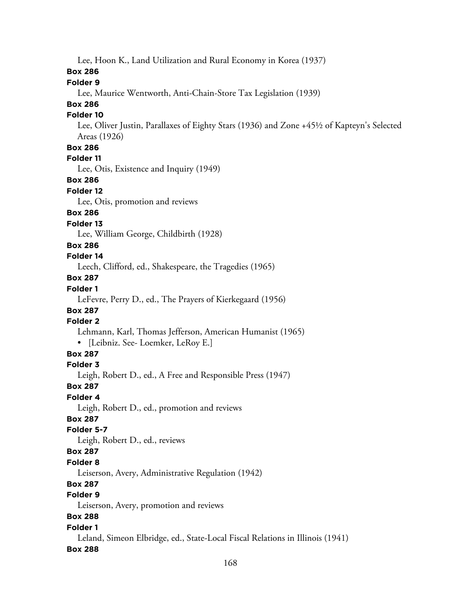Lee, Hoon K., Land Utilization and Rural Economy in Korea (1937)

### **Box 286**

## **Folder 9**

Lee, Maurice Wentworth, Anti-Chain-Store Tax Legislation (1939)

## **Box 286**

## **Folder 10**

Lee, Oliver Justin, Parallaxes of Eighty Stars (1936) and Zone +45½ of Kapteyn's Selected Areas (1926)

## **Box 286**

## **Folder 11**

Lee, Otis, Existence and Inquiry (1949)

### **Box 286**

#### **Folder 12**

Lee, Otis, promotion and reviews

## **Box 286**

### **Folder 13**

Lee, William George, Childbirth (1928)

### **Box 286**

### **Folder 14**

Leech, Clifford, ed., Shakespeare, the Tragedies (1965)

## **Box 287**

## **Folder 1**

LeFevre, Perry D., ed., The Prayers of Kierkegaard (1956)

## **Box 287**

## **Folder 2**

Lehmann, Karl, Thomas Jefferson, American Humanist (1965)

• [Leibniz. See- Loemker, LeRoy E.]

## **Box 287**

### **Folder 3**

Leigh, Robert D., ed., A Free and Responsible Press (1947)

## **Box 287**

#### **Folder 4**

Leigh, Robert D., ed., promotion and reviews

## **Box 287**

#### **Folder 5-7**

Leigh, Robert D., ed., reviews

## **Box 287**

## **Folder 8**

Leiserson, Avery, Administrative Regulation (1942)

## **Box 287**

## **Folder 9**

Leiserson, Avery, promotion and reviews

## **Box 288**

## **Folder 1**

Leland, Simeon Elbridge, ed., State-Local Fiscal Relations in Illinois (1941)

## **Box 288**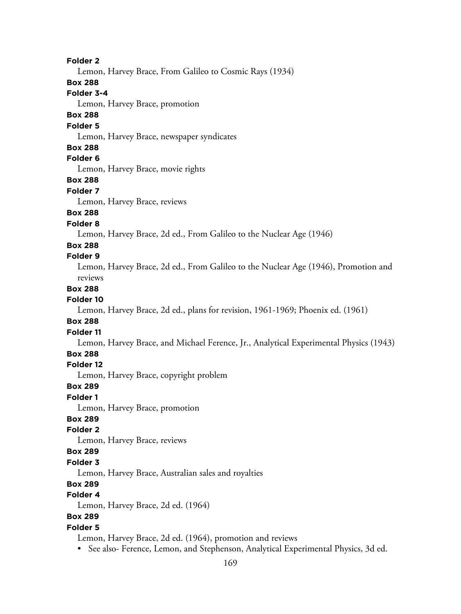169 **Folder 2** Lemon, Harvey Brace, From Galileo to Cosmic Rays (1934) **Box 288 Folder 3-4** Lemon, Harvey Brace, promotion **Box 288 Folder 5** Lemon, Harvey Brace, newspaper syndicates **Box 288 Folder 6** Lemon, Harvey Brace, movie rights **Box 288 Folder 7** Lemon, Harvey Brace, reviews **Box 288 Folder 8** Lemon, Harvey Brace, 2d ed., From Galileo to the Nuclear Age (1946) **Box 288 Folder 9** Lemon, Harvey Brace, 2d ed., From Galileo to the Nuclear Age (1946), Promotion and reviews **Box 288 Folder 10** Lemon, Harvey Brace, 2d ed., plans for revision, 1961-1969; Phoenix ed. (1961) **Box 288 Folder 11** Lemon, Harvey Brace, and Michael Ference, Jr., Analytical Experimental Physics (1943) **Box 288 Folder 12** Lemon, Harvey Brace, copyright problem **Box 289 Folder 1** Lemon, Harvey Brace, promotion **Box 289 Folder 2** Lemon, Harvey Brace, reviews **Box 289 Folder 3** Lemon, Harvey Brace, Australian sales and royalties **Box 289 Folder 4** Lemon, Harvey Brace, 2d ed. (1964) **Box 289 Folder 5** Lemon, Harvey Brace, 2d ed. (1964), promotion and reviews • See also- Ference, Lemon, and Stephenson, Analytical Experimental Physics, 3d ed.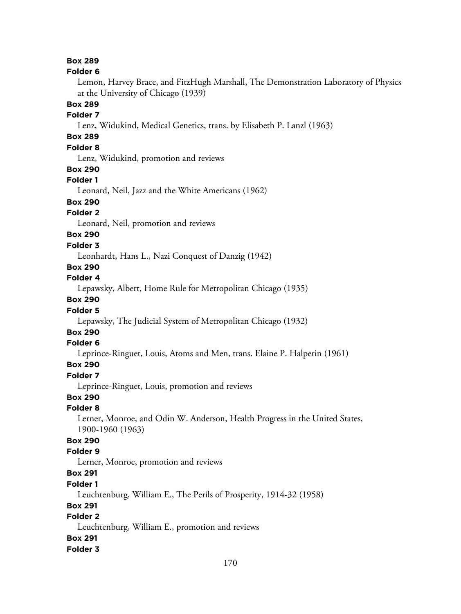#### **Folder 6**

Lemon, Harvey Brace, and FitzHugh Marshall, The Demonstration Laboratory of Physics at the University of Chicago (1939)

### **Box 289**

### **Folder 7**

Lenz, Widukind, Medical Genetics, trans. by Elisabeth P. Lanzl (1963)

## **Box 289**

## **Folder 8**

Lenz, Widukind, promotion and reviews

#### **Box 290**

#### **Folder 1**

Leonard, Neil, Jazz and the White Americans (1962)

## **Box 290**

## **Folder 2**

Leonard, Neil, promotion and reviews

## **Box 290**

#### **Folder 3**

Leonhardt, Hans L., Nazi Conquest of Danzig (1942)

## **Box 290**

## **Folder 4**

Lepawsky, Albert, Home Rule for Metropolitan Chicago (1935)

## **Box 290**

#### **Folder 5**

Lepawsky, The Judicial System of Metropolitan Chicago (1932)

# **Box 290**

## **Folder 6**

Leprince-Ringuet, Louis, Atoms and Men, trans. Elaine P. Halperin (1961)

### **Box 290**

#### **Folder 7**

Leprince-Ringuet, Louis, promotion and reviews

## **Box 290**

#### **Folder 8**

Lerner, Monroe, and Odin W. Anderson, Health Progress in the United States, 1900-1960 (1963)

#### **Box 290**

#### **Folder 9**

Lerner, Monroe, promotion and reviews

## **Box 291**

#### **Folder 1**

Leuchtenburg, William E., The Perils of Prosperity, 1914-32 (1958)

### **Box 291**

## **Folder 2**

Leuchtenburg, William E., promotion and reviews

#### **Box 291**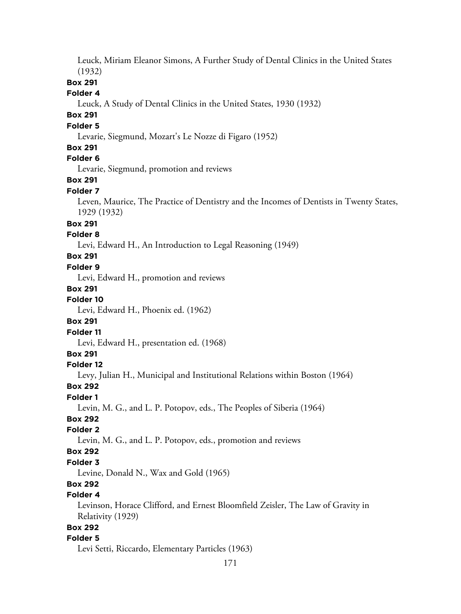Leuck, Miriam Eleanor Simons, A Further Study of Dental Clinics in the United States (1932)

## **Box 291**

#### **Folder 4**

Leuck, A Study of Dental Clinics in the United States, 1930 (1932)

## **Box 291**

#### **Folder 5**

Levarie, Siegmund, Mozart's Le Nozze di Figaro (1952)

#### **Box 291**

## **Folder 6**

Levarie, Siegmund, promotion and reviews

### **Box 291**

#### **Folder 7**

Leven, Maurice, The Practice of Dentistry and the Incomes of Dentists in Twenty States, 1929 (1932)

### **Box 291**

#### **Folder 8**

Levi, Edward H., An Introduction to Legal Reasoning (1949)

## **Box 291**

#### **Folder 9**

Levi, Edward H., promotion and reviews

#### **Box 291**

#### **Folder 10**

Levi, Edward H., Phoenix ed. (1962)

#### **Box 291**

**Folder 11**

Levi, Edward H., presentation ed. (1968)

### **Box 291**

#### **Folder 12**

Levy, Julian H., Municipal and Institutional Relations within Boston (1964)

### **Box 292**

#### **Folder 1**

Levin, M. G., and L. P. Potopov, eds., The Peoples of Siberia (1964)

## **Box 292**

## **Folder 2**

Levin, M. G., and L. P. Potopov, eds., promotion and reviews

### **Box 292**

### **Folder 3**

Levine, Donald N., Wax and Gold (1965)

# **Box 292**

## **Folder 4**

Levinson, Horace Clifford, and Ernest Bloomfield Zeisler, The Law of Gravity in Relativity (1929)

## **Box 292**

#### **Folder 5**

Levi Setti, Riccardo, Elementary Particles (1963)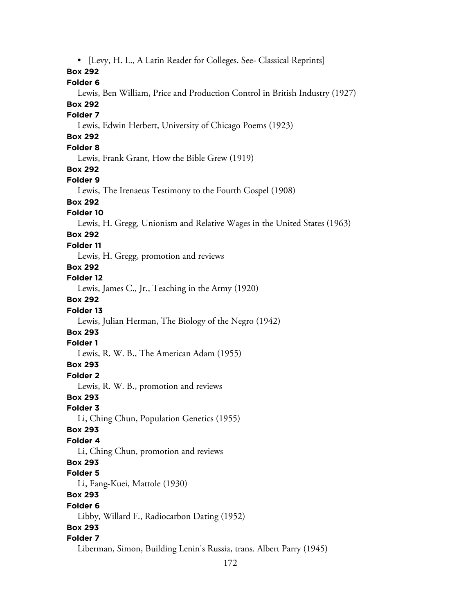• [Levy, H. L., A Latin Reader for Colleges. See- Classical Reprints] **Box 292 Folder 6** Lewis, Ben William, Price and Production Control in British Industry (1927) **Box 292 Folder 7** Lewis, Edwin Herbert, University of Chicago Poems (1923)

## **Box 292**

**Folder 8**

Lewis, Frank Grant, How the Bible Grew (1919)

#### **Box 292**

#### **Folder 9**

Lewis, The Irenaeus Testimony to the Fourth Gospel (1908)

### **Box 292**

#### **Folder 10**

Lewis, H. Gregg, Unionism and Relative Wages in the United States (1963)

## **Box 292**

## **Folder 11**

Lewis, H. Gregg, promotion and reviews

## **Box 292**

**Folder 12**

Lewis, James C., Jr., Teaching in the Army (1920)

## **Box 292**

### **Folder 13**

Lewis, Julian Herman, The Biology of the Negro (1942)

## **Box 293**

## **Folder 1**

Lewis, R. W. B., The American Adam (1955)

#### **Box 293**

**Folder 2**

Lewis, R. W. B., promotion and reviews

## **Box 293**

**Folder 3**

Li, Ching Chun, Population Genetics (1955)

#### **Box 293**

#### **Folder 4**

Li, Ching Chun, promotion and reviews

#### **Box 293**

#### **Folder 5**

Li, Fang-Kuei, Mattole (1930)

## **Box 293**

#### **Folder 6**

Libby, Willard F., Radiocarbon Dating (1952)

#### **Box 293**

#### **Folder 7**

Liberman, Simon, Building Lenin's Russia, trans. Albert Parry (1945)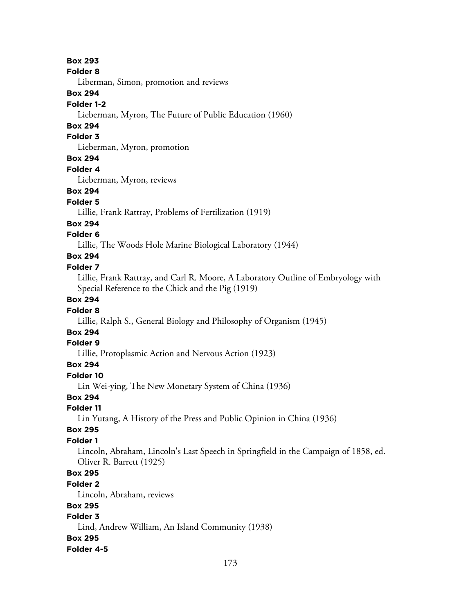#### **Folder 8**

Liberman, Simon, promotion and reviews

### **Box 294**

#### **Folder 1-2**

Lieberman, Myron, The Future of Public Education (1960)

## **Box 294**

## **Folder 3**

Lieberman, Myron, promotion

## **Box 294**

**Folder 4**

Lieberman, Myron, reviews

### **Box 294**

#### **Folder 5**

Lillie, Frank Rattray, Problems of Fertilization (1919)

### **Box 294**

## **Folder 6**

Lillie, The Woods Hole Marine Biological Laboratory (1944)

## **Box 294**

## **Folder 7**

Lillie, Frank Rattray, and Carl R. Moore, A Laboratory Outline of Embryology with Special Reference to the Chick and the Pig (1919)

### **Box 294**

### **Folder 8**

Lillie, Ralph S., General Biology and Philosophy of Organism (1945)

# **Box 294**

## **Folder 9**

Lillie, Protoplasmic Action and Nervous Action (1923)

## **Box 294**

#### **Folder 10**

Lin Wei-ying, The New Monetary System of China (1936)

## **Box 294**

## **Folder 11**

Lin Yutang, A History of the Press and Public Opinion in China (1936)

#### **Box 295**

## **Folder 1**

Lincoln, Abraham, Lincoln's Last Speech in Springfield in the Campaign of 1858, ed. Oliver R. Barrett (1925)

## **Box 295**

#### **Folder 2**

Lincoln, Abraham, reviews

## **Box 295**

## **Folder 3**

Lind, Andrew William, An Island Community (1938)

## **Box 295**

#### **Folder 4-5**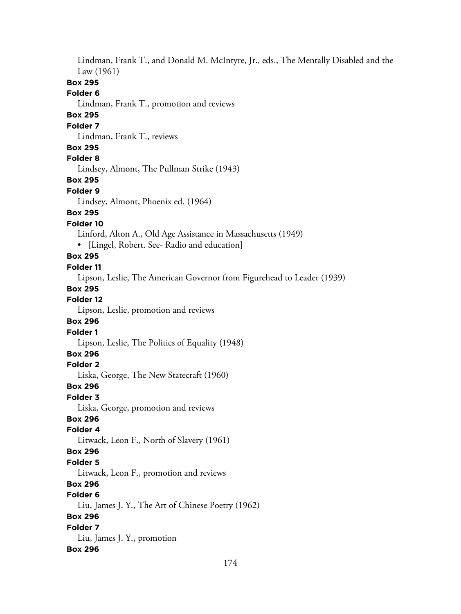Lindman, Frank T., and Donald M. McIntyre, Jr., eds., The Mentally Disabled and the Law (1961) **Box 295 Folder 6** Lindman, Frank T., promotion and reviews **Box 295 Folder 7** Lindman, Frank T., reviews **Box 295 Folder 8** Lindsey, Almont, The Pullman Strike (1943) **Box 295 Folder 9** Lindsey, Almont, Phoenix ed. (1964) **Box 295 Folder 10** Linford, Alton A., Old Age Assistance in Massachusetts (1949) • [Lingel, Robert. See- Radio and education] **Box 295 Folder 11** Lipson, Leslie, The American Governor from Figurehead to Leader (1939) **Box 295 Folder 12** Lipson, Leslie, promotion and reviews **Box 296 Folder 1** Lipson, Leslie, The Politics of Equality (1948) **Box 296 Folder 2** Liska, George, The New Statecraft (1960) **Box 296 Folder 3** Liska, George, promotion and reviews **Box 296 Folder 4** Litwack, Leon F., North of Slavery (1961) **Box 296 Folder 5** Litwack, Leon F., promotion and reviews **Box 296 Folder 6** Liu, James J. Y., The Art of Chinese Poetry (1962) **Box 296 Folder 7** Liu, James J. Y., promotion **Box 296**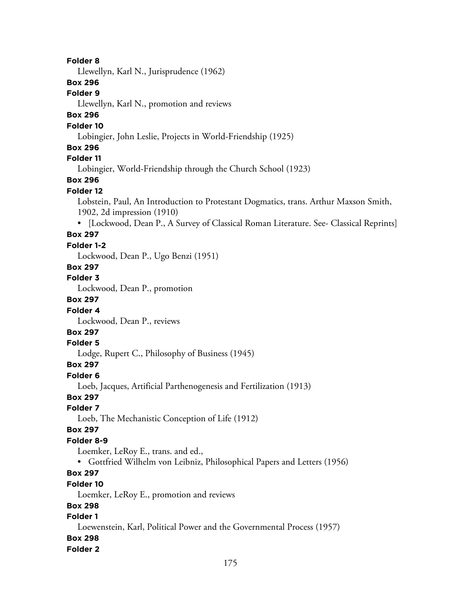#### **Folder 8**

Llewellyn, Karl N., Jurisprudence (1962)

## **Box 296**

### **Folder 9**

Llewellyn, Karl N., promotion and reviews

## **Box 296**

#### **Folder 10**

Lobingier, John Leslie, Projects in World-Friendship (1925)

### **Box 296**

## **Folder 11**

Lobingier, World-Friendship through the Church School (1923)

## **Box 296**

#### **Folder 12**

Lobstein, Paul, An Introduction to Protestant Dogmatics, trans. Arthur Maxson Smith, 1902, 2d impression (1910)

• [Lockwood, Dean P., A Survey of Classical Roman Literature. See- Classical Reprints]

## **Box 297**

## **Folder 1-2**

Lockwood, Dean P., Ugo Benzi (1951)

#### **Box 297**

#### **Folder 3**

Lockwood, Dean P., promotion

## **Box 297**

### **Folder 4**

Lockwood, Dean P., reviews

# **Box 297**

## **Folder 5**

Lodge, Rupert C., Philosophy of Business (1945)

#### **Box 297**

#### **Folder 6**

Loeb, Jacques, Artificial Parthenogenesis and Fertilization (1913)

### **Box 297**

#### **Folder 7**

Loeb, The Mechanistic Conception of Life (1912)

#### **Box 297**

#### **Folder 8-9**

Loemker, LeRoy E., trans. and ed.,

• Gottfried Wilhelm von Leibniz, Philosophical Papers and Letters (1956)

## **Box 297**

## **Folder 10**

Loemker, LeRoy E., promotion and reviews

## **Box 298**

## **Folder 1**

Loewenstein, Karl, Political Power and the Governmental Process (1957)

### **Box 298**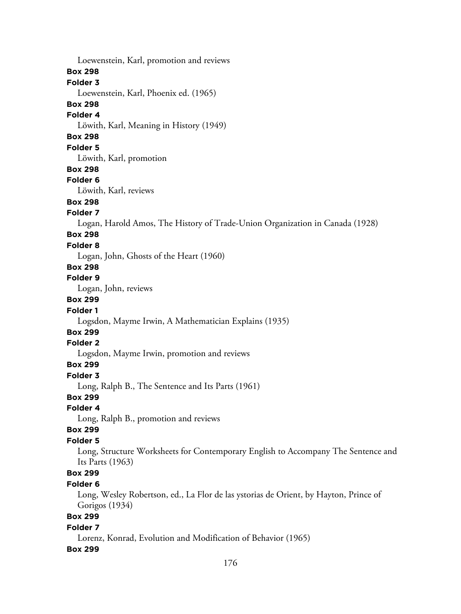176 Loewenstein, Karl, promotion and reviews **Box 298 Folder 3** Loewenstein, Karl, Phoenix ed. (1965) **Box 298 Folder 4** Löwith, Karl, Meaning in History (1949) **Box 298 Folder 5** Löwith, Karl, promotion **Box 298 Folder 6** Löwith, Karl, reviews **Box 298 Folder 7** Logan, Harold Amos, The History of Trade-Union Organization in Canada (1928) **Box 298 Folder 8** Logan, John, Ghosts of the Heart (1960) **Box 298 Folder 9** Logan, John, reviews **Box 299 Folder 1** Logsdon, Mayme Irwin, A Mathematician Explains (1935) **Box 299 Folder 2** Logsdon, Mayme Irwin, promotion and reviews **Box 299 Folder 3** Long, Ralph B., The Sentence and Its Parts (1961) **Box 299 Folder 4** Long, Ralph B., promotion and reviews **Box 299 Folder 5** Long, Structure Worksheets for Contemporary English to Accompany The Sentence and Its Parts (1963) **Box 299 Folder 6** Long, Wesley Robertson, ed., La Flor de las ystorias de Orient, by Hayton, Prince of Gorigos (1934) **Box 299 Folder 7** Lorenz, Konrad, Evolution and Modification of Behavior (1965) **Box 299**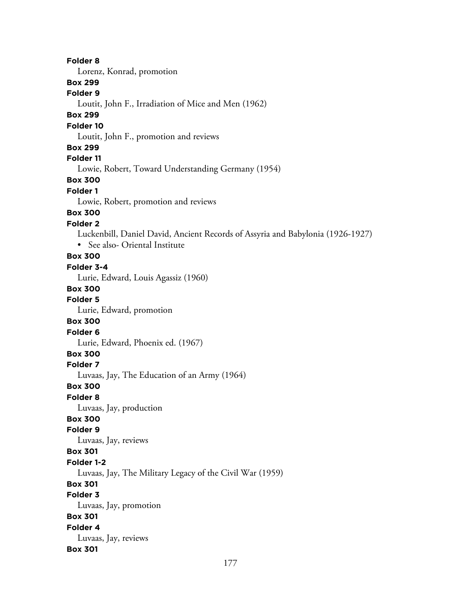**Folder 8** Lorenz, Konrad, promotion **Box 299 Folder 9** Loutit, John F., Irradiation of Mice and Men (1962) **Box 299 Folder 10** Loutit, John F., promotion and reviews **Box 299 Folder 11** Lowie, Robert, Toward Understanding Germany (1954) **Box 300 Folder 1** Lowie, Robert, promotion and reviews **Box 300 Folder 2** Luckenbill, Daniel David, Ancient Records of Assyria and Babylonia (1926-1927) • See also- Oriental Institute **Box 300 Folder 3-4** Lurie, Edward, Louis Agassiz (1960) **Box 300 Folder 5** Lurie, Edward, promotion **Box 300 Folder 6** Lurie, Edward, Phoenix ed. (1967) **Box 300 Folder 7** Luvaas, Jay, The Education of an Army (1964) **Box 300 Folder 8** Luvaas, Jay, production **Box 300 Folder 9** Luvaas, Jay, reviews **Box 301 Folder 1-2** Luvaas, Jay, The Military Legacy of the Civil War (1959) **Box 301 Folder 3** Luvaas, Jay, promotion **Box 301 Folder 4** Luvaas, Jay, reviews **Box 301**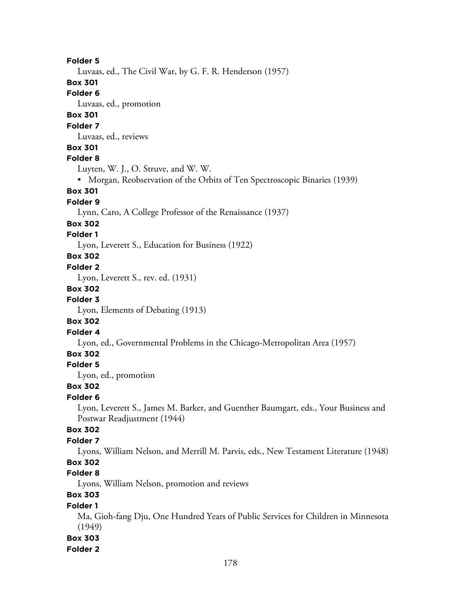**Folder 5** Luvaas, ed., The Civil War, by G. F. R. Henderson (1957) **Box 301 Folder 6** Luvaas, ed., promotion **Box 301 Folder 7** Luvaas, ed., reviews **Box 301 Folder 8** Luyten, W. J., O. Struve, and W. W. • Morgan, Reobservation of the Orbits of Ten Spectroscopic Binaries (1939) **Box 301 Folder 9** Lynn, Caro, A College Professor of the Renaissance (1937) **Box 302 Folder 1** Lyon, Leverett S., Education for Business (1922) **Box 302 Folder 2** Lyon, Leverett S., rev. ed. (1931) **Box 302 Folder 3** Lyon, Elements of Debating (1913) **Box 302 Folder 4** Lyon, ed., Governmental Problems in the Chicago-Metropolitan Area (1957) **Box 302 Folder 5** Lyon, ed., promotion **Box 302 Folder 6** Lyon, Leverett S., James M. Barker, and Guenther Baumgart, eds., Your Business and Postwar Readjustment (1944) **Box 302 Folder 7** Lyons, William Nelson, and Merrill M. Parvis, eds., New Testament Literature (1948) **Box 302 Folder 8** Lyons, William Nelson, promotion and reviews **Box 303 Folder 1** Ma, Gioh-fang Dju, One Hundred Years of Public Services for Children in Minnesota (1949) **Box 303**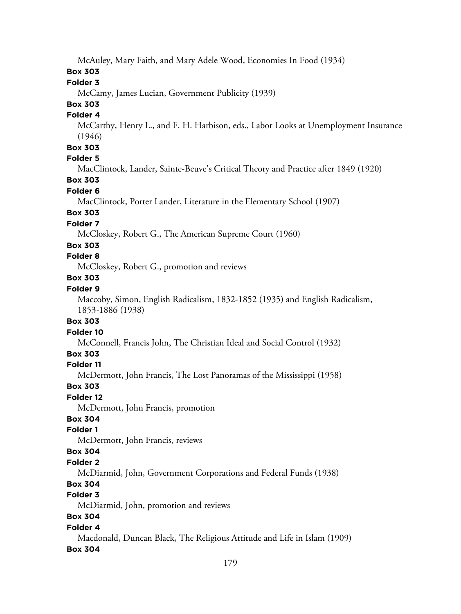McAuley, Mary Faith, and Mary Adele Wood, Economies In Food (1934)

## **Box 303**

### **Folder 3**

McCamy, James Lucian, Government Publicity (1939)

# **Box 303**

### **Folder 4**

McCarthy, Henry L., and F. H. Harbison, eds., Labor Looks at Unemployment Insurance (1946)

## **Box 303**

## **Folder 5**

MacClintock, Lander, Sainte-Beuve's Critical Theory and Practice after 1849 (1920)

## **Box 303**

### **Folder 6**

MacClintock, Porter Lander, Literature in the Elementary School (1907)

## **Box 303**

## **Folder 7**

McCloskey, Robert G., The American Supreme Court (1960)

## **Box 303**

## **Folder 8**

McCloskey, Robert G., promotion and reviews

### **Box 303**

## **Folder 9**

Maccoby, Simon, English Radicalism, 1832-1852 (1935) and English Radicalism, 1853-1886 (1938)

## **Box 303**

## **Folder 10**

McConnell, Francis John, The Christian Ideal and Social Control (1932)

## **Box 303**

## **Folder 11**

McDermott, John Francis, The Lost Panoramas of the Mississippi (1958)

#### **Box 303**

#### **Folder 12**

McDermott, John Francis, promotion

## **Box 304**

## **Folder 1**

McDermott, John Francis, reviews

#### **Box 304**

## **Folder 2**

McDiarmid, John, Government Corporations and Federal Funds (1938)

## **Box 304**

## **Folder 3**

McDiarmid, John, promotion and reviews

## **Box 304**

## **Folder 4**

Macdonald, Duncan Black, The Religious Attitude and Life in Islam (1909)

## **Box 304**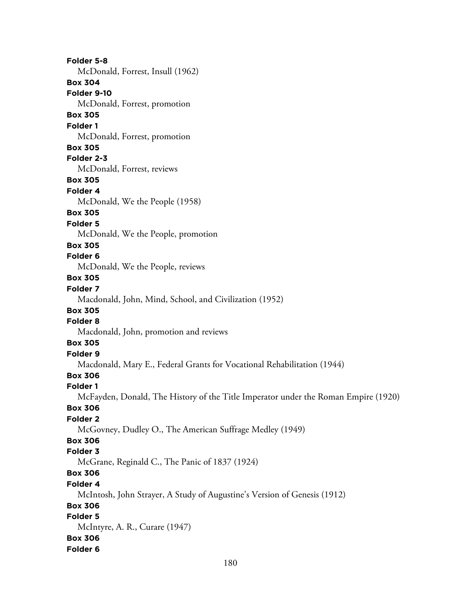**Folder 5-8** McDonald, Forrest, Insull (1962) **Box 304 Folder 9-10** McDonald, Forrest, promotion **Box 305 Folder 1** McDonald, Forrest, promotion **Box 305 Folder 2-3** McDonald, Forrest, reviews **Box 305 Folder 4** McDonald, We the People (1958) **Box 305 Folder 5** McDonald, We the People, promotion **Box 305 Folder 6** McDonald, We the People, reviews **Box 305 Folder 7** Macdonald, John, Mind, School, and Civilization (1952) **Box 305 Folder 8** Macdonald, John, promotion and reviews **Box 305 Folder 9** Macdonald, Mary E., Federal Grants for Vocational Rehabilitation (1944) **Box 306 Folder 1** McFayden, Donald, The History of the Title Imperator under the Roman Empire (1920) **Box 306 Folder 2** McGovney, Dudley O., The American Suffrage Medley (1949) **Box 306 Folder 3** McGrane, Reginald C., The Panic of 1837 (1924) **Box 306 Folder 4** McIntosh, John Strayer, A Study of Augustine's Version of Genesis (1912) **Box 306 Folder 5** McIntyre, A. R., Curare (1947) **Box 306 Folder 6**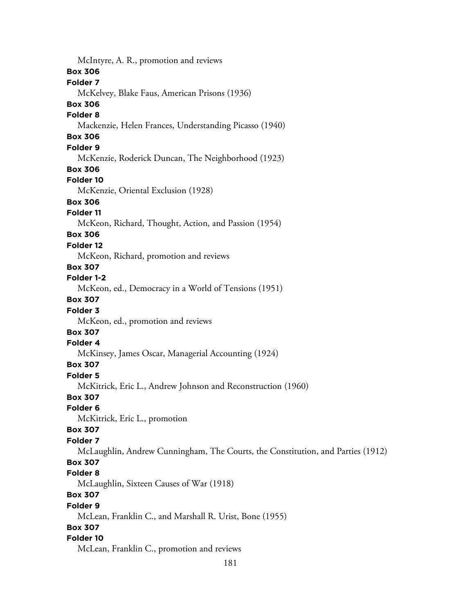McIntyre, A. R., promotion and reviews **Box 306 Folder 7** McKelvey, Blake Faus, American Prisons (1936) **Box 306 Folder 8** Mackenzie, Helen Frances, Understanding Picasso (1940) **Box 306 Folder 9** McKenzie, Roderick Duncan, The Neighborhood (1923) **Box 306 Folder 10** McKenzie, Oriental Exclusion (1928) **Box 306 Folder 11** McKeon, Richard, Thought, Action, and Passion (1954) **Box 306 Folder 12** McKeon, Richard, promotion and reviews **Box 307 Folder 1-2** McKeon, ed., Democracy in a World of Tensions (1951) **Box 307 Folder 3** McKeon, ed., promotion and reviews **Box 307 Folder 4** McKinsey, James Oscar, Managerial Accounting (1924) **Box 307 Folder 5** McKitrick, Eric L., Andrew Johnson and Reconstruction (1960) **Box 307 Folder 6** McKitrick, Eric L., promotion **Box 307 Folder 7** McLaughlin, Andrew Cunningham, The Courts, the Constitution, and Parties (1912) **Box 307 Folder 8** McLaughlin, Sixteen Causes of War (1918) **Box 307 Folder 9** McLean, Franklin C., and Marshall R. Urist, Bone (1955) **Box 307 Folder 10** McLean, Franklin C., promotion and reviews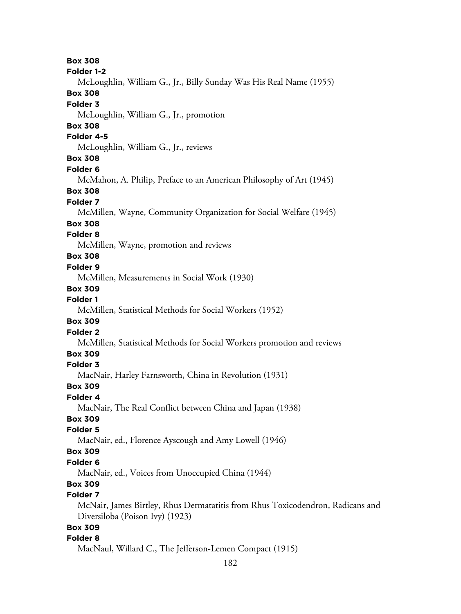**Box 308 Folder 1-2** McLoughlin, William G., Jr., Billy Sunday Was His Real Name (1955) **Box 308 Folder 3** McLoughlin, William G., Jr., promotion **Box 308 Folder 4-5** McLoughlin, William G., Jr., reviews **Box 308 Folder 6** McMahon, A. Philip, Preface to an American Philosophy of Art (1945) **Box 308 Folder 7** McMillen, Wayne, Community Organization for Social Welfare (1945) **Box 308 Folder 8** McMillen, Wayne, promotion and reviews **Box 308 Folder 9** McMillen, Measurements in Social Work (1930) **Box 309 Folder 1** McMillen, Statistical Methods for Social Workers (1952) **Box 309 Folder 2** McMillen, Statistical Methods for Social Workers promotion and reviews **Box 309 Folder 3** MacNair, Harley Farnsworth, China in Revolution (1931) **Box 309 Folder 4** MacNair, The Real Conflict between China and Japan (1938) **Box 309 Folder 5** MacNair, ed., Florence Ayscough and Amy Lowell (1946) **Box 309 Folder 6** MacNair, ed., Voices from Unoccupied China (1944) **Box 309 Folder 7** McNair, James Birtley, Rhus Dermatatitis from Rhus Toxicodendron, Radicans and Diversiloba (Poison Ivy) (1923) **Box 309 Folder 8** MacNaul, Willard C., The Jefferson-Lemen Compact (1915)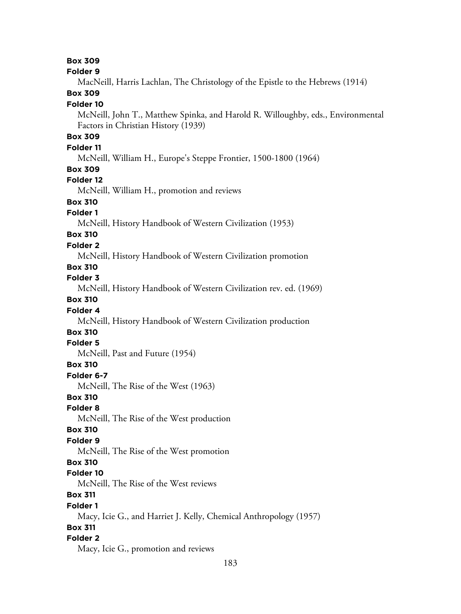#### **Box 309**

#### **Folder 9**

MacNeill, Harris Lachlan, The Christology of the Epistle to the Hebrews (1914)

## **Box 309**

#### **Folder 10**

McNeill, John T., Matthew Spinka, and Harold R. Willoughby, eds., Environmental Factors in Christian History (1939)

## **Box 309**

## **Folder 11**

McNeill, William H., Europe's Steppe Frontier, 1500-1800 (1964)

#### **Box 309**

#### **Folder 12**

McNeill, William H., promotion and reviews

# **Box 310**

### **Folder 1**

McNeill, History Handbook of Western Civilization (1953)

## **Box 310**

### **Folder 2**

McNeill, History Handbook of Western Civilization promotion

## **Box 310**

**Folder 3**

McNeill, History Handbook of Western Civilization rev. ed. (1969)

#### **Box 310**

#### **Folder 4**

McNeill, History Handbook of Western Civilization production

# **Box 310**

## **Folder 5**

McNeill, Past and Future (1954)

#### **Box 310**

#### **Folder 6-7**

McNeill, The Rise of the West (1963)

### **Box 310**

#### **Folder 8**

McNeill, The Rise of the West production

#### **Box 310**

#### **Folder 9**

McNeill, The Rise of the West promotion

### **Box 310**

#### **Folder 10**

McNeill, The Rise of the West reviews

### **Box 311**

#### **Folder 1**

Macy, Icie G., and Harriet J. Kelly, Chemical Anthropology (1957)

### **Box 311**

### **Folder 2**

Macy, Icie G., promotion and reviews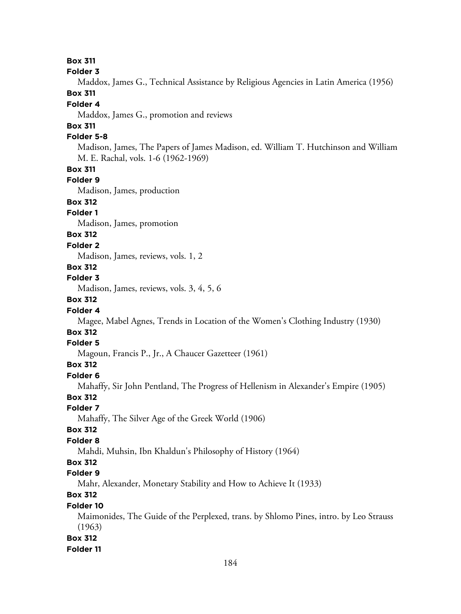**Box 311**

**Folder 3**

Maddox, James G., Technical Assistance by Religious Agencies in Latin America (1956)

### **Box 311**

#### **Folder 4**

Maddox, James G., promotion and reviews

## **Box 311**

### **Folder 5-8**

Madison, James, The Papers of James Madison, ed. William T. Hutchinson and William M. E. Rachal, vols. 1-6 (1962-1969)

### **Box 311**

### **Folder 9**

Madison, James, production

## **Box 312**

## **Folder 1**

Madison, James, promotion

## **Box 312**

#### **Folder 2**

Madison, James, reviews, vols. 1, 2

## **Box 312**

#### **Folder 3**

Madison, James, reviews, vols. 3, 4, 5, 6

## **Box 312**

### **Folder 4**

Magee, Mabel Agnes, Trends in Location of the Women's Clothing Industry (1930)

# **Box 312**

## **Folder 5**

Magoun, Francis P., Jr., A Chaucer Gazetteer (1961)

### **Box 312**

#### **Folder 6**

Mahaffy, Sir John Pentland, The Progress of Hellenism in Alexander's Empire (1905)

### **Box 312**

### **Folder 7**

Mahaffy, The Silver Age of the Greek World (1906)

### **Box 312**

### **Folder 8**

Mahdi, Muhsin, Ibn Khaldun's Philosophy of History (1964)

## **Box 312**

### **Folder 9**

Mahr, Alexander, Monetary Stability and How to Achieve It (1933)

## **Box 312**

## **Folder 10**

Maimonides, The Guide of the Perplexed, trans. by Shlomo Pines, intro. by Leo Strauss (1963)

### **Box 312**

### **Folder 11**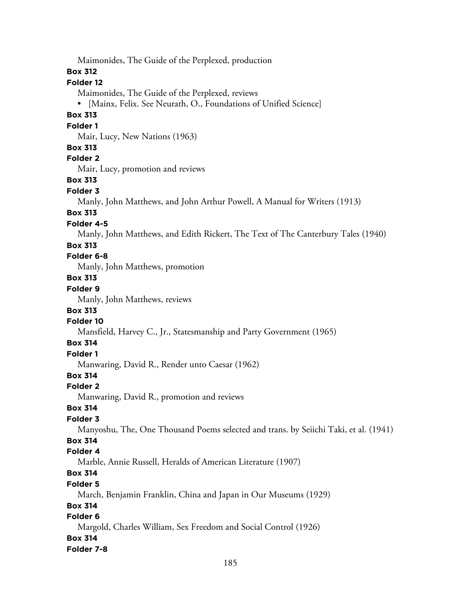Maimonides, The Guide of the Perplexed, production **Box 312 Folder 12** Maimonides, The Guide of the Perplexed, reviews • [Mainx, Felix. See Neurath, O., Foundations of Unified Science] **Box 313 Folder 1** Mair, Lucy, New Nations (1963) **Box 313 Folder 2** Mair, Lucy, promotion and reviews **Box 313 Folder 3** Manly, John Matthews, and John Arthur Powell, A Manual for Writers (1913) **Box 313 Folder 4-5** Manly, John Matthews, and Edith Rickert, The Text of The Canterbury Tales (1940) **Box 313 Folder 6-8** Manly, John Matthews, promotion **Box 313 Folder 9** Manly, John Matthews, reviews **Box 313 Folder 10** Mansfield, Harvey C., Jr., Statesmanship and Party Government (1965) **Box 314 Folder 1** Manwaring, David R., Render unto Caesar (1962) **Box 314 Folder 2** Manwaring, David R., promotion and reviews **Box 314 Folder 3** Manyoshu, The, One Thousand Poems selected and trans. by Seiichi Taki, et al. (1941) **Box 314 Folder 4** Marble, Annie Russell, Heralds of American Literature (1907) **Box 314 Folder 5** March, Benjamin Franklin, China and Japan in Our Museums (1929) **Box 314 Folder 6** Margold, Charles William, Sex Freedom and Social Control (1926) **Box 314 Folder 7-8**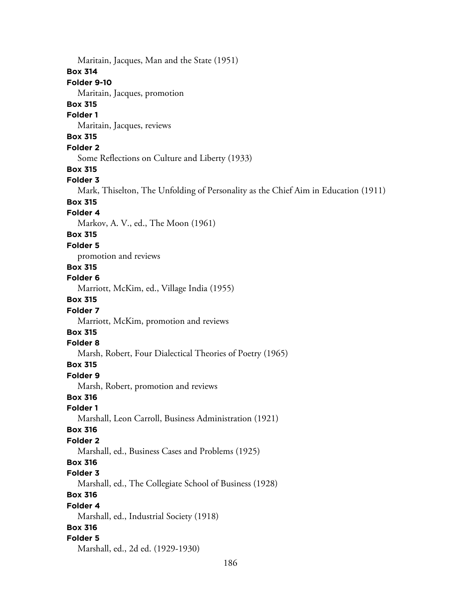Maritain, Jacques, Man and the State (1951) **Box 314 Folder 9-10** Maritain, Jacques, promotion **Box 315 Folder 1** Maritain, Jacques, reviews **Box 315 Folder 2** Some Reflections on Culture and Liberty (1933) **Box 315 Folder 3** Mark, Thiselton, The Unfolding of Personality as the Chief Aim in Education (1911) **Box 315 Folder 4** Markov, A. V., ed., The Moon (1961) **Box 315 Folder 5** promotion and reviews **Box 315 Folder 6** Marriott, McKim, ed., Village India (1955) **Box 315 Folder 7** Marriott, McKim, promotion and reviews **Box 315 Folder 8** Marsh, Robert, Four Dialectical Theories of Poetry (1965) **Box 315 Folder 9** Marsh, Robert, promotion and reviews **Box 316 Folder 1** Marshall, Leon Carroll, Business Administration (1921) **Box 316 Folder 2** Marshall, ed., Business Cases and Problems (1925) **Box 316 Folder 3** Marshall, ed., The Collegiate School of Business (1928) **Box 316 Folder 4** Marshall, ed., Industrial Society (1918) **Box 316 Folder 5** Marshall, ed., 2d ed. (1929-1930)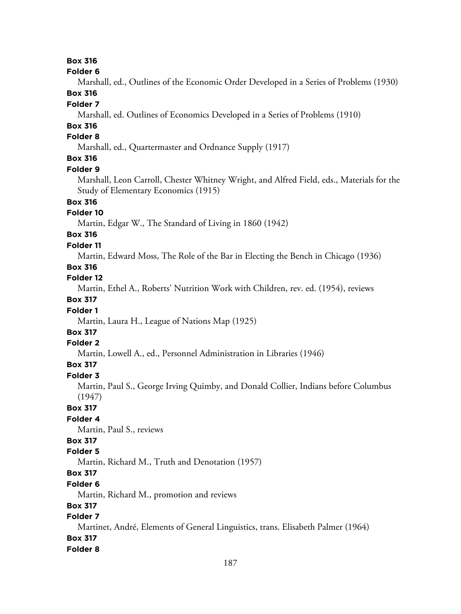## **Box 316**

#### **Folder 6**

Marshall, ed., Outlines of the Economic Order Developed in a Series of Problems (1930)

# **Box 316**

## **Folder 7**

Marshall, ed. Outlines of Economics Developed in a Series of Problems (1910)

## **Box 316**

### **Folder 8**

Marshall, ed., Quartermaster and Ordnance Supply (1917)

## **Box 316**

#### **Folder 9**

Marshall, Leon Carroll, Chester Whitney Wright, and Alfred Field, eds., Materials for the Study of Elementary Economics (1915)

## **Box 316**

### **Folder 10**

Martin, Edgar W., The Standard of Living in 1860 (1942)

# **Box 316**

### **Folder 11**

Martin, Edward Moss, The Role of the Bar in Electing the Bench in Chicago (1936)

## **Box 316**

#### **Folder 12**

Martin, Ethel A., Roberts' Nutrition Work with Children, rev. ed. (1954), reviews

## **Box 317**

## **Folder 1**

Martin, Laura H., League of Nations Map (1925)

## **Box 317**

### **Folder 2**

Martin, Lowell A., ed., Personnel Administration in Libraries (1946)

### **Box 317**

### **Folder 3**

Martin, Paul S., George Irving Quimby, and Donald Collier, Indians before Columbus (1947)

## **Box 317**

## **Folder 4**

Martin, Paul S., reviews

## **Box 317**

### **Folder 5**

Martin, Richard M., Truth and Denotation (1957)

## **Box 317**

### **Folder 6**

Martin, Richard M., promotion and reviews

## **Box 317**

## **Folder 7**

Martinet, André, Elements of General Linguistics, trans. Elisabeth Palmer (1964) **Box 317**

# **Folder 8**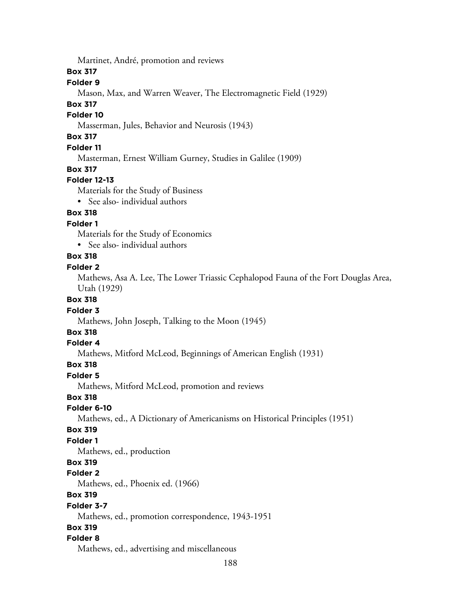Martinet, André, promotion and reviews

**Box 317**

#### **Folder 9**

Mason, Max, and Warren Weaver, The Electromagnetic Field (1929)

#### **Box 317**

### **Folder 10**

Masserman, Jules, Behavior and Neurosis (1943)

## **Box 317**

### **Folder 11**

Masterman, Ernest William Gurney, Studies in Galilee (1909)

#### **Box 317**

#### **Folder 12-13**

Materials for the Study of Business

• See also- individual authors

### **Box 318**

**Folder 1**

Materials for the Study of Economics

• See also- individual authors

## **Box 318**

#### **Folder 2**

Mathews, Asa A. Lee, The Lower Triassic Cephalopod Fauna of the Fort Douglas Area, Utah (1929)

#### **Box 318**

#### **Folder 3**

Mathews, John Joseph, Talking to the Moon (1945)

## **Box 318**

#### **Folder 4**

Mathews, Mitford McLeod, Beginnings of American English (1931)

#### **Box 318**

#### **Folder 5**

Mathews, Mitford McLeod, promotion and reviews

### **Box 318**

#### **Folder 6-10**

Mathews, ed., A Dictionary of Americanisms on Historical Principles (1951)

#### **Box 319**

### **Folder 1**

Mathews, ed., production

### **Box 319**

#### **Folder 2**

Mathews, ed., Phoenix ed. (1966)

### **Box 319**

#### **Folder 3-7**

Mathews, ed., promotion correspondence, 1943-1951

### **Box 319**

### **Folder 8**

Mathews, ed., advertising and miscellaneous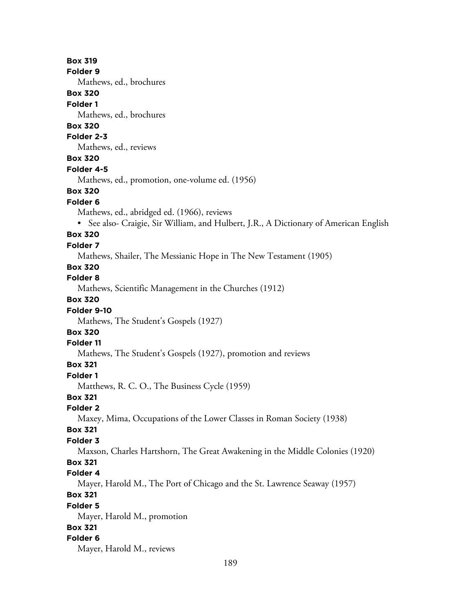189 **Box 319 Folder 9** Mathews, ed., brochures **Box 320 Folder 1** Mathews, ed., brochures **Box 320 Folder 2-3** Mathews, ed., reviews **Box 320 Folder 4-5** Mathews, ed., promotion, one-volume ed. (1956) **Box 320 Folder 6** Mathews, ed., abridged ed. (1966), reviews • See also- Craigie, Sir William, and Hulbert, J.R., A Dictionary of American English **Box 320 Folder 7** Mathews, Shailer, The Messianic Hope in The New Testament (1905) **Box 320 Folder 8** Mathews, Scientific Management in the Churches (1912) **Box 320 Folder 9-10** Mathews, The Student's Gospels (1927) **Box 320 Folder 11** Mathews, The Student's Gospels (1927), promotion and reviews **Box 321 Folder 1** Matthews, R. C. O., The Business Cycle (1959) **Box 321 Folder 2** Maxey, Mima, Occupations of the Lower Classes in Roman Society (1938) **Box 321 Folder 3** Maxson, Charles Hartshorn, The Great Awakening in the Middle Colonies (1920) **Box 321 Folder 4** Mayer, Harold M., The Port of Chicago and the St. Lawrence Seaway (1957) **Box 321 Folder 5** Mayer, Harold M., promotion **Box 321 Folder 6** Mayer, Harold M., reviews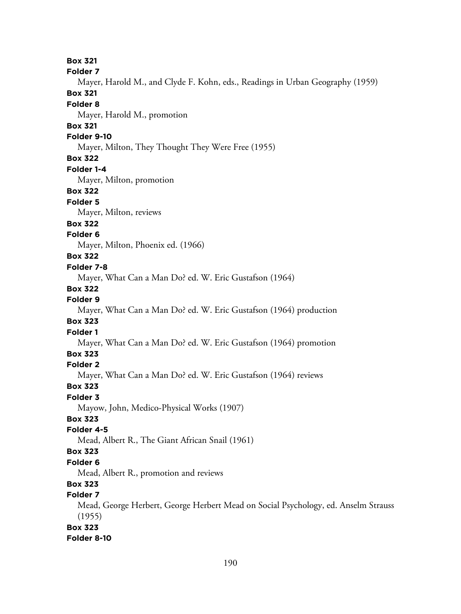**Box 321 Folder 7** Mayer, Harold M., and Clyde F. Kohn, eds., Readings in Urban Geography (1959) **Box 321 Folder 8** Mayer, Harold M., promotion **Box 321 Folder 9-10** Mayer, Milton, They Thought They Were Free (1955) **Box 322 Folder 1-4** Mayer, Milton, promotion **Box 322 Folder 5** Mayer, Milton, reviews **Box 322 Folder 6** Mayer, Milton, Phoenix ed. (1966) **Box 322 Folder 7-8** Mayer, What Can a Man Do? ed. W. Eric Gustafson (1964) **Box 322 Folder 9** Mayer, What Can a Man Do? ed. W. Eric Gustafson (1964) production **Box 323 Folder 1** Mayer, What Can a Man Do? ed. W. Eric Gustafson (1964) promotion **Box 323 Folder 2** Mayer, What Can a Man Do? ed. W. Eric Gustafson (1964) reviews **Box 323 Folder 3** Mayow, John, Medico-Physical Works (1907) **Box 323 Folder 4-5** Mead, Albert R., The Giant African Snail (1961) **Box 323 Folder 6** Mead, Albert R., promotion and reviews **Box 323 Folder 7** Mead, George Herbert, George Herbert Mead on Social Psychology, ed. Anselm Strauss (1955) **Box 323 Folder 8-10**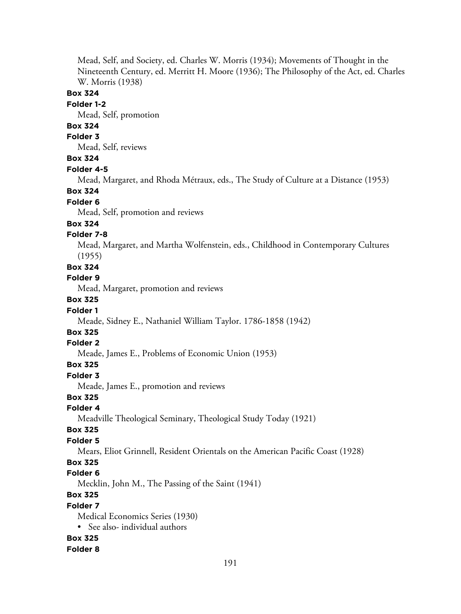Mead, Self, and Society, ed. Charles W. Morris (1934); Movements of Thought in the Nineteenth Century, ed. Merritt H. Moore (1936); The Philosophy of the Act, ed. Charles W. Morris (1938)

### **Box 324**

#### **Folder 1-2**

Mead, Self, promotion

## **Box 324**

## **Folder 3**

Mead, Self, reviews

## **Box 324**

#### **Folder 4-5**

Mead, Margaret, and Rhoda Métraux, eds., The Study of Culture at a Distance (1953)

#### **Box 324**

#### **Folder 6**

Mead, Self, promotion and reviews

#### **Box 324**

### **Folder 7-8**

Mead, Margaret, and Martha Wolfenstein, eds., Childhood in Contemporary Cultures (1955)

## **Box 324**

#### **Folder 9**

Mead, Margaret, promotion and reviews

### **Box 325**

#### **Folder 1**

Meade, Sidney E., Nathaniel William Taylor. 1786-1858 (1942)

# **Box 325**

## **Folder 2**

Meade, James E., Problems of Economic Union (1953)

#### **Box 325**

#### **Folder 3**

Meade, James E., promotion and reviews

### **Box 325**

## **Folder 4**

Meadville Theological Seminary, Theological Study Today (1921)

### **Box 325**

#### **Folder 5**

Mears, Eliot Grinnell, Resident Orientals on the American Pacific Coast (1928)

# **Box 325**

#### **Folder 6**

Mecklin, John M., The Passing of the Saint (1941)

## **Box 325**

#### **Folder 7**

Medical Economics Series (1930)

• See also- individual authors

#### **Box 325**

#### **Folder 8**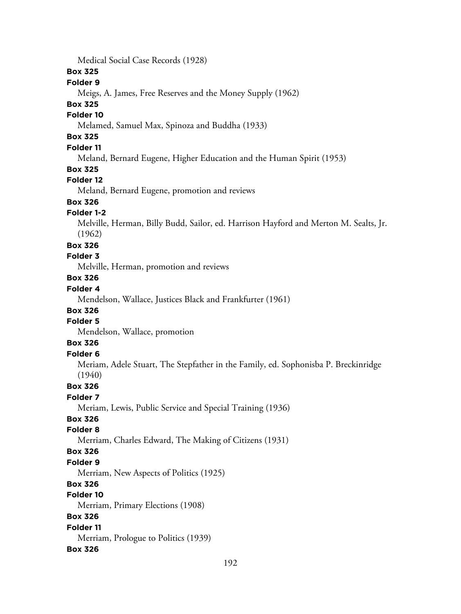Medical Social Case Records (1928)

### **Box 325**

### **Folder 9**

Meigs, A. James, Free Reserves and the Money Supply (1962)

#### **Box 325**

#### **Folder 10**

Melamed, Samuel Max, Spinoza and Buddha (1933)

## **Box 325**

## **Folder 11**

Meland, Bernard Eugene, Higher Education and the Human Spirit (1953)

#### **Box 325**

#### **Folder 12**

Meland, Bernard Eugene, promotion and reviews

# **Box 326**

## **Folder 1-2**

Melville, Herman, Billy Budd, Sailor, ed. Harrison Hayford and Merton M. Sealts, Jr. (1962)

#### **Box 326**

#### **Folder 3**

Melville, Herman, promotion and reviews

#### **Box 326**

#### **Folder 4**

Mendelson, Wallace, Justices Black and Frankfurter (1961)

## **Box 326**

## **Folder 5**

Mendelson, Wallace, promotion

## **Box 326**

## **Folder 6**

Meriam, Adele Stuart, The Stepfather in the Family, ed. Sophonisba P. Breckinridge (1940)

### **Box 326**

### **Folder 7**

Meriam, Lewis, Public Service and Special Training (1936)

## **Box 326**

### **Folder 8**

Merriam, Charles Edward, The Making of Citizens (1931)

#### **Box 326**

#### **Folder 9**

Merriam, New Aspects of Politics (1925)

## **Box 326**

#### **Folder 10**

Merriam, Primary Elections (1908)

### **Box 326**

#### **Folder 11**

Merriam, Prologue to Politics (1939)

### **Box 326**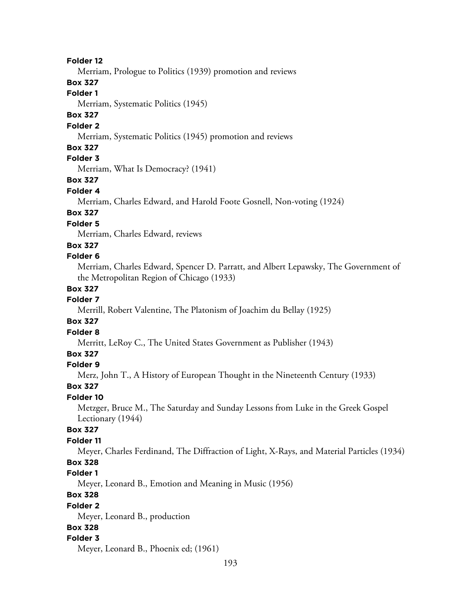#### **Folder 12**

Merriam, Prologue to Politics (1939) promotion and reviews

### **Box 327**

### **Folder 1**

Merriam, Systematic Politics (1945)

## **Box 327**

#### **Folder 2**

Merriam, Systematic Politics (1945) promotion and reviews

### **Box 327**

## **Folder 3**

Merriam, What Is Democracy? (1941)

## **Box 327**

#### **Folder 4**

Merriam, Charles Edward, and Harold Foote Gosnell, Non-voting (1924)

## **Box 327**

## **Folder 5**

Merriam, Charles Edward, reviews

### **Box 327**

### **Folder 6**

Merriam, Charles Edward, Spencer D. Parratt, and Albert Lepawsky, The Government of the Metropolitan Region of Chicago (1933)

#### **Box 327**

## **Folder 7**

Merrill, Robert Valentine, The Platonism of Joachim du Bellay (1925)

### **Box 327**

#### **Folder 8**

Merritt, LeRoy C., The United States Government as Publisher (1943)

#### **Box 327**

### **Folder 9**

Merz, John T., A History of European Thought in the Nineteenth Century (1933)

#### **Box 327**

#### **Folder 10**

Metzger, Bruce M., The Saturday and Sunday Lessons from Luke in the Greek Gospel Lectionary (1944)

#### **Box 327**

### **Folder 11**

Meyer, Charles Ferdinand, The Diffraction of Light, X-Rays, and Material Particles (1934)

# **Box 328**

## **Folder 1**

Meyer, Leonard B., Emotion and Meaning in Music (1956)

## **Box 328**

#### **Folder 2**

Meyer, Leonard B., production

### **Box 328**

#### **Folder 3**

Meyer, Leonard B., Phoenix ed; (1961)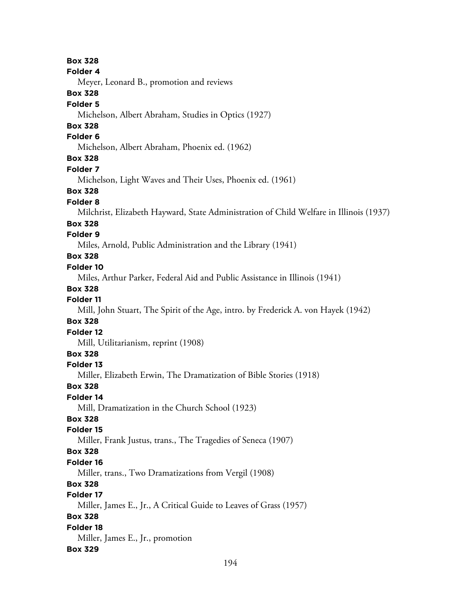**Box 328 Folder 4** Meyer, Leonard B., promotion and reviews **Box 328 Folder 5** Michelson, Albert Abraham, Studies in Optics (1927) **Box 328 Folder 6** Michelson, Albert Abraham, Phoenix ed. (1962) **Box 328 Folder 7** Michelson, Light Waves and Their Uses, Phoenix ed. (1961) **Box 328 Folder 8** Milchrist, Elizabeth Hayward, State Administration of Child Welfare in Illinois (1937) **Box 328 Folder 9** Miles, Arnold, Public Administration and the Library (1941) **Box 328 Folder 10** Miles, Arthur Parker, Federal Aid and Public Assistance in Illinois (1941) **Box 328 Folder 11** Mill, John Stuart, The Spirit of the Age, intro. by Frederick A. von Hayek (1942) **Box 328 Folder 12** Mill, Utilitarianism, reprint (1908) **Box 328 Folder 13** Miller, Elizabeth Erwin, The Dramatization of Bible Stories (1918) **Box 328 Folder 14** Mill, Dramatization in the Church School (1923) **Box 328 Folder 15** Miller, Frank Justus, trans., The Tragedies of Seneca (1907) **Box 328 Folder 16** Miller, trans., Two Dramatizations from Vergil (1908) **Box 328 Folder 17** Miller, James E., Jr., A Critical Guide to Leaves of Grass (1957) **Box 328 Folder 18** Miller, James E., Jr., promotion **Box 329**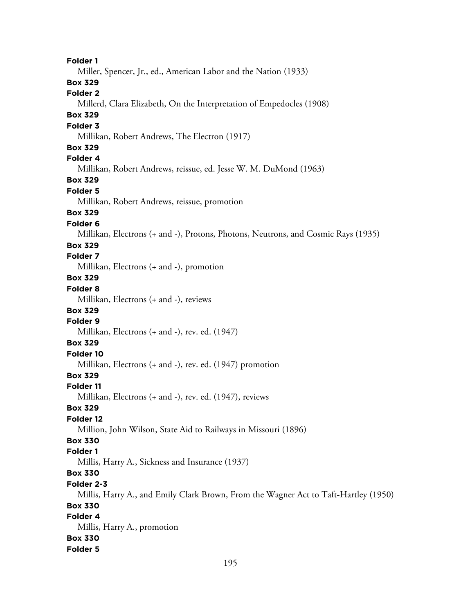**Folder 1** Miller, Spencer, Jr., ed., American Labor and the Nation (1933) **Box 329 Folder 2** Millerd, Clara Elizabeth, On the Interpretation of Empedocles (1908) **Box 329 Folder 3** Millikan, Robert Andrews, The Electron (1917) **Box 329 Folder 4** Millikan, Robert Andrews, reissue, ed. Jesse W. M. DuMond (1963) **Box 329 Folder 5** Millikan, Robert Andrews, reissue, promotion **Box 329 Folder 6** Millikan, Electrons (+ and -), Protons, Photons, Neutrons, and Cosmic Rays (1935) **Box 329 Folder 7** Millikan, Electrons (+ and -), promotion **Box 329 Folder 8** Millikan, Electrons (+ and -), reviews **Box 329 Folder 9** Millikan, Electrons (+ and -), rev. ed. (1947) **Box 329 Folder 10** Millikan, Electrons (+ and -), rev. ed. (1947) promotion **Box 329 Folder 11** Millikan, Electrons (+ and -), rev. ed. (1947), reviews **Box 329 Folder 12** Million, John Wilson, State Aid to Railways in Missouri (1896) **Box 330 Folder 1** Millis, Harry A., Sickness and Insurance (1937) **Box 330 Folder 2-3** Millis, Harry A., and Emily Clark Brown, From the Wagner Act to Taft-Hartley (1950) **Box 330 Folder 4** Millis, Harry A., promotion **Box 330 Folder 5**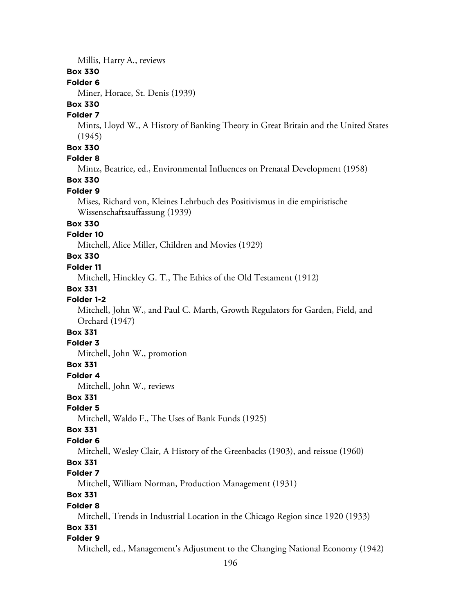Millis, Harry A., reviews

#### **Box 330**

#### **Folder 6**

Miner, Horace, St. Denis (1939)

## **Box 330**

### **Folder 7**

Mints, Lloyd W., A History of Banking Theory in Great Britain and the United States (1945)

#### **Box 330**

### **Folder 8**

Mintz, Beatrice, ed., Environmental Influences on Prenatal Development (1958)

## **Box 330**

#### **Folder 9**

Mises, Richard von, Kleines Lehrbuch des Positivismus in die empiristische Wissenschaftsauffassung (1939)

### **Box 330**

#### **Folder 10**

Mitchell, Alice Miller, Children and Movies (1929)

## **Box 330**

#### **Folder 11**

Mitchell, Hinckley G. T., The Ethics of the Old Testament (1912)

#### **Box 331**

### **Folder 1-2**

Mitchell, John W., and Paul C. Marth, Growth Regulators for Garden, Field, and Orchard (1947)

## **Box 331**

#### **Folder 3**

Mitchell, John W., promotion

#### **Box 331**

#### **Folder 4**

Mitchell, John W., reviews

### **Box 331**

### **Folder 5**

Mitchell, Waldo F., The Uses of Bank Funds (1925)

#### **Box 331**

#### **Folder 6**

Mitchell, Wesley Clair, A History of the Greenbacks (1903), and reissue (1960)

### **Box 331**

#### **Folder 7**

Mitchell, William Norman, Production Management (1931)

## **Box 331**

#### **Folder 8**

Mitchell, Trends in Industrial Location in the Chicago Region since 1920 (1933)

### **Box 331**

#### **Folder 9**

Mitchell, ed., Management's Adjustment to the Changing National Economy (1942)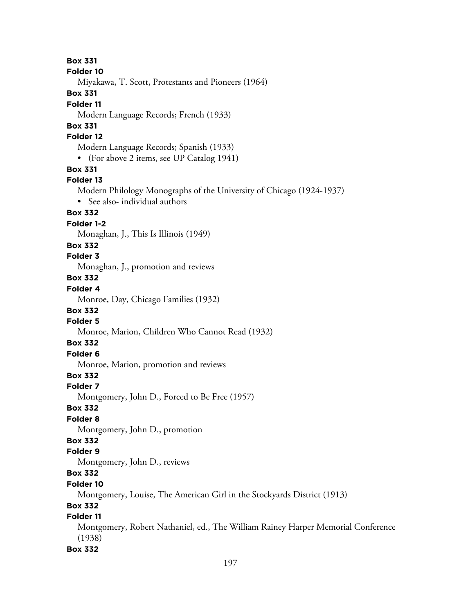**Box 331 Folder 10** Miyakawa, T. Scott, Protestants and Pioneers (1964) **Box 331 Folder 11** Modern Language Records; French (1933) **Box 331 Folder 12** Modern Language Records; Spanish (1933) • (For above 2 items, see UP Catalog 1941) **Box 331 Folder 13** Modern Philology Monographs of the University of Chicago (1924-1937) • See also- individual authors **Box 332 Folder 1-2** Monaghan, J., This Is Illinois (1949) **Box 332 Folder 3** Monaghan, J., promotion and reviews **Box 332 Folder 4** Monroe, Day, Chicago Families (1932) **Box 332 Folder 5** Monroe, Marion, Children Who Cannot Read (1932) **Box 332 Folder 6** Monroe, Marion, promotion and reviews **Box 332 Folder 7** Montgomery, John D., Forced to Be Free (1957) **Box 332 Folder 8** Montgomery, John D., promotion **Box 332 Folder 9** Montgomery, John D., reviews **Box 332 Folder 10** Montgomery, Louise, The American Girl in the Stockyards District (1913) **Box 332 Folder 11** Montgomery, Robert Nathaniel, ed., The William Rainey Harper Memorial Conference (1938)

#### **Box 332**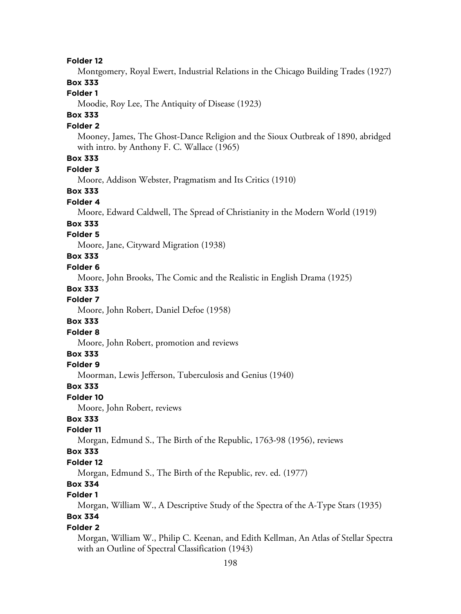#### **Folder 12**

Montgomery, Royal Ewert, Industrial Relations in the Chicago Building Trades (1927)

## **Box 333**

### **Folder 1**

Moodie, Roy Lee, The Antiquity of Disease (1923)

## **Box 333**

#### **Folder 2**

Mooney, James, The Ghost-Dance Religion and the Sioux Outbreak of 1890, abridged with intro. by Anthony F. C. Wallace (1965)

## **Box 333**

#### **Folder 3**

Moore, Addison Webster, Pragmatism and Its Critics (1910)

#### **Box 333**

#### **Folder 4**

Moore, Edward Caldwell, The Spread of Christianity in the Modern World (1919)

#### **Box 333**

#### **Folder 5**

Moore, Jane, Cityward Migration (1938)

## **Box 333**

#### **Folder 6**

Moore, John Brooks, The Comic and the Realistic in English Drama (1925)

#### **Box 333**

#### **Folder 7**

Moore, John Robert, Daniel Defoe (1958)

#### **Box 333**

#### **Folder 8**

Moore, John Robert, promotion and reviews

#### **Box 333**

#### **Folder 9**

Moorman, Lewis Jefferson, Tuberculosis and Genius (1940)

#### **Box 333**

#### **Folder 10**

Moore, John Robert, reviews

### **Box 333**

#### **Folder 11**

Morgan, Edmund S., The Birth of the Republic, 1763-98 (1956), reviews

#### **Box 333**

#### **Folder 12**

Morgan, Edmund S., The Birth of the Republic, rev. ed. (1977)

## **Box 334**

## **Folder 1**

Morgan, William W., A Descriptive Study of the Spectra of the A-Type Stars (1935)

#### **Box 334 Folder 2**

Morgan, William W., Philip C. Keenan, and Edith Kellman, An Atlas of Stellar Spectra with an Outline of Spectral Classification (1943)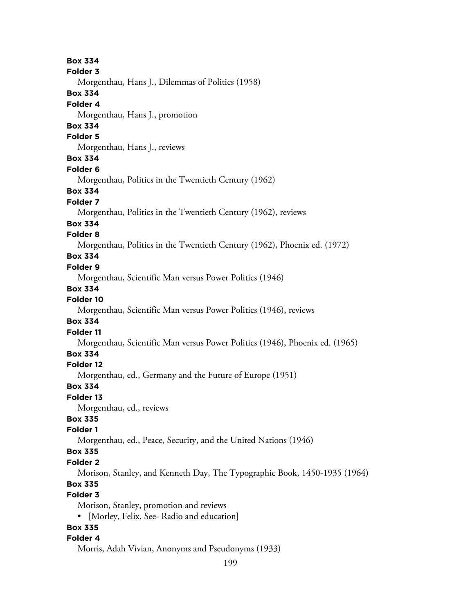**Box 334 Folder 3** Morgenthau, Hans J., Dilemmas of Politics (1958) **Box 334 Folder 4** Morgenthau, Hans J., promotion **Box 334 Folder 5** Morgenthau, Hans J., reviews **Box 334 Folder 6** Morgenthau, Politics in the Twentieth Century (1962) **Box 334 Folder 7** Morgenthau, Politics in the Twentieth Century (1962), reviews **Box 334 Folder 8** Morgenthau, Politics in the Twentieth Century (1962), Phoenix ed. (1972) **Box 334 Folder 9** Morgenthau, Scientific Man versus Power Politics (1946) **Box 334 Folder 10** Morgenthau, Scientific Man versus Power Politics (1946), reviews **Box 334 Folder 11** Morgenthau, Scientific Man versus Power Politics (1946), Phoenix ed. (1965) **Box 334 Folder 12** Morgenthau, ed., Germany and the Future of Europe (1951) **Box 334 Folder 13** Morgenthau, ed., reviews **Box 335 Folder 1** Morgenthau, ed., Peace, Security, and the United Nations (1946) **Box 335 Folder 2** Morison, Stanley, and Kenneth Day, The Typographic Book, 1450-1935 (1964) **Box 335 Folder 3** Morison, Stanley, promotion and reviews • [Morley, Felix. See- Radio and education] **Box 335 Folder 4** Morris, Adah Vivian, Anonyms and Pseudonyms (1933)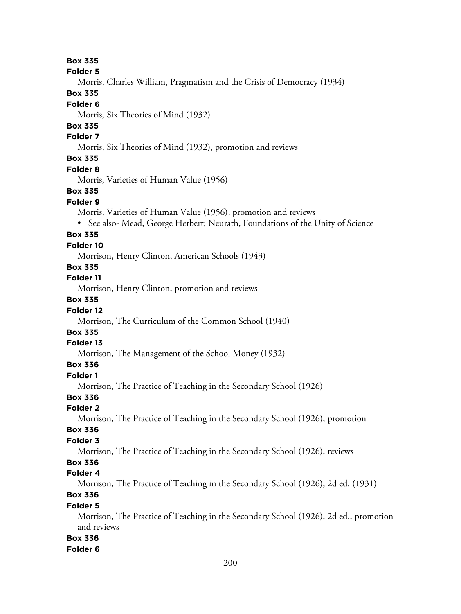#### **Box 335**

#### **Folder 5**

Morris, Charles William, Pragmatism and the Crisis of Democracy (1934)

### **Box 335**

#### **Folder 6**

Morris, Six Theories of Mind (1932)

## **Box 335**

#### **Folder 7**

Morris, Six Theories of Mind (1932), promotion and reviews

### **Box 335**

#### **Folder 8**

Morris, Varieties of Human Value (1956)

#### **Box 335**

#### **Folder 9**

Morris, Varieties of Human Value (1956), promotion and reviews

• See also- Mead, George Herbert; Neurath, Foundations of the Unity of Science

#### **Box 335**

#### **Folder 10**

Morrison, Henry Clinton, American Schools (1943)

## **Box 335**

**Folder 11**

Morrison, Henry Clinton, promotion and reviews

### **Box 335**

#### **Folder 12**

Morrison, The Curriculum of the Common School (1940)

## **Box 335**

#### **Folder 13**

Morrison, The Management of the School Money (1932)

#### **Box 336**

#### **Folder 1**

Morrison, The Practice of Teaching in the Secondary School (1926)

### **Box 336**

#### **Folder 2**

Morrison, The Practice of Teaching in the Secondary School (1926), promotion

#### **Box 336**

#### **Folder 3**

Morrison, The Practice of Teaching in the Secondary School (1926), reviews

# **Box 336**

#### **Folder 4**

Morrison, The Practice of Teaching in the Secondary School (1926), 2d ed. (1931)

## **Box 336**

#### **Folder 5**

Morrison, The Practice of Teaching in the Secondary School (1926), 2d ed., promotion and reviews

### **Box 336**

#### **Folder 6**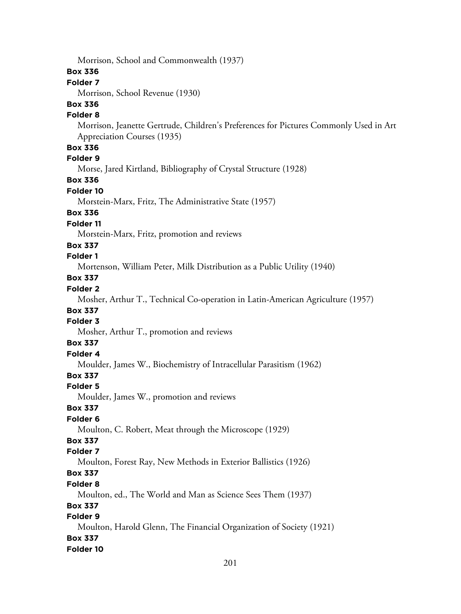Morrison, School and Commonwealth (1937)

### **Box 336**

### **Folder 7**

Morrison, School Revenue (1930)

### **Box 336**

#### **Folder 8**

Morrison, Jeanette Gertrude, Children's Preferences for Pictures Commonly Used in Art Appreciation Courses (1935)

### **Box 336**

**Folder 9**

Morse, Jared Kirtland, Bibliography of Crystal Structure (1928)

## **Box 336**

### **Folder 10**

Morstein-Marx, Fritz, The Administrative State (1957)

### **Box 336**

#### **Folder 11**

Morstein-Marx, Fritz, promotion and reviews

#### **Box 337**

### **Folder 1**

Mortenson, William Peter, Milk Distribution as a Public Utility (1940)

# **Box 337**

## **Folder 2**

Mosher, Arthur T., Technical Co-operation in Latin-American Agriculture (1957)

## **Box 337**

## **Folder 3**

Mosher, Arthur T., promotion and reviews

### **Box 337**

## **Folder 4**

Moulder, James W., Biochemistry of Intracellular Parasitism (1962)

## **Box 337**

#### **Folder 5**

Moulder, James W., promotion and reviews

## **Box 337**

#### **Folder 6**

Moulton, C. Robert, Meat through the Microscope (1929)

## **Box 337**

### **Folder 7**

Moulton, Forest Ray, New Methods in Exterior Ballistics (1926)

## **Box 337**

#### **Folder 8**

Moulton, ed., The World and Man as Science Sees Them (1937)

#### **Box 337**

## **Folder 9**

Moulton, Harold Glenn, The Financial Organization of Society (1921) **Box 337**

### **Folder 10**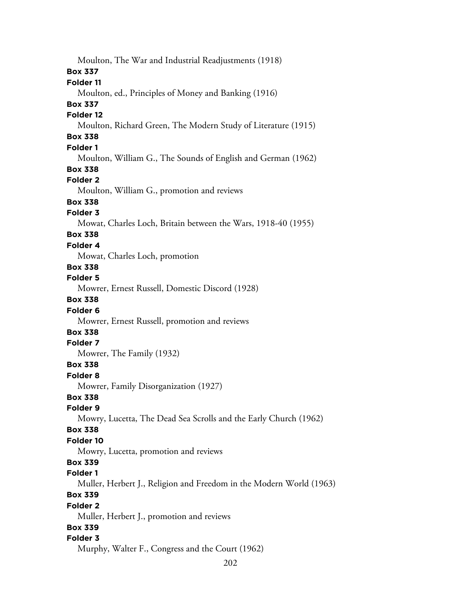Moulton, The War and Industrial Readjustments (1918) **Box 337 Folder 11** Moulton, ed., Principles of Money and Banking (1916) **Box 337 Folder 12** Moulton, Richard Green, The Modern Study of Literature (1915) **Box 338 Folder 1** Moulton, William G., The Sounds of English and German (1962) **Box 338 Folder 2** Moulton, William G., promotion and reviews **Box 338 Folder 3** Mowat, Charles Loch, Britain between the Wars, 1918-40 (1955) **Box 338 Folder 4** Mowat, Charles Loch, promotion **Box 338 Folder 5** Mowrer, Ernest Russell, Domestic Discord (1928) **Box 338 Folder 6** Mowrer, Ernest Russell, promotion and reviews **Box 338 Folder 7** Mowrer, The Family (1932) **Box 338 Folder 8** Mowrer, Family Disorganization (1927) **Box 338 Folder 9** Mowry, Lucetta, The Dead Sea Scrolls and the Early Church (1962) **Box 338 Folder 10** Mowry, Lucetta, promotion and reviews **Box 339 Folder 1** Muller, Herbert J., Religion and Freedom in the Modern World (1963) **Box 339 Folder 2** Muller, Herbert J., promotion and reviews **Box 339 Folder 3** Murphy, Walter F., Congress and the Court (1962)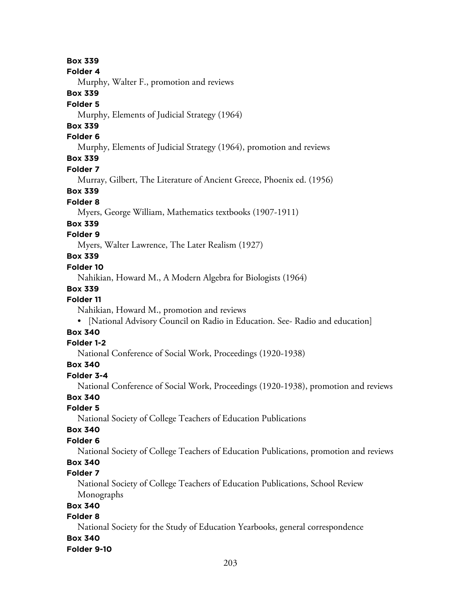#### **Box 339**

#### **Folder 4**

Murphy, Walter F., promotion and reviews

#### **Box 339**

#### **Folder 5**

Murphy, Elements of Judicial Strategy (1964)

# **Box 339**

### **Folder 6**

Murphy, Elements of Judicial Strategy (1964), promotion and reviews

## **Box 339**

#### **Folder 7**

Murray, Gilbert, The Literature of Ancient Greece, Phoenix ed. (1956)

#### **Box 339**

#### **Folder 8**

Myers, George William, Mathematics textbooks (1907-1911)

#### **Box 339**

#### **Folder 9**

Myers, Walter Lawrence, The Later Realism (1927)

## **Box 339**

#### **Folder 10**

Nahikian, Howard M., A Modern Algebra for Biologists (1964)

### **Box 339**

#### **Folder 11**

Nahikian, Howard M., promotion and reviews

• [National Advisory Council on Radio in Education. See- Radio and education]

## **Box 340**

### **Folder 1-2**

National Conference of Social Work, Proceedings (1920-1938)

## **Box 340**

## **Folder 3-4**

National Conference of Social Work, Proceedings (1920-1938), promotion and reviews

## **Box 340**

## **Folder 5**

National Society of College Teachers of Education Publications

### **Box 340**

### **Folder 6**

National Society of College Teachers of Education Publications, promotion and reviews

# **Box 340**

## **Folder 7**

National Society of College Teachers of Education Publications, School Review Monographs

## **Box 340**

### **Folder 8**

National Society for the Study of Education Yearbooks, general correspondence

# **Box 340**

#### **Folder 9-10**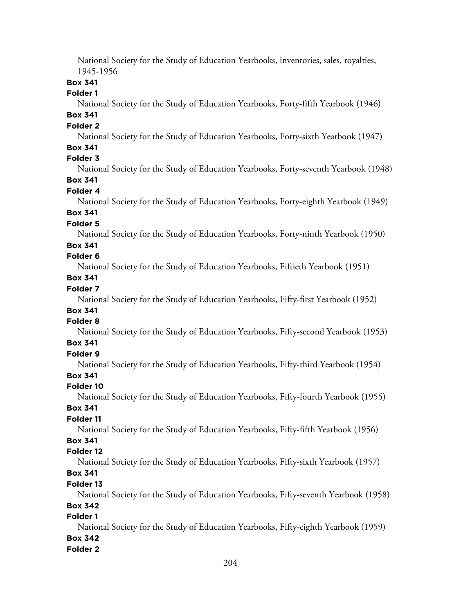National Society for the Study of Education Yearbooks, inventories, sales, royalties, 1945-1956

## **Box 341**

### **Folder 1**

National Society for the Study of Education Yearbooks, Forty-fifth Yearbook (1946)

## **Box 341**

### **Folder 2**

National Society for the Study of Education Yearbooks, Forty-sixth Yearbook (1947)

## **Box 341**

## **Folder 3**

National Society for the Study of Education Yearbooks, Forty-seventh Yearbook (1948)

## **Box 341**

#### **Folder 4**

National Society for the Study of Education Yearbooks, Forty-eighth Yearbook (1949)

#### **Box 341 Folder 5**

National Society for the Study of Education Yearbooks, Forty-ninth Yearbook (1950)

#### **Box 341**

#### **Folder 6**

National Society for the Study of Education Yearbooks, Fiftieth Yearbook (1951)

## **Box 341**

### **Folder 7**

National Society for the Study of Education Yearbooks, Fifty-first Yearbook (1952)

## **Box 341**

## **Folder 8**

National Society for the Study of Education Yearbooks, Fifty-second Yearbook (1953)

### **Box 341**

## **Folder 9**

National Society for the Study of Education Yearbooks, Fifty-third Yearbook (1954)

## **Box 341**

### **Folder 10**

National Society for the Study of Education Yearbooks, Fifty-fourth Yearbook (1955)

## **Box 341**

### **Folder 11**

National Society for the Study of Education Yearbooks, Fifty-fifth Yearbook (1956)

## **Box 341**

### **Folder 12**

National Society for the Study of Education Yearbooks, Fifty-sixth Yearbook (1957)

## **Box 341**

#### **Folder 13**

National Society for the Study of Education Yearbooks, Fifty-seventh Yearbook (1958)

### **Box 342**

### **Folder 1**

National Society for the Study of Education Yearbooks, Fifty-eighth Yearbook (1959)

## **Box 342**

#### **Folder 2**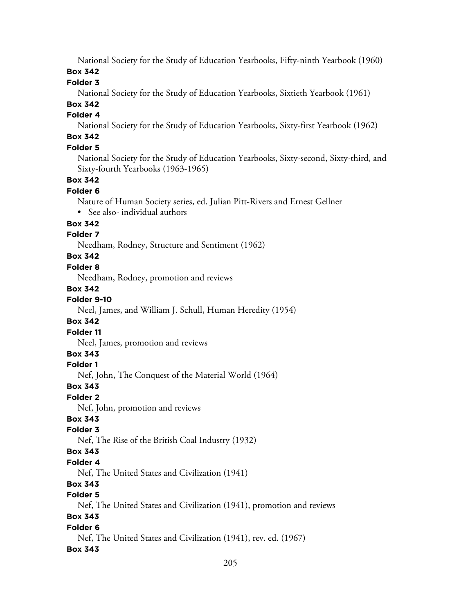National Society for the Study of Education Yearbooks, Fifty-ninth Yearbook (1960)

**Box 342**

## **Folder 3**

National Society for the Study of Education Yearbooks, Sixtieth Yearbook (1961)

## **Box 342**

## **Folder 4**

National Society for the Study of Education Yearbooks, Sixty-first Yearbook (1962)

# **Box 342**

## **Folder 5**

National Society for the Study of Education Yearbooks, Sixty-second, Sixty-third, and Sixty-fourth Yearbooks (1963-1965)

## **Box 342**

### **Folder 6**

Nature of Human Society series, ed. Julian Pitt-Rivers and Ernest Gellner

• See also- individual authors

## **Box 342**

## **Folder 7**

Needham, Rodney, Structure and Sentiment (1962)

## **Box 342**

## **Folder 8**

Needham, Rodney, promotion and reviews

## **Box 342**

## **Folder 9-10**

Neel, James, and William J. Schull, Human Heredity (1954)

## **Box 342**

### **Folder 11**

Neel, James, promotion and reviews

## **Box 343**

## **Folder 1**

Nef, John, The Conquest of the Material World (1964)

## **Box 343**

## **Folder 2**

Nef, John, promotion and reviews

## **Box 343**

## **Folder 3**

Nef, The Rise of the British Coal Industry (1932)

## **Box 343**

## **Folder 4**

Nef, The United States and Civilization (1941)

## **Box 343**

## **Folder 5**

Nef, The United States and Civilization (1941), promotion and reviews

## **Box 343**

## **Folder 6**

Nef, The United States and Civilization (1941), rev. ed. (1967)

## **Box 343**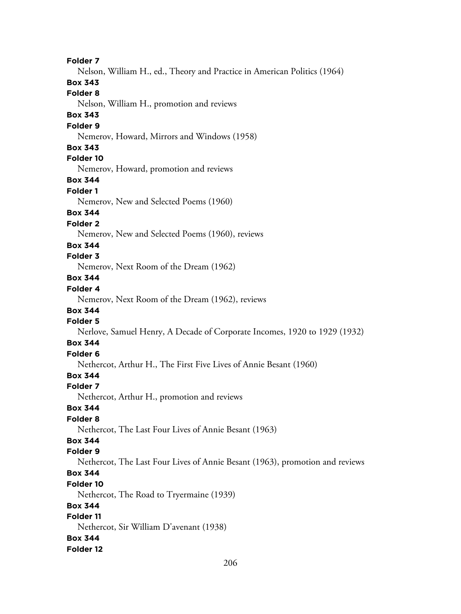**Folder 7** Nelson, William H., ed., Theory and Practice in American Politics (1964) **Box 343 Folder 8** Nelson, William H., promotion and reviews **Box 343 Folder 9** Nemerov, Howard, Mirrors and Windows (1958) **Box 343 Folder 10** Nemerov, Howard, promotion and reviews **Box 344 Folder 1** Nemerov, New and Selected Poems (1960) **Box 344 Folder 2** Nemerov, New and Selected Poems (1960), reviews **Box 344 Folder 3** Nemerov, Next Room of the Dream (1962) **Box 344 Folder 4** Nemerov, Next Room of the Dream (1962), reviews **Box 344 Folder 5** Nerlove, Samuel Henry, A Decade of Corporate Incomes, 1920 to 1929 (1932) **Box 344 Folder 6** Nethercot, Arthur H., The First Five Lives of Annie Besant (1960) **Box 344 Folder 7** Nethercot, Arthur H., promotion and reviews **Box 344 Folder 8** Nethercot, The Last Four Lives of Annie Besant (1963) **Box 344 Folder 9** Nethercot, The Last Four Lives of Annie Besant (1963), promotion and reviews **Box 344 Folder 10** Nethercot, The Road to Tryermaine (1939) **Box 344 Folder 11** Nethercot, Sir William D'avenant (1938) **Box 344 Folder 12**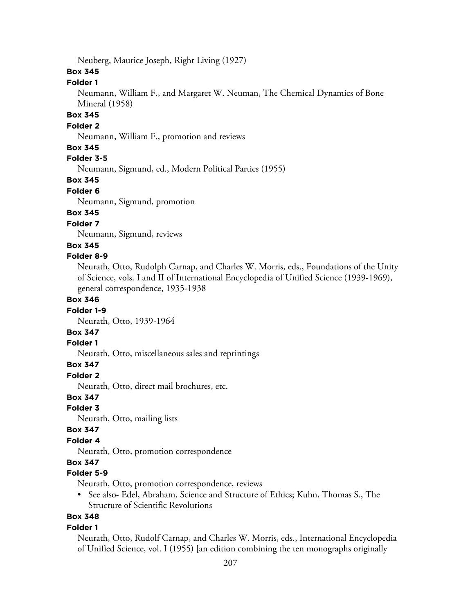Neuberg, Maurice Joseph, Right Living (1927)

#### **Box 345**

#### **Folder 1**

Neumann, William F., and Margaret W. Neuman, The Chemical Dynamics of Bone Mineral (1958)

## **Box 345**

#### **Folder 2**

Neumann, William F., promotion and reviews

#### **Box 345**

## **Folder 3-5**

Neumann, Sigmund, ed., Modern Political Parties (1955)

### **Box 345**

#### **Folder 6**

Neumann, Sigmund, promotion

### **Box 345**

### **Folder 7**

Neumann, Sigmund, reviews

### **Box 345**

#### **Folder 8-9**

Neurath, Otto, Rudolph Carnap, and Charles W. Morris, eds., Foundations of the Unity of Science, vols. I and II of International Encyclopedia of Unified Science (1939-1969), general correspondence, 1935-1938

#### **Box 346**

#### **Folder 1-9**

Neurath, Otto, 1939-1964

## **Box 347**

### **Folder 1**

Neurath, Otto, miscellaneous sales and reprintings

#### **Box 347**

### **Folder 2**

Neurath, Otto, direct mail brochures, etc.

### **Box 347**

#### **Folder 3**

Neurath, Otto, mailing lists

#### **Box 347**

### **Folder 4**

Neurath, Otto, promotion correspondence

### **Box 347**

### **Folder 5-9**

Neurath, Otto, promotion correspondence, reviews

• See also- Edel, Abraham, Science and Structure of Ethics; Kuhn, Thomas S., The Structure of Scientific Revolutions

## **Box 348**

#### **Folder 1**

Neurath, Otto, Rudolf Carnap, and Charles W. Morris, eds., International Encyclopedia of Unified Science, vol. I (1955) [an edition combining the ten monographs originally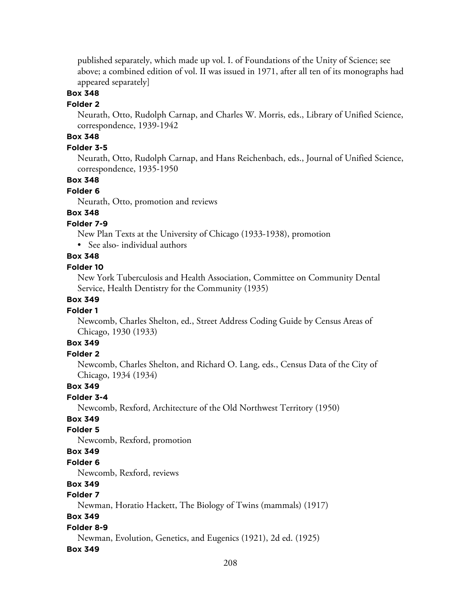published separately, which made up vol. I. of Foundations of the Unity of Science; see above; a combined edition of vol. II was issued in 1971, after all ten of its monographs had appeared separately]

### **Box 348**

#### **Folder 2**

Neurath, Otto, Rudolph Carnap, and Charles W. Morris, eds., Library of Unified Science, correspondence, 1939-1942

## **Box 348**

## **Folder 3-5**

Neurath, Otto, Rudolph Carnap, and Hans Reichenbach, eds., Journal of Unified Science, correspondence, 1935-1950

### **Box 348**

#### **Folder 6**

Neurath, Otto, promotion and reviews

## **Box 348**

#### **Folder 7-9**

New Plan Texts at the University of Chicago (1933-1938), promotion

• See also- individual authors

## **Box 348**

#### **Folder 10**

New York Tuberculosis and Health Association, Committee on Community Dental Service, Health Dentistry for the Community (1935)

### **Box 349**

#### **Folder 1**

Newcomb, Charles Shelton, ed., Street Address Coding Guide by Census Areas of Chicago, 1930 (1933)

## **Box 349**

#### **Folder 2**

Newcomb, Charles Shelton, and Richard O. Lang, eds., Census Data of the City of Chicago, 1934 (1934)

#### **Box 349**

### **Folder 3-4**

Newcomb, Rexford, Architecture of the Old Northwest Territory (1950)

#### **Box 349**

#### **Folder 5**

Newcomb, Rexford, promotion

#### **Box 349**

#### **Folder 6**

Newcomb, Rexford, reviews

## **Box 349**

## **Folder 7**

Newman, Horatio Hackett, The Biology of Twins (mammals) (1917)

#### **Box 349**

#### **Folder 8-9**

Newman, Evolution, Genetics, and Eugenics (1921), 2d ed. (1925)

#### **Box 349**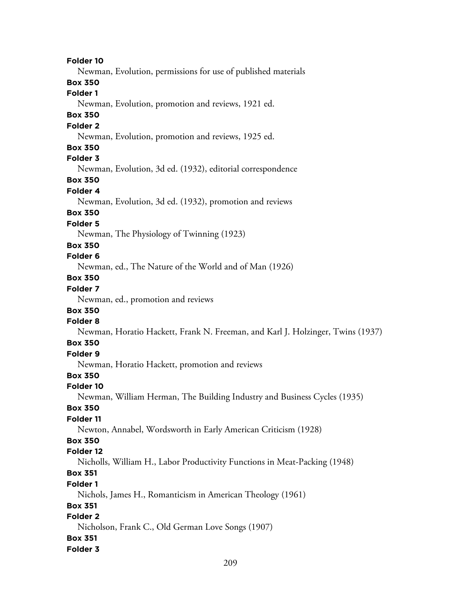**Folder 10** Newman, Evolution, permissions for use of published materials **Box 350 Folder 1** Newman, Evolution, promotion and reviews, 1921 ed. **Box 350 Folder 2** Newman, Evolution, promotion and reviews, 1925 ed. **Box 350 Folder 3** Newman, Evolution, 3d ed. (1932), editorial correspondence **Box 350 Folder 4** Newman, Evolution, 3d ed. (1932), promotion and reviews **Box 350 Folder 5** Newman, The Physiology of Twinning (1923) **Box 350 Folder 6** Newman, ed., The Nature of the World and of Man (1926) **Box 350 Folder 7** Newman, ed., promotion and reviews **Box 350 Folder 8** Newman, Horatio Hackett, Frank N. Freeman, and Karl J. Holzinger, Twins (1937) **Box 350 Folder 9** Newman, Horatio Hackett, promotion and reviews **Box 350 Folder 10** Newman, William Herman, The Building Industry and Business Cycles (1935) **Box 350 Folder 11** Newton, Annabel, Wordsworth in Early American Criticism (1928) **Box 350 Folder 12** Nicholls, William H., Labor Productivity Functions in Meat-Packing (1948) **Box 351 Folder 1** Nichols, James H., Romanticism in American Theology (1961) **Box 351 Folder 2** Nicholson, Frank C., Old German Love Songs (1907) **Box 351 Folder 3**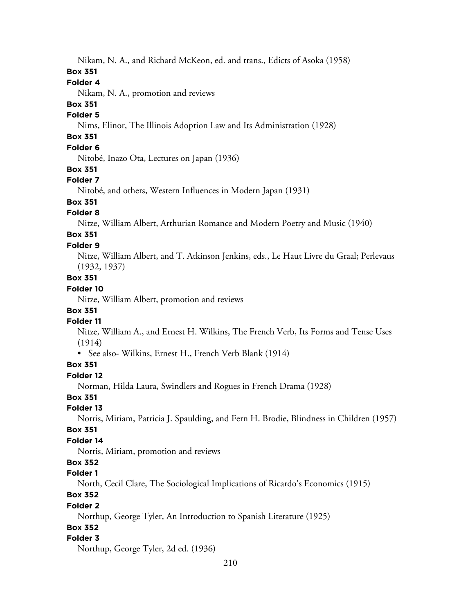Nikam, N. A., and Richard McKeon, ed. and trans., Edicts of Asoka (1958)

#### **Box 351**

#### **Folder 4**

Nikam, N. A., promotion and reviews

## **Box 351**

## **Folder 5**

Nims, Elinor, The Illinois Adoption Law and Its Administration (1928)

## **Box 351**

## **Folder 6**

Nitobé, Inazo Ota, Lectures on Japan (1936)

#### **Box 351**

#### **Folder 7**

Nitobé, and others, Western Influences in Modern Japan (1931)

### **Box 351**

### **Folder 8**

Nitze, William Albert, Arthurian Romance and Modern Poetry and Music (1940)

#### **Box 351 Folder 9**

Nitze, William Albert, and T. Atkinson Jenkins, eds., Le Haut Livre du Graal; Perlevaus (1932, 1937)

### **Box 351**

### **Folder 10**

Nitze, William Albert, promotion and reviews

### **Box 351**

### **Folder 11**

Nitze, William A., and Ernest H. Wilkins, The French Verb, Its Forms and Tense Uses (1914)

• See also- Wilkins, Ernest H., French Verb Blank (1914)

### **Box 351**

#### **Folder 12**

Norman, Hilda Laura, Swindlers and Rogues in French Drama (1928)

#### **Box 351**

## **Folder 13**

Norris, Miriam, Patricia J. Spaulding, and Fern H. Brodie, Blindness in Children (1957)

#### **Box 351**

## **Folder 14**

Norris, Miriam, promotion and reviews

## **Box 352**

#### **Folder 1**

North, Cecil Clare, The Sociological Implications of Ricardo's Economics (1915)

### **Box 352**

### **Folder 2**

Northup, George Tyler, An Introduction to Spanish Literature (1925)

### **Box 352**

### **Folder 3**

Northup, George Tyler, 2d ed. (1936)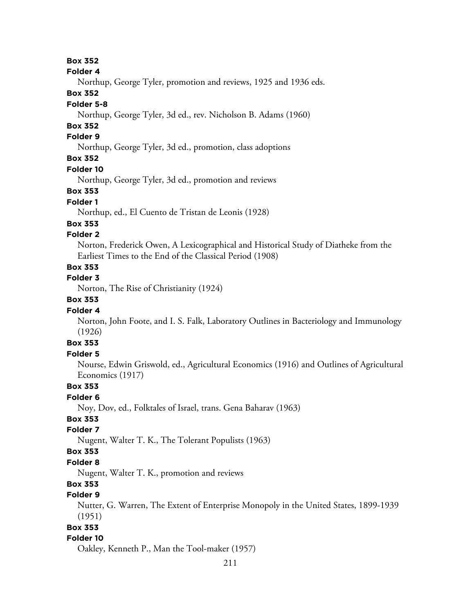**Box 352**

**Folder 4**

Northup, George Tyler, promotion and reviews, 1925 and 1936 eds.

### **Box 352**

### **Folder 5-8**

Northup, George Tyler, 3d ed., rev. Nicholson B. Adams (1960)

## **Box 352**

## **Folder 9**

Northup, George Tyler, 3d ed., promotion, class adoptions

## **Box 352**

#### **Folder 10**

Northup, George Tyler, 3d ed., promotion and reviews

### **Box 353**

## **Folder 1**

Northup, ed., El Cuento de Tristan de Leonis (1928)

#### **Box 353**

### **Folder 2**

Norton, Frederick Owen, A Lexicographical and Historical Study of Diatheke from the Earliest Times to the End of the Classical Period (1908)

## **Box 353**

## **Folder 3**

Norton, The Rise of Christianity (1924)

## **Box 353**

### **Folder 4**

Norton, John Foote, and I. S. Falk, Laboratory Outlines in Bacteriology and Immunology (1926)

## **Box 353**

## **Folder 5**

Nourse, Edwin Griswold, ed., Agricultural Economics (1916) and Outlines of Agricultural Economics (1917)

### **Box 353**

#### **Folder 6**

Noy, Dov, ed., Folktales of Israel, trans. Gena Baharav (1963)

### **Box 353**

#### **Folder 7**

Nugent, Walter T. K., The Tolerant Populists (1963)

#### **Box 353**

#### **Folder 8**

Nugent, Walter T. K., promotion and reviews

## **Box 353**

## **Folder 9**

Nutter, G. Warren, The Extent of Enterprise Monopoly in the United States, 1899-1939 (1951)

#### **Box 353**

### **Folder 10**

Oakley, Kenneth P., Man the Tool-maker (1957)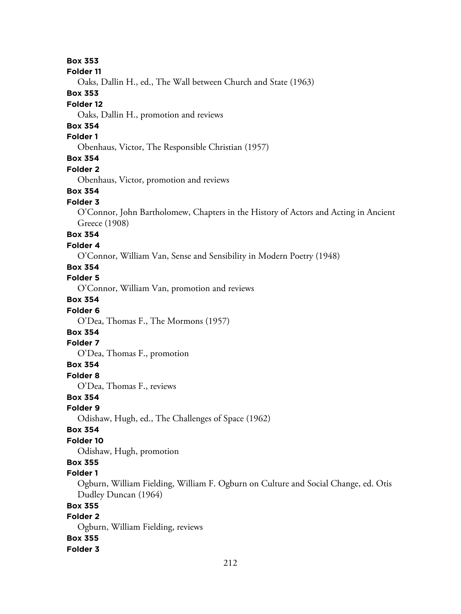**Box 353 Folder 11** Oaks, Dallin H., ed., The Wall between Church and State (1963) **Box 353 Folder 12** Oaks, Dallin H., promotion and reviews **Box 354 Folder 1** Obenhaus, Victor, The Responsible Christian (1957) **Box 354 Folder 2** Obenhaus, Victor, promotion and reviews **Box 354 Folder 3** O'Connor, John Bartholomew, Chapters in the History of Actors and Acting in Ancient Greece (1908) **Box 354 Folder 4** O'Connor, William Van, Sense and Sensibility in Modern Poetry (1948) **Box 354 Folder 5** O'Connor, William Van, promotion and reviews **Box 354 Folder 6** O'Dea, Thomas F., The Mormons (1957) **Box 354 Folder 7** O'Dea, Thomas F., promotion **Box 354 Folder 8** O'Dea, Thomas F., reviews **Box 354 Folder 9** Odishaw, Hugh, ed., The Challenges of Space (1962) **Box 354 Folder 10** Odishaw, Hugh, promotion **Box 355 Folder 1** Ogburn, William Fielding, William F. Ogburn on Culture and Social Change, ed. Otis Dudley Duncan (1964) **Box 355 Folder 2** Ogburn, William Fielding, reviews **Box 355 Folder 3**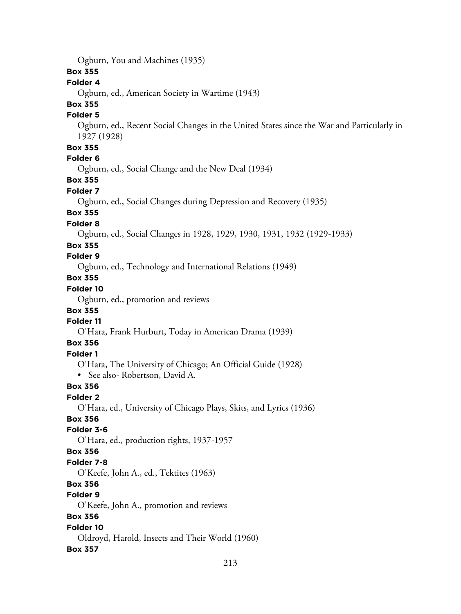Ogburn, You and Machines (1935)

### **Box 355**

#### **Folder 4**

Ogburn, ed., American Society in Wartime (1943)

## **Box 355**

#### **Folder 5**

Ogburn, ed., Recent Social Changes in the United States since the War and Particularly in 1927 (1928)

## **Box 355**

## **Folder 6**

Ogburn, ed., Social Change and the New Deal (1934)

### **Box 355**

#### **Folder 7**

Ogburn, ed., Social Changes during Depression and Recovery (1935)

### **Box 355**

#### **Folder 8**

Ogburn, ed., Social Changes in 1928, 1929, 1930, 1931, 1932 (1929-1933)

#### **Box 355**

## **Folder 9**

Ogburn, ed., Technology and International Relations (1949)

# **Box 355**

## **Folder 10**

Ogburn, ed., promotion and reviews

## **Box 355**

## **Folder 11**

O'Hara, Frank Hurburt, Today in American Drama (1939)

## **Box 356**

### **Folder 1**

O'Hara, The University of Chicago; An Official Guide (1928)

• See also- Robertson, David A.

### **Box 356**

#### **Folder 2**

O'Hara, ed., University of Chicago Plays, Skits, and Lyrics (1936)

### **Box 356**

#### **Folder 3-6**

O'Hara, ed., production rights, 1937-1957

#### **Box 356**

#### **Folder 7-8**

O'Keefe, John A., ed., Tektites (1963)

## **Box 356**

#### **Folder 9**

O'Keefe, John A., promotion and reviews

### **Box 356**

# **Folder 10**

# Oldroyd, Harold, Insects and Their World (1960)

### **Box 357**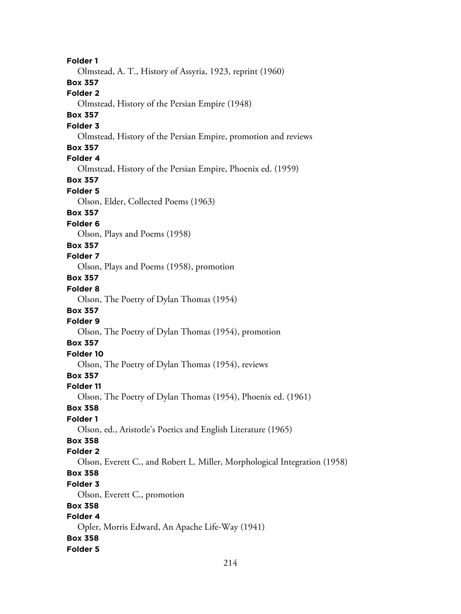**Folder 1** Olmstead, A. T., History of Assyria, 1923, reprint (1960) **Box 357 Folder 2** Olmstead, History of the Persian Empire (1948) **Box 357 Folder 3** Olmstead, History of the Persian Empire, promotion and reviews **Box 357 Folder 4** Olmstead, History of the Persian Empire, Phoenix ed. (1959) **Box 357 Folder 5** Olson, Elder, Collected Poems (1963) **Box 357 Folder 6** Olson, Plays and Poems (1958) **Box 357 Folder 7** Olson, Plays and Poems (1958), promotion **Box 357 Folder 8** Olson, The Poetry of Dylan Thomas (1954) **Box 357 Folder 9** Olson, The Poetry of Dylan Thomas (1954), promotion **Box 357 Folder 10** Olson, The Poetry of Dylan Thomas (1954), reviews **Box 357 Folder 11** Olson, The Poetry of Dylan Thomas (1954), Phoenix ed. (1961) **Box 358 Folder 1** Olson, ed., Aristotle's Poetics and English Literature (1965) **Box 358 Folder 2** Olson, Everett C., and Robert L. Miller, Morphological Integration (1958) **Box 358 Folder 3** Olson, Everett C., promotion **Box 358 Folder 4** Opler, Morris Edward, An Apache Life-Way (1941) **Box 358 Folder 5**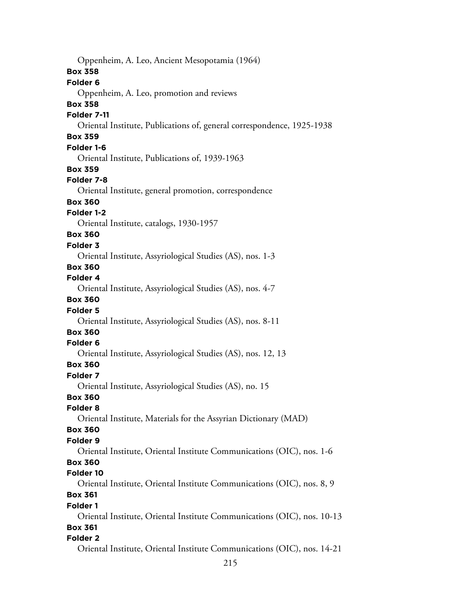Oppenheim, A. Leo, Ancient Mesopotamia (1964) **Box 358 Folder 6** Oppenheim, A. Leo, promotion and reviews **Box 358 Folder 7-11** Oriental Institute, Publications of, general correspondence, 1925-1938 **Box 359 Folder 1-6** Oriental Institute, Publications of, 1939-1963 **Box 359 Folder 7-8** Oriental Institute, general promotion, correspondence **Box 360 Folder 1-2** Oriental Institute, catalogs, 1930-1957 **Box 360 Folder 3** Oriental Institute, Assyriological Studies (AS), nos. 1-3 **Box 360 Folder 4** Oriental Institute, Assyriological Studies (AS), nos. 4-7 **Box 360 Folder 5** Oriental Institute, Assyriological Studies (AS), nos. 8-11 **Box 360 Folder 6** Oriental Institute, Assyriological Studies (AS), nos. 12, 13 **Box 360 Folder 7** Oriental Institute, Assyriological Studies (AS), no. 15 **Box 360 Folder 8** Oriental Institute, Materials for the Assyrian Dictionary (MAD) **Box 360 Folder 9** Oriental Institute, Oriental Institute Communications (OIC), nos. 1-6 **Box 360 Folder 10** Oriental Institute, Oriental Institute Communications (OIC), nos. 8, 9 **Box 361 Folder 1** Oriental Institute, Oriental Institute Communications (OIC), nos. 10-13 **Box 361 Folder 2** Oriental Institute, Oriental Institute Communications (OIC), nos. 14-21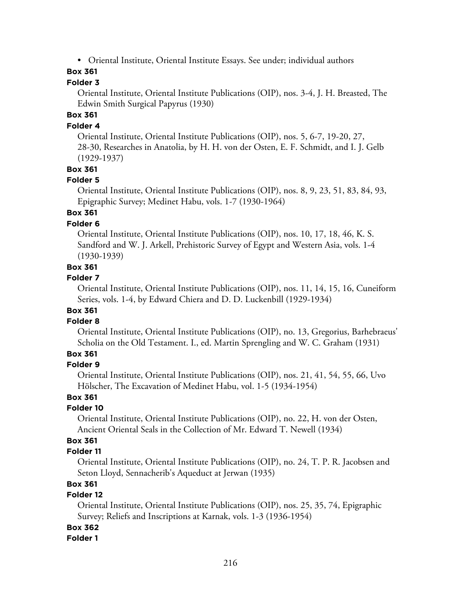• Oriental Institute, Oriental Institute Essays. See under; individual authors

## **Box 361**

### **Folder 3**

Oriental Institute, Oriental Institute Publications (OIP), nos. 3-4, J. H. Breasted, The Edwin Smith Surgical Papyrus (1930)

## **Box 361**

### **Folder 4**

Oriental Institute, Oriental Institute Publications (OIP), nos. 5, 6-7, 19-20, 27, 28-30, Researches in Anatolia, by H. H. von der Osten, E. F. Schmidt, and I. J. Gelb (1929-1937)

#### **Box 361**

#### **Folder 5**

Oriental Institute, Oriental Institute Publications (OIP), nos. 8, 9, 23, 51, 83, 84, 93, Epigraphic Survey; Medinet Habu, vols. 1-7 (1930-1964)

## **Box 361**

#### **Folder 6**

Oriental Institute, Oriental Institute Publications (OIP), nos. 10, 17, 18, 46, K. S. Sandford and W. J. Arkell, Prehistoric Survey of Egypt and Western Asia, vols. 1-4 (1930-1939)

### **Box 361**

#### **Folder 7**

Oriental Institute, Oriental Institute Publications (OIP), nos. 11, 14, 15, 16, Cuneiform Series, vols. 1-4, by Edward Chiera and D. D. Luckenbill (1929-1934)

## **Box 361**

#### **Folder 8**

Oriental Institute, Oriental Institute Publications (OIP), no. 13, Gregorius, Barhebraeus' Scholia on the Old Testament. I., ed. Martin Sprengling and W. C. Graham (1931)

### **Box 361**

#### **Folder 9**

Oriental Institute, Oriental Institute Publications (OIP), nos. 21, 41, 54, 55, 66, Uvo Hölscher, The Excavation of Medinet Habu, vol. 1-5 (1934-1954)

#### **Box 361**

#### **Folder 10**

Oriental Institute, Oriental Institute Publications (OIP), no. 22, H. von der Osten, Ancient Oriental Seals in the Collection of Mr. Edward T. Newell (1934)

## **Box 361**

#### **Folder 11**

Oriental Institute, Oriental Institute Publications (OIP), no. 24, T. P. R. Jacobsen and Seton Lloyd, Sennacherib's Aqueduct at Jerwan (1935)

## **Box 361**

### **Folder 12**

Oriental Institute, Oriental Institute Publications (OIP), nos. 25, 35, 74, Epigraphic Survey; Reliefs and Inscriptions at Karnak, vols. 1-3 (1936-1954)

#### **Box 362**

#### **Folder 1**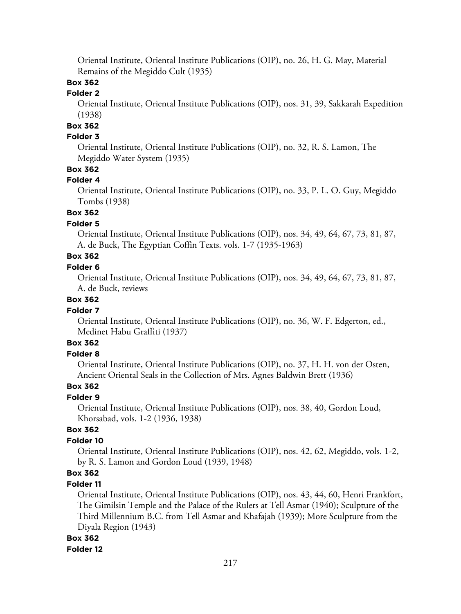Oriental Institute, Oriental Institute Publications (OIP), no. 26, H. G. May, Material Remains of the Megiddo Cult (1935)

# **Box 362**

# **Folder 2**

Oriental Institute, Oriental Institute Publications (OIP), nos. 31, 39, Sakkarah Expedition (1938)

# **Box 362**

# **Folder 3**

Oriental Institute, Oriental Institute Publications (OIP), no. 32, R. S. Lamon, The Megiddo Water System (1935)

### **Box 362**

### **Folder 4**

Oriental Institute, Oriental Institute Publications (OIP), no. 33, P. L. O. Guy, Megiddo Tombs (1938)

# **Box 362**

# **Folder 5**

Oriental Institute, Oriental Institute Publications (OIP), nos. 34, 49, 64, 67, 73, 81, 87, A. de Buck, The Egyptian Coffin Texts. vols. 1-7 (1935-1963)

# **Box 362**

### **Folder 6**

Oriental Institute, Oriental Institute Publications (OIP), nos. 34, 49, 64, 67, 73, 81, 87, A. de Buck, reviews

### **Box 362**

### **Folder 7**

Oriental Institute, Oriental Institute Publications (OIP), no. 36, W. F. Edgerton, ed., Medinet Habu Graffiti (1937)

# **Box 362**

# **Folder 8**

Oriental Institute, Oriental Institute Publications (OIP), no. 37, H. H. von der Osten, Ancient Oriental Seals in the Collection of Mrs. Agnes Baldwin Brett (1936)

# **Box 362**

### **Folder 9**

Oriental Institute, Oriental Institute Publications (OIP), nos. 38, 40, Gordon Loud, Khorsabad, vols. 1-2 (1936, 1938)

### **Box 362**

### **Folder 10**

Oriental Institute, Oriental Institute Publications (OIP), nos. 42, 62, Megiddo, vols. 1-2, by R. S. Lamon and Gordon Loud (1939, 1948)

# **Box 362**

### **Folder 11**

Oriental Institute, Oriental Institute Publications (OIP), nos. 43, 44, 60, Henri Frankfort, The Gimilsin Temple and the Palace of the Rulers at Tell Asmar (1940); Sculpture of the Third Millennium B.C. from Tell Asmar and Khafajah (1939); More Sculpture from the Diyala Region (1943)

### **Box 362**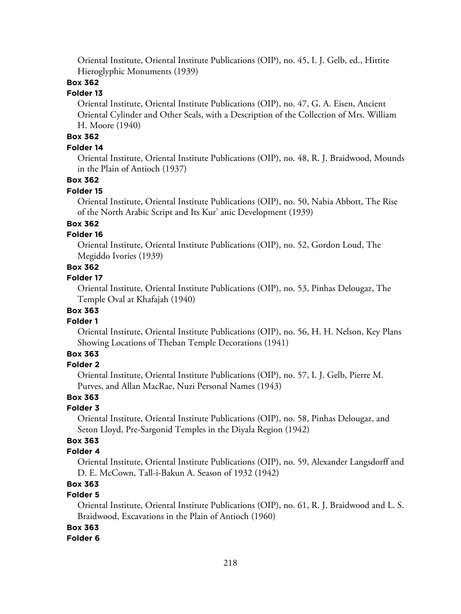Oriental Institute, Oriental Institute Publications (OIP), no. 45, I. J. Gelb, ed., Hittite Hieroglyphic Monuments (1939)

# **Box 362**

# **Folder 13**

Oriental Institute, Oriental Institute Publications (OIP), no. 47, G. A. Eisen, Ancient Oriental Cylinder and Other Seals, with a Description of the Collection of Mrs. William H. Moore (1940)

# **Box 362**

# **Folder 14**

Oriental Institute, Oriental Institute Publications (OIP), no. 48, R. J. Braidwood, Mounds in the Plain of Antioch (1937)

# **Box 362**

# **Folder 15**

Oriental Institute, Oriental Institute Publications (OIP), no. 50, Nabia Abbott, The Rise of the North Arabic Script and Its Kur' anic Development (1939)

# **Box 362**

### **Folder 16**

Oriental Institute, Oriental Institute Publications (OIP), no. 52, Gordon Loud, The Megiddo Ivories (1939)

### **Box 362**

### **Folder 17**

Oriental Institute, Oriental Institute Publications (OIP), no. 53, Pinhas Delougaz, The Temple Oval at Khafajah (1940)

# **Box 363**

### **Folder 1**

Oriental Institute, Oriental Institute Publications (OIP), no. 56, H. H. Nelson, Key Plans Showing Locations of Theban Temple Decorations (1941)

# **Box 363**

### **Folder 2**

Oriental Institute, Oriental Institute Publications (OIP), no. 57, I. J. Gelb, Pierre M. Purves, and Allan MacRae, Nuzi Personal Names (1943)

### **Box 363**

### **Folder 3**

Oriental Institute, Oriental Institute Publications (OIP), no. 58, Pinhas Delougaz, and Seton Lloyd, Pre-Sargonid Temples in the Diyala Region (1942)

# **Box 363**

### **Folder 4**

Oriental Institute, Oriental Institute Publications (OIP), no. 59, Alexander Langsdorff and D. E. McCown, Tall-i-Bakun A. Season of 1932 (1942)

# **Box 363**

# **Folder 5**

Oriental Institute, Oriental Institute Publications (OIP), no. 61, R. J. Braidwood and L. S. Braidwood, Excavations in the Plain of Antioch (1960)

### **Box 363**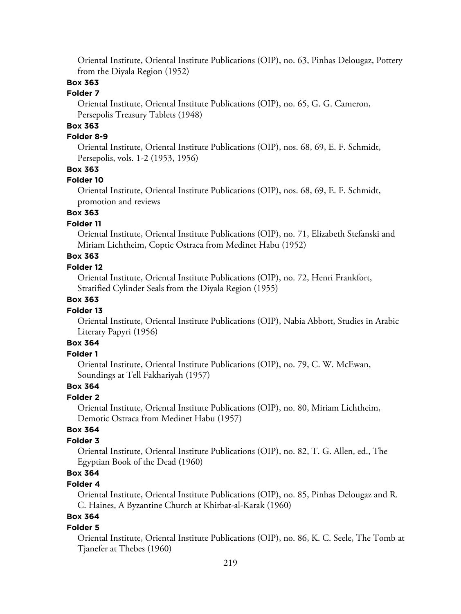Oriental Institute, Oriental Institute Publications (OIP), no. 63, Pinhas Delougaz, Pottery from the Diyala Region (1952)

# **Box 363**

### **Folder 7**

Oriental Institute, Oriental Institute Publications (OIP), no. 65, G. G. Cameron, Persepolis Treasury Tablets (1948)

# **Box 363**

### **Folder 8-9**

Oriental Institute, Oriental Institute Publications (OIP), nos. 68, 69, E. F. Schmidt, Persepolis, vols. 1-2 (1953, 1956)

### **Box 363**

### **Folder 10**

Oriental Institute, Oriental Institute Publications (OIP), nos. 68, 69, E. F. Schmidt, promotion and reviews

# **Box 363**

### **Folder 11**

Oriental Institute, Oriental Institute Publications (OIP), no. 71, Elizabeth Stefanski and Miriam Lichtheim, Coptic Ostraca from Medinet Habu (1952)

# **Box 363**

### **Folder 12**

Oriental Institute, Oriental Institute Publications (OIP), no. 72, Henri Frankfort, Stratified Cylinder Seals from the Diyala Region (1955)

### **Box 363**

#### **Folder 13**

Oriental Institute, Oriental Institute Publications (OIP), Nabia Abbott, Studies in Arabic Literary Papyri (1956)

# **Box 364**

# **Folder 1**

Oriental Institute, Oriental Institute Publications (OIP), no. 79, C. W. McEwan, Soundings at Tell Fakhariyah (1957)

### **Box 364**

### **Folder 2**

Oriental Institute, Oriental Institute Publications (OIP), no. 80, Miriam Lichtheim, Demotic Ostraca from Medinet Habu (1957)

### **Box 364**

### **Folder 3**

Oriental Institute, Oriental Institute Publications (OIP), no. 82, T. G. Allen, ed., The Egyptian Book of the Dead (1960)

# **Box 364**

### **Folder 4**

Oriental Institute, Oriental Institute Publications (OIP), no. 85, Pinhas Delougaz and R. C. Haines, A Byzantine Church at Khirbat-al-Karak (1960)

# **Box 364**

### **Folder 5**

Oriental Institute, Oriental Institute Publications (OIP), no. 86, K. C. Seele, The Tomb at Tjanefer at Thebes (1960)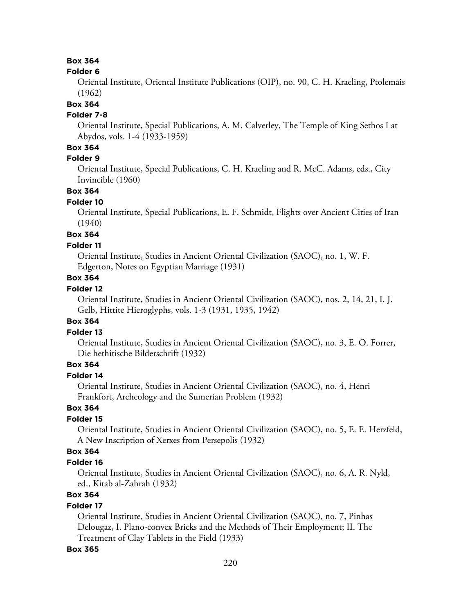# **Box 364**

#### **Folder 6**

Oriental Institute, Oriental Institute Publications (OIP), no. 90, C. H. Kraeling, Ptolemais (1962)

### **Box 364**

### **Folder 7-8**

Oriental Institute, Special Publications, A. M. Calverley, The Temple of King Sethos I at Abydos, vols. 1-4 (1933-1959)

# **Box 364**

### **Folder 9**

Oriental Institute, Special Publications, C. H. Kraeling and R. McC. Adams, eds., City Invincible (1960)

# **Box 364**

### **Folder 10**

Oriental Institute, Special Publications, E. F. Schmidt, Flights over Ancient Cities of Iran (1940)

# **Box 364**

### **Folder 11**

Oriental Institute, Studies in Ancient Oriental Civilization (SAOC), no. 1, W. F. Edgerton, Notes on Egyptian Marriage (1931)

# **Box 364**

# **Folder 12**

Oriental Institute, Studies in Ancient Oriental Civilization (SAOC), nos. 2, 14, 21, I. J. Gelb, Hittite Hieroglyphs, vols. 1-3 (1931, 1935, 1942)

### **Box 364**

### **Folder 13**

Oriental Institute, Studies in Ancient Oriental Civilization (SAOC), no. 3, E. O. Forrer, Die hethitische Bilderschrift (1932)

# **Box 364**

# **Folder 14**

Oriental Institute, Studies in Ancient Oriental Civilization (SAOC), no. 4, Henri Frankfort, Archeology and the Sumerian Problem (1932)

# **Box 364**

# **Folder 15**

Oriental Institute, Studies in Ancient Oriental Civilization (SAOC), no. 5, E. E. Herzfeld, A New Inscription of Xerxes from Persepolis (1932)

### **Box 364**

#### **Folder 16**

Oriental Institute, Studies in Ancient Oriental Civilization (SAOC), no. 6, A. R. Nykl, ed., Kitab al-Zahrah (1932)

# **Box 364**

### **Folder 17**

Oriental Institute, Studies in Ancient Oriental Civilization (SAOC), no. 7, Pinhas Delougaz, I. Plano-convex Bricks and the Methods of Their Employment; II. The Treatment of Clay Tablets in the Field (1933)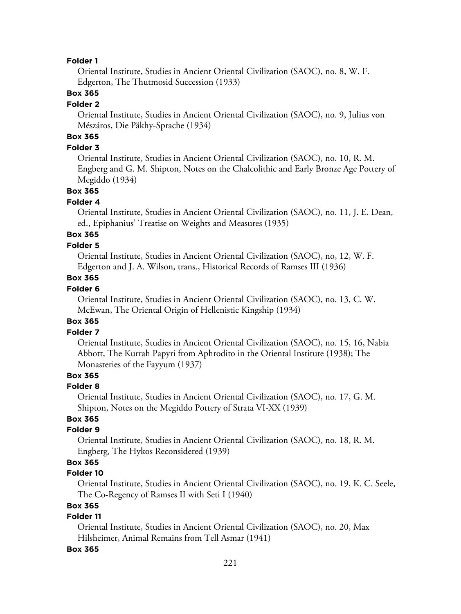### **Folder 1**

Oriental Institute, Studies in Ancient Oriental Civilization (SAOC), no. 8, W. F. Edgerton, The Thutmosid Succession (1933)

### **Box 365**

#### **Folder 2**

Oriental Institute, Studies in Ancient Oriental Civilization (SAOC), no. 9, Julius von Mészáros, Die Päkhy-Sprache (1934)

# **Box 365**

### **Folder 3**

Oriental Institute, Studies in Ancient Oriental Civilization (SAOC), no. 10, R. M. Engberg and G. M. Shipton, Notes on the Chalcolithic and Early Bronze Age Pottery of Megiddo (1934)

### **Box 365**

#### **Folder 4**

Oriental Institute, Studies in Ancient Oriental Civilization (SAOC), no. 11, J. E. Dean, ed., Epiphanius' Treatise on Weights and Measures (1935)

# **Box 365**

### **Folder 5**

Oriental Institute, Studies in Ancient Oriental Civilization (SAOC), no, 12, W. F. Edgerton and J. A. Wilson, trans., Historical Records of Ramses III (1936)

# **Box 365**

### **Folder 6**

Oriental Institute, Studies in Ancient Oriental Civilization (SAOC), no. 13, C. W. McEwan, The Oriental Origin of Hellenistic Kingship (1934)

### **Box 365**

### **Folder 7**

Oriental Institute, Studies in Ancient Oriental Civilization (SAOC), no. 15, 16, Nabia Abbott, The Kurrah Papyri from Aphrodito in the Oriental Institute (1938); The Monasteries of the Fayyum (1937)

# **Box 365**

#### **Folder 8**

Oriental Institute, Studies in Ancient Oriental Civilization (SAOC), no. 17, G. M. Shipton, Notes on the Megiddo Pottery of Strata VI-XX (1939)

# **Box 365**

### **Folder 9**

Oriental Institute, Studies in Ancient Oriental Civilization (SAOC), no. 18, R. M. Engberg, The Hykos Reconsidered (1939)

# **Box 365**

# **Folder 10**

Oriental Institute, Studies in Ancient Oriental Civilization (SAOC), no. 19, K. C. Seele, The Co-Regency of Ramses II with Seti I (1940)

# **Box 365**

# **Folder 11**

Oriental Institute, Studies in Ancient Oriental Civilization (SAOC), no. 20, Max Hilsheimer, Animal Remains from Tell Asmar (1941)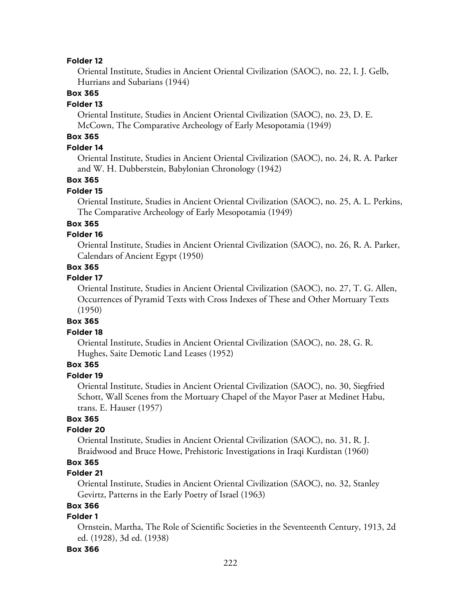#### **Folder 12**

Oriental Institute, Studies in Ancient Oriental Civilization (SAOC), no. 22, I. J. Gelb, Hurrians and Subarians (1944)

### **Box 365**

### **Folder 13**

Oriental Institute, Studies in Ancient Oriental Civilization (SAOC), no. 23, D. E. McCown, The Comparative Archeology of Early Mesopotamia (1949)

# **Box 365**

### **Folder 14**

Oriental Institute, Studies in Ancient Oriental Civilization (SAOC), no. 24, R. A. Parker and W. H. Dubberstein, Babylonian Chronology (1942)

### **Box 365**

### **Folder 15**

Oriental Institute, Studies in Ancient Oriental Civilization (SAOC), no. 25, A. L. Perkins, The Comparative Archeology of Early Mesopotamia (1949)

### **Box 365**

### **Folder 16**

Oriental Institute, Studies in Ancient Oriental Civilization (SAOC), no. 26, R. A. Parker, Calendars of Ancient Egypt (1950)

# **Box 365**

### **Folder 17**

Oriental Institute, Studies in Ancient Oriental Civilization (SAOC), no. 27, T. G. Allen, Occurrences of Pyramid Texts with Cross Indexes of These and Other Mortuary Texts (1950)

#### **Box 365**

#### **Folder 18**

Oriental Institute, Studies in Ancient Oriental Civilization (SAOC), no. 28, G. R. Hughes, Saite Demotic Land Leases (1952)

# **Box 365**

### **Folder 19**

Oriental Institute, Studies in Ancient Oriental Civilization (SAOC), no. 30, Siegfried Schott, Wall Scenes from the Mortuary Chapel of the Mayor Paser at Medinet Habu, trans. E. Hauser (1957)

# **Box 365**

### **Folder 20**

Oriental Institute, Studies in Ancient Oriental Civilization (SAOC), no. 31, R. J. Braidwood and Bruce Howe, Prehistoric Investigations in Iraqi Kurdistan (1960)

# **Box 365**

# **Folder 21**

Oriental Institute, Studies in Ancient Oriental Civilization (SAOC), no. 32, Stanley Gevirtz, Patterns in the Early Poetry of Israel (1963)

# **Box 366**

### **Folder 1**

Ornstein, Martha, The Role of Scientific Societies in the Seventeenth Century, 1913, 2d ed. (1928), 3d ed. (1938)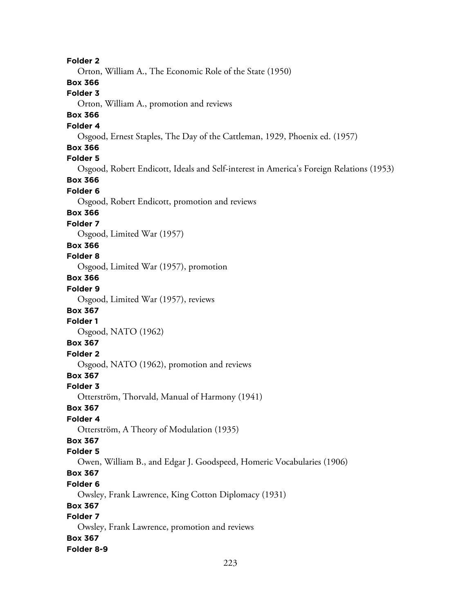**Folder 2** Orton, William A., The Economic Role of the State (1950) **Box 366 Folder 3** Orton, William A., promotion and reviews **Box 366 Folder 4** Osgood, Ernest Staples, The Day of the Cattleman, 1929, Phoenix ed. (1957) **Box 366 Folder 5** Osgood, Robert Endicott, Ideals and Self-interest in America's Foreign Relations (1953) **Box 366 Folder 6** Osgood, Robert Endicott, promotion and reviews **Box 366 Folder 7** Osgood, Limited War (1957) **Box 366 Folder 8** Osgood, Limited War (1957), promotion **Box 366 Folder 9** Osgood, Limited War (1957), reviews **Box 367 Folder 1** Osgood, NATO (1962) **Box 367 Folder 2** Osgood, NATO (1962), promotion and reviews **Box 367 Folder 3** Otterström, Thorvald, Manual of Harmony (1941) **Box 367 Folder 4** Otterström, A Theory of Modulation (1935) **Box 367 Folder 5** Owen, William B., and Edgar J. Goodspeed, Homeric Vocabularies (1906) **Box 367 Folder 6** Owsley, Frank Lawrence, King Cotton Diplomacy (1931) **Box 367 Folder 7** Owsley, Frank Lawrence, promotion and reviews **Box 367 Folder 8-9**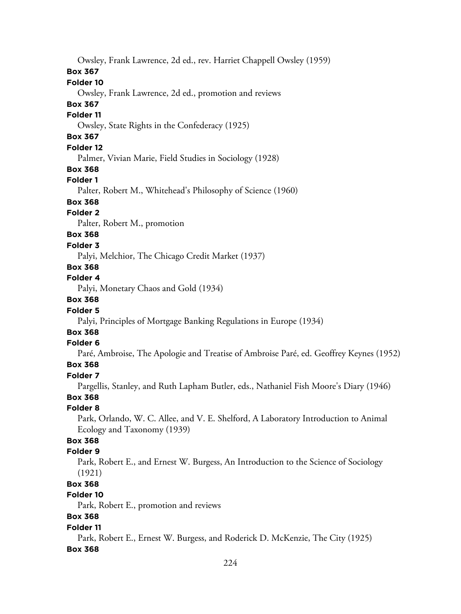Owsley, Frank Lawrence, 2d ed., rev. Harriet Chappell Owsley (1959)

# **Box 367**

# **Folder 10**

Owsley, Frank Lawrence, 2d ed., promotion and reviews

# **Box 367**

# **Folder 11**

Owsley, State Rights in the Confederacy (1925)

# **Box 367**

# **Folder 12**

Palmer, Vivian Marie, Field Studies in Sociology (1928)

# **Box 368**

# **Folder 1**

Palter, Robert M., Whitehead's Philosophy of Science (1960)

# **Box 368**

# **Folder 2**

Palter, Robert M., promotion

# **Box 368**

# **Folder 3**

Palyi, Melchior, The Chicago Credit Market (1937)

# **Box 368**

# **Folder 4**

Palyi, Monetary Chaos and Gold (1934)

# **Box 368**

# **Folder 5**

Palyi, Principles of Mortgage Banking Regulations in Europe (1934)

# **Box 368**

# **Folder 6**

Paré, Ambroise, The Apologie and Treatise of Ambroise Paré, ed. Geoffrey Keynes (1952)

# **Box 368**

# **Folder 7**

Pargellis, Stanley, and Ruth Lapham Butler, eds., Nathaniel Fish Moore's Diary (1946)

# **Box 368**

# **Folder 8**

Park, Orlando, W. C. Allee, and V. E. Shelford, A Laboratory Introduction to Animal Ecology and Taxonomy (1939)

# **Box 368**

# **Folder 9**

Park, Robert E., and Ernest W. Burgess, An Introduction to the Science of Sociology (1921)

# **Box 368**

# **Folder 10**

Park, Robert E., promotion and reviews

# **Box 368**

# **Folder 11**

Park, Robert E., Ernest W. Burgess, and Roderick D. McKenzie, The City (1925)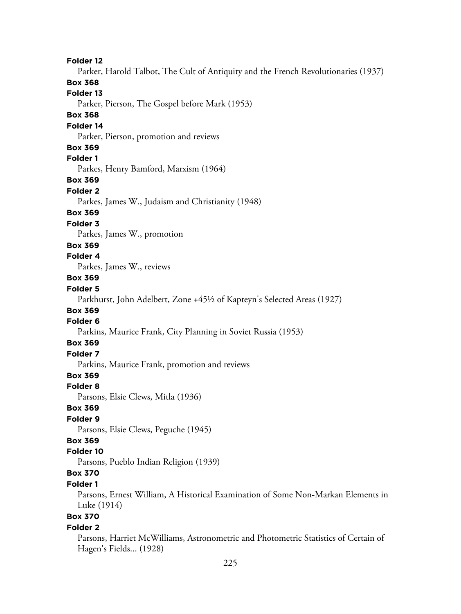**Folder 12** Parker, Harold Talbot, The Cult of Antiquity and the French Revolutionaries (1937) **Box 368 Folder 13** Parker, Pierson, The Gospel before Mark (1953) **Box 368 Folder 14** Parker, Pierson, promotion and reviews **Box 369 Folder 1** Parkes, Henry Bamford, Marxism (1964) **Box 369 Folder 2** Parkes, James W., Judaism and Christianity (1948) **Box 369 Folder 3** Parkes, James W., promotion **Box 369 Folder 4** Parkes, James W., reviews **Box 369 Folder 5** Parkhurst, John Adelbert, Zone +45½ of Kapteyn's Selected Areas (1927) **Box 369 Folder 6** Parkins, Maurice Frank, City Planning in Soviet Russia (1953) **Box 369 Folder 7** Parkins, Maurice Frank, promotion and reviews **Box 369 Folder 8** Parsons, Elsie Clews, Mitla (1936) **Box 369 Folder 9** Parsons, Elsie Clews, Peguche (1945) **Box 369 Folder 10** Parsons, Pueblo Indian Religion (1939) **Box 370 Folder 1** Parsons, Ernest William, A Historical Examination of Some Non-Markan Elements in Luke (1914) **Box 370 Folder 2** Parsons, Harriet McWilliams, Astronometric and Photometric Statistics of Certain of

Hagen's Fields... (1928)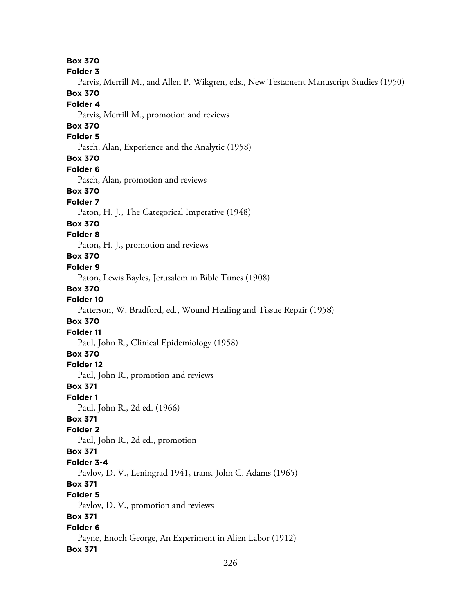226 **Box 370 Folder 3** Parvis, Merrill M., and Allen P. Wikgren, eds., New Testament Manuscript Studies (1950) **Box 370 Folder 4** Parvis, Merrill M., promotion and reviews **Box 370 Folder 5** Pasch, Alan, Experience and the Analytic (1958) **Box 370 Folder 6** Pasch, Alan, promotion and reviews **Box 370 Folder 7** Paton, H. J., The Categorical Imperative (1948) **Box 370 Folder 8** Paton, H. J., promotion and reviews **Box 370 Folder 9** Paton, Lewis Bayles, Jerusalem in Bible Times (1908) **Box 370 Folder 10** Patterson, W. Bradford, ed., Wound Healing and Tissue Repair (1958) **Box 370 Folder 11** Paul, John R., Clinical Epidemiology (1958) **Box 370 Folder 12** Paul, John R., promotion and reviews **Box 371 Folder 1** Paul, John R., 2d ed. (1966) **Box 371 Folder 2** Paul, John R., 2d ed., promotion **Box 371 Folder 3-4** Pavlov, D. V., Leningrad 1941, trans. John C. Adams (1965) **Box 371 Folder 5** Pavlov, D. V., promotion and reviews **Box 371 Folder 6** Payne, Enoch George, An Experiment in Alien Labor (1912) **Box 371**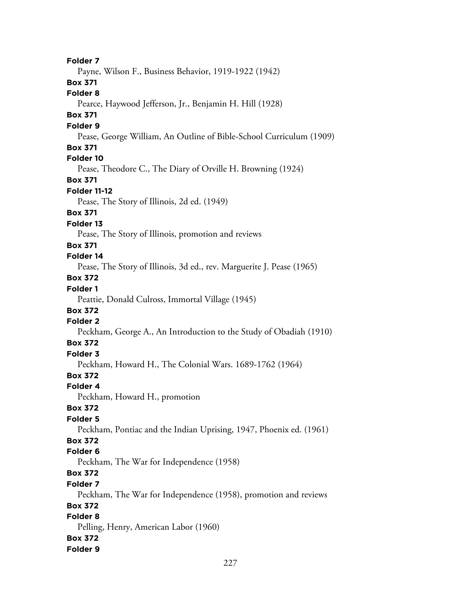**Folder 7** Payne, Wilson F., Business Behavior, 1919-1922 (1942) **Box 371 Folder 8** Pearce, Haywood Jefferson, Jr., Benjamin H. Hill (1928) **Box 371 Folder 9** Pease, George William, An Outline of Bible-School Curriculum (1909) **Box 371 Folder 10** Pease, Theodore C., The Diary of Orville H. Browning (1924) **Box 371 Folder 11-12** Pease, The Story of Illinois, 2d ed. (1949) **Box 371 Folder 13** Pease, The Story of Illinois, promotion and reviews **Box 371 Folder 14** Pease, The Story of Illinois, 3d ed., rev. Marguerite J. Pease (1965) **Box 372 Folder 1** Peattie, Donald Culross, Immortal Village (1945) **Box 372 Folder 2** Peckham, George A., An Introduction to the Study of Obadiah (1910) **Box 372 Folder 3** Peckham, Howard H., The Colonial Wars. 1689-1762 (1964) **Box 372 Folder 4** Peckham, Howard H., promotion **Box 372 Folder 5** Peckham, Pontiac and the Indian Uprising, 1947, Phoenix ed. (1961) **Box 372 Folder 6** Peckham, The War for Independence (1958) **Box 372 Folder 7** Peckham, The War for Independence (1958), promotion and reviews **Box 372 Folder 8** Pelling, Henry, American Labor (1960) **Box 372 Folder 9**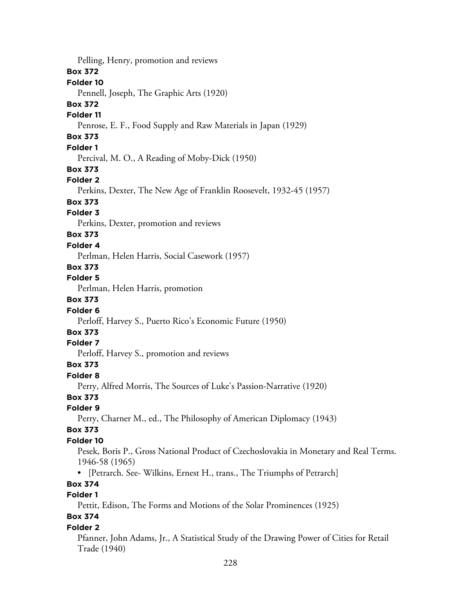Pelling, Henry, promotion and reviews **Box 372 Folder 10** Pennell, Joseph, The Graphic Arts (1920) **Box 372 Folder 11** Penrose, E. F., Food Supply and Raw Materials in Japan (1929) **Box 373 Folder 1** Percival, M. O., A Reading of Moby-Dick (1950) **Box 373 Folder 2** Perkins, Dexter, The New Age of Franklin Roosevelt, 1932-45 (1957) **Box 373 Folder 3** Perkins, Dexter, promotion and reviews **Box 373 Folder 4** Perlman, Helen Harris, Social Casework (1957) **Box 373 Folder 5** Perlman, Helen Harris, promotion **Box 373 Folder 6** Perloff, Harvey S., Puerto Rico's Economic Future (1950) **Box 373 Folder 7** Perloff, Harvey S., promotion and reviews **Box 373 Folder 8** Perry, Alfred Morris, The Sources of Luke's Passion-Narrative (1920) **Box 373 Folder 9** Perry, Charner M., ed., The Philosophy of American Diplomacy (1943) **Box 373 Folder 10** Pesek, Boris P., Gross National Product of Czechoslovakia in Monetary and Real Terms. 1946-58 (1965) • [Petrarch. See- Wilkins, Ernest H., trans., The Triumphs of Petrarch] **Box 374 Folder 1** Pettit, Edison, The Forms and Motions of the Solar Prominences (1925) **Box 374 Folder 2** Pfanner, John Adams, Jr., A Statistical Study of the Drawing Power of Cities for Retail Trade (1940)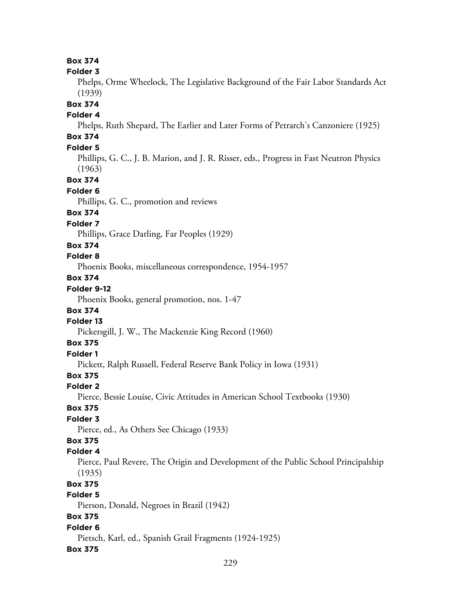**Box 374 Folder 3** Phelps, Orme Wheelock, The Legislative Background of the Fair Labor Standards Act (1939) **Box 374 Folder 4** Phelps, Ruth Shepard, The Earlier and Later Forms of Petrarch's Canzoniere (1925) **Box 374 Folder 5** Phillips, G. C., J. B. Marion, and J. R. Risser, eds., Progress in Fast Neutron Physics (1963) **Box 374 Folder 6** Phillips, G. C., promotion and reviews **Box 374 Folder 7** Phillips, Grace Darling, Far Peoples (1929) **Box 374 Folder 8** Phoenix Books, miscellaneous correspondence, 1954-1957 **Box 374 Folder 9-12** Phoenix Books, general promotion, nos. 1-47 **Box 374 Folder 13** Pickersgill, J. W., The Mackenzie King Record (1960) **Box 375 Folder 1** Pickett, Ralph Russell, Federal Reserve Bank Policy in Iowa (1931) **Box 375 Folder 2** Pierce, Bessie Louise, Civic Attitudes in American School Textbooks (1930) **Box 375 Folder 3** Pierce, ed., As Others See Chicago (1933) **Box 375 Folder 4** Pierce, Paul Revere, The Origin and Development of the Public School Principalship (1935) **Box 375 Folder 5** Pierson, Donald, Negroes in Brazil (1942) **Box 375 Folder 6** Pietsch, Karl, ed., Spanish Grail Fragments (1924-1925) **Box 375**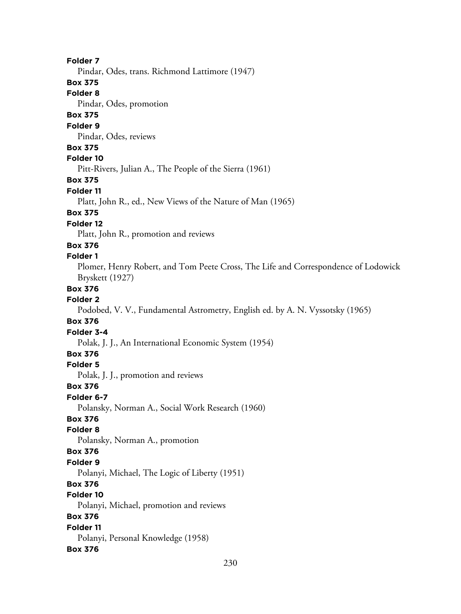### **Folder 7**

Pindar, Odes, trans. Richmond Lattimore (1947)

### **Box 375**

**Folder 8**

Pindar, Odes, promotion

# **Box 375**

#### **Folder 9**

Pindar, Odes, reviews

### **Box 375**

**Folder 10**

Pitt-Rivers, Julian A., The People of the Sierra (1961)

### **Box 375**

**Folder 11**

Platt, John R., ed., New Views of the Nature of Man (1965)

### **Box 375**

#### **Folder 12**

Platt, John R., promotion and reviews

#### **Box 376**

### **Folder 1**

Plomer, Henry Robert, and Tom Peete Cross, The Life and Correspondence of Lodowick Bryskett (1927)

### **Box 376**

### **Folder 2**

Podobed, V. V., Fundamental Astrometry, English ed. by A. N. Vyssotsky (1965)

### **Box 376**

#### **Folder 3-4**

Polak, J. J., An International Economic System (1954)

### **Box 376**

### **Folder 5**

Polak, J. J., promotion and reviews

### **Box 376**

#### **Folder 6-7**

Polansky, Norman A., Social Work Research (1960)

# **Box 376**

### **Folder 8**

Polansky, Norman A., promotion

### **Box 376**

### **Folder 9**

Polanyi, Michael, The Logic of Liberty (1951)

### **Box 376**

### **Folder 10**

Polanyi, Michael, promotion and reviews

# **Box 376**

### **Folder 11** Polanyi, Personal Knowledge (1958)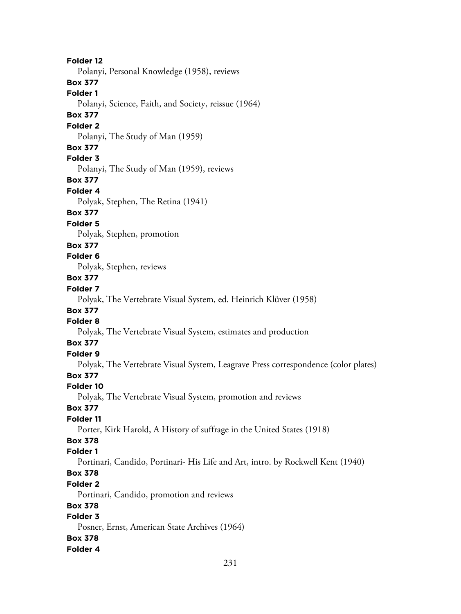**Folder 12** Polanyi, Personal Knowledge (1958), reviews **Box 377 Folder 1** Polanyi, Science, Faith, and Society, reissue (1964) **Box 377 Folder 2** Polanyi, The Study of Man (1959) **Box 377 Folder 3** Polanyi, The Study of Man (1959), reviews **Box 377 Folder 4** Polyak, Stephen, The Retina (1941) **Box 377 Folder 5** Polyak, Stephen, promotion **Box 377 Folder 6** Polyak, Stephen, reviews **Box 377 Folder 7** Polyak, The Vertebrate Visual System, ed. Heinrich Klüver (1958) **Box 377 Folder 8** Polyak, The Vertebrate Visual System, estimates and production **Box 377 Folder 9** Polyak, The Vertebrate Visual System, Leagrave Press correspondence (color plates) **Box 377 Folder 10** Polyak, The Vertebrate Visual System, promotion and reviews **Box 377 Folder 11** Porter, Kirk Harold, A History of suffrage in the United States (1918) **Box 378 Folder 1** Portinari, Candido, Portinari- His Life and Art, intro. by Rockwell Kent (1940) **Box 378 Folder 2** Portinari, Candido, promotion and reviews **Box 378 Folder 3** Posner, Ernst, American State Archives (1964) **Box 378**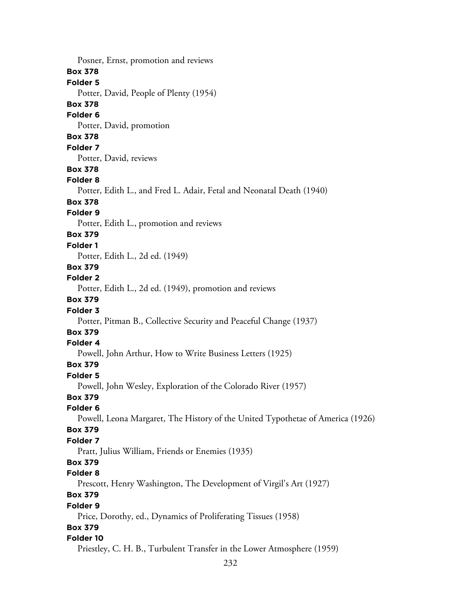232 Posner, Ernst, promotion and reviews **Box 378 Folder 5** Potter, David, People of Plenty (1954) **Box 378 Folder 6** Potter, David, promotion **Box 378 Folder 7** Potter, David, reviews **Box 378 Folder 8** Potter, Edith L., and Fred L. Adair, Fetal and Neonatal Death (1940) **Box 378 Folder 9** Potter, Edith L., promotion and reviews **Box 379 Folder 1** Potter, Edith L., 2d ed. (1949) **Box 379 Folder 2** Potter, Edith L., 2d ed. (1949), promotion and reviews **Box 379 Folder 3** Potter, Pitman B., Collective Security and Peaceful Change (1937) **Box 379 Folder 4** Powell, John Arthur, How to Write Business Letters (1925) **Box 379 Folder 5** Powell, John Wesley, Exploration of the Colorado River (1957) **Box 379 Folder 6** Powell, Leona Margaret, The History of the United Typothetae of America (1926) **Box 379 Folder 7** Pratt, Julius William, Friends or Enemies (1935) **Box 379 Folder 8** Prescott, Henry Washington, The Development of Virgil's Art (1927) **Box 379 Folder 9** Price, Dorothy, ed., Dynamics of Proliferating Tissues (1958) **Box 379 Folder 10** Priestley, C. H. B., Turbulent Transfer in the Lower Atmosphere (1959)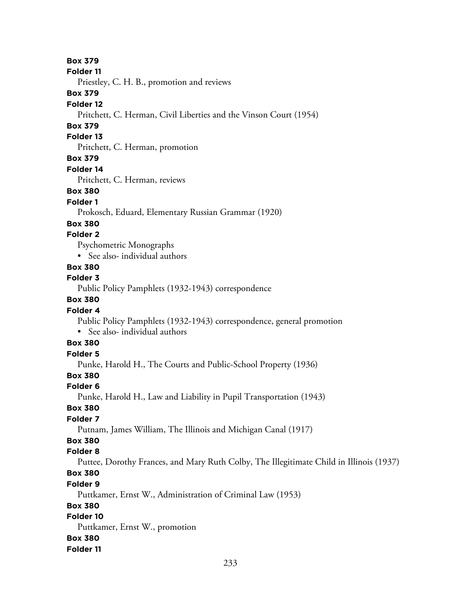### **Box 379**

#### **Folder 11**

Priestley, C. H. B., promotion and reviews

#### **Box 379**

#### **Folder 12**

Pritchett, C. Herman, Civil Liberties and the Vinson Court (1954)

# **Box 379**

#### **Folder 13**

Pritchett, C. Herman, promotion

### **Box 379**

#### **Folder 14**

Pritchett, C. Herman, reviews

### **Box 380**

#### **Folder 1**

Prokosch, Eduard, Elementary Russian Grammar (1920)

### **Box 380**

### **Folder 2**

Psychometric Monographs

• See also- individual authors

# **Box 380**

#### **Folder 3**

Public Policy Pamphlets (1932-1943) correspondence

### **Box 380**

### **Folder 4**

Public Policy Pamphlets (1932-1943) correspondence, general promotion • See also- individual authors

# **Box 380**

# **Folder 5**

Punke, Harold H., The Courts and Public-School Property (1936)

# **Box 380**

### **Folder 6**

Punke, Harold H., Law and Liability in Pupil Transportation (1943)

### **Box 380**

### **Folder 7**

Putnam, James William, The Illinois and Michigan Canal (1917)

# **Box 380**

### **Folder 8**

Puttee, Dorothy Frances, and Mary Ruth Colby, The Illegitimate Child in Illinois (1937)

# **Box 380**

### **Folder 9**

Puttkamer, Ernst W., Administration of Criminal Law (1953)

# **Box 380**

# **Folder 10**

Puttkamer, Ernst W., promotion **Box 380**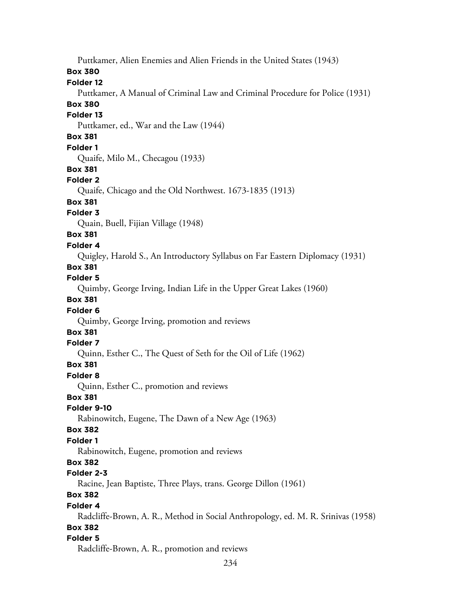Puttkamer, Alien Enemies and Alien Friends in the United States (1943) **Box 380 Folder 12** Puttkamer, A Manual of Criminal Law and Criminal Procedure for Police (1931) **Box 380 Folder 13** Puttkamer, ed., War and the Law (1944) **Box 381 Folder 1** Quaife, Milo M., Checagou (1933) **Box 381 Folder 2** Quaife, Chicago and the Old Northwest. 1673-1835 (1913) **Box 381 Folder 3** Quain, Buell, Fijian Village (1948) **Box 381 Folder 4** Quigley, Harold S., An Introductory Syllabus on Far Eastern Diplomacy (1931) **Box 381 Folder 5** Quimby, George Irving, Indian Life in the Upper Great Lakes (1960) **Box 381 Folder 6** Quimby, George Irving, promotion and reviews **Box 381 Folder 7** Quinn, Esther C., The Quest of Seth for the Oil of Life (1962) **Box 381 Folder 8** Quinn, Esther C., promotion and reviews **Box 381 Folder 9-10** Rabinowitch, Eugene, The Dawn of a New Age (1963) **Box 382 Folder 1** Rabinowitch, Eugene, promotion and reviews **Box 382 Folder 2-3** Racine, Jean Baptiste, Three Plays, trans. George Dillon (1961) **Box 382 Folder 4** Radcliffe-Brown, A. R., Method in Social Anthropology, ed. M. R. Srinivas (1958) **Box 382 Folder 5** Radcliffe-Brown, A. R., promotion and reviews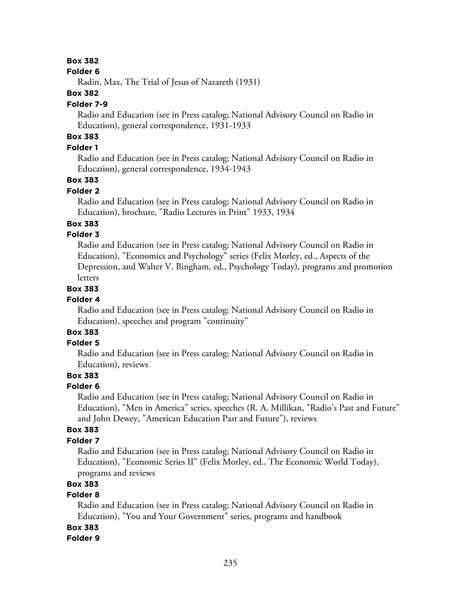# **Box 382**

#### **Folder 6**

Radin, Max, The Trial of Jesus of Nazareth (1931)

### **Box 382**

### **Folder 7-9**

Radio and Education (see in Press catalog; National Advisory Council on Radio in Education), general correspondence, 1931-1933

# **Box 383**

# **Folder 1**

Radio and Education (see in Press catalog; National Advisory Council on Radio in Education), general correspondence, 1934-1943

# **Box 383**

# **Folder 2**

Radio and Education (see in Press catalog; National Advisory Council on Radio in Education), brochure, "Radio Lectures in Print" 1933, 1934

# **Box 383**

# **Folder 3**

Radio and Education (see in Press catalog; National Advisory Council on Radio in Education), "Economics and Psychology" series (Felix Morley, ed., Aspects of the Depression, and Walter V. Bingham, ed., Psychology Today), programs and promotion letters

### **Box 383**

### **Folder 4**

Radio and Education (see in Press catalog; National Advisory Council on Radio in Education), speeches and program "continuity"

# **Box 383**

# **Folder 5**

Radio and Education (see in Press catalog; National Advisory Council on Radio in Education), reviews

# **Box 383**

#### **Folder 6**

Radio and Education (see in Press catalog; National Advisory Council on Radio in Education), "Men in America" series, speeches (R. A. Millikan, "Radio's Past and Future" and John Dewey, "American Education Past and Future"), reviews

### **Box 383**

# **Folder 7**

Radio and Education (see in Press catalog; National Advisory Council on Radio in Education), "Economic Series II" (Felix Morley, ed., The Economic World Today), programs and reviews

### **Box 383**

# **Folder 8**

Radio and Education (see in Press catalog; National Advisory Council on Radio in Education), "You and Your Government" series, programs and handbook

### **Box 383**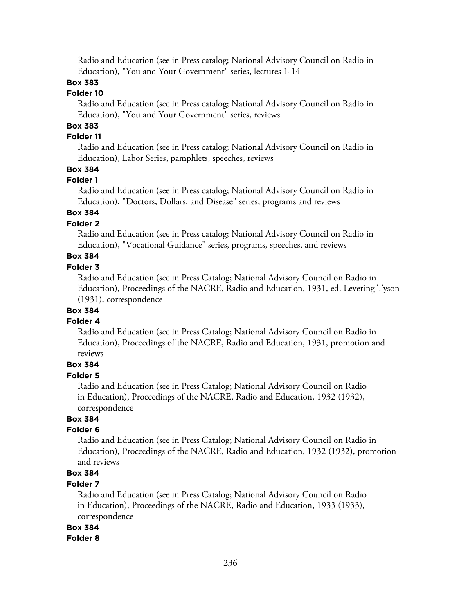Radio and Education (see in Press catalog; National Advisory Council on Radio in Education), "You and Your Government" series, lectures 1-14

# **Box 383**

### **Folder 10**

Radio and Education (see in Press catalog; National Advisory Council on Radio in Education), "You and Your Government" series, reviews

# **Box 383**

# **Folder 11**

Radio and Education (see in Press catalog; National Advisory Council on Radio in Education), Labor Series, pamphlets, speeches, reviews

# **Box 384**

#### **Folder 1**

Radio and Education (see in Press catalog; National Advisory Council on Radio in Education), "Doctors, Dollars, and Disease" series, programs and reviews

# **Box 384**

### **Folder 2**

Radio and Education (see in Press catalog; National Advisory Council on Radio in Education), "Vocational Guidance" series, programs, speeches, and reviews

# **Box 384**

### **Folder 3**

Radio and Education (see in Press Catalog; National Advisory Council on Radio in Education), Proceedings of the NACRE, Radio and Education, 1931, ed. Levering Tyson (1931), correspondence

### **Box 384**

#### **Folder 4**

Radio and Education (see in Press Catalog; National Advisory Council on Radio in Education), Proceedings of the NACRE, Radio and Education, 1931, promotion and reviews

### **Box 384**

#### **Folder 5**

Radio and Education (see in Press Catalog; National Advisory Council on Radio in Education), Proceedings of the NACRE, Radio and Education, 1932 (1932), correspondence

# **Box 384**

# **Folder 6**

Radio and Education (see in Press Catalog; National Advisory Council on Radio in Education), Proceedings of the NACRE, Radio and Education, 1932 (1932), promotion and reviews

# **Box 384**

### **Folder 7**

Radio and Education (see in Press Catalog; National Advisory Council on Radio in Education), Proceedings of the NACRE, Radio and Education, 1933 (1933), correspondence

### **Box 384**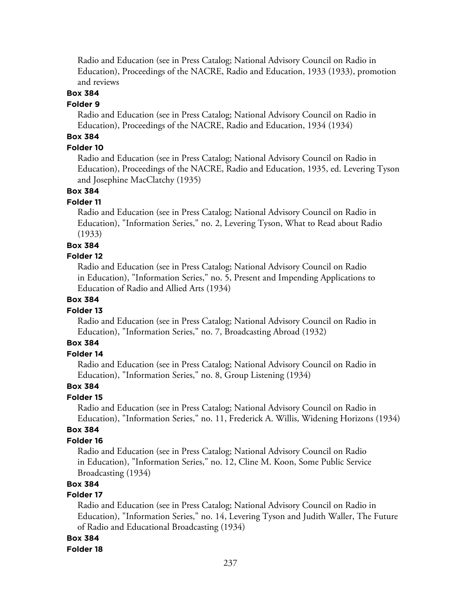Radio and Education (see in Press Catalog; National Advisory Council on Radio in Education), Proceedings of the NACRE, Radio and Education, 1933 (1933), promotion and reviews

# **Box 384**

### **Folder 9**

Radio and Education (see in Press Catalog; National Advisory Council on Radio in Education), Proceedings of the NACRE, Radio and Education, 1934 (1934)

# **Box 384**

### **Folder 10**

Radio and Education (see in Press Catalog; National Advisory Council on Radio in Education), Proceedings of the NACRE, Radio and Education, 1935, ed. Levering Tyson and Josephine MacClatchy (1935)

# **Box 384**

### **Folder 11**

Radio and Education (see in Press Catalog; National Advisory Council on Radio in Education), "Information Series," no. 2, Levering Tyson, What to Read about Radio (1933)

### **Box 384**

#### **Folder 12**

Radio and Education (see in Press Catalog; National Advisory Council on Radio in Education), "Information Series," no. 5, Present and Impending Applications to Education of Radio and Allied Arts (1934)

### **Box 384**

#### **Folder 13**

Radio and Education (see in Press Catalog; National Advisory Council on Radio in Education), "Information Series," no. 7, Broadcasting Abroad (1932)

# **Box 384**

# **Folder 14**

Radio and Education (see in Press Catalog; National Advisory Council on Radio in Education), "Information Series," no. 8, Group Listening (1934)

### **Box 384**

#### **Folder 15**

Radio and Education (see in Press Catalog; National Advisory Council on Radio in Education), "Information Series," no. 11, Frederick A. Willis, Widening Horizons (1934)

### **Box 384**

### **Folder 16**

Radio and Education (see in Press Catalog; National Advisory Council on Radio in Education), "Information Series," no. 12, Cline M. Koon, Some Public Service Broadcasting (1934)

### **Box 384**

### **Folder 17**

Radio and Education (see in Press Catalog; National Advisory Council on Radio in Education), "Information Series," no. 14, Levering Tyson and Judith Waller, The Future of Radio and Educational Broadcasting (1934)

### **Box 384**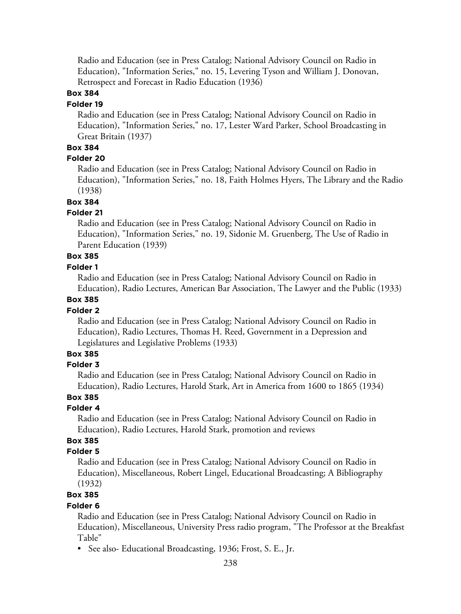Radio and Education (see in Press Catalog; National Advisory Council on Radio in Education), "Information Series," no. 15, Levering Tyson and William J. Donovan, Retrospect and Forecast in Radio Education (1936)

### **Box 384**

#### **Folder 19**

Radio and Education (see in Press Catalog; National Advisory Council on Radio in Education), "Information Series," no. 17, Lester Ward Parker, School Broadcasting in Great Britain (1937)

# **Box 384**

### **Folder 20**

Radio and Education (see in Press Catalog; National Advisory Council on Radio in Education), "Information Series," no. 18, Faith Holmes Hyers, The Library and the Radio (1938)

# **Box 384**

### **Folder 21**

Radio and Education (see in Press Catalog; National Advisory Council on Radio in Education), "Information Series," no. 19, Sidonie M. Gruenberg, The Use of Radio in Parent Education (1939)

# **Box 385**

### **Folder 1**

Radio and Education (see in Press Catalog; National Advisory Council on Radio in Education), Radio Lectures, American Bar Association, The Lawyer and the Public (1933)

# **Box 385**

### **Folder 2**

Radio and Education (see in Press Catalog; National Advisory Council on Radio in Education), Radio Lectures, Thomas H. Reed, Government in a Depression and Legislatures and Legislative Problems (1933)

# **Box 385**

### **Folder 3**

Radio and Education (see in Press Catalog; National Advisory Council on Radio in Education), Radio Lectures, Harold Stark, Art in America from 1600 to 1865 (1934)

### **Box 385**

### **Folder 4**

Radio and Education (see in Press Catalog; National Advisory Council on Radio in Education), Radio Lectures, Harold Stark, promotion and reviews

# **Box 385**

### **Folder 5**

Radio and Education (see in Press Catalog; National Advisory Council on Radio in Education), Miscellaneous, Robert Lingel, Educational Broadcasting; A Bibliography (1932)

# **Box 385**

### **Folder 6**

Radio and Education (see in Press Catalog; National Advisory Council on Radio in Education), Miscellaneous, University Press radio program, "The Professor at the Breakfast Table"

• See also- Educational Broadcasting, 1936; Frost, S. E., Jr.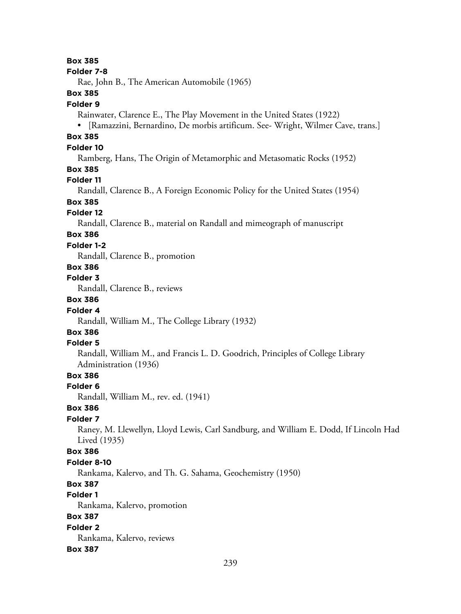#### **Box 385**

#### **Folder 7-8**

Rae, John B., The American Automobile (1965)

### **Box 385**

#### **Folder 9**

Rainwater, Clarence E., The Play Movement in the United States (1922)

• [Ramazzini, Bernardino, De morbis artificum. See- Wright, Wilmer Cave, trans.]

# **Box 385**

# **Folder 10**

Ramberg, Hans, The Origin of Metamorphic and Metasomatic Rocks (1952)

### **Box 385**

### **Folder 11**

Randall, Clarence B., A Foreign Economic Policy for the United States (1954)

# **Box 385**

### **Folder 12**

Randall, Clarence B., material on Randall and mimeograph of manuscript

# **Box 386**

### **Folder 1-2**

Randall, Clarence B., promotion

# **Box 386**

### **Folder 3**

Randall, Clarence B., reviews

# **Box 386**

### **Folder 4**

Randall, William M., The College Library (1932)

# **Box 386**

### **Folder 5**

Randall, William M., and Francis L. D. Goodrich, Principles of College Library Administration (1936)

# **Box 386**

#### **Folder 6**

Randall, William M., rev. ed. (1941)

### **Box 386**

#### **Folder 7**

Raney, M. Llewellyn, Lloyd Lewis, Carl Sandburg, and William E. Dodd, If Lincoln Had Lived (1935)

### **Box 386**

#### **Folder 8-10**

Rankama, Kalervo, and Th. G. Sahama, Geochemistry (1950)

# **Box 387**

# **Folder 1**

Rankama, Kalervo, promotion

### **Box 387**

**Folder 2** Rankama, Kalervo, reviews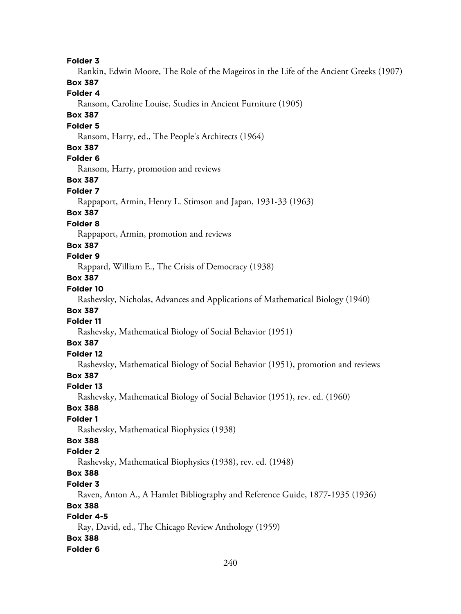**Folder 3** Rankin, Edwin Moore, The Role of the Mageiros in the Life of the Ancient Greeks (1907) **Box 387 Folder 4** Ransom, Caroline Louise, Studies in Ancient Furniture (1905) **Box 387 Folder 5** Ransom, Harry, ed., The People's Architects (1964) **Box 387 Folder 6** Ransom, Harry, promotion and reviews **Box 387 Folder 7** Rappaport, Armin, Henry L. Stimson and Japan, 1931-33 (1963) **Box 387 Folder 8** Rappaport, Armin, promotion and reviews **Box 387 Folder 9** Rappard, William E., The Crisis of Democracy (1938) **Box 387 Folder 10** Rashevsky, Nicholas, Advances and Applications of Mathematical Biology (1940) **Box 387 Folder 11** Rashevsky, Mathematical Biology of Social Behavior (1951) **Box 387 Folder 12** Rashevsky, Mathematical Biology of Social Behavior (1951), promotion and reviews **Box 387 Folder 13** Rashevsky, Mathematical Biology of Social Behavior (1951), rev. ed. (1960) **Box 388 Folder 1** Rashevsky, Mathematical Biophysics (1938) **Box 388 Folder 2** Rashevsky, Mathematical Biophysics (1938), rev. ed. (1948) **Box 388 Folder 3** Raven, Anton A., A Hamlet Bibliography and Reference Guide, 1877-1935 (1936) **Box 388 Folder 4-5** Ray, David, ed., The Chicago Review Anthology (1959) **Box 388**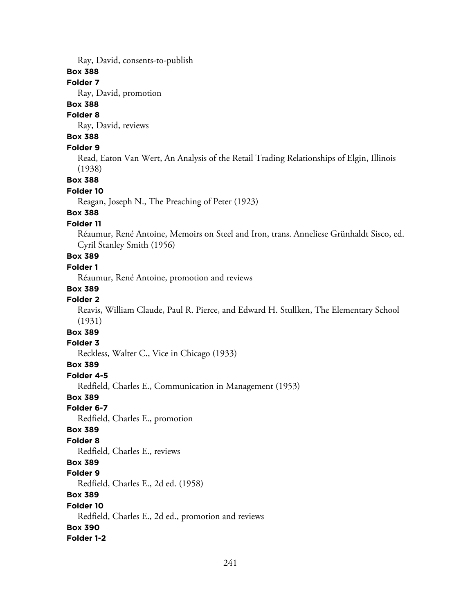Ray, David, consents-to-publish

### **Box 388**

### **Folder 7**

Ray, David, promotion

# **Box 388**

# **Folder 8**

Ray, David, reviews

# **Box 388**

### **Folder 9**

Read, Eaton Van Wert, An Analysis of the Retail Trading Relationships of Elgin, Illinois (1938)

**Box 388**

### **Folder 10**

Reagan, Joseph N., The Preaching of Peter (1923)

### **Box 388**

### **Folder 11**

Réaumur, René Antoine, Memoirs on Steel and Iron, trans. Anneliese Grünhaldt Sisco, ed. Cyril Stanley Smith (1956)

# **Box 389**

# **Folder 1**

Réaumur, René Antoine, promotion and reviews

### **Box 389**

### **Folder 2**

Reavis, William Claude, Paul R. Pierce, and Edward H. Stullken, The Elementary School (1931)

# **Box 389**

### **Folder 3**

Reckless, Walter C., Vice in Chicago (1933)

### **Box 389**

### **Folder 4-5**

Redfield, Charles E., Communication in Management (1953)

### **Box 389**

**Folder 6-7**

Redfield, Charles E., promotion

### **Box 389**

### **Folder 8**

Redfield, Charles E., reviews

### **Box 389**

### **Folder 9**

Redfield, Charles E., 2d ed. (1958)

# **Box 389**

### **Folder 10**

Redfield, Charles E., 2d ed., promotion and reviews **Box 390**

# **Folder 1-2**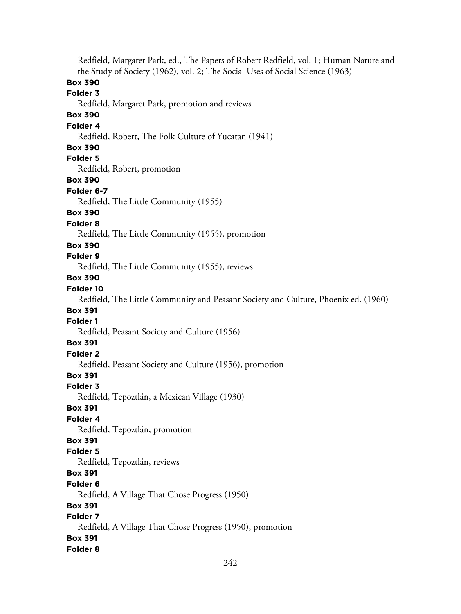Redfield, Margaret Park, ed., The Papers of Robert Redfield, vol. 1; Human Nature and the Study of Society (1962), vol. 2; The Social Uses of Social Science (1963) **Box 390 Folder 3** Redfield, Margaret Park, promotion and reviews **Box 390 Folder 4** Redfield, Robert, The Folk Culture of Yucatan (1941) **Box 390 Folder 5** Redfield, Robert, promotion **Box 390 Folder 6-7** Redfield, The Little Community (1955) **Box 390 Folder 8** Redfield, The Little Community (1955), promotion **Box 390 Folder 9** Redfield, The Little Community (1955), reviews **Box 390 Folder 10** Redfield, The Little Community and Peasant Society and Culture, Phoenix ed. (1960) **Box 391 Folder 1** Redfield, Peasant Society and Culture (1956) **Box 391 Folder 2** Redfield, Peasant Society and Culture (1956), promotion **Box 391 Folder 3** Redfield, Tepoztlán, a Mexican Village (1930) **Box 391 Folder 4** Redfield, Tepoztlán, promotion **Box 391 Folder 5** Redfield, Tepoztlán, reviews **Box 391 Folder 6** Redfield, A Village That Chose Progress (1950) **Box 391 Folder 7** Redfield, A Village That Chose Progress (1950), promotion **Box 391 Folder 8**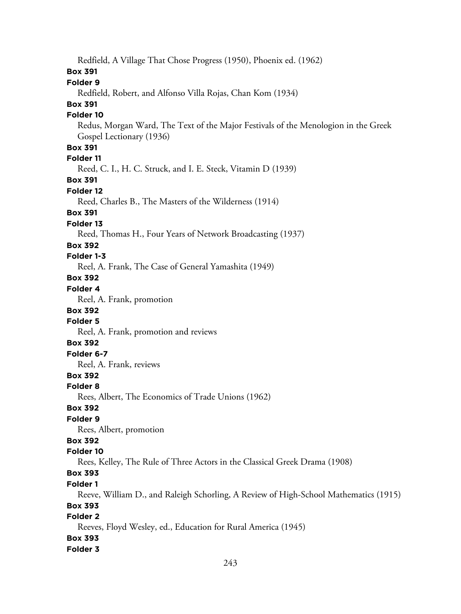Redfield, A Village That Chose Progress (1950), Phoenix ed. (1962) **Box 391 Folder 9** Redfield, Robert, and Alfonso Villa Rojas, Chan Kom (1934) **Box 391 Folder 10** Redus, Morgan Ward, The Text of the Major Festivals of the Menologion in the Greek Gospel Lectionary (1936) **Box 391 Folder 11** Reed, C. I., H. C. Struck, and I. E. Steck, Vitamin D (1939) **Box 391 Folder 12** Reed, Charles B., The Masters of the Wilderness (1914) **Box 391 Folder 13** Reed, Thomas H., Four Years of Network Broadcasting (1937) **Box 392 Folder 1-3** Reel, A. Frank, The Case of General Yamashita (1949) **Box 392 Folder 4** Reel, A. Frank, promotion **Box 392 Folder 5** Reel, A. Frank, promotion and reviews **Box 392 Folder 6-7** Reel, A. Frank, reviews **Box 392 Folder 8** Rees, Albert, The Economics of Trade Unions (1962) **Box 392 Folder 9** Rees, Albert, promotion **Box 392 Folder 10** Rees, Kelley, The Rule of Three Actors in the Classical Greek Drama (1908) **Box 393 Folder 1** Reeve, William D., and Raleigh Schorling, A Review of High-School Mathematics (1915) **Box 393 Folder 2** Reeves, Floyd Wesley, ed., Education for Rural America (1945) **Box 393 Folder 3**

### 243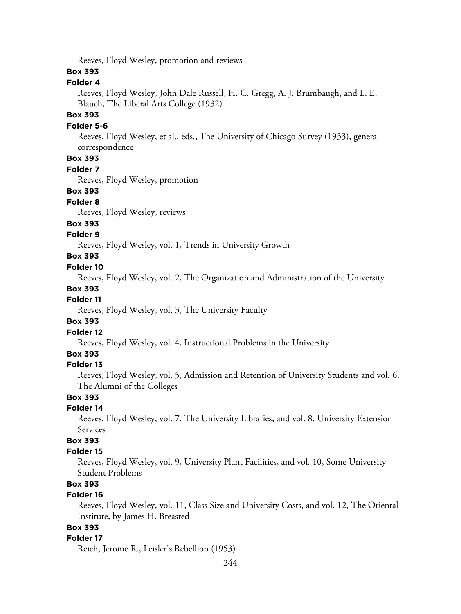Reeves, Floyd Wesley, promotion and reviews

### **Box 393**

# **Folder 4**

Reeves, Floyd Wesley, John Dale Russell, H. C. Gregg, A. J. Brumbaugh, and L. E. Blauch, The Liberal Arts College (1932)

## **Box 393**

### **Folder 5-6**

Reeves, Floyd Wesley, et al., eds., The University of Chicago Survey (1933), general correspondence

# **Box 393**

#### **Folder 7**

Reeves, Floyd Wesley, promotion

### **Box 393**

#### **Folder 8**

Reeves, Floyd Wesley, reviews

#### **Box 393**

### **Folder 9**

Reeves, Floyd Wesley, vol. 1, Trends in University Growth

# **Box 393**

### **Folder 10**

Reeves, Floyd Wesley, vol. 2, The Organization and Administration of the University

#### **Box 393**

### **Folder 11**

Reeves, Floyd Wesley, vol. 3, The University Faculty

### **Box 393**

# **Folder 12**

Reeves, Floyd Wesley, vol. 4, Instructional Problems in the University

### **Box 393**

### **Folder 13**

Reeves, Floyd Wesley, vol. 5, Admission and Retention of University Students and vol. 6, The Alumni of the Colleges

### **Box 393**

### **Folder 14**

Reeves, Floyd Wesley, vol. 7, The University Libraries, and vol. 8, University Extension Services

# **Box 393**

### **Folder 15**

Reeves, Floyd Wesley, vol. 9, University Plant Facilities, and vol. 10, Some University Student Problems

# **Box 393**

### **Folder 16**

Reeves, Floyd Wesley, vol. 11, Class Size and University Costs, and vol. 12, The Oriental Institute, by James H. Breasted

# **Box 393**

#### **Folder 17**

Reich, Jerome R., Leisler's Rebellion (1953)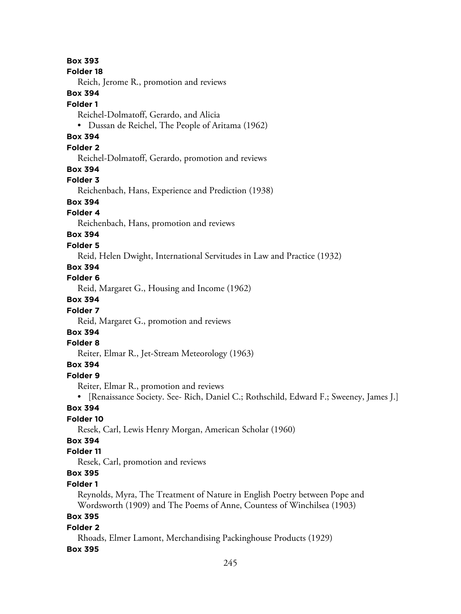**Folder 18** Reich, Jerome R., promotion and reviews **Box 394 Folder 1** Reichel-Dolmatoff, Gerardo, and Alicia • Dussan de Reichel, The People of Aritama (1962) **Box 394 Folder 2** Reichel-Dolmatoff, Gerardo, promotion and reviews **Box 394 Folder 3** Reichenbach, Hans, Experience and Prediction (1938) **Box 394 Folder 4** Reichenbach, Hans, promotion and reviews **Box 394 Folder 5** Reid, Helen Dwight, International Servitudes in Law and Practice (1932) **Box 394 Folder 6** Reid, Margaret G., Housing and Income (1962) **Box 394 Folder 7** Reid, Margaret G., promotion and reviews **Box 394 Folder 8** Reiter, Elmar R., Jet-Stream Meteorology (1963) **Box 394 Folder 9** Reiter, Elmar R., promotion and reviews • [Renaissance Society. See- Rich, Daniel C.; Rothschild, Edward F.; Sweeney, James J.] **Box 394 Folder 10** Resek, Carl, Lewis Henry Morgan, American Scholar (1960) **Box 394 Folder 11** Resek, Carl, promotion and reviews **Box 395 Folder 1** Reynolds, Myra, The Treatment of Nature in English Poetry between Pope and Wordsworth (1909) and The Poems of Anne, Countess of Winchilsea (1903) **Box 395 Folder 2** Rhoads, Elmer Lamont, Merchandising Packinghouse Products (1929)

### **Box 395**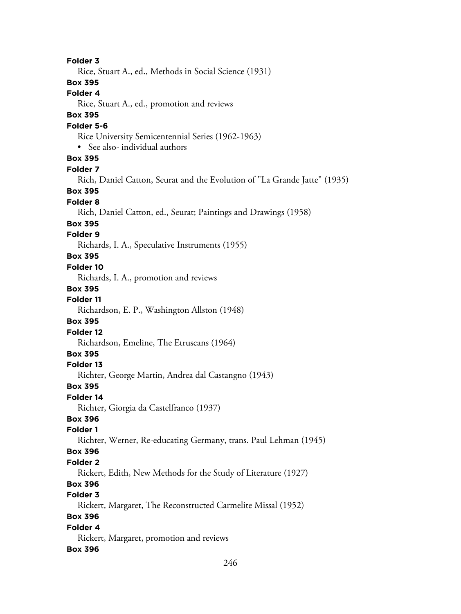**Folder 3** Rice, Stuart A., ed., Methods in Social Science (1931) **Box 395 Folder 4** Rice, Stuart A., ed., promotion and reviews **Box 395 Folder 5-6** Rice University Semicentennial Series (1962-1963) • See also- individual authors **Box 395 Folder 7** Rich, Daniel Catton, Seurat and the Evolution of "La Grande Jatte" (1935) **Box 395 Folder 8** Rich, Daniel Catton, ed., Seurat; Paintings and Drawings (1958) **Box 395 Folder 9** Richards, I. A., Speculative Instruments (1955) **Box 395 Folder 10** Richards, I. A., promotion and reviews **Box 395 Folder 11** Richardson, E. P., Washington Allston (1948) **Box 395 Folder 12** Richardson, Emeline, The Etruscans (1964) **Box 395 Folder 13** Richter, George Martin, Andrea dal Castangno (1943) **Box 395 Folder 14** Richter, Giorgia da Castelfranco (1937) **Box 396 Folder 1** Richter, Werner, Re-educating Germany, trans. Paul Lehman (1945) **Box 396 Folder 2** Rickert, Edith, New Methods for the Study of Literature (1927) **Box 396 Folder 3** Rickert, Margaret, The Reconstructed Carmelite Missal (1952) **Box 396 Folder 4** Rickert, Margaret, promotion and reviews **Box 396**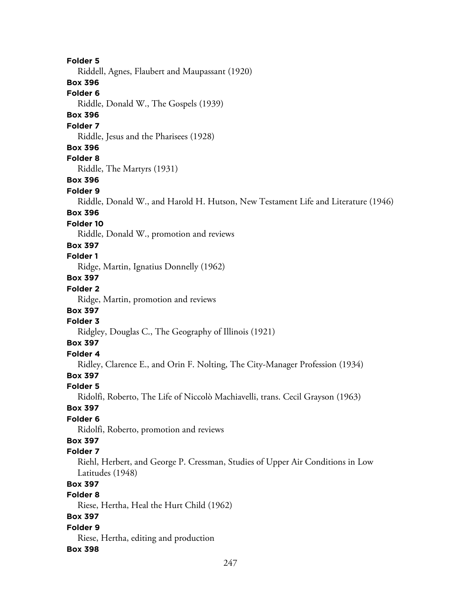**Folder 5** Riddell, Agnes, Flaubert and Maupassant (1920) **Box 396 Folder 6** Riddle, Donald W., The Gospels (1939) **Box 396 Folder 7** Riddle, Jesus and the Pharisees (1928) **Box 396 Folder 8** Riddle, The Martyrs (1931) **Box 396 Folder 9** Riddle, Donald W., and Harold H. Hutson, New Testament Life and Literature (1946) **Box 396 Folder 10** Riddle, Donald W., promotion and reviews **Box 397 Folder 1** Ridge, Martin, Ignatius Donnelly (1962) **Box 397 Folder 2** Ridge, Martin, promotion and reviews **Box 397 Folder 3** Ridgley, Douglas C., The Geography of Illinois (1921) **Box 397 Folder 4** Ridley, Clarence E., and Orin F. Nolting, The City-Manager Profession (1934) **Box 397 Folder 5** Ridolfi, Roberto, The Life of Niccolò Machiavelli, trans. Cecil Grayson (1963) **Box 397 Folder 6** Ridolfi, Roberto, promotion and reviews **Box 397 Folder 7** Riehl, Herbert, and George P. Cressman, Studies of Upper Air Conditions in Low Latitudes (1948) **Box 397 Folder 8** Riese, Hertha, Heal the Hurt Child (1962) **Box 397 Folder 9** Riese, Hertha, editing and production **Box 398**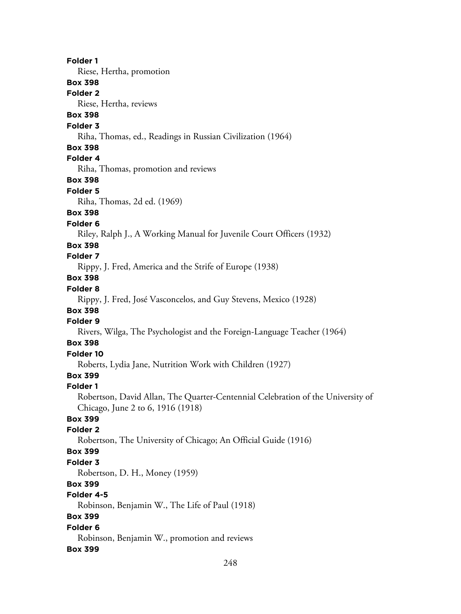**Folder 1** Riese, Hertha, promotion **Box 398 Folder 2** Riese, Hertha, reviews **Box 398 Folder 3** Riha, Thomas, ed., Readings in Russian Civilization (1964) **Box 398 Folder 4** Riha, Thomas, promotion and reviews **Box 398 Folder 5** Riha, Thomas, 2d ed. (1969) **Box 398 Folder 6** Riley, Ralph J., A Working Manual for Juvenile Court Officers (1932) **Box 398 Folder 7** Rippy, J. Fred, America and the Strife of Europe (1938) **Box 398 Folder 8** Rippy, J. Fred, José Vasconcelos, and Guy Stevens, Mexico (1928) **Box 398 Folder 9** Rivers, Wilga, The Psychologist and the Foreign-Language Teacher (1964) **Box 398 Folder 10** Roberts, Lydia Jane, Nutrition Work with Children (1927) **Box 399 Folder 1** Robertson, David Allan, The Quarter-Centennial Celebration of the University of Chicago, June 2 to 6, 1916 (1918) **Box 399 Folder 2** Robertson, The University of Chicago; An Official Guide (1916) **Box 399 Folder 3** Robertson, D. H., Money (1959) **Box 399 Folder 4-5** Robinson, Benjamin W., The Life of Paul (1918) **Box 399 Folder 6** Robinson, Benjamin W., promotion and reviews **Box 399**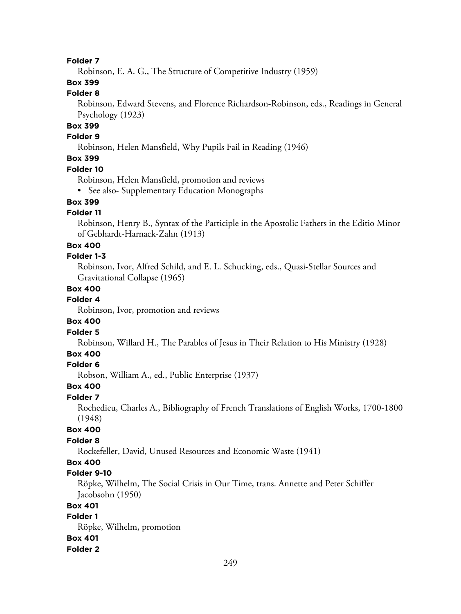### **Folder 7**

Robinson, E. A. G., The Structure of Competitive Industry (1959)

# **Box 399**

# **Folder 8**

Robinson, Edward Stevens, and Florence Richardson-Robinson, eds., Readings in General Psychology (1923)

# **Box 399**

# **Folder 9**

Robinson, Helen Mansfield, Why Pupils Fail in Reading (1946)

# **Box 399**

### **Folder 10**

Robinson, Helen Mansfield, promotion and reviews

• See also- Supplementary Education Monographs

# **Box 399**

# **Folder 11**

Robinson, Henry B., Syntax of the Participle in the Apostolic Fathers in the Editio Minor of Gebhardt-Harnack-Zahn (1913)

### **Box 400**

### **Folder 1-3**

Robinson, Ivor, Alfred Schild, and E. L. Schucking, eds., Quasi-Stellar Sources and Gravitational Collapse (1965)

### **Box 400**

# **Folder 4**

Robinson, Ivor, promotion and reviews

### **Box 400**

### **Folder 5**

Robinson, Willard H., The Parables of Jesus in Their Relation to His Ministry (1928)

#### **Box 400**

### **Folder 6**

Robson, William A., ed., Public Enterprise (1937)

#### **Box 400**

#### **Folder 7**

Rochedieu, Charles A., Bibliography of French Translations of English Works, 1700-1800 (1948)

# **Box 400**

# **Folder 8**

Rockefeller, David, Unused Resources and Economic Waste (1941)

# **Box 400**

### **Folder 9-10**

Röpke, Wilhelm, The Social Crisis in Our Time, trans. Annette and Peter Schiffer Jacobsohn (1950)

### **Box 401**

### **Folder 1**

Röpke, Wilhelm, promotion **Box 401**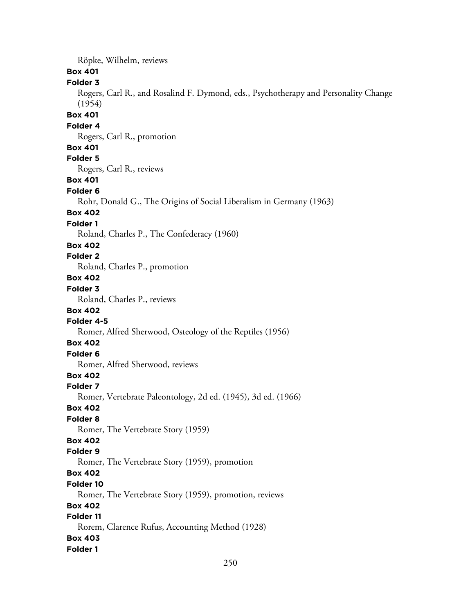Röpke, Wilhelm, reviews **Box 401 Folder 3** Rogers, Carl R., and Rosalind F. Dymond, eds., Psychotherapy and Personality Change (1954) **Box 401 Folder 4** Rogers, Carl R., promotion **Box 401 Folder 5** Rogers, Carl R., reviews **Box 401 Folder 6** Rohr, Donald G., The Origins of Social Liberalism in Germany (1963) **Box 402 Folder 1** Roland, Charles P., The Confederacy (1960) **Box 402 Folder 2** Roland, Charles P., promotion **Box 402 Folder 3** Roland, Charles P., reviews **Box 402 Folder 4-5** Romer, Alfred Sherwood, Osteology of the Reptiles (1956) **Box 402 Folder 6** Romer, Alfred Sherwood, reviews **Box 402 Folder 7** Romer, Vertebrate Paleontology, 2d ed. (1945), 3d ed. (1966) **Box 402 Folder 8** Romer, The Vertebrate Story (1959) **Box 402 Folder 9** Romer, The Vertebrate Story (1959), promotion **Box 402 Folder 10** Romer, The Vertebrate Story (1959), promotion, reviews **Box 402 Folder 11** Rorem, Clarence Rufus, Accounting Method (1928) **Box 403 Folder 1**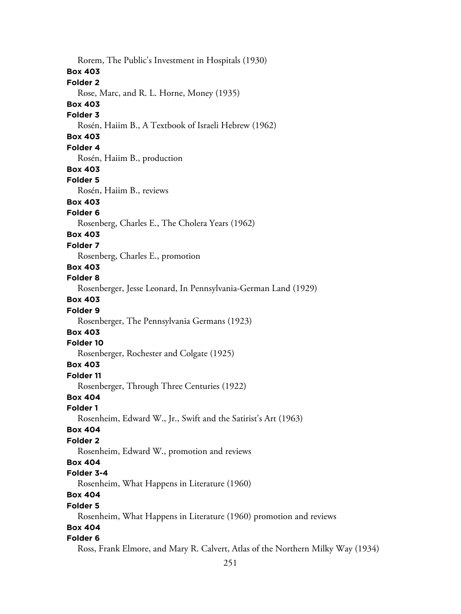Rorem, The Public's Investment in Hospitals (1930) **Box 403 Folder 2** Rose, Marc, and R. L. Horne, Money (1935) **Box 403 Folder 3** Rosén, Haiim B., A Textbook of Israeli Hebrew (1962) **Box 403 Folder 4** Rosén, Haiim B., production **Box 403 Folder 5** Rosén, Haiim B., reviews **Box 403 Folder 6** Rosenberg, Charles E., The Cholera Years (1962) **Box 403 Folder 7** Rosenberg, Charles E., promotion **Box 403 Folder 8** Rosenberger, Jesse Leonard, In Pennsylvania-German Land (1929) **Box 403 Folder 9** Rosenberger, The Pennsylvania Germans (1923) **Box 403 Folder 10** Rosenberger, Rochester and Colgate (1925) **Box 403 Folder 11** Rosenberger, Through Three Centuries (1922) **Box 404 Folder 1** Rosenheim, Edward W., Jr., Swift and the Satirist's Art (1963) **Box 404 Folder 2** Rosenheim, Edward W., promotion and reviews **Box 404 Folder 3-4** Rosenheim, What Happens in Literature (1960) **Box 404 Folder 5** Rosenheim, What Happens in Literature (1960) promotion and reviews **Box 404 Folder 6** Ross, Frank Elmore, and Mary R. Calvert, Atlas of the Northern Milky Way (1934)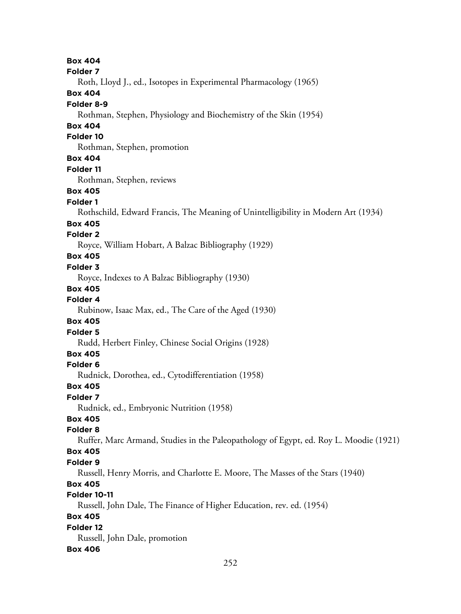**Box 404 Folder 7** Roth, Lloyd J., ed., Isotopes in Experimental Pharmacology (1965) **Box 404 Folder 8-9** Rothman, Stephen, Physiology and Biochemistry of the Skin (1954) **Box 404 Folder 10** Rothman, Stephen, promotion **Box 404 Folder 11** Rothman, Stephen, reviews **Box 405 Folder 1** Rothschild, Edward Francis, The Meaning of Unintelligibility in Modern Art (1934) **Box 405 Folder 2** Royce, William Hobart, A Balzac Bibliography (1929) **Box 405 Folder 3** Royce, Indexes to A Balzac Bibliography (1930) **Box 405 Folder 4** Rubinow, Isaac Max, ed., The Care of the Aged (1930) **Box 405 Folder 5** Rudd, Herbert Finley, Chinese Social Origins (1928) **Box 405 Folder 6** Rudnick, Dorothea, ed., Cytodifferentiation (1958) **Box 405 Folder 7** Rudnick, ed., Embryonic Nutrition (1958) **Box 405 Folder 8** Ruffer, Marc Armand, Studies in the Paleopathology of Egypt, ed. Roy L. Moodie (1921) **Box 405 Folder 9** Russell, Henry Morris, and Charlotte E. Moore, The Masses of the Stars (1940) **Box 405 Folder 10-11** Russell, John Dale, The Finance of Higher Education, rev. ed. (1954) **Box 405 Folder 12** Russell, John Dale, promotion **Box 406**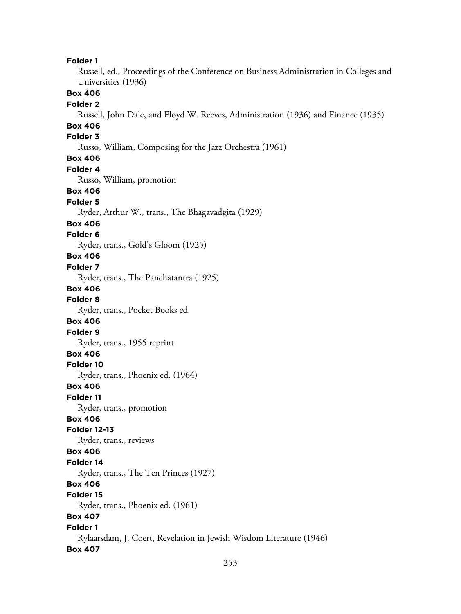**Folder 1**

Russell, ed., Proceedings of the Conference on Business Administration in Colleges and Universities (1936)

**Box 406**

#### **Folder 2**

Russell, John Dale, and Floyd W. Reeves, Administration (1936) and Finance (1935)

## **Box 406**

## **Folder 3**

Russo, William, Composing for the Jazz Orchestra (1961)

#### **Box 406**

**Folder 4** Russo, William, promotion **Box 406**

# **Folder 5**

Ryder, Arthur W., trans., The Bhagavadgita (1929)

#### **Box 406**

#### **Folder 6**

Ryder, trans., Gold's Gloom (1925)

#### **Box 406**

#### **Folder 7**

Ryder, trans., The Panchatantra (1925)

#### **Box 406**

**Folder 8**

Ryder, trans., Pocket Books ed.

## **Box 406**

**Folder 9** Ryder, trans., 1955 reprint

# **Box 406**

# **Folder 10**

Ryder, trans., Phoenix ed. (1964)

#### **Box 406**

**Folder 11**

#### Ryder, trans., promotion

### **Box 406**

#### **Folder 12-13**

Ryder, trans., reviews

#### **Box 406**

#### **Folder 14**

Ryder, trans., The Ten Princes (1927)

## **Box 406**

# **Folder 15**

Ryder, trans., Phoenix ed. (1961)

# **Box 407**

#### **Folder 1** Rylaarsdam, J. Coert, Revelation in Jewish Wisdom Literature (1946)

#### **Box 407**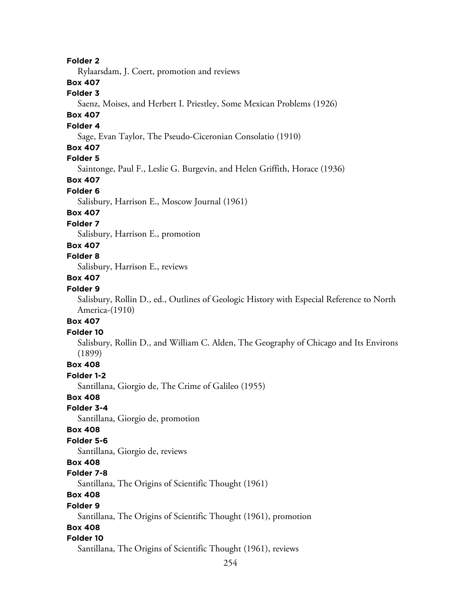#### **Folder 2**

Rylaarsdam, J. Coert, promotion and reviews

## **Box 407**

## **Folder 3**

Saenz, Moises, and Herbert I. Priestley, Some Mexican Problems (1926)

# **Box 407**

### **Folder 4**

Sage, Evan Taylor, The Pseudo-Ciceronian Consolatio (1910)

### **Box 407**

# **Folder 5**

Saintonge, Paul F., Leslie G. Burgevin, and Helen Griffith, Horace (1936)

## **Box 407**

#### **Folder 6**

Salisbury, Harrison E., Moscow Journal (1961)

### **Box 407**

# **Folder 7**

Salisbury, Harrison E., promotion

# **Box 407**

# **Folder 8**

Salisbury, Harrison E., reviews

#### **Box 407**

#### **Folder 9**

Salisbury, Rollin D., ed., Outlines of Geologic History with Especial Reference to North America-(1910)

#### **Box 407**

#### **Folder 10**

Salisbury, Rollin D., and William C. Alden, The Geography of Chicago and Its Environs (1899)

## **Box 408**

## **Folder 1-2**

Santillana, Giorgio de, The Crime of Galileo (1955)

# **Box 408**

**Folder 3-4**

Santillana, Giorgio de, promotion

### **Box 408**

## **Folder 5-6**

Santillana, Giorgio de, reviews

## **Box 408**

## **Folder 7-8**

Santillana, The Origins of Scientific Thought (1961)

# **Box 408**

#### **Folder 9**

Santillana, The Origins of Scientific Thought (1961), promotion

### **Box 408**

#### **Folder 10**

Santillana, The Origins of Scientific Thought (1961), reviews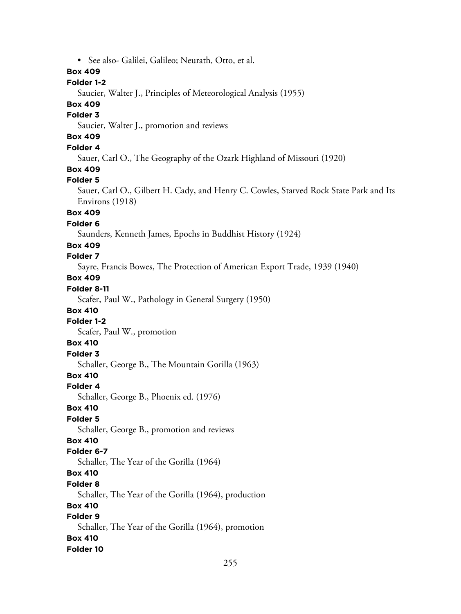• See also- Galilei, Galileo; Neurath, Otto, et al.

## **Box 409**

# **Folder 1-2**

Saucier, Walter J., Principles of Meteorological Analysis (1955)

# **Box 409**

### **Folder 3**

Saucier, Walter J., promotion and reviews

# **Box 409**

# **Folder 4**

Sauer, Carl O., The Geography of the Ozark Highland of Missouri (1920)

# **Box 409**

#### **Folder 5**

Sauer, Carl O., Gilbert H. Cady, and Henry C. Cowles, Starved Rock State Park and Its Environs (1918)

## **Box 409**

# **Folder 6**

Saunders, Kenneth James, Epochs in Buddhist History (1924)

#### **Box 409**

# **Folder 7**

Sayre, Francis Bowes, The Protection of American Export Trade, 1939 (1940)

# **Box 409**

# **Folder 8-11**

Scafer, Paul W., Pathology in General Surgery (1950)

#### **Box 410**

#### **Folder 1-2**

Scafer, Paul W., promotion

# **Box 410**

**Folder 3**

Schaller, George B., The Mountain Gorilla (1963)

# **Box 410**

#### **Folder 4**

Schaller, George B., Phoenix ed. (1976)

#### **Box 410**

## **Folder 5**

Schaller, George B., promotion and reviews

# **Box 410**

## **Folder 6-7**

Schaller, The Year of the Gorilla (1964)

# **Box 410**

## **Folder 8**

Schaller, The Year of the Gorilla (1964), production

## **Box 410**

# **Folder 9**

Schaller, The Year of the Gorilla (1964), promotion **Box 410**

## **Folder 10**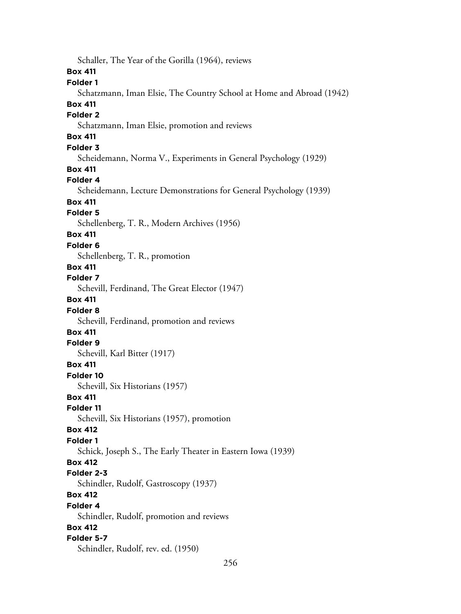256 Schaller, The Year of the Gorilla (1964), reviews **Box 411 Folder 1** Schatzmann, Iman Elsie, The Country School at Home and Abroad (1942) **Box 411 Folder 2** Schatzmann, Iman Elsie, promotion and reviews **Box 411 Folder 3** Scheidemann, Norma V., Experiments in General Psychology (1929) **Box 411 Folder 4** Scheidemann, Lecture Demonstrations for General Psychology (1939) **Box 411 Folder 5** Schellenberg, T. R., Modern Archives (1956) **Box 411 Folder 6** Schellenberg, T. R., promotion **Box 411 Folder 7** Schevill, Ferdinand, The Great Elector (1947) **Box 411 Folder 8** Schevill, Ferdinand, promotion and reviews **Box 411 Folder 9** Schevill, Karl Bitter (1917) **Box 411 Folder 10** Schevill, Six Historians (1957) **Box 411 Folder 11** Schevill, Six Historians (1957), promotion **Box 412 Folder 1** Schick, Joseph S., The Early Theater in Eastern Iowa (1939) **Box 412 Folder 2-3** Schindler, Rudolf, Gastroscopy (1937) **Box 412 Folder 4** Schindler, Rudolf, promotion and reviews **Box 412 Folder 5-7** Schindler, Rudolf, rev. ed. (1950)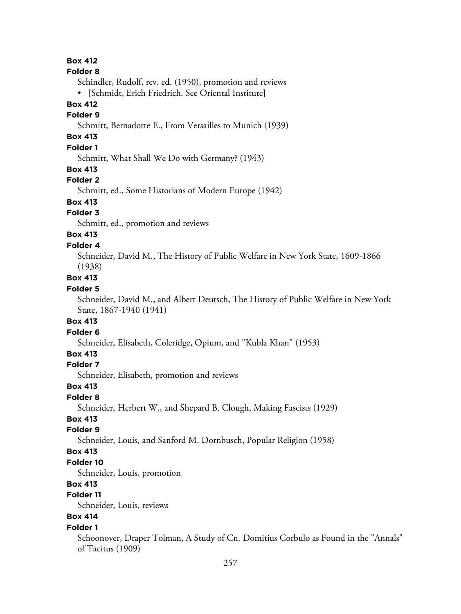## **Box 412**

#### **Folder 8**

Schindler, Rudolf, rev. ed. (1950), promotion and reviews

• [Schmidt, Erich Friedrich. See Oriental Institute]

## **Box 412**

## **Folder 9**

Schmitt, Bernadotte E., From Versailles to Munich (1939)

# **Box 413**

# **Folder 1**

Schmitt, What Shall We Do with Germany? (1943)

#### **Box 413**

#### **Folder 2**

Schmitt, ed., Some Historians of Modern Europe (1942)

## **Box 413**

#### **Folder 3**

Schmitt, ed., promotion and reviews

#### **Box 413 Folder 4**

Schneider, David M., The History of Public Welfare in New York State, 1609-1866 (1938)

#### **Box 413**

#### **Folder 5**

Schneider, David M., and Albert Deutsch, The History of Public Welfare in New York State, 1867-1940 (1941)

#### **Box 413**

#### **Folder 6**

Schneider, Elisabeth, Coleridge, Opium, and "Kubla Khan" (1953)

# **Box 413**

#### **Folder 7**

Schneider, Elisabeth, promotion and reviews

#### **Box 413**

#### **Folder 8**

Schneider, Herbert W., and Shepard B. Clough, Making Fascists (1929)

### **Box 413**

### **Folder 9**

Schneider, Louis, and Sanford M. Dornbusch, Popular Religion (1958)

#### **Box 413**

#### **Folder 10**

Schneider, Louis, promotion

# **Box 413**

# **Folder 11**

Schneider, Louis, reviews

# **Box 414**

#### **Folder 1**

Schoonover, Draper Tolman, A Study of Cn. Domitius Corbulo as Found in the "Annals" of Tacitus (1909)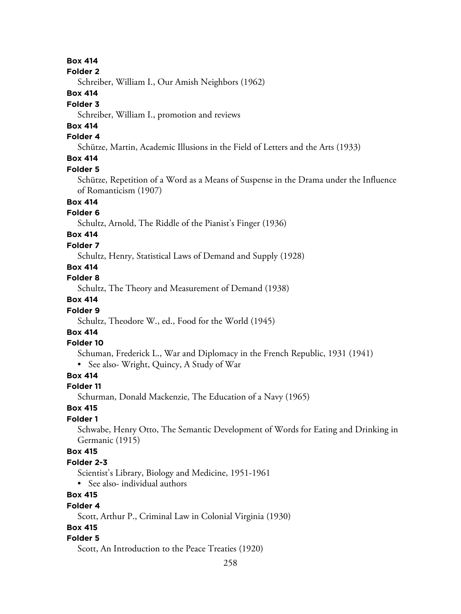## **Box 414**

#### **Folder 2**

Schreiber, William I., Our Amish Neighbors (1962)

## **Box 414**

#### **Folder 3**

Schreiber, William I., promotion and reviews

# **Box 414**

## **Folder 4**

Schütze, Martin, Academic Illusions in the Field of Letters and the Arts (1933)

# **Box 414**

#### **Folder 5**

Schütze, Repetition of a Word as a Means of Suspense in the Drama under the Influence of Romanticism (1907)

## **Box 414**

## **Folder 6**

Schultz, Arnold, The Riddle of the Pianist's Finger (1936)

# **Box 414**

## **Folder 7**

Schultz, Henry, Statistical Laws of Demand and Supply (1928)

# **Box 414**

## **Folder 8**

Schultz, The Theory and Measurement of Demand (1938)

# **Box 414**

## **Folder 9**

Schultz, Theodore W., ed., Food for the World (1945)

# **Box 414**

## **Folder 10**

Schuman, Frederick L., War and Diplomacy in the French Republic, 1931 (1941)

• See also- Wright, Quincy, A Study of War

# **Box 414**

# **Folder 11**

Schurman, Donald Mackenzie, The Education of a Navy (1965)

# **Box 415**

# **Folder 1**

Schwabe, Henry Otto, The Semantic Development of Words for Eating and Drinking in Germanic (1915)

## **Box 415**

# **Folder 2-3**

Scientist's Library, Biology and Medicine, 1951-1961

• See also- individual authors

# **Box 415**

## **Folder 4**

Scott, Arthur P., Criminal Law in Colonial Virginia (1930)

# **Box 415**

## **Folder 5**

Scott, An Introduction to the Peace Treaties (1920)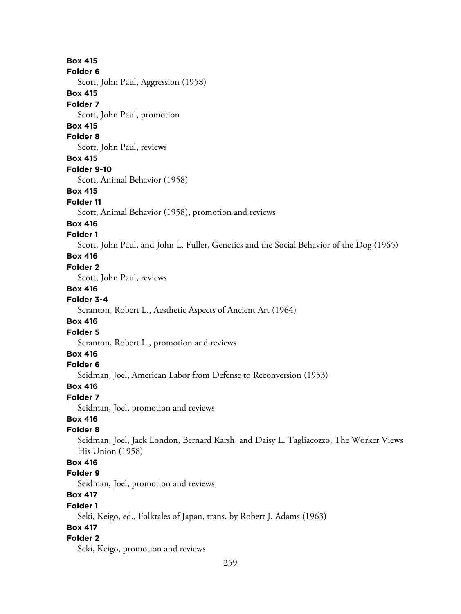**Box 415 Folder 6** Scott, John Paul, Aggression (1958) **Box 415 Folder 7** Scott, John Paul, promotion **Box 415 Folder 8** Scott, John Paul, reviews **Box 415 Folder 9-10** Scott, Animal Behavior (1958) **Box 415 Folder 11** Scott, Animal Behavior (1958), promotion and reviews **Box 416 Folder 1** Scott, John Paul, and John L. Fuller, Genetics and the Social Behavior of the Dog (1965) **Box 416 Folder 2** Scott, John Paul, reviews **Box 416 Folder 3-4** Scranton, Robert L., Aesthetic Aspects of Ancient Art (1964) **Box 416 Folder 5** Scranton, Robert L., promotion and reviews **Box 416 Folder 6** Seidman, Joel, American Labor from Defense to Reconversion (1953) **Box 416 Folder 7** Seidman, Joel, promotion and reviews **Box 416 Folder 8** Seidman, Joel, Jack London, Bernard Karsh, and Daisy L. Tagliacozzo, The Worker Views His Union (1958) **Box 416 Folder 9** Seidman, Joel, promotion and reviews **Box 417 Folder 1** Seki, Keigo, ed., Folktales of Japan, trans. by Robert J. Adams (1963) **Box 417 Folder 2** Seki, Keigo, promotion and reviews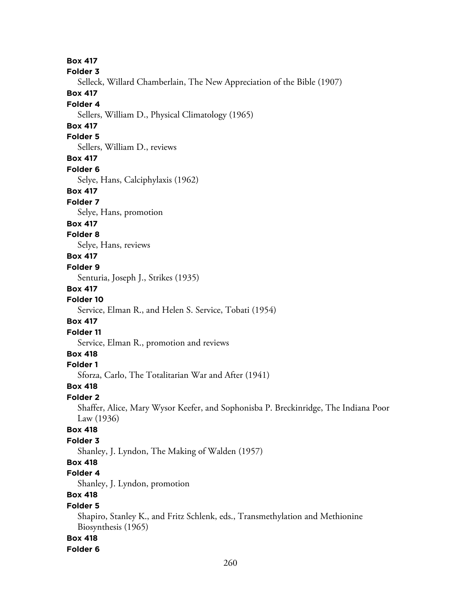**Box 417 Folder 3** Selleck, Willard Chamberlain, The New Appreciation of the Bible (1907) **Box 417 Folder 4** Sellers, William D., Physical Climatology (1965) **Box 417 Folder 5** Sellers, William D., reviews **Box 417 Folder 6** Selye, Hans, Calciphylaxis (1962) **Box 417 Folder 7** Selye, Hans, promotion **Box 417 Folder 8** Selye, Hans, reviews **Box 417 Folder 9** Senturia, Joseph J., Strikes (1935) **Box 417 Folder 10** Service, Elman R., and Helen S. Service, Tobati (1954) **Box 417 Folder 11** Service, Elman R., promotion and reviews **Box 418 Folder 1** Sforza, Carlo, The Totalitarian War and After (1941) **Box 418 Folder 2** Shaffer, Alice, Mary Wysor Keefer, and Sophonisba P. Breckinridge, The Indiana Poor Law (1936) **Box 418 Folder 3** Shanley, J. Lyndon, The Making of Walden (1957) **Box 418 Folder 4** Shanley, J. Lyndon, promotion **Box 418 Folder 5** Shapiro, Stanley K., and Fritz Schlenk, eds., Transmethylation and Methionine Biosynthesis (1965) **Box 418**

#### **Folder 6**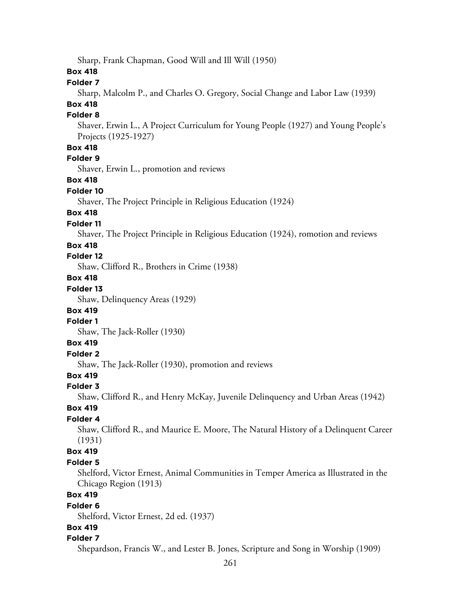Sharp, Frank Chapman, Good Will and Ill Will (1950)

#### **Box 418**

## **Folder 7**

Sharp, Malcolm P., and Charles O. Gregory, Social Change and Labor Law (1939)

# **Box 418**

# **Folder 8**

Shaver, Erwin L., A Project Curriculum for Young People (1927) and Young People's Projects (1925-1927)

## **Box 418**

# **Folder 9**

Shaver, Erwin L., promotion and reviews

#### **Box 418**

#### **Folder 10**

Shaver, The Project Principle in Religious Education (1924)

## **Box 418**

# **Folder 11**

Shaver, The Project Principle in Religious Education (1924), romotion and reviews

#### **Box 418**

#### **Folder 12**

Shaw, Clifford R., Brothers in Crime (1938)

# **Box 418**

# **Folder 13**

Shaw, Delinquency Areas (1929)

## **Box 419**

# **Folder 1**

Shaw, The Jack-Roller (1930)

# **Box 419**

# **Folder 2**

Shaw, The Jack-Roller (1930), promotion and reviews

# **Box 419**

#### **Folder 3**

Shaw, Clifford R., and Henry McKay, Juvenile Delinquency and Urban Areas (1942)

#### **Box 419**

#### **Folder 4**

Shaw, Clifford R., and Maurice E. Moore, The Natural History of a Delinquent Career (1931)

#### **Box 419**

#### **Folder 5**

Shelford, Victor Ernest, Animal Communities in Temper America as Illustrated in the Chicago Region (1913)

# **Box 419**

#### **Folder 6**

Shelford, Victor Ernest, 2d ed. (1937)

#### **Box 419**

#### **Folder 7**

Shepardson, Francis W., and Lester B. Jones, Scripture and Song in Worship (1909)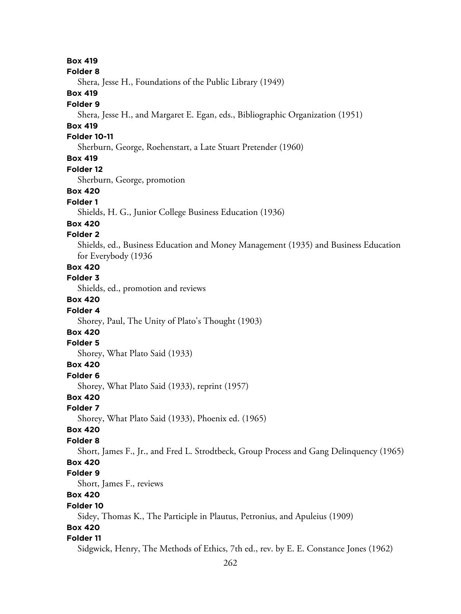**Box 419 Folder 8** Shera, Jesse H., Foundations of the Public Library (1949) **Box 419 Folder 9** Shera, Jesse H., and Margaret E. Egan, eds., Bibliographic Organization (1951) **Box 419 Folder 10-11** Sherburn, George, Roehenstart, a Late Stuart Pretender (1960) **Box 419 Folder 12** Sherburn, George, promotion **Box 420 Folder 1** Shields, H. G., Junior College Business Education (1936) **Box 420 Folder 2** Shields, ed., Business Education and Money Management (1935) and Business Education for Everybody (1936 **Box 420 Folder 3** Shields, ed., promotion and reviews **Box 420 Folder 4** Shorey, Paul, The Unity of Plato's Thought (1903) **Box 420 Folder 5** Shorey, What Plato Said (1933) **Box 420 Folder 6** Shorey, What Plato Said (1933), reprint (1957) **Box 420 Folder 7** Shorey, What Plato Said (1933), Phoenix ed. (1965) **Box 420 Folder 8** Short, James F., Jr., and Fred L. Strodtbeck, Group Process and Gang Delinquency (1965) **Box 420 Folder 9** Short, James F., reviews **Box 420 Folder 10** Sidey, Thomas K., The Participle in Plautus, Petronius, and Apuleius (1909) **Box 420 Folder 11** Sidgwick, Henry, The Methods of Ethics, 7th ed., rev. by E. E. Constance Jones (1962)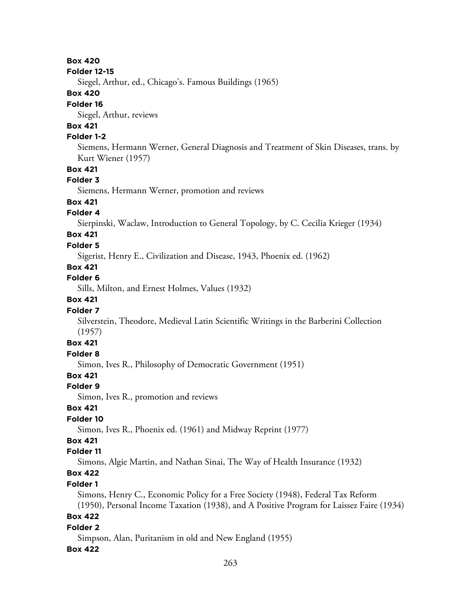#### **Box 420**

#### **Folder 12-15**

Siegel, Arthur, ed., Chicago's. Famous Buildings (1965)

#### **Box 420**

#### **Folder 16**

Siegel, Arthur, reviews

# **Box 421**

## **Folder 1-2**

Siemens, Hermann Werner, General Diagnosis and Treatment of Skin Diseases, trans. by Kurt Wiener (1957)

## **Box 421**

#### **Folder 3**

Siemens, Hermann Werner, promotion and reviews

## **Box 421**

## **Folder 4**

Sierpinski, Waclaw, Introduction to General Topology, by C. Cecilia Krieger (1934)

# **Box 421**

# **Folder 5**

Sigerist, Henry E., Civilization and Disease, 1943, Phoenix ed. (1962)

# **Box 421**

**Folder 6**

Sills, Milton, and Ernest Holmes, Values (1932)

### **Box 421**

#### **Folder 7**

Silverstein, Theodore, Medieval Latin Scientific Writings in the Barberini Collection (1957)

# **Box 421**

# **Folder 8**

Simon, Ives R., Philosophy of Democratic Government (1951)

## **Box 421**

#### **Folder 9**

Simon, Ives R., promotion and reviews

## **Box 421**

## **Folder 10**

Simon, Ives R., Phoenix ed. (1961) and Midway Reprint (1977)

# **Box 421**

#### **Folder 11**

Simons, Algie Martin, and Nathan Sinai, The Way of Health Insurance (1932)

# **Box 422**

## **Folder 1**

Simons, Henry C., Economic Policy for a Free Society (1948), Federal Tax Reform (1950), Personal Income Taxation (1938), and A Positive Program for Laissez Faire (1934)

### **Box 422**

#### **Folder 2**

Simpson, Alan, Puritanism in old and New England (1955)

#### **Box 422**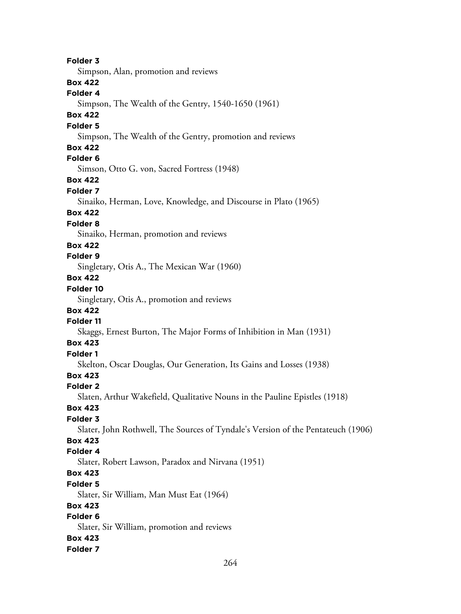**Folder 3** Simpson, Alan, promotion and reviews **Box 422 Folder 4** Simpson, The Wealth of the Gentry, 1540-1650 (1961) **Box 422 Folder 5** Simpson, The Wealth of the Gentry, promotion and reviews **Box 422 Folder 6** Simson, Otto G. von, Sacred Fortress (1948) **Box 422 Folder 7** Sinaiko, Herman, Love, Knowledge, and Discourse in Plato (1965) **Box 422 Folder 8** Sinaiko, Herman, promotion and reviews **Box 422 Folder 9** Singletary, Otis A., The Mexican War (1960) **Box 422 Folder 10** Singletary, Otis A., promotion and reviews **Box 422 Folder 11** Skaggs, Ernest Burton, The Major Forms of Inhibition in Man (1931) **Box 423 Folder 1** Skelton, Oscar Douglas, Our Generation, Its Gains and Losses (1938) **Box 423 Folder 2** Slaten, Arthur Wakefield, Qualitative Nouns in the Pauline Epistles (1918) **Box 423 Folder 3** Slater, John Rothwell, The Sources of Tyndale's Version of the Pentateuch (1906) **Box 423 Folder 4** Slater, Robert Lawson, Paradox and Nirvana (1951) **Box 423 Folder 5** Slater, Sir William, Man Must Eat (1964) **Box 423 Folder 6** Slater, Sir William, promotion and reviews **Box 423 Folder 7**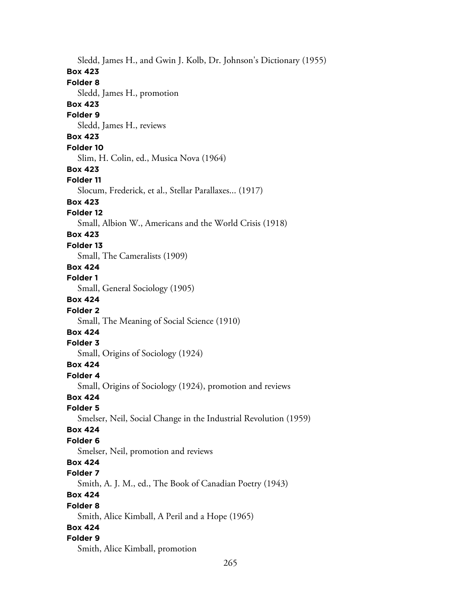Sledd, James H., and Gwin J. Kolb, Dr. Johnson's Dictionary (1955) **Box 423 Folder 8** Sledd, James H., promotion **Box 423 Folder 9** Sledd, James H., reviews **Box 423 Folder 10** Slim, H. Colin, ed., Musica Nova (1964) **Box 423 Folder 11** Slocum, Frederick, et al., Stellar Parallaxes... (1917) **Box 423 Folder 12** Small, Albion W., Americans and the World Crisis (1918) **Box 423 Folder 13** Small, The Cameralists (1909) **Box 424 Folder 1** Small, General Sociology (1905) **Box 424 Folder 2** Small, The Meaning of Social Science (1910) **Box 424 Folder 3** Small, Origins of Sociology (1924) **Box 424 Folder 4** Small, Origins of Sociology (1924), promotion and reviews **Box 424 Folder 5** Smelser, Neil, Social Change in the Industrial Revolution (1959) **Box 424 Folder 6** Smelser, Neil, promotion and reviews **Box 424 Folder 7** Smith, A. J. M., ed., The Book of Canadian Poetry (1943) **Box 424 Folder 8** Smith, Alice Kimball, A Peril and a Hope (1965) **Box 424 Folder 9** Smith, Alice Kimball, promotion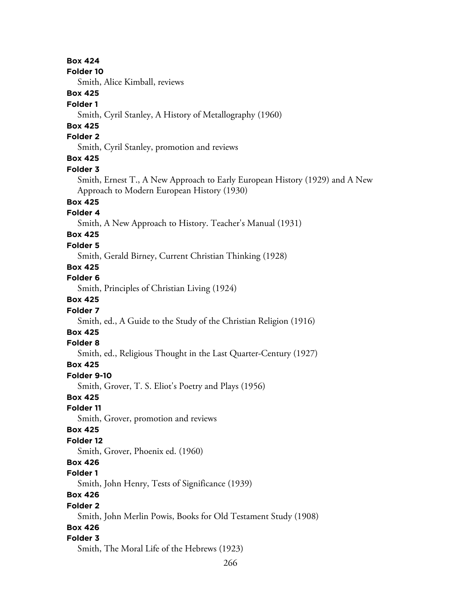266 **Box 424 Folder 10** Smith, Alice Kimball, reviews **Box 425 Folder 1** Smith, Cyril Stanley, A History of Metallography (1960) **Box 425 Folder 2** Smith, Cyril Stanley, promotion and reviews **Box 425 Folder 3** Smith, Ernest T., A New Approach to Early European History (1929) and A New Approach to Modern European History (1930) **Box 425 Folder 4** Smith, A New Approach to History. Teacher's Manual (1931) **Box 425 Folder 5** Smith, Gerald Birney, Current Christian Thinking (1928) **Box 425 Folder 6** Smith, Principles of Christian Living (1924) **Box 425 Folder 7** Smith, ed., A Guide to the Study of the Christian Religion (1916) **Box 425 Folder 8** Smith, ed., Religious Thought in the Last Quarter-Century (1927) **Box 425 Folder 9-10** Smith, Grover, T. S. Eliot's Poetry and Plays (1956) **Box 425 Folder 11** Smith, Grover, promotion and reviews **Box 425 Folder 12** Smith, Grover, Phoenix ed. (1960) **Box 426 Folder 1** Smith, John Henry, Tests of Significance (1939) **Box 426 Folder 2** Smith, John Merlin Powis, Books for Old Testament Study (1908) **Box 426 Folder 3** Smith, The Moral Life of the Hebrews (1923)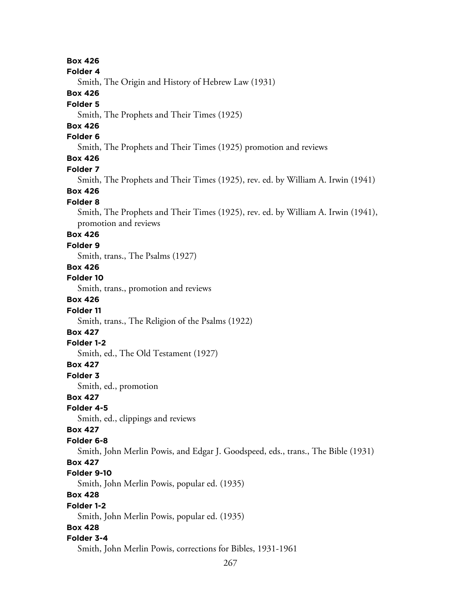**Box 426 Folder 4** Smith, The Origin and History of Hebrew Law (1931) **Box 426 Folder 5** Smith, The Prophets and Their Times (1925) **Box 426 Folder 6** Smith, The Prophets and Their Times (1925) promotion and reviews **Box 426 Folder 7** Smith, The Prophets and Their Times (1925), rev. ed. by William A. Irwin (1941) **Box 426 Folder 8** Smith, The Prophets and Their Times (1925), rev. ed. by William A. Irwin (1941), promotion and reviews **Box 426 Folder 9** Smith, trans., The Psalms (1927) **Box 426 Folder 10** Smith, trans., promotion and reviews **Box 426 Folder 11** Smith, trans., The Religion of the Psalms (1922) **Box 427 Folder 1-2** Smith, ed., The Old Testament (1927) **Box 427 Folder 3** Smith, ed., promotion **Box 427 Folder 4-5** Smith, ed., clippings and reviews **Box 427 Folder 6-8** Smith, John Merlin Powis, and Edgar J. Goodspeed, eds., trans., The Bible (1931) **Box 427 Folder 9-10** Smith, John Merlin Powis, popular ed. (1935) **Box 428 Folder 1-2** Smith, John Merlin Powis, popular ed. (1935) **Box 428 Folder 3-4** Smith, John Merlin Powis, corrections for Bibles, 1931-1961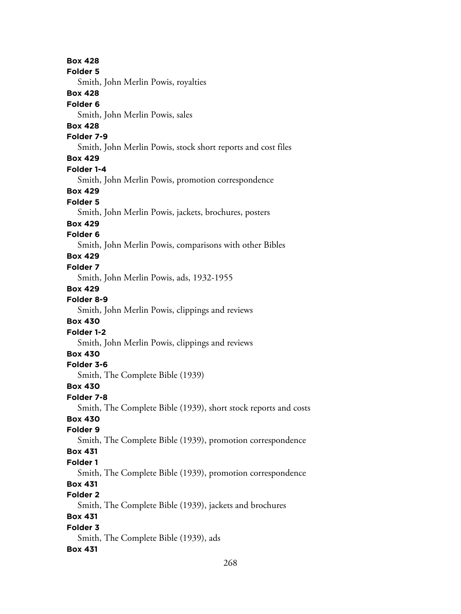**Box 428 Folder 5** Smith, John Merlin Powis, royalties **Box 428 Folder 6** Smith, John Merlin Powis, sales **Box 428 Folder 7-9** Smith, John Merlin Powis, stock short reports and cost files **Box 429 Folder 1-4** Smith, John Merlin Powis, promotion correspondence **Box 429 Folder 5** Smith, John Merlin Powis, jackets, brochures, posters **Box 429 Folder 6** Smith, John Merlin Powis, comparisons with other Bibles **Box 429 Folder 7** Smith, John Merlin Powis, ads, 1932-1955 **Box 429 Folder 8-9** Smith, John Merlin Powis, clippings and reviews **Box 430 Folder 1-2** Smith, John Merlin Powis, clippings and reviews **Box 430 Folder 3-6** Smith, The Complete Bible (1939) **Box 430 Folder 7-8** Smith, The Complete Bible (1939), short stock reports and costs **Box 430 Folder 9** Smith, The Complete Bible (1939), promotion correspondence **Box 431 Folder 1** Smith, The Complete Bible (1939), promotion correspondence **Box 431 Folder 2** Smith, The Complete Bible (1939), jackets and brochures **Box 431 Folder 3** Smith, The Complete Bible (1939), ads **Box 431**

268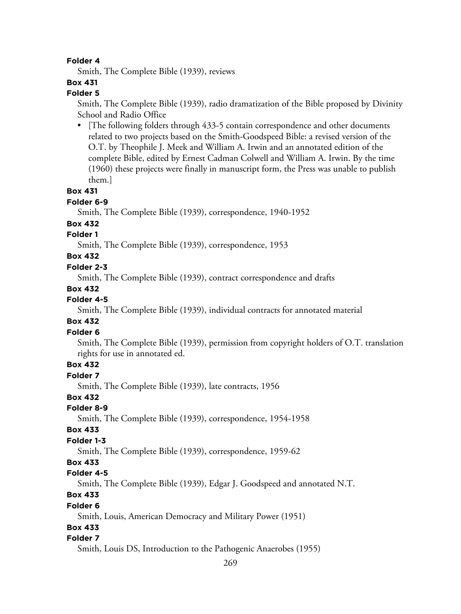#### **Folder 4**

Smith, The Complete Bible (1939), reviews

# **Box 431**

## **Folder 5**

Smith, The Complete Bible (1939), radio dramatization of the Bible proposed by Divinity School and Radio Office

• [The following folders through 433-5 contain correspondence and other documents related to two projects based on the Smith-Goodspeed Bible: a revised version of the O.T. by Theophile J. Meek and William A. Irwin and an annotated edition of the complete Bible, edited by Ernest Cadman Colwell and William A. Irwin. By the time (1960) these projects were finally in manuscript form, the Press was unable to publish them.]

#### **Box 431**

# **Folder 6-9**

Smith, The Complete Bible (1939), correspondence, 1940-1952

#### **Box 432**

# **Folder 1**

Smith, The Complete Bible (1939), correspondence, 1953

# **Box 432**

#### **Folder 2-3**

Smith, The Complete Bible (1939), contract correspondence and drafts

#### **Box 432**

#### **Folder 4-5**

Smith, The Complete Bible (1939), individual contracts for annotated material

#### **Box 432**

## **Folder 6**

Smith, The Complete Bible (1939), permission from copyright holders of O.T. translation rights for use in annotated ed.

#### **Box 432**

**Folder 7**

Smith, The Complete Bible (1939), late contracts, 1956

#### **Box 432**

**Folder 8-9**

Smith, The Complete Bible (1939), correspondence, 1954-1958

#### **Box 433**

## **Folder 1-3**

Smith, The Complete Bible (1939), correspondence, 1959-62

#### **Box 433**

#### **Folder 4-5**

Smith, The Complete Bible (1939), Edgar J. Goodspeed and annotated N.T.

# **Box 433**

#### **Folder 6**

Smith, Louis, American Democracy and Military Power (1951)

## **Box 433**

## **Folder 7**

Smith, Louis DS, Introduction to the Pathogenic Anaerobes (1955)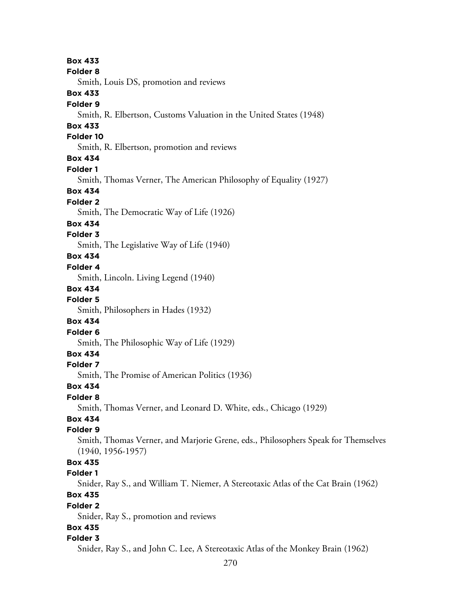**Box 433 Folder 8** Smith, Louis DS, promotion and reviews **Box 433 Folder 9** Smith, R. Elbertson, Customs Valuation in the United States (1948) **Box 433 Folder 10** Smith, R. Elbertson, promotion and reviews **Box 434 Folder 1** Smith, Thomas Verner, The American Philosophy of Equality (1927) **Box 434 Folder 2** Smith, The Democratic Way of Life (1926) **Box 434 Folder 3** Smith, The Legislative Way of Life (1940) **Box 434 Folder 4** Smith, Lincoln. Living Legend (1940) **Box 434 Folder 5** Smith, Philosophers in Hades (1932) **Box 434 Folder 6** Smith, The Philosophic Way of Life (1929) **Box 434 Folder 7** Smith, The Promise of American Politics (1936) **Box 434 Folder 8** Smith, Thomas Verner, and Leonard D. White, eds., Chicago (1929) **Box 434 Folder 9** Smith, Thomas Verner, and Marjorie Grene, eds., Philosophers Speak for Themselves (1940, 1956-1957) **Box 435 Folder 1** Snider, Ray S., and William T. Niemer, A Stereotaxic Atlas of the Cat Brain (1962) **Box 435 Folder 2** Snider, Ray S., promotion and reviews **Box 435 Folder 3** Snider, Ray S., and John C. Lee, A Stereotaxic Atlas of the Monkey Brain (1962)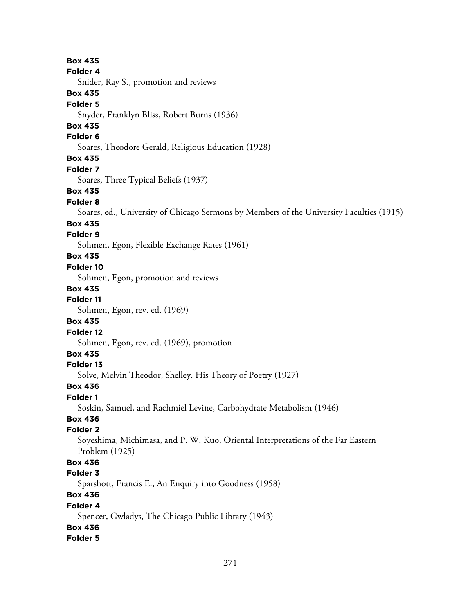**Box 435 Folder 4** Snider, Ray S., promotion and reviews **Box 435 Folder 5** Snyder, Franklyn Bliss, Robert Burns (1936) **Box 435 Folder 6** Soares, Theodore Gerald, Religious Education (1928) **Box 435 Folder 7** Soares, Three Typical Beliefs (1937) **Box 435 Folder 8** Soares, ed., University of Chicago Sermons by Members of the University Faculties (1915) **Box 435 Folder 9** Sohmen, Egon, Flexible Exchange Rates (1961) **Box 435 Folder 10** Sohmen, Egon, promotion and reviews **Box 435 Folder 11** Sohmen, Egon, rev. ed. (1969) **Box 435 Folder 12** Sohmen, Egon, rev. ed. (1969), promotion **Box 435 Folder 13** Solve, Melvin Theodor, Shelley. His Theory of Poetry (1927) **Box 436 Folder 1** Soskin, Samuel, and Rachmiel Levine, Carbohydrate Metabolism (1946) **Box 436 Folder 2** Soyeshima, Michimasa, and P. W. Kuo, Oriental Interpretations of the Far Eastern Problem (1925) **Box 436 Folder 3** Sparshott, Francis E., An Enquiry into Goodness (1958) **Box 436 Folder 4** Spencer, Gwladys, The Chicago Public Library (1943) **Box 436 Folder 5**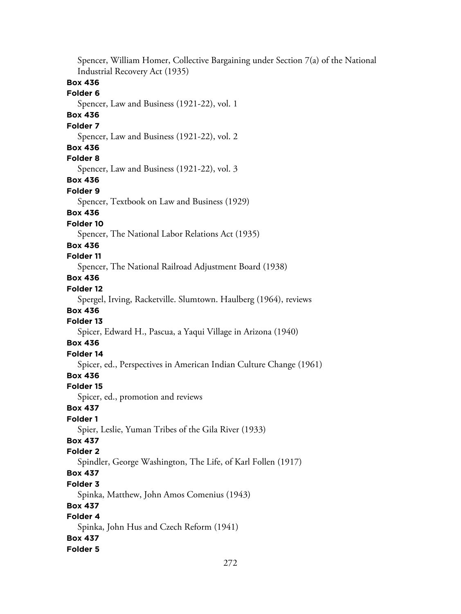Spencer, William Homer, Collective Bargaining under Section 7(a) of the National Industrial Recovery Act (1935) **Box 436 Folder 6** Spencer, Law and Business (1921-22), vol. 1 **Box 436 Folder 7** Spencer, Law and Business (1921-22), vol. 2 **Box 436 Folder 8** Spencer, Law and Business (1921-22), vol. 3 **Box 436 Folder 9** Spencer, Textbook on Law and Business (1929) **Box 436 Folder 10** Spencer, The National Labor Relations Act (1935) **Box 436 Folder 11** Spencer, The National Railroad Adjustment Board (1938) **Box 436 Folder 12** Spergel, Irving, Racketville. Slumtown. Haulberg (1964), reviews **Box 436 Folder 13** Spicer, Edward H., Pascua, a Yaqui Village in Arizona (1940) **Box 436 Folder 14** Spicer, ed., Perspectives in American Indian Culture Change (1961) **Box 436 Folder 15** Spicer, ed., promotion and reviews **Box 437 Folder 1** Spier, Leslie, Yuman Tribes of the Gila River (1933) **Box 437 Folder 2** Spindler, George Washington, The Life, of Karl Follen (1917) **Box 437 Folder 3** Spinka, Matthew, John Amos Comenius (1943) **Box 437 Folder 4** Spinka, John Hus and Czech Reform (1941) **Box 437 Folder 5**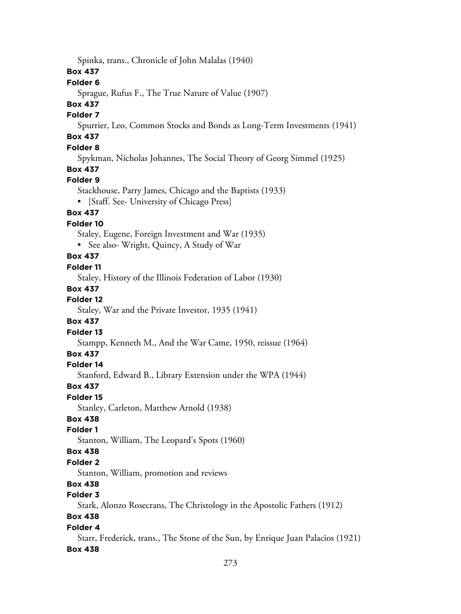Spinka, trans., Chronicle of John Malalas (1940)

## **Box 437**

### **Folder 6**

Sprague, Rufus F., The True Nature of Value (1907)

# **Box 437**

## **Folder 7**

Spurrier, Leo, Common Stocks and Bonds as Long-Term Investments (1941)

# **Box 437**

# **Folder 8**

Spykman, Nicholas Johannes, The Social Theory of Georg Simmel (1925)

# **Box 437**

## **Folder 9**

Stackhouse, Parry James, Chicago and the Baptists (1933)

• [Staff. See- University of Chicago Press]

# **Box 437**

## **Folder 10**

Staley, Eugene, Foreign Investment and War (1935)

• See also- Wright, Quincy, A Study of War

# **Box 437**

## **Folder 11**

Staley, History of the Illinois Federation of Labor (1930)

## **Box 437**

# **Folder 12**

Staley, War and the Private Investor, 1935 (1941)

## **Box 437**

## **Folder 13**

Stampp, Kenneth M., And the War Came, 1950, reissue (1964)

## **Box 437**

## **Folder 14**

Stanford, Edward B., Library Extension under the WPA (1944)

## **Box 437**

## **Folder 15**

Stanley, Carleton, Matthew Arnold (1938)

# **Box 438**

# **Folder 1**

Stanton, William, The Leopard's Spots (1960)

## **Box 438**

## **Folder 2**

Stanton, William, promotion and reviews

# **Box 438**

# **Folder 3**

Stark, Alonzo Rosecrans, The Christology in the Apostolic Fathers (1912)

# **Box 438**

# **Folder 4**

Starr, Frederick, trans., The Stone of the Sun, by Enrique Juan Palacios (1921)

## **Box 438**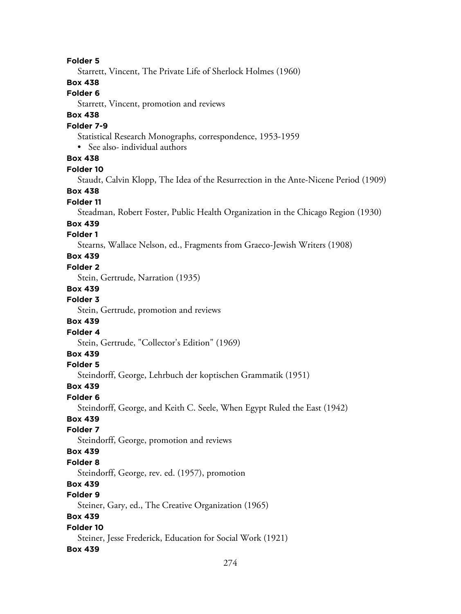#### **Folder 5**

Starrett, Vincent, The Private Life of Sherlock Holmes (1960)

## **Box 438**

#### **Folder 6**

Starrett, Vincent, promotion and reviews

# **Box 438**

## **Folder 7-9**

Statistical Research Monographs, correspondence, 1953-1959

• See also- individual authors

## **Box 438**

#### **Folder 10**

Staudt, Calvin Klopp, The Idea of the Resurrection in the Ante-Nicene Period (1909)

#### **Box 438**

## **Folder 11**

Steadman, Robert Foster, Public Health Organization in the Chicago Region (1930)

#### **Box 439**

#### **Folder 1**

Stearns, Wallace Nelson, ed., Fragments from Graeco-Jewish Writers (1908)

## **Box 439**

#### **Folder 2**

Stein, Gertrude, Narration (1935)

#### **Box 439**

## **Folder 3**

Stein, Gertrude, promotion and reviews

## **Box 439**

### **Folder 4**

Stein, Gertrude, "Collector's Edition" (1969)

## **Box 439**

## **Folder 5**

Steindorff, George, Lehrbuch der koptischen Grammatik (1951)

# **Box 439**

#### **Folder 6**

Steindorff, George, and Keith C. Seele, When Egypt Ruled the East (1942)

## **Box 439**

## **Folder 7**

Steindorff, George, promotion and reviews

## **Box 439**

#### **Folder 8**

Steindorff, George, rev. ed. (1957), promotion

# **Box 439**

# **Folder 9**

Steiner, Gary, ed., The Creative Organization (1965)

#### **Box 439**

#### **Folder 10**

Steiner, Jesse Frederick, Education for Social Work (1921)

#### **Box 439**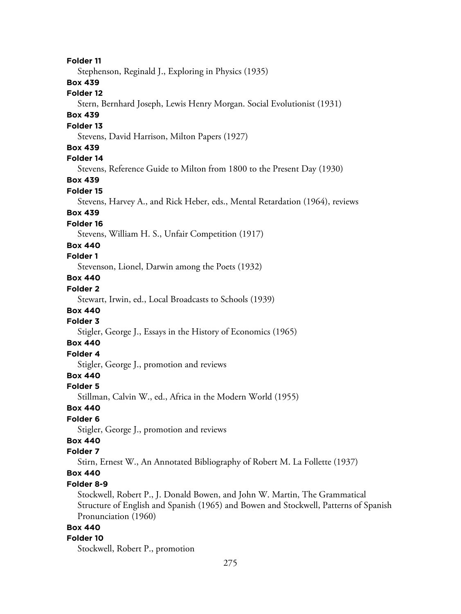**Folder 11** Stephenson, Reginald J., Exploring in Physics (1935) **Box 439 Folder 12** Stern, Bernhard Joseph, Lewis Henry Morgan. Social Evolutionist (1931) **Box 439 Folder 13** Stevens, David Harrison, Milton Papers (1927) **Box 439 Folder 14** Stevens, Reference Guide to Milton from 1800 to the Present Day (1930) **Box 439 Folder 15** Stevens, Harvey A., and Rick Heber, eds., Mental Retardation (1964), reviews **Box 439 Folder 16** Stevens, William H. S., Unfair Competition (1917) **Box 440 Folder 1** Stevenson, Lionel, Darwin among the Poets (1932) **Box 440 Folder 2** Stewart, Irwin, ed., Local Broadcasts to Schools (1939) **Box 440 Folder 3** Stigler, George J., Essays in the History of Economics (1965) **Box 440 Folder 4** Stigler, George J., promotion and reviews **Box 440 Folder 5** Stillman, Calvin W., ed., Africa in the Modern World (1955) **Box 440 Folder 6** Stigler, George J., promotion and reviews **Box 440 Folder 7** Stirn, Ernest W., An Annotated Bibliography of Robert M. La Follette (1937) **Box 440 Folder 8-9** Stockwell, Robert P., J. Donald Bowen, and John W. Martin, The Grammatical Structure of English and Spanish (1965) and Bowen and Stockwell, Patterns of Spanish Pronunciation (1960) **Box 440 Folder 10** Stockwell, Robert P., promotion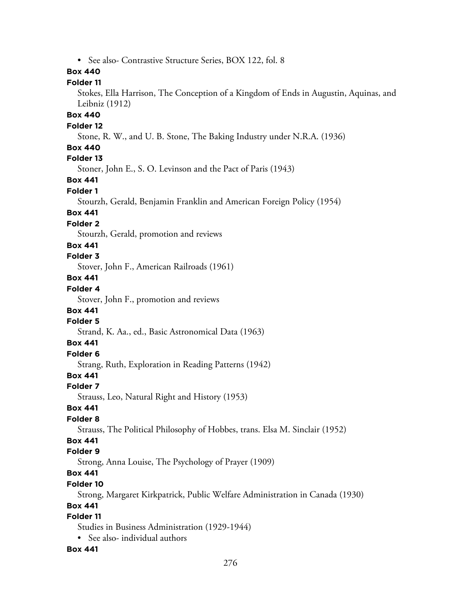• See also- Contrastive Structure Series, BOX 122, fol. 8

### **Box 440**

### **Folder 11**

Stokes, Ella Harrison, The Conception of a Kingdom of Ends in Augustin, Aquinas, and Leibniz (1912)

### **Box 440**

#### **Folder 12**

Stone, R. W., and U. B. Stone, The Baking Industry under N.R.A. (1936)

#### **Box 440**

# **Folder 13**

Stoner, John E., S. O. Levinson and the Pact of Paris (1943)

## **Box 441**

#### **Folder 1**

Stourzh, Gerald, Benjamin Franklin and American Foreign Policy (1954)

#### **Box 441**

#### **Folder 2**

Stourzh, Gerald, promotion and reviews

#### **Box 441**

#### **Folder 3**

Stover, John F., American Railroads (1961)

# **Box 441**

# **Folder 4**

Stover, John F., promotion and reviews

#### **Box 441**

#### **Folder 5**

Strand, K. Aa., ed., Basic Astronomical Data (1963)

# **Box 441**

# **Folder 6**

Strang, Ruth, Exploration in Reading Patterns (1942)

## **Box 441**

#### **Folder 7**

Strauss, Leo, Natural Right and History (1953)

### **Box 441**

#### **Folder 8**

Strauss, The Political Philosophy of Hobbes, trans. Elsa M. Sinclair (1952)

# **Box 441**

## **Folder 9**

Strong, Anna Louise, The Psychology of Prayer (1909)

# **Box 441**

## **Folder 10**

Strong, Margaret Kirkpatrick, Public Welfare Administration in Canada (1930)

### **Box 441**

# **Folder 11**

Studies in Business Administration (1929-1944)

• See also- individual authors

#### **Box 441**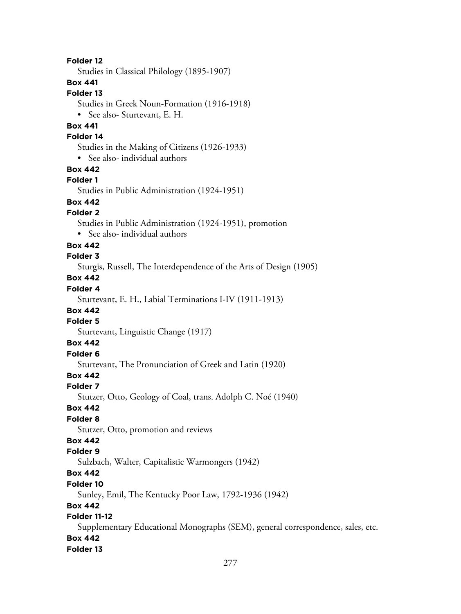**Folder 12** Studies in Classical Philology (1895-1907) **Box 441 Folder 13** Studies in Greek Noun-Formation (1916-1918) • See also- Sturtevant, E. H. **Box 441 Folder 14** Studies in the Making of Citizens (1926-1933) • See also- individual authors **Box 442 Folder 1** Studies in Public Administration (1924-1951) **Box 442 Folder 2** Studies in Public Administration (1924-1951), promotion • See also- individual authors **Box 442 Folder 3** Sturgis, Russell, The Interdependence of the Arts of Design (1905) **Box 442 Folder 4** Sturtevant, E. H., Labial Terminations I-IV (1911-1913) **Box 442 Folder 5** Sturtevant, Linguistic Change (1917) **Box 442 Folder 6** Sturtevant, The Pronunciation of Greek and Latin (1920) **Box 442 Folder 7** Stutzer, Otto, Geology of Coal, trans. Adolph C. Noé (1940) **Box 442 Folder 8** Stutzer, Otto, promotion and reviews **Box 442 Folder 9** Sulzbach, Walter, Capitalistic Warmongers (1942) **Box 442 Folder 10** Sunley, Emil, The Kentucky Poor Law, 1792-1936 (1942) **Box 442 Folder 11-12** Supplementary Educational Monographs (SEM), general correspondence, sales, etc. **Box 442 Folder 13**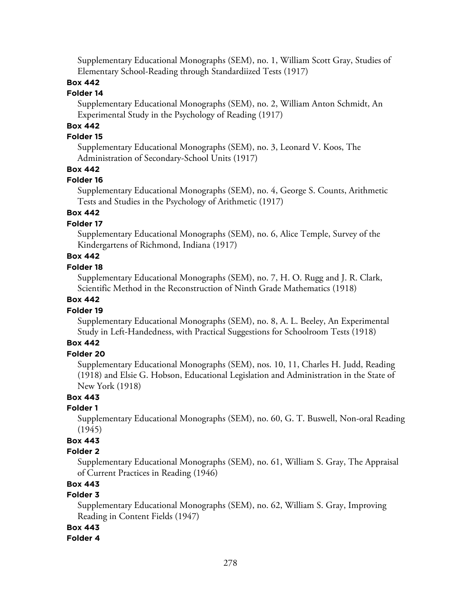Supplementary Educational Monographs (SEM), no. 1, William Scott Gray, Studies of Elementary School-Reading through Standardiized Tests (1917)

# **Box 442**

#### **Folder 14**

Supplementary Educational Monographs (SEM), no. 2, William Anton Schmidt, An Experimental Study in the Psychology of Reading (1917)

# **Box 442**

## **Folder 15**

Supplementary Educational Monographs (SEM), no. 3, Leonard V. Koos, The Administration of Secondary-School Units (1917)

## **Box 442**

#### **Folder 16**

Supplementary Educational Monographs (SEM), no. 4, George S. Counts, Arithmetic Tests and Studies in the Psychology of Arithmetic (1917)

## **Box 442**

### **Folder 17**

Supplementary Educational Monographs (SEM), no. 6, Alice Temple, Survey of the Kindergartens of Richmond, Indiana (1917)

# **Box 442**

#### **Folder 18**

Supplementary Educational Monographs (SEM), no. 7, H. O. Rugg and J. R. Clark, Scientific Method in the Reconstruction of Ninth Grade Mathematics (1918)

## **Box 442**

## **Folder 19**

Supplementary Educational Monographs (SEM), no. 8, A. L. Beeley, An Experimental Study in Left-Handedness, with Practical Suggestions for Schoolroom Tests (1918)

# **Box 442**

# **Folder 20**

Supplementary Educational Monographs (SEM), nos. 10, 11, Charles H. Judd, Reading (1918) and Elsie G. Hobson, Educational Legislation and Administration in the State of New York (1918)

## **Box 443**

## **Folder 1**

Supplementary Educational Monographs (SEM), no. 60, G. T. Buswell, Non-oral Reading (1945)

# **Box 443**

#### **Folder 2**

Supplementary Educational Monographs (SEM), no. 61, William S. Gray, The Appraisal of Current Practices in Reading (1946)

# **Box 443**

## **Folder 3**

Supplementary Educational Monographs (SEM), no. 62, William S. Gray, Improving Reading in Content Fields (1947)

#### **Box 443**

#### **Folder 4**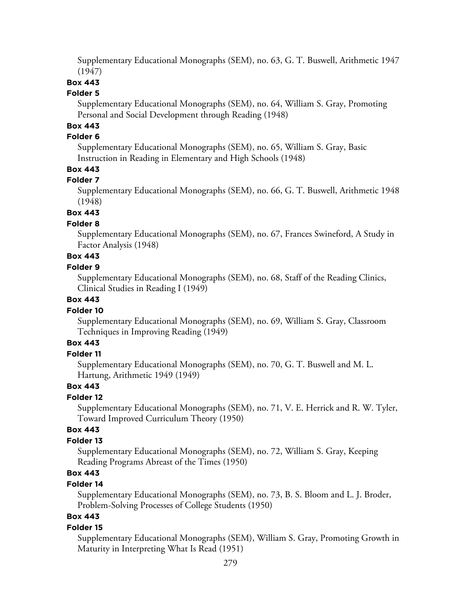Supplementary Educational Monographs (SEM), no. 63, G. T. Buswell, Arithmetic 1947 (1947)

# **Box 443**

#### **Folder 5**

Supplementary Educational Monographs (SEM), no. 64, William S. Gray, Promoting Personal and Social Development through Reading (1948)

# **Box 443**

#### **Folder 6**

Supplementary Educational Monographs (SEM), no. 65, William S. Gray, Basic Instruction in Reading in Elementary and High Schools (1948)

## **Box 443**

#### **Folder 7**

Supplementary Educational Monographs (SEM), no. 66, G. T. Buswell, Arithmetic 1948 (1948)

## **Box 443**

#### **Folder 8**

Supplementary Educational Monographs (SEM), no. 67, Frances Swineford, A Study in Factor Analysis (1948)

# **Box 443**

#### **Folder 9**

Supplementary Educational Monographs (SEM), no. 68, Staff of the Reading Clinics, Clinical Studies in Reading I (1949)

## **Box 443**

#### **Folder 10**

Supplementary Educational Monographs (SEM), no. 69, William S. Gray, Classroom Techniques in Improving Reading (1949)

# **Box 443**

### **Folder 11**

Supplementary Educational Monographs (SEM), no. 70, G. T. Buswell and M. L. Hartung, Arithmetic 1949 (1949)

#### **Box 443**

## **Folder 12**

Supplementary Educational Monographs (SEM), no. 71, V. E. Herrick and R. W. Tyler, Toward Improved Curriculum Theory (1950)

### **Box 443**

### **Folder 13**

Supplementary Educational Monographs (SEM), no. 72, William S. Gray, Keeping Reading Programs Abreast of the Times (1950)

# **Box 443**

## **Folder 14**

Supplementary Educational Monographs (SEM), no. 73, B. S. Bloom and L. J. Broder, Problem-Solving Processes of College Students (1950)

# **Box 443**

#### **Folder 15**

Supplementary Educational Monographs (SEM), William S. Gray, Promoting Growth in Maturity in Interpreting What Is Read (1951)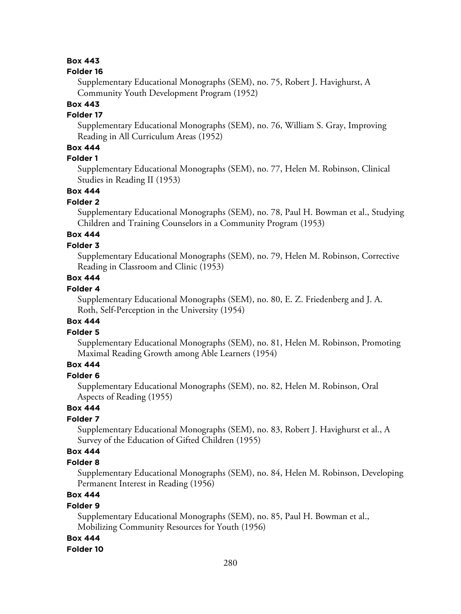## **Box 443**

#### **Folder 16**

Supplementary Educational Monographs (SEM), no. 75, Robert J. Havighurst, A Community Youth Development Program (1952)

## **Box 443**

## **Folder 17**

Supplementary Educational Monographs (SEM), no. 76, William S. Gray, Improving Reading in All Curriculum Areas (1952)

# **Box 444**

# **Folder 1**

Supplementary Educational Monographs (SEM), no. 77, Helen M. Robinson, Clinical Studies in Reading II (1953)

### **Box 444**

## **Folder 2**

Supplementary Educational Monographs (SEM), no. 78, Paul H. Bowman et al., Studying Children and Training Counselors in a Community Program (1953)

# **Box 444**

## **Folder 3**

Supplementary Educational Monographs (SEM), no. 79, Helen M. Robinson, Corrective Reading in Classroom and Clinic (1953)

# **Box 444**

## **Folder 4**

Supplementary Educational Monographs (SEM), no. 80, E. Z. Friedenberg and J. A. Roth, Self-Perception in the University (1954)

#### **Box 444**

### **Folder 5**

Supplementary Educational Monographs (SEM), no. 81, Helen M. Robinson, Promoting Maximal Reading Growth among Able Learners (1954)

# **Box 444**

#### **Folder 6**

Supplementary Educational Monographs (SEM), no. 82, Helen M. Robinson, Oral Aspects of Reading (1955)

# **Box 444**

## **Folder 7**

Supplementary Educational Monographs (SEM), no. 83, Robert J. Havighurst et al., A Survey of the Education of Gifted Children (1955)

## **Box 444**

#### **Folder 8**

Supplementary Educational Monographs (SEM), no. 84, Helen M. Robinson, Developing Permanent Interest in Reading (1956)

# **Box 444**

#### **Folder 9**

Supplementary Educational Monographs (SEM), no. 85, Paul H. Bowman et al., Mobilizing Community Resources for Youth (1956)

#### **Box 444**

#### **Folder 10**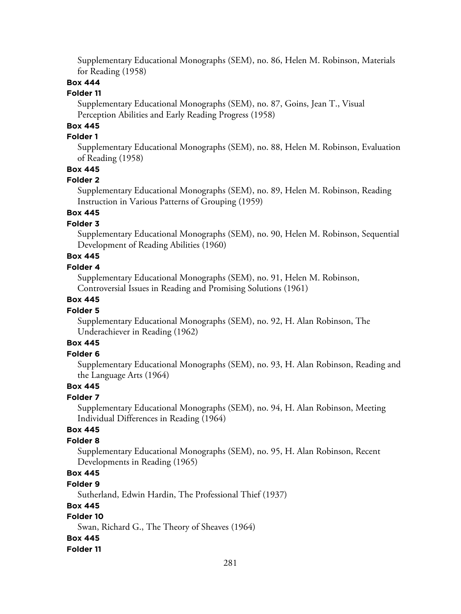Supplementary Educational Monographs (SEM), no. 86, Helen M. Robinson, Materials for Reading (1958)

## **Box 444**

#### **Folder 11**

Supplementary Educational Monographs (SEM), no. 87, Goins, Jean T., Visual Perception Abilities and Early Reading Progress (1958)

# **Box 445**

## **Folder 1**

Supplementary Educational Monographs (SEM), no. 88, Helen M. Robinson, Evaluation of Reading (1958)

## **Box 445**

#### **Folder 2**

Supplementary Educational Monographs (SEM), no. 89, Helen M. Robinson, Reading Instruction in Various Patterns of Grouping (1959)

## **Box 445**

## **Folder 3**

Supplementary Educational Monographs (SEM), no. 90, Helen M. Robinson, Sequential Development of Reading Abilities (1960)

# **Box 445**

#### **Folder 4**

Supplementary Educational Monographs (SEM), no. 91, Helen M. Robinson, Controversial Issues in Reading and Promising Solutions (1961)

## **Box 445**

## **Folder 5**

Supplementary Educational Monographs (SEM), no. 92, H. Alan Robinson, The Underachiever in Reading (1962)

# **Box 445**

### **Folder 6**

Supplementary Educational Monographs (SEM), no. 93, H. Alan Robinson, Reading and the Language Arts (1964)

## **Box 445**

## **Folder 7**

Supplementary Educational Monographs (SEM), no. 94, H. Alan Robinson, Meeting Individual Differences in Reading (1964)

### **Box 445**

#### **Folder 8**

Supplementary Educational Monographs (SEM), no. 95, H. Alan Robinson, Recent Developments in Reading (1965)

# **Box 445**

#### **Folder 9**

Sutherland, Edwin Hardin, The Professional Thief (1937)

#### **Box 445**

# **Folder 10**

Swan, Richard G., The Theory of Sheaves (1964)

# **Box 445**

#### **Folder 11**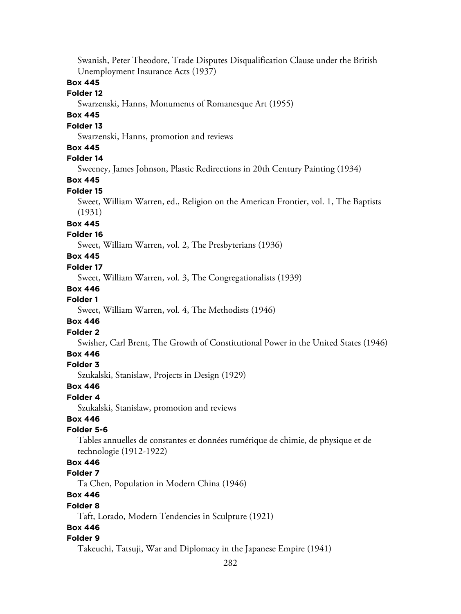Swanish, Peter Theodore, Trade Disputes Disqualification Clause under the British Unemployment Insurance Acts (1937)

## **Box 445**

## **Folder 12**

Swarzenski, Hanns, Monuments of Romanesque Art (1955)

# **Box 445**

# **Folder 13**

Swarzenski, Hanns, promotion and reviews

## **Box 445**

# **Folder 14**

Sweeney, James Johnson, Plastic Redirections in 20th Century Painting (1934)

**Box 445**

### **Folder 15**

Sweet, William Warren, ed., Religion on the American Frontier, vol. 1, The Baptists (1931)

#### **Box 445**

## **Folder 16**

Sweet, William Warren, vol. 2, The Presbyterians (1936)

# **Box 445**

#### **Folder 17**

Sweet, William Warren, vol. 3, The Congregationalists (1939)

#### **Box 446**

#### **Folder 1**

Sweet, William Warren, vol. 4, The Methodists (1946)

#### **Box 446**

#### **Folder 2**

Swisher, Carl Brent, The Growth of Constitutional Power in the United States (1946)

#### **Box 446**

#### **Folder 3**

Szukalski, Stanislaw, Projects in Design (1929)

#### **Box 446**

#### **Folder 4**

Szukalski, Stanislaw, promotion and reviews

## **Box 446**

### **Folder 5-6**

Tables annuelles de constantes et données rumérique de chimie, de physique et de technologie (1912-1922)

# **Box 446**

#### **Folder 7**

Ta Chen, Population in Modern China (1946)

# **Box 446**

#### **Folder 8**

Taft, Lorado, Modern Tendencies in Sculpture (1921)

## **Box 446**

#### **Folder 9**

Takeuchi, Tatsuji, War and Diplomacy in the Japanese Empire (1941)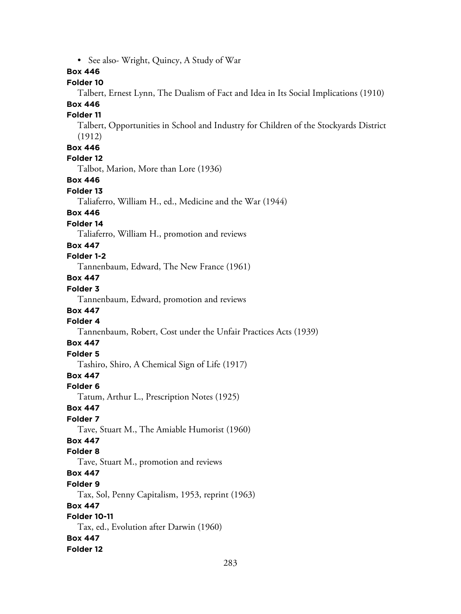• See also- Wright, Quincy, A Study of War **Box 446 Folder 10** Talbert, Ernest Lynn, The Dualism of Fact and Idea in Its Social Implications (1910) **Box 446 Folder 11** Talbert, Opportunities in School and Industry for Children of the Stockyards District (1912) **Box 446 Folder 12** Talbot, Marion, More than Lore (1936) **Box 446 Folder 13** Taliaferro, William H., ed., Medicine and the War (1944) **Box 446 Folder 14** Taliaferro, William H., promotion and reviews **Box 447 Folder 1-2** Tannenbaum, Edward, The New France (1961) **Box 447 Folder 3** Tannenbaum, Edward, promotion and reviews **Box 447 Folder 4** Tannenbaum, Robert, Cost under the Unfair Practices Acts (1939) **Box 447 Folder 5** Tashiro, Shiro, A Chemical Sign of Life (1917) **Box 447 Folder 6** Tatum, Arthur L., Prescription Notes (1925) **Box 447 Folder 7** Tave, Stuart M., The Amiable Humorist (1960) **Box 447 Folder 8** Tave, Stuart M., promotion and reviews **Box 447 Folder 9** Tax, Sol, Penny Capitalism, 1953, reprint (1963) **Box 447 Folder 10-11** Tax, ed., Evolution after Darwin (1960) **Box 447 Folder 12**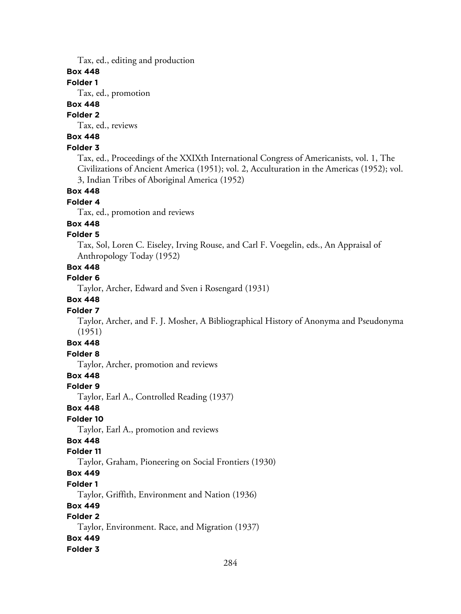Tax, ed., editing and production

## **Box 448**

### **Folder 1**

Tax, ed., promotion

# **Box 448**

# **Folder 2**

Tax, ed., reviews

# **Box 448**

## **Folder 3**

Tax, ed., Proceedings of the XXIXth International Congress of Americanists, vol. 1, The Civilizations of Ancient America (1951); vol. 2, Acculturation in the Americas (1952); vol. 3, Indian Tribes of Aboriginal America (1952)

#### **Box 448**

## **Folder 4**

Tax, ed., promotion and reviews

## **Box 448**

## **Folder 5**

Tax, Sol, Loren C. Eiseley, Irving Rouse, and Carl F. Voegelin, eds., An Appraisal of Anthropology Today (1952)

# **Box 448**

## **Folder 6**

Taylor, Archer, Edward and Sven i Rosengard (1931)

## **Box 448**

#### **Folder 7**

Taylor, Archer, and F. J. Mosher, A Bibliographical History of Anonyma and Pseudonyma (1951)

# **Box 448**

## **Folder 8**

Taylor, Archer, promotion and reviews

## **Box 448**

#### **Folder 9**

Taylor, Earl A., Controlled Reading (1937)

## **Box 448**

# **Folder 10**

Taylor, Earl A., promotion and reviews

# **Box 448**

## **Folder 11**

Taylor, Graham, Pioneering on Social Frontiers (1930)

## **Box 449**

#### **Folder 1**

Taylor, Griffith, Environment and Nation (1936)

#### **Box 449**

# **Folder 2**

Taylor, Environment. Race, and Migration (1937)

## **Box 449**

#### **Folder 3**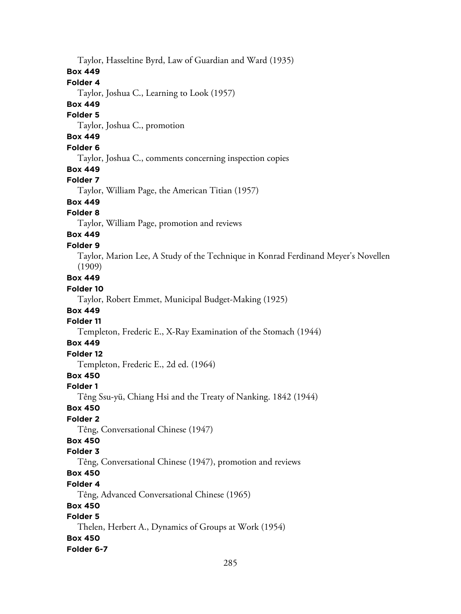Taylor, Hasseltine Byrd, Law of Guardian and Ward (1935) **Box 449 Folder 4** Taylor, Joshua C., Learning to Look (1957) **Box 449 Folder 5** Taylor, Joshua C., promotion **Box 449 Folder 6** Taylor, Joshua C., comments concerning inspection copies **Box 449 Folder 7** Taylor, William Page, the American Titian (1957) **Box 449 Folder 8** Taylor, William Page, promotion and reviews **Box 449 Folder 9** Taylor, Marion Lee, A Study of the Technique in Konrad Ferdinand Meyer's Novellen (1909) **Box 449 Folder 10** Taylor, Robert Emmet, Municipal Budget-Making (1925) **Box 449 Folder 11** Templeton, Frederic E., X-Ray Examination of the Stomach (1944) **Box 449 Folder 12** Templeton, Frederic E., 2d ed. (1964) **Box 450 Folder 1** Têng Ssu-yü, Chiang Hsi and the Treaty of Nanking. 1842 (1944) **Box 450 Folder 2** Têng, Conversational Chinese (1947) **Box 450 Folder 3** Têng, Conversational Chinese (1947), promotion and reviews **Box 450 Folder 4** Têng, Advanced Conversational Chinese (1965) **Box 450 Folder 5** Thelen, Herbert A., Dynamics of Groups at Work (1954) **Box 450 Folder 6-7**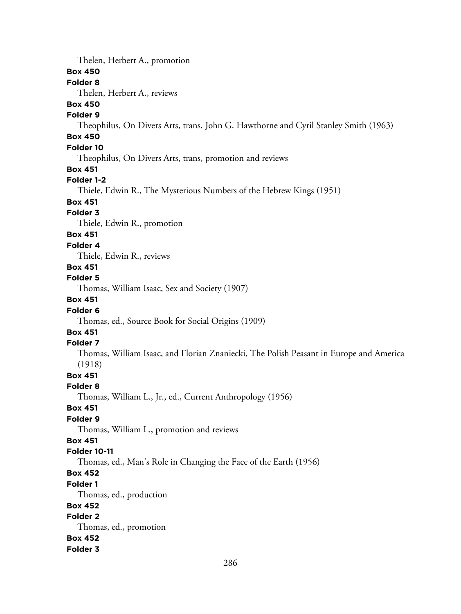Thelen, Herbert A., promotion

#### **Box 450**

## **Folder 8**

Thelen, Herbert A., reviews

# **Box 450**

# **Folder 9**

Theophilus, On Divers Arts, trans. John G. Hawthorne and Cyril Stanley Smith (1963)

# **Box 450**

# **Folder 10**

Theophilus, On Divers Arts, trans, promotion and reviews

#### **Box 451**

#### **Folder 1-2**

Thiele, Edwin R., The Mysterious Numbers of the Hebrew Kings (1951)

# **Box 451**

# **Folder 3**

Thiele, Edwin R., promotion

#### **Box 451**

#### **Folder 4**

Thiele, Edwin R., reviews

#### **Box 451**

### **Folder 5**

Thomas, William Isaac, Sex and Society (1907)

## **Box 451**

#### **Folder 6**

Thomas, ed., Source Book for Social Origins (1909)

# **Box 451**

### **Folder 7**

Thomas, William Isaac, and Florian Znaniecki, The Polish Peasant in Europe and America (1918)

#### **Box 451**

#### **Folder 8**

Thomas, William L., Jr., ed., Current Anthropology (1956)

#### **Box 451**

### **Folder 9**

Thomas, William L., promotion and reviews

### **Box 451**

#### **Folder 10-11**

Thomas, ed., Man's Role in Changing the Face of the Earth (1956)

# **Box 452**

# **Folder 1**

Thomas, ed., production

## **Box 452**

# **Folder 2**

Thomas, ed., promotion

# **Box 452**

#### **Folder 3**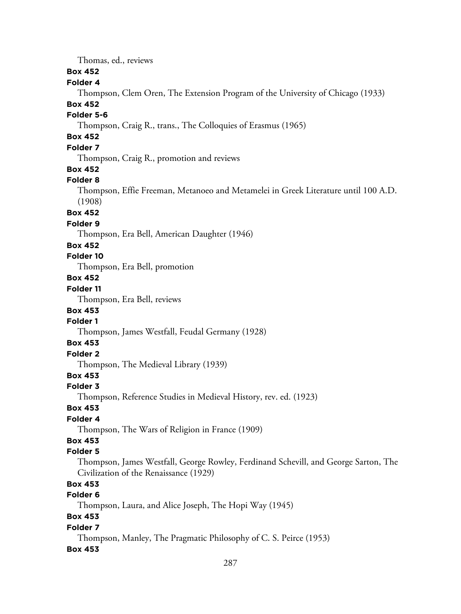Thomas, ed., reviews

## **Box 452**

#### **Folder 4**

Thompson, Clem Oren, The Extension Program of the University of Chicago (1933)

### **Box 452**

### **Folder 5-6**

Thompson, Craig R., trans., The Colloquies of Erasmus (1965)

# **Box 452**

# **Folder 7**

Thompson, Craig R., promotion and reviews

#### **Box 452**

#### **Folder 8**

Thompson, Effie Freeman, Metanoeo and Metamelei in Greek Literature until 100 A.D. (1908)

#### **Box 452**

#### **Folder 9**

Thompson, Era Bell, American Daughter (1946)

#### **Box 452**

## **Folder 10**

Thompson, Era Bell, promotion

# **Box 452**

## **Folder 11**

Thompson, Era Bell, reviews

## **Box 453**

## **Folder 1**

Thompson, James Westfall, Feudal Germany (1928)

## **Box 453**

# **Folder 2**

Thompson, The Medieval Library (1939)

# **Box 453**

#### **Folder 3**

Thompson, Reference Studies in Medieval History, rev. ed. (1923)

# **Box 453**

## **Folder 4**

Thompson, The Wars of Religion in France (1909)

# **Box 453**

# **Folder 5**

Thompson, James Westfall, George Rowley, Ferdinand Schevill, and George Sarton, The Civilization of the Renaissance (1929)

# **Box 453**

# **Folder 6**

Thompson, Laura, and Alice Joseph, The Hopi Way (1945)

# **Box 453**

#### **Folder 7**

Thompson, Manley, The Pragmatic Philosophy of C. S. Peirce (1953)

#### **Box 453**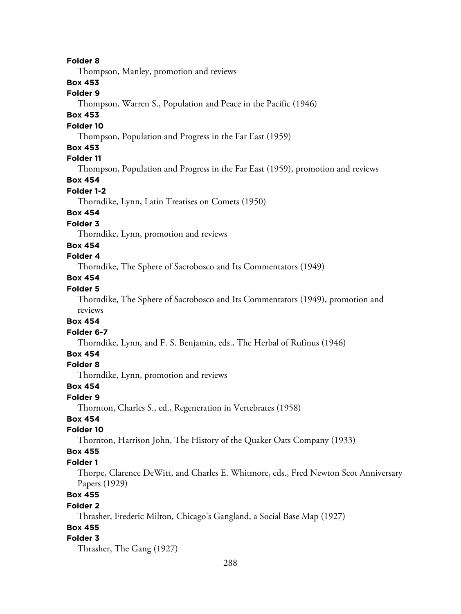**Folder 8**

Thompson, Manley, promotion and reviews

# **Box 453**

# **Folder 9**

Thompson, Warren S., Population and Peace in the Pacific (1946)

# **Box 453**

## **Folder 10**

Thompson, Population and Progress in the Far East (1959)

#### **Box 453**

# **Folder 11**

Thompson, Population and Progress in the Far East (1959), promotion and reviews

## **Box 454**

#### **Folder 1-2**

Thorndike, Lynn, Latin Treatises on Comets (1950)

## **Box 454**

#### **Folder 3**

Thorndike, Lynn, promotion and reviews

#### **Box 454**

# **Folder 4**

Thorndike, The Sphere of Sacrobosco and Its Commentators (1949)

## **Box 454**

# **Folder 5**

Thorndike, The Sphere of Sacrobosco and Its Commentators (1949), promotion and reviews

#### **Box 454**

#### **Folder 6-7**

Thorndike, Lynn, and F. S. Benjamin, eds., The Herbal of Rufinus (1946)

## **Box 454**

## **Folder 8**

Thorndike, Lynn, promotion and reviews

#### **Box 454**

#### **Folder 9**

Thornton, Charles S., ed., Regeneration in Vertebrates (1958)

# **Box 454**

# **Folder 10**

Thornton, Harrison John, The History of the Quaker Oats Company (1933)

## **Box 455**

#### **Folder 1**

Thorpe, Clarence DeWitt, and Charles E. Whitmore, eds., Fred Newton Scot Anniversary Papers (1929)

# **Box 455**

#### **Folder 2**

Thrasher, Frederic Milton, Chicago's Gangland, a Social Base Map (1927)

## **Box 455**

#### **Folder 3**

Thrasher, The Gang (1927)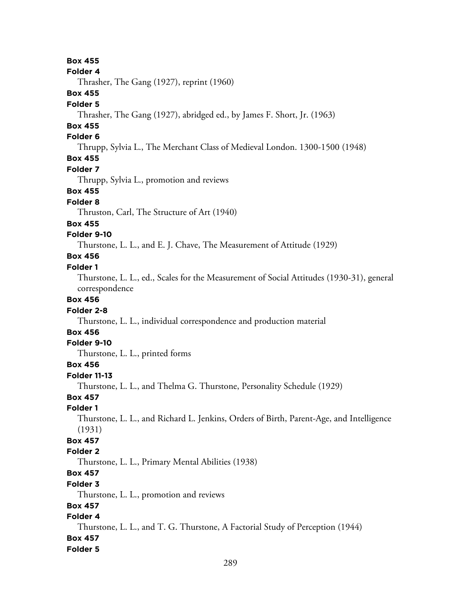## **Box 455**

#### **Folder 4**

Thrasher, The Gang (1927), reprint (1960)

## **Box 455**

#### **Folder 5**

Thrasher, The Gang (1927), abridged ed., by James F. Short, Jr. (1963)

## **Box 455**

## **Folder 6**

Thrupp, Sylvia L., The Merchant Class of Medieval London. 1300-1500 (1948)

# **Box 455**

### **Folder 7**

Thrupp, Sylvia L., promotion and reviews

### **Box 455**

## **Folder 8**

Thruston, Carl, The Structure of Art (1940)

#### **Box 455**

#### **Folder 9-10**

Thurstone, L. L., and E. J. Chave, The Measurement of Attitude (1929)

# **Box 456**

# **Folder 1**

Thurstone, L. L., ed., Scales for the Measurement of Social Attitudes (1930-31), general correspondence

### **Box 456**

#### **Folder 2-8**

Thurstone, L. L., individual correspondence and production material

## **Box 456**

#### **Folder 9-10**

Thurstone, L. L., printed forms

## **Box 456**

## **Folder 11-13**

Thurstone, L. L., and Thelma G. Thurstone, Personality Schedule (1929)

## **Box 457**

#### **Folder 1**

Thurstone, L. L., and Richard L. Jenkins, Orders of Birth, Parent-Age, and Intelligence (1931)

# **Box 457**

## **Folder 2**

Thurstone, L. L., Primary Mental Abilities (1938)

# **Box 457**

## **Folder 3**

Thurstone, L. L., promotion and reviews

## **Box 457**

## **Folder 4**

Thurstone, L. L., and T. G. Thurstone, A Factorial Study of Perception (1944)

## **Box 457**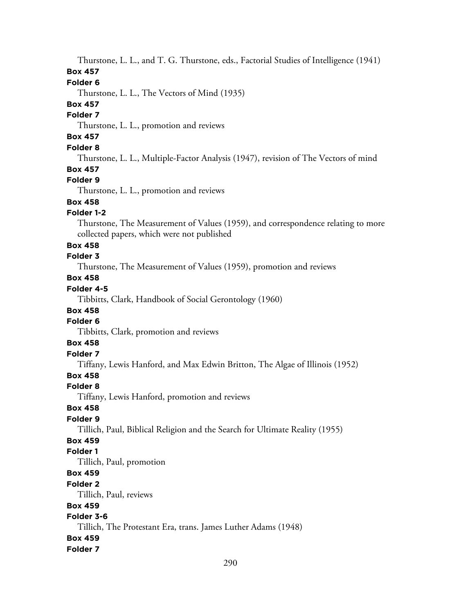Thurstone, L. L., and T. G. Thurstone, eds., Factorial Studies of Intelligence (1941) **Box 457**

#### **Folder 6**

Thurstone, L. L., The Vectors of Mind (1935)

#### **Box 457**

#### **Folder 7**

Thurstone, L. L., promotion and reviews

# **Box 457**

# **Folder 8**

Thurstone, L. L., Multiple-Factor Analysis (1947), revision of The Vectors of mind

## **Box 457**

#### **Folder 9**

Thurstone, L. L., promotion and reviews

# **Box 458**

## **Folder 1-2**

Thurstone, The Measurement of Values (1959), and correspondence relating to more collected papers, which were not published

### **Box 458**

# **Folder 3**

Thurstone, The Measurement of Values (1959), promotion and reviews

# **Box 458**

## **Folder 4-5**

Tibbitts, Clark, Handbook of Social Gerontology (1960)

## **Box 458**

## **Folder 6**

Tibbitts, Clark, promotion and reviews

# **Box 458**

# **Folder 7**

Tiffany, Lewis Hanford, and Max Edwin Britton, The Algae of Illinois (1952)

## **Box 458**

### **Folder 8**

Tiffany, Lewis Hanford, promotion and reviews

## **Box 458**

## **Folder 9**

Tillich, Paul, Biblical Religion and the Search for Ultimate Reality (1955)

# **Box 459**

# **Folder 1**

Tillich, Paul, promotion

# **Box 459**

#### **Folder 2**

Tillich, Paul, reviews

### **Box 459**

## **Folder 3-6**

Tillich, The Protestant Era, trans. James Luther Adams (1948)

### **Box 459**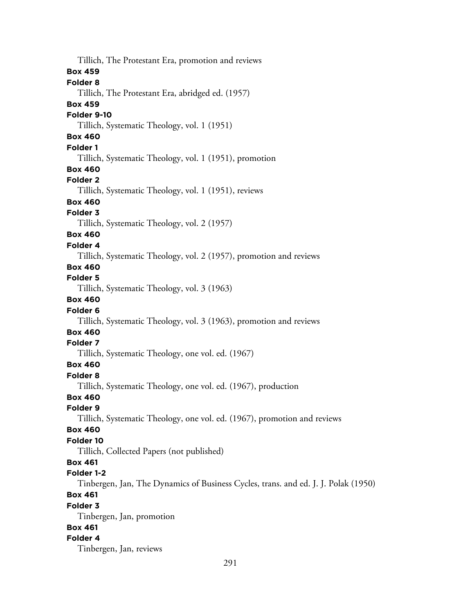Tillich, The Protestant Era, promotion and reviews **Box 459 Folder 8** Tillich, The Protestant Era, abridged ed. (1957) **Box 459 Folder 9-10** Tillich, Systematic Theology, vol. 1 (1951) **Box 460 Folder 1** Tillich, Systematic Theology, vol. 1 (1951), promotion **Box 460 Folder 2** Tillich, Systematic Theology, vol. 1 (1951), reviews **Box 460 Folder 3** Tillich, Systematic Theology, vol. 2 (1957) **Box 460 Folder 4** Tillich, Systematic Theology, vol. 2 (1957), promotion and reviews **Box 460 Folder 5** Tillich, Systematic Theology, vol. 3 (1963) **Box 460 Folder 6** Tillich, Systematic Theology, vol. 3 (1963), promotion and reviews **Box 460 Folder 7** Tillich, Systematic Theology, one vol. ed. (1967) **Box 460 Folder 8** Tillich, Systematic Theology, one vol. ed. (1967), production **Box 460 Folder 9** Tillich, Systematic Theology, one vol. ed. (1967), promotion and reviews **Box 460 Folder 10** Tillich, Collected Papers (not published) **Box 461 Folder 1-2** Tinbergen, Jan, The Dynamics of Business Cycles, trans. and ed. J. J. Polak (1950) **Box 461 Folder 3** Tinbergen, Jan, promotion **Box 461 Folder 4** Tinbergen, Jan, reviews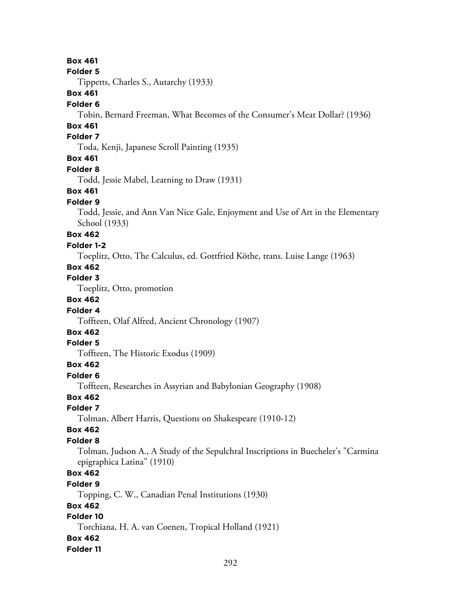## **Box 461**

#### **Folder 5**

Tippetts, Charles S., Autarchy (1933)

## **Box 461**

#### **Folder 6**

Tobin, Bernard Freeman, What Becomes of the Consumer's Meat Dollar? (1936)

## **Box 461**

## **Folder 7**

Toda, Kenji, Japanese Scroll Painting (1935)

## **Box 461**

#### **Folder 8**

Todd, Jessie Mabel, Learning to Draw (1931)

### **Box 461**

### **Folder 9**

Todd, Jessie, and Ann Van Nice Gale, Enjoyment and Use of Art in the Elementary School (1933)

### **Box 462**

#### **Folder 1-2**

Toeplitz, Otto, The Calculus, ed. Gottfried Köthe, trans. Luise Lange (1963)

# **Box 462**

## **Folder 3**

Toeplitz, Otto, promotion

## **Box 462**

### **Folder 4**

Toffteen, Olaf Alfred, Ancient Chronology (1907)

# **Box 462**

# **Folder 5**

Toffteen, The Historic Exodus (1909)

## **Box 462**

## **Folder 6**

Toffteen, Researches in Assyrian and Babylonian Geography (1908)

## **Box 462**

#### **Folder 7**

Tolman, Albert Harris, Questions on Shakespeare (1910-12)

#### **Box 462**

## **Folder 8**

Tolman, Judson A., A Study of the Sepulchral Inscriptions in Buecheler's "Carmina epigraphica Latina" (1910)

# **Box 462**

#### **Folder 9**

Topping, C. W., Canadian Penal Institutions (1930)

#### **Box 462**

### **Folder 10**

Torchiana, H. A. van Coenen, Tropical Holland (1921)

### **Box 462**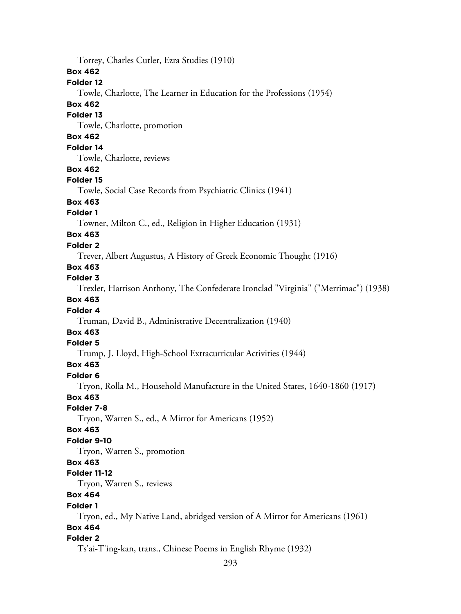Torrey, Charles Cutler, Ezra Studies (1910) **Box 462 Folder 12** Towle, Charlotte, The Learner in Education for the Professions (1954) **Box 462 Folder 13** Towle, Charlotte, promotion **Box 462 Folder 14** Towle, Charlotte, reviews **Box 462 Folder 15** Towle, Social Case Records from Psychiatric Clinics (1941) **Box 463 Folder 1** Towner, Milton C., ed., Religion in Higher Education (1931) **Box 463 Folder 2** Trever, Albert Augustus, A History of Greek Economic Thought (1916) **Box 463 Folder 3** Trexler, Harrison Anthony, The Confederate Ironclad "Virginia" ("Merrimac") (1938) **Box 463 Folder 4** Truman, David B., Administrative Decentralization (1940) **Box 463 Folder 5** Trump, J. Lloyd, High-School Extracurricular Activities (1944) **Box 463 Folder 6** Tryon, Rolla M., Household Manufacture in the United States, 1640-1860 (1917) **Box 463 Folder 7-8** Tryon, Warren S., ed., A Mirror for Americans (1952) **Box 463 Folder 9-10** Tryon, Warren S., promotion **Box 463 Folder 11-12** Tryon, Warren S., reviews **Box 464 Folder 1** Tryon, ed., My Native Land, abridged version of A Mirror for Americans (1961) **Box 464 Folder 2** Ts'ai-T'ing-kan, trans., Chinese Poems in English Rhyme (1932)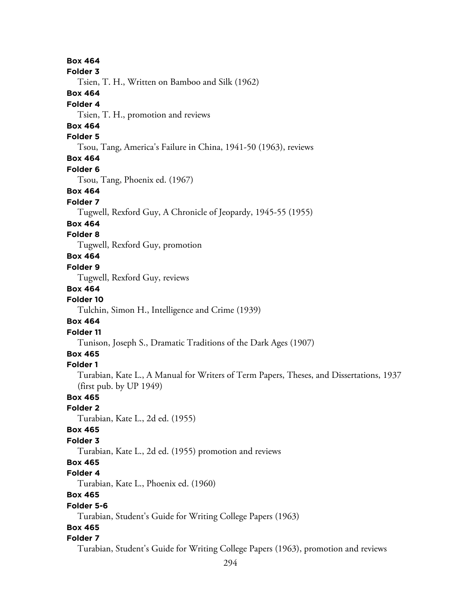294 **Box 464 Folder 3** Tsien, T. H., Written on Bamboo and Silk (1962) **Box 464 Folder 4** Tsien, T. H., promotion and reviews **Box 464 Folder 5** Tsou, Tang, America's Failure in China, 1941-50 (1963), reviews **Box 464 Folder 6** Tsou, Tang, Phoenix ed. (1967) **Box 464 Folder 7** Tugwell, Rexford Guy, A Chronicle of Jeopardy, 1945-55 (1955) **Box 464 Folder 8** Tugwell, Rexford Guy, promotion **Box 464 Folder 9** Tugwell, Rexford Guy, reviews **Box 464 Folder 10** Tulchin, Simon H., Intelligence and Crime (1939) **Box 464 Folder 11** Tunison, Joseph S., Dramatic Traditions of the Dark Ages (1907) **Box 465 Folder 1** Turabian, Kate L., A Manual for Writers of Term Papers, Theses, and Dissertations, 1937 (first pub. by UP 1949) **Box 465 Folder 2** Turabian, Kate L., 2d ed. (1955) **Box 465 Folder 3** Turabian, Kate L., 2d ed. (1955) promotion and reviews **Box 465 Folder 4** Turabian, Kate L., Phoenix ed. (1960) **Box 465 Folder 5-6** Turabian, Student's Guide for Writing College Papers (1963) **Box 465 Folder 7** Turabian, Student's Guide for Writing College Papers (1963), promotion and reviews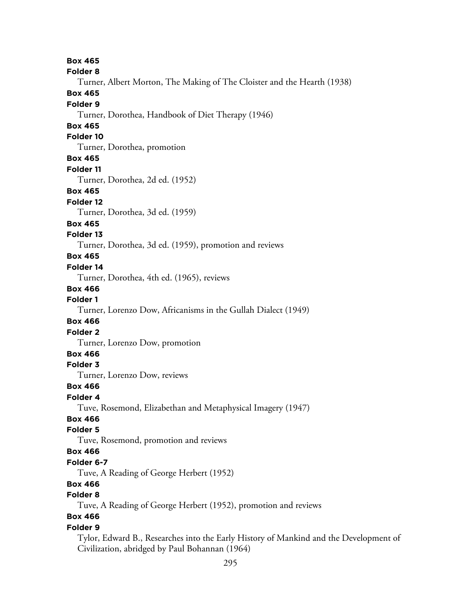**Box 465 Folder 8** Turner, Albert Morton, The Making of The Cloister and the Hearth (1938) **Box 465 Folder 9** Turner, Dorothea, Handbook of Diet Therapy (1946) **Box 465 Folder 10** Turner, Dorothea, promotion **Box 465 Folder 11** Turner, Dorothea, 2d ed. (1952) **Box 465 Folder 12** Turner, Dorothea, 3d ed. (1959) **Box 465 Folder 13** Turner, Dorothea, 3d ed. (1959), promotion and reviews **Box 465 Folder 14** Turner, Dorothea, 4th ed. (1965), reviews **Box 466 Folder 1** Turner, Lorenzo Dow, Africanisms in the Gullah Dialect (1949) **Box 466 Folder 2** Turner, Lorenzo Dow, promotion **Box 466 Folder 3** Turner, Lorenzo Dow, reviews **Box 466 Folder 4** Tuve, Rosemond, Elizabethan and Metaphysical Imagery (1947) **Box 466 Folder 5** Tuve, Rosemond, promotion and reviews **Box 466 Folder 6-7** Tuve, A Reading of George Herbert (1952) **Box 466 Folder 8** Tuve, A Reading of George Herbert (1952), promotion and reviews **Box 466 Folder 9** Tylor, Edward B., Researches into the Early History of Mankind and the Development of Civilization, abridged by Paul Bohannan (1964)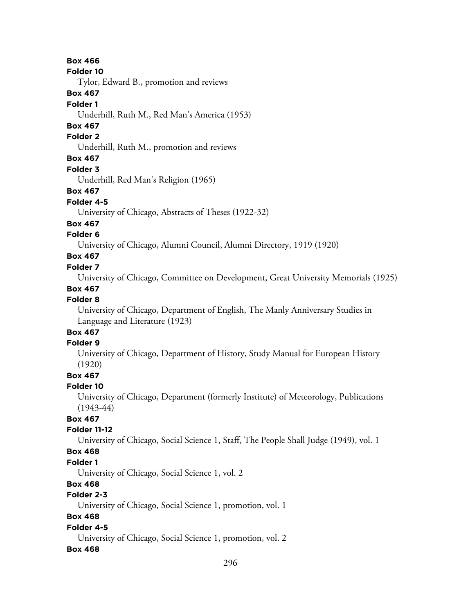**Box 466**

#### **Folder 10**

Tylor, Edward B., promotion and reviews

### **Box 467**

#### **Folder 1**

Underhill, Ruth M., Red Man's America (1953)

## **Box 467**

### **Folder 2**

Underhill, Ruth M., promotion and reviews

## **Box 467**

#### **Folder 3**

Underhill, Red Man's Religion (1965)

## **Box 467**

## **Folder 4-5**

University of Chicago, Abstracts of Theses (1922-32)

## **Box 467**

## **Folder 6**

University of Chicago, Alumni Council, Alumni Directory, 1919 (1920)

# **Box 467**

## **Folder 7**

University of Chicago, Committee on Development, Great University Memorials (1925)

## **Box 467**

## **Folder 8**

University of Chicago, Department of English, The Manly Anniversary Studies in Language and Literature (1923)

#### **Box 467 Folder 9**

# University of Chicago, Department of History, Study Manual for European History (1920)

## **Box 467**

## **Folder 10**

University of Chicago, Department (formerly Institute) of Meteorology, Publications (1943-44)

# **Box 467**

## **Folder 11-12**

University of Chicago, Social Science 1, Staff, The People Shall Judge (1949), vol. 1

## **Box 468**

## **Folder 1**

University of Chicago, Social Science 1, vol. 2

## **Box 468**

# **Folder 2-3**

University of Chicago, Social Science 1, promotion, vol. 1

# **Box 468**

## **Folder 4-5**

University of Chicago, Social Science 1, promotion, vol. 2

## **Box 468**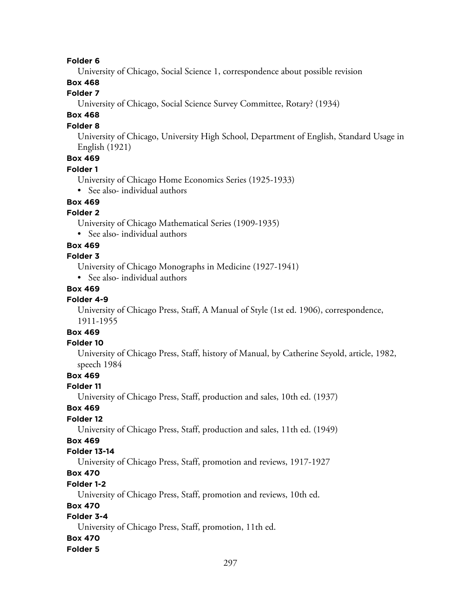#### **Folder 6**

University of Chicago, Social Science 1, correspondence about possible revision

## **Box 468**

## **Folder 7**

University of Chicago, Social Science Survey Committee, Rotary? (1934)

# **Box 468**

### **Folder 8**

University of Chicago, University High School, Department of English, Standard Usage in English (1921)

# **Box 469**

### **Folder 1**

University of Chicago Home Economics Series (1925-1933)

• See also- individual authors

## **Box 469**

### **Folder 2**

University of Chicago Mathematical Series (1909-1935)

• See also- individual authors

### **Box 469**

### **Folder 3**

University of Chicago Monographs in Medicine (1927-1941)

• See also- individual authors

## **Box 469**

## **Folder 4-9**

University of Chicago Press, Staff, A Manual of Style (1st ed. 1906), correspondence, 1911-1955

# **Box 469**

## **Folder 10**

University of Chicago Press, Staff, history of Manual, by Catherine Seyold, article, 1982, speech 1984

## **Box 469**

#### **Folder 11**

University of Chicago Press, Staff, production and sales, 10th ed. (1937)

## **Box 469**

#### **Folder 12**

University of Chicago Press, Staff, production and sales, 11th ed. (1949)

# **Box 469**

#### **Folder 13-14**

University of Chicago Press, Staff, promotion and reviews, 1917-1927

# **Box 470**

## **Folder 1-2**

University of Chicago Press, Staff, promotion and reviews, 10th ed.

#### **Box 470**

## **Folder 3-4**

University of Chicago Press, Staff, promotion, 11th ed.

#### **Box 470**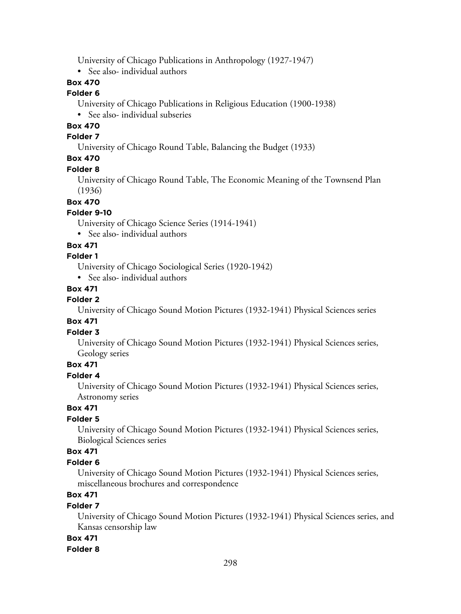University of Chicago Publications in Anthropology (1927-1947)

• See also- individual authors

# **Box 470**

#### **Folder 6**

University of Chicago Publications in Religious Education (1900-1938) • See also- individual subseries

## **Box 470**

#### **Folder 7**

University of Chicago Round Table, Balancing the Budget (1933)

# **Box 470**

### **Folder 8**

University of Chicago Round Table, The Economic Meaning of the Townsend Plan (1936)

### **Box 470**

## **Folder 9-10**

University of Chicago Science Series (1914-1941)

• See also- individual authors

## **Box 471**

### **Folder 1**

University of Chicago Sociological Series (1920-1942)

• See also- individual authors

## **Box 471**

## **Folder 2**

University of Chicago Sound Motion Pictures (1932-1941) Physical Sciences series

## **Box 471**

## **Folder 3**

University of Chicago Sound Motion Pictures (1932-1941) Physical Sciences series, Geology series

## **Box 471**

#### **Folder 4**

University of Chicago Sound Motion Pictures (1932-1941) Physical Sciences series, Astronomy series

# **Box 471**

## **Folder 5**

University of Chicago Sound Motion Pictures (1932-1941) Physical Sciences series, Biological Sciences series

## **Box 471**

## **Folder 6**

University of Chicago Sound Motion Pictures (1932-1941) Physical Sciences series, miscellaneous brochures and correspondence

# **Box 471**

## **Folder 7**

University of Chicago Sound Motion Pictures (1932-1941) Physical Sciences series, and Kansas censorship law

## **Box 471**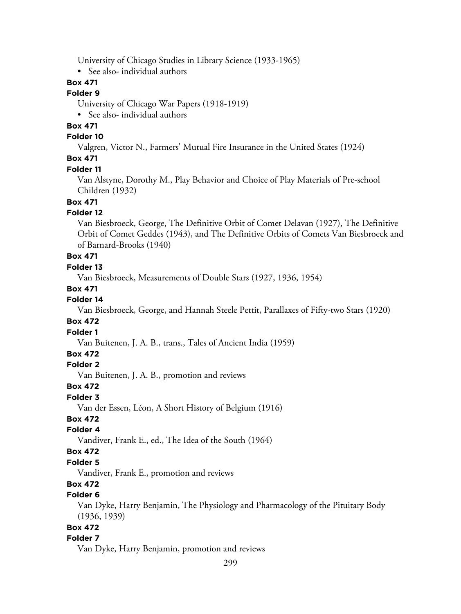University of Chicago Studies in Library Science (1933-1965)

• See also- individual authors

## **Box 471**

#### **Folder 9**

University of Chicago War Papers (1918-1919)

• See also- individual authors

# **Box 471**

## **Folder 10**

Valgren, Victor N., Farmers' Mutual Fire Insurance in the United States (1924)

## **Box 471**

#### **Folder 11**

Van Alstyne, Dorothy M., Play Behavior and Choice of Play Materials of Pre-school Children (1932)

## **Box 471**

#### **Folder 12**

Van Biesbroeck, George, The Definitive Orbit of Comet Delavan (1927), The Definitive Orbit of Comet Geddes (1943), and The Definitive Orbits of Comets Van Biesbroeck and of Barnard-Brooks (1940)

# **Box 471**

# **Folder 13**

Van Biesbroeck, Measurements of Double Stars (1927, 1936, 1954)

### **Box 471**

## **Folder 14**

Van Biesbroeck, George, and Hannah Steele Pettit, Parallaxes of Fifty-two Stars (1920)

#### **Box 472**

## **Folder 1**

Van Buitenen, J. A. B., trans., Tales of Ancient India (1959)

### **Box 472**

## **Folder 2**

Van Buitenen, J. A. B., promotion and reviews

#### **Box 472**

#### **Folder 3**

Van der Essen, Léon, A Short History of Belgium (1916)

## **Box 472**

## **Folder 4**

Vandiver, Frank E., ed., The Idea of the South (1964)

### **Box 472**

### **Folder 5**

Vandiver, Frank E., promotion and reviews

# **Box 472**

# **Folder 6**

Van Dyke, Harry Benjamin, The Physiology and Pharmacology of the Pituitary Body (1936, 1939)

## **Box 472**

#### **Folder 7**

Van Dyke, Harry Benjamin, promotion and reviews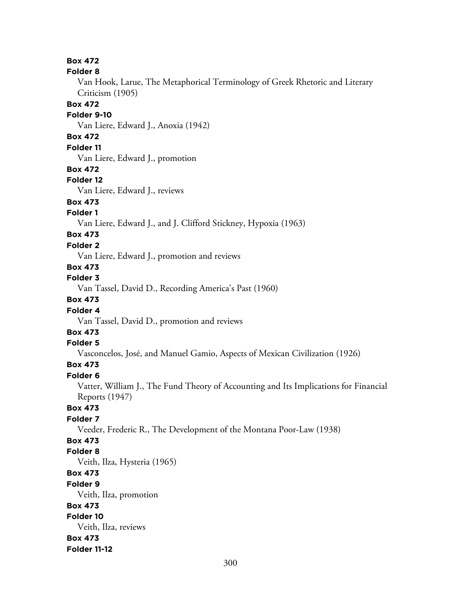**Box 472 Folder 8** Van Hook, Larue, The Metaphorical Terminology of Greek Rhetoric and Literary Criticism (1905) **Box 472 Folder 9-10** Van Liere, Edward J., Anoxia (1942) **Box 472 Folder 11** Van Liere, Edward J., promotion **Box 472 Folder 12** Van Liere, Edward J., reviews **Box 473 Folder 1** Van Liere, Edward J., and J. Clifford Stickney, Hypoxia (1963) **Box 473 Folder 2** Van Liere, Edward J., promotion and reviews **Box 473 Folder 3** Van Tassel, David D., Recording America's Past (1960) **Box 473 Folder 4** Van Tassel, David D., promotion and reviews **Box 473 Folder 5** Vasconcelos, José, and Manuel Gamio, Aspects of Mexican Civilization (1926) **Box 473 Folder 6** Vatter, William J., The Fund Theory of Accounting and Its Implications for Financial Reports (1947) **Box 473 Folder 7** Veeder, Frederic R., The Development of the Montana Poor-Law (1938) **Box 473 Folder 8** Veith, Ilza, Hysteria (1965) **Box 473 Folder 9** Veith, Ilza, promotion **Box 473 Folder 10** Veith, Ilza, reviews **Box 473 Folder 11-12**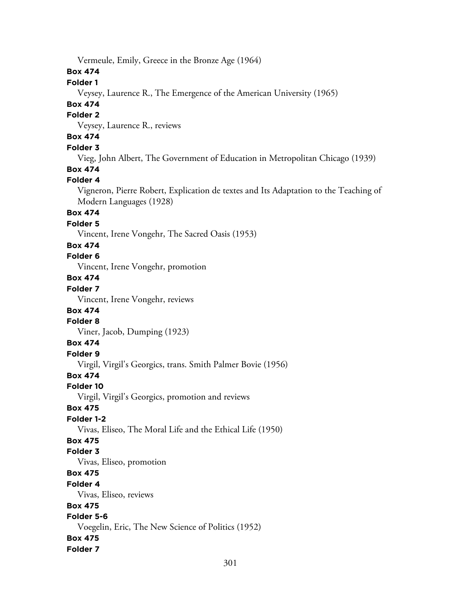Vermeule, Emily, Greece in the Bronze Age (1964)

## **Box 474**

## **Folder 1**

Veysey, Laurence R., The Emergence of the American University (1965)

## **Box 474**

#### **Folder 2**

Veysey, Laurence R., reviews

# **Box 474**

## **Folder 3**

Vieg, John Albert, The Government of Education in Metropolitan Chicago (1939)

## **Box 474**

## **Folder 4**

Vigneron, Pierre Robert, Explication de textes and Its Adaptation to the Teaching of Modern Languages (1928)

## **Box 474**

### **Folder 5**

Vincent, Irene Vongehr, The Sacred Oasis (1953)

### **Box 474**

## **Folder 6**

Vincent, Irene Vongehr, promotion

# **Box 474**

# **Folder 7**

Vincent, Irene Vongehr, reviews

## **Box 474**

### **Folder 8**

Viner, Jacob, Dumping (1923)

## **Box 474**

# **Folder 9**

Virgil, Virgil's Georgics, trans. Smith Palmer Bovie (1956)

## **Box 474**

## **Folder 10**

Virgil, Virgil's Georgics, promotion and reviews

## **Box 475**

## **Folder 1-2**

Vivas, Eliseo, The Moral Life and the Ethical Life (1950)

## **Box 475**

## **Folder 3**

Vivas, Eliseo, promotion

## **Box 475**

#### **Folder 4**

Vivas, Eliseo, reviews

## **Box 475**

## **Folder 5-6**

Voegelin, Eric, The New Science of Politics (1952)

## **Box 475**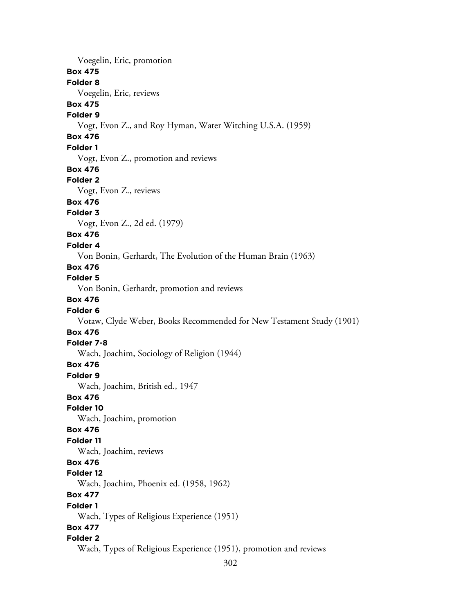Voegelin, Eric, promotion **Box 475 Folder 8** Voegelin, Eric, reviews **Box 475 Folder 9** Vogt, Evon Z., and Roy Hyman, Water Witching U.S.A. (1959) **Box 476 Folder 1** Vogt, Evon Z., promotion and reviews **Box 476 Folder 2** Vogt, Evon Z., reviews **Box 476 Folder 3** Vogt, Evon Z., 2d ed. (1979) **Box 476 Folder 4** Von Bonin, Gerhardt, The Evolution of the Human Brain (1963) **Box 476 Folder 5** Von Bonin, Gerhardt, promotion and reviews **Box 476 Folder 6** Votaw, Clyde Weber, Books Recommended for New Testament Study (1901) **Box 476 Folder 7-8** Wach, Joachim, Sociology of Religion (1944) **Box 476 Folder 9** Wach, Joachim, British ed., 1947 **Box 476 Folder 10** Wach, Joachim, promotion **Box 476 Folder 11** Wach, Joachim, reviews **Box 476 Folder 12** Wach, Joachim, Phoenix ed. (1958, 1962) **Box 477 Folder 1** Wach, Types of Religious Experience (1951) **Box 477 Folder 2** Wach, Types of Religious Experience (1951), promotion and reviews

302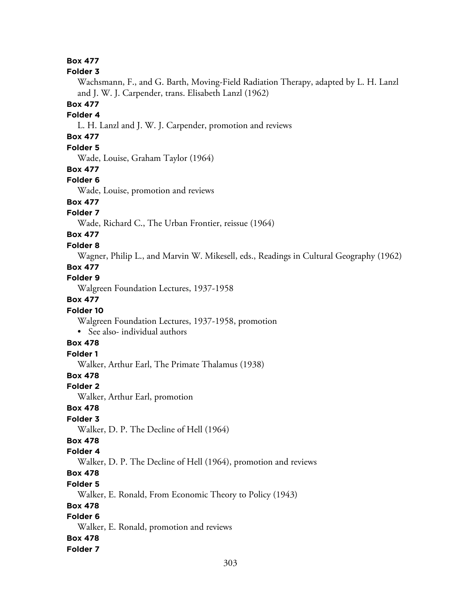## **Box 477**

#### **Folder 3**

Wachsmann, F., and G. Barth, Moving-Field Radiation Therapy, adapted by L. H. Lanzl and J. W. J. Carpender, trans. Elisabeth Lanzl (1962)

## **Box 477**

### **Folder 4**

L. H. Lanzl and J. W. J. Carpender, promotion and reviews

# **Box 477**

## **Folder 5**

Wade, Louise, Graham Taylor (1964)

#### **Box 477**

#### **Folder 6**

Wade, Louise, promotion and reviews

# **Box 477**

## **Folder 7**

Wade, Richard C., The Urban Frontier, reissue (1964)

# **Box 477**

#### **Folder 8**

Wagner, Philip L., and Marvin W. Mikesell, eds., Readings in Cultural Geography (1962)

#### **Box 477**

### **Folder 9**

Walgreen Foundation Lectures, 1937-1958

#### **Box 477**

#### **Folder 10**

Walgreen Foundation Lectures, 1937-1958, promotion

• See also- individual authors

## **Box 478**

# **Folder 1**

Walker, Arthur Earl, The Primate Thalamus (1938)

## **Box 478**

#### **Folder 2**

Walker, Arthur Earl, promotion

## **Box 478**

## **Folder 3**

Walker, D. P. The Decline of Hell (1964)

## **Box 478**

#### **Folder 4**

Walker, D. P. The Decline of Hell (1964), promotion and reviews

## **Box 478**

### **Folder 5**

Walker, E. Ronald, From Economic Theory to Policy (1943)

### **Box 478**

# **Folder 6**

Walker, E. Ronald, promotion and reviews

#### **Box 478**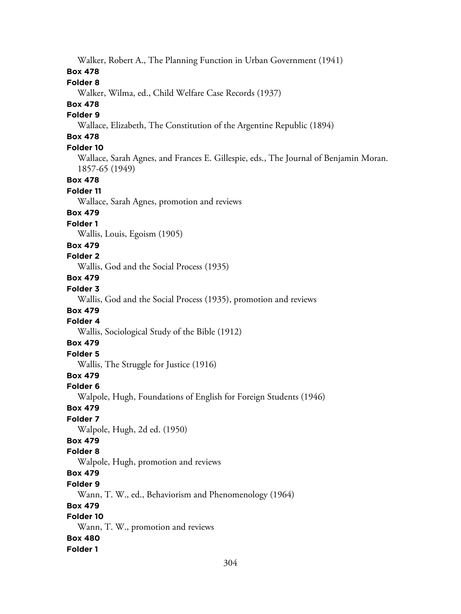304 Walker, Robert A., The Planning Function in Urban Government (1941) **Box 478 Folder 8** Walker, Wilma, ed., Child Welfare Case Records (1937) **Box 478 Folder 9** Wallace, Elizabeth, The Constitution of the Argentine Republic (1894) **Box 478 Folder 10** Wallace, Sarah Agnes, and Frances E. Gillespie, eds., The Journal of Benjamin Moran. 1857-65 (1949) **Box 478 Folder 11** Wallace, Sarah Agnes, promotion and reviews **Box 479 Folder 1** Wallis, Louis, Egoism (1905) **Box 479 Folder 2** Wallis, God and the Social Process (1935) **Box 479 Folder 3** Wallis, God and the Social Process (1935), promotion and reviews **Box 479 Folder 4** Wallis, Sociological Study of the Bible (1912) **Box 479 Folder 5** Wallis, The Struggle for Justice (1916) **Box 479 Folder 6** Walpole, Hugh, Foundations of English for Foreign Students (1946) **Box 479 Folder 7** Walpole, Hugh, 2d ed. (1950) **Box 479 Folder 8** Walpole, Hugh, promotion and reviews **Box 479 Folder 9** Wann, T. W., ed., Behaviorism and Phenomenology (1964) **Box 479 Folder 10** Wann, T. W., promotion and reviews **Box 480 Folder 1**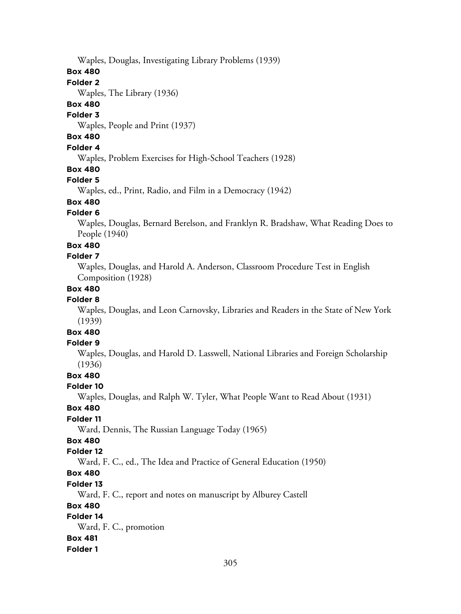Waples, Douglas, Investigating Library Problems (1939)

### **Box 480**

### **Folder 2**

Waples, The Library (1936)

## **Box 480**

#### **Folder 3**

Waples, People and Print (1937)

## **Box 480**

### **Folder 4**

Waples, Problem Exercises for High-School Teachers (1928)

## **Box 480**

## **Folder 5**

Waples, ed., Print, Radio, and Film in a Democracy (1942)

# **Box 480**

## **Folder 6**

Waples, Douglas, Bernard Berelson, and Franklyn R. Bradshaw, What Reading Does to People (1940)

## **Box 480**

## **Folder 7**

Waples, Douglas, and Harold A. Anderson, Classroom Procedure Test in English Composition (1928)

## **Box 480**

## **Folder 8**

Waples, Douglas, and Leon Carnovsky, Libraries and Readers in the State of New York (1939)

# **Box 480**

## **Folder 9**

Waples, Douglas, and Harold D. Lasswell, National Libraries and Foreign Scholarship (1936)

# **Box 480**

## **Folder 10**

Waples, Douglas, and Ralph W. Tyler, What People Want to Read About (1931)

## **Box 480**

## **Folder 11**

Ward, Dennis, The Russian Language Today (1965)

# **Box 480**

## **Folder 12**

Ward, F. C., ed., The Idea and Practice of General Education (1950)

# **Box 480**

## **Folder 13**

Ward, F. C., report and notes on manuscript by Alburey Castell

## **Box 480**

## **Folder 14**

Ward, F. C., promotion

## **Box 481**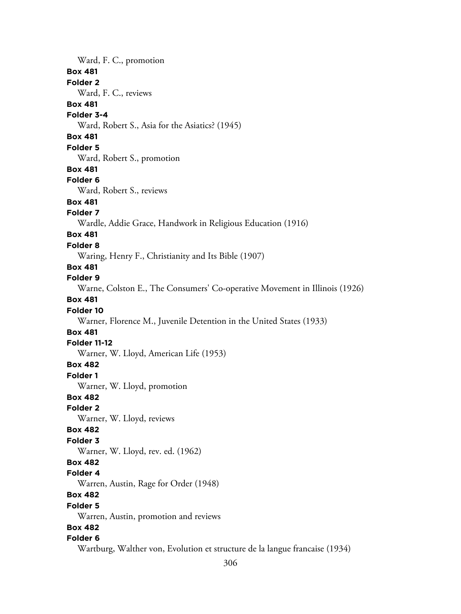Ward, F. C., promotion **Box 481 Folder 2** Ward, F. C., reviews **Box 481 Folder 3-4** Ward, Robert S., Asia for the Asiatics? (1945) **Box 481 Folder 5** Ward, Robert S., promotion **Box 481 Folder 6** Ward, Robert S., reviews **Box 481 Folder 7** Wardle, Addie Grace, Handwork in Religious Education (1916) **Box 481 Folder 8** Waring, Henry F., Christianity and Its Bible (1907) **Box 481 Folder 9** Warne, Colston E., The Consumers' Co-operative Movement in Illinois (1926) **Box 481 Folder 10** Warner, Florence M., Juvenile Detention in the United States (1933) **Box 481 Folder 11-12** Warner, W. Lloyd, American Life (1953) **Box 482 Folder 1** Warner, W. Lloyd, promotion **Box 482 Folder 2** Warner, W. Lloyd, reviews **Box 482 Folder 3** Warner, W. Lloyd, rev. ed. (1962) **Box 482 Folder 4** Warren, Austin, Rage for Order (1948) **Box 482 Folder 5** Warren, Austin, promotion and reviews **Box 482 Folder 6** Wartburg, Walther von, Evolution et structure de la langue francaise (1934)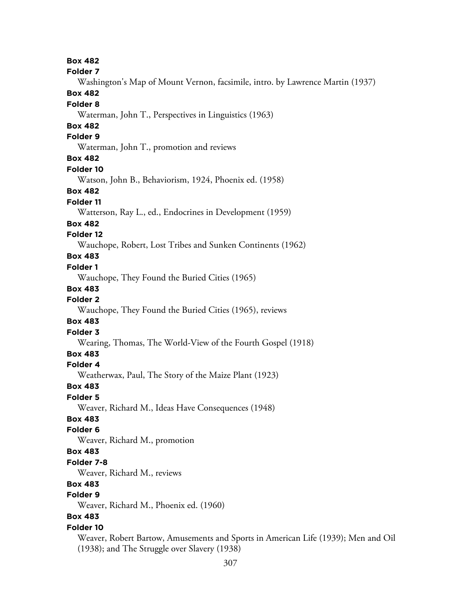**Box 482 Folder 7** Washington's Map of Mount Vernon, facsimile, intro. by Lawrence Martin (1937) **Box 482 Folder 8** Waterman, John T., Perspectives in Linguistics (1963) **Box 482 Folder 9** Waterman, John T., promotion and reviews **Box 482 Folder 10** Watson, John B., Behaviorism, 1924, Phoenix ed. (1958) **Box 482 Folder 11** Watterson, Ray L., ed., Endocrines in Development (1959) **Box 482 Folder 12** Wauchope, Robert, Lost Tribes and Sunken Continents (1962) **Box 483 Folder 1** Wauchope, They Found the Buried Cities (1965) **Box 483 Folder 2** Wauchope, They Found the Buried Cities (1965), reviews **Box 483 Folder 3** Wearing, Thomas, The World-View of the Fourth Gospel (1918) **Box 483 Folder 4** Weatherwax, Paul, The Story of the Maize Plant (1923) **Box 483 Folder 5** Weaver, Richard M., Ideas Have Consequences (1948) **Box 483 Folder 6** Weaver, Richard M., promotion **Box 483 Folder 7-8** Weaver, Richard M., reviews **Box 483 Folder 9** Weaver, Richard M., Phoenix ed. (1960) **Box 483 Folder 10** Weaver, Robert Bartow, Amusements and Sports in American Life (1939); Men and Oil (1938); and The Struggle over Slavery (1938)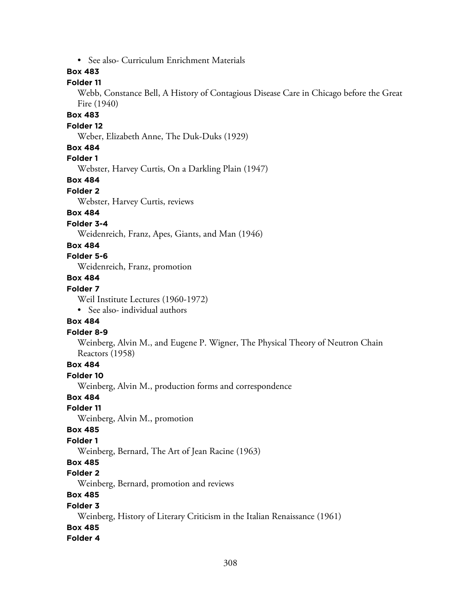• See also- Curriculum Enrichment Materials

## **Box 483**

## **Folder 11**

Webb, Constance Bell, A History of Contagious Disease Care in Chicago before the Great Fire (1940)

### **Box 483**

#### **Folder 12**

Weber, Elizabeth Anne, The Duk-Duks (1929)

#### **Box 484**

**Folder 1**

Webster, Harvey Curtis, On a Darkling Plain (1947)

#### **Box 484**

**Folder 2**

Webster, Harvey Curtis, reviews

### **Box 484**

**Folder 3-4**

Weidenreich, Franz, Apes, Giants, and Man (1946)

#### **Box 484**

## **Folder 5-6**

Weidenreich, Franz, promotion

## **Box 484**

### **Folder 7**

Weil Institute Lectures (1960-1972)

• See also- individual authors

### **Box 484**

#### **Folder 8-9**

Weinberg, Alvin M., and Eugene P. Wigner, The Physical Theory of Neutron Chain Reactors (1958)

## **Box 484**

**Folder 10**

Weinberg, Alvin M., production forms and correspondence

## **Box 484**

**Folder 11**

Weinberg, Alvin M., promotion

#### **Box 485**

#### **Folder 1**

Weinberg, Bernard, The Art of Jean Racine (1963)

## **Box 485**

#### **Folder 2**

Weinberg, Bernard, promotion and reviews

## **Box 485**

#### **Folder 3**

Weinberg, History of Literary Criticism in the Italian Renaissance (1961)

## **Box 485**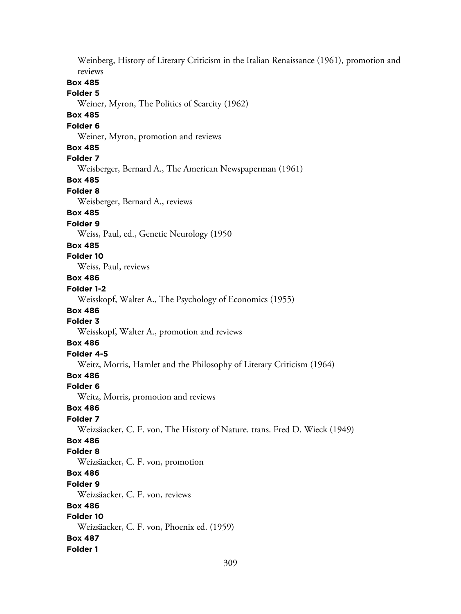Weinberg, History of Literary Criticism in the Italian Renaissance (1961), promotion and reviews **Box 485 Folder 5** Weiner, Myron, The Politics of Scarcity (1962) **Box 485 Folder 6** Weiner, Myron, promotion and reviews **Box 485 Folder 7** Weisberger, Bernard A., The American Newspaperman (1961) **Box 485 Folder 8** Weisberger, Bernard A., reviews **Box 485 Folder 9** Weiss, Paul, ed., Genetic Neurology (1950 **Box 485 Folder 10** Weiss, Paul, reviews **Box 486 Folder 1-2** Weisskopf, Walter A., The Psychology of Economics (1955) **Box 486 Folder 3** Weisskopf, Walter A., promotion and reviews **Box 486 Folder 4-5** Weitz, Morris, Hamlet and the Philosophy of Literary Criticism (1964) **Box 486 Folder 6** Weitz, Morris, promotion and reviews **Box 486 Folder 7** Weizsäacker, C. F. von, The History of Nature. trans. Fred D. Wieck (1949) **Box 486 Folder 8** Weizsäacker, C. F. von, promotion **Box 486 Folder 9** Weizsäacker, C. F. von, reviews **Box 486 Folder 10** Weizsäacker, C. F. von, Phoenix ed. (1959) **Box 487 Folder 1**

309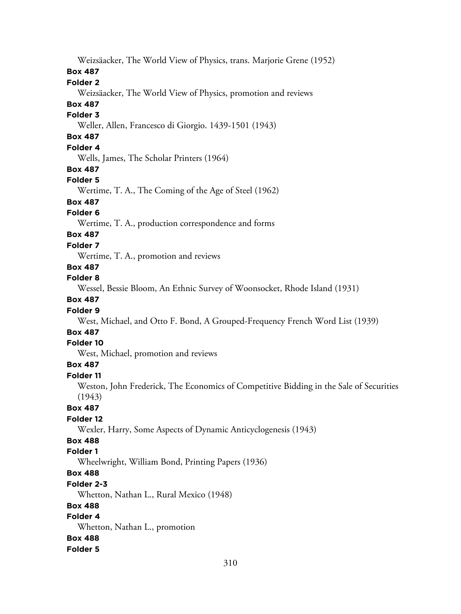Weizsäacker, The World View of Physics, trans. Marjorie Grene (1952)

#### **Box 487**

## **Folder 2**

Weizsäacker, The World View of Physics, promotion and reviews

# **Box 487**

# **Folder 3**

Weller, Allen, Francesco di Giorgio. 1439-1501 (1943)

# **Box 487**

## **Folder 4**

Wells, James, The Scholar Printers (1964)

## **Box 487**

## **Folder 5**

Wertime, T. A., The Coming of the Age of Steel (1962)

# **Box 487**

## **Folder 6**

Wertime, T. A., production correspondence and forms

# **Box 487**

## **Folder 7**

Wertime, T. A., promotion and reviews

## **Box 487**

### **Folder 8**

Wessel, Bessie Bloom, An Ethnic Survey of Woonsocket, Rhode Island (1931)

## **Box 487**

## **Folder 9**

West, Michael, and Otto F. Bond, A Grouped-Frequency French Word List (1939)

## **Box 487**

## **Folder 10**

West, Michael, promotion and reviews

## **Box 487**

#### **Folder 11**

Weston, John Frederick, The Economics of Competitive Bidding in the Sale of Securities (1943)

## **Box 487**

## **Folder 12**

Wexler, Harry, Some Aspects of Dynamic Anticyclogenesis (1943)

## **Box 488**

## **Folder 1**

Wheelwright, William Bond, Printing Papers (1936)

# **Box 488**

## **Folder 2-3**

Whetton, Nathan L., Rural Mexico (1948)

## **Box 488**

## **Folder 4**

Whetton, Nathan L., promotion

## **Box 488**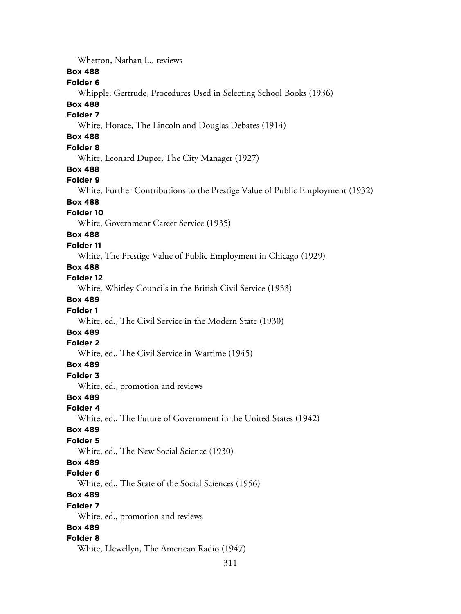Whetton, Nathan L., reviews **Box 488 Folder 6** Whipple, Gertrude, Procedures Used in Selecting School Books (1936) **Box 488 Folder 7** White, Horace, The Lincoln and Douglas Debates (1914) **Box 488 Folder 8** White, Leonard Dupee, The City Manager (1927) **Box 488 Folder 9** White, Further Contributions to the Prestige Value of Public Employment (1932) **Box 488 Folder 10** White, Government Career Service (1935) **Box 488 Folder 11** White, The Prestige Value of Public Employment in Chicago (1929) **Box 488 Folder 12** White, Whitley Councils in the British Civil Service (1933) **Box 489 Folder 1** White, ed., The Civil Service in the Modern State (1930) **Box 489 Folder 2** White, ed., The Civil Service in Wartime (1945) **Box 489 Folder 3** White, ed., promotion and reviews **Box 489 Folder 4** White, ed., The Future of Government in the United States (1942) **Box 489 Folder 5** White, ed., The New Social Science (1930) **Box 489 Folder 6** White, ed., The State of the Social Sciences (1956) **Box 489 Folder 7** White, ed., promotion and reviews **Box 489 Folder 8** White, Llewellyn, The American Radio (1947)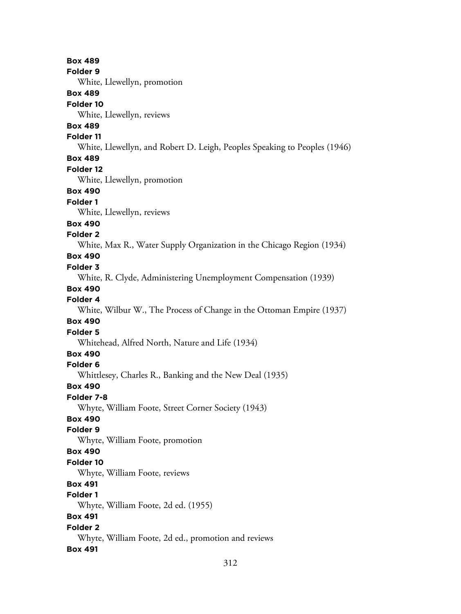**Box 489 Folder 9** White, Llewellyn, promotion **Box 489 Folder 10** White, Llewellyn, reviews **Box 489 Folder 11** White, Llewellyn, and Robert D. Leigh, Peoples Speaking to Peoples (1946) **Box 489 Folder 12** White, Llewellyn, promotion **Box 490 Folder 1** White, Llewellyn, reviews **Box 490 Folder 2** White, Max R., Water Supply Organization in the Chicago Region (1934) **Box 490 Folder 3** White, R. Clyde, Administering Unemployment Compensation (1939) **Box 490 Folder 4** White, Wilbur W., The Process of Change in the Ottoman Empire (1937) **Box 490 Folder 5** Whitehead, Alfred North, Nature and Life (1934) **Box 490 Folder 6** Whittlesey, Charles R., Banking and the New Deal (1935) **Box 490 Folder 7-8** Whyte, William Foote, Street Corner Society (1943) **Box 490 Folder 9** Whyte, William Foote, promotion **Box 490 Folder 10** Whyte, William Foote, reviews **Box 491 Folder 1** Whyte, William Foote, 2d ed. (1955) **Box 491 Folder 2** Whyte, William Foote, 2d ed., promotion and reviews **Box 491**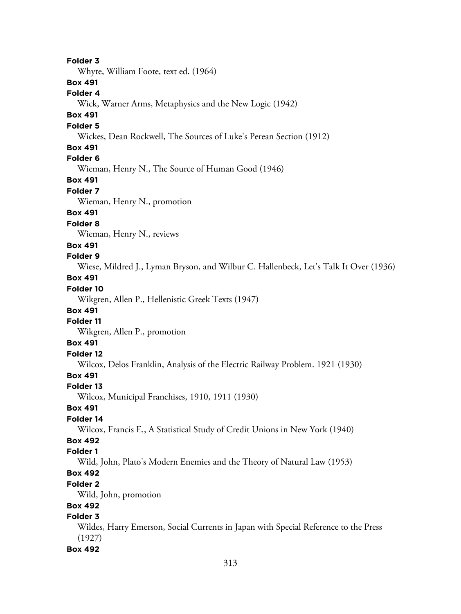**Folder 3** Whyte, William Foote, text ed. (1964) **Box 491 Folder 4** Wick, Warner Arms, Metaphysics and the New Logic (1942) **Box 491 Folder 5** Wickes, Dean Rockwell, The Sources of Luke's Perean Section (1912) **Box 491 Folder 6** Wieman, Henry N., The Source of Human Good (1946) **Box 491 Folder 7** Wieman, Henry N., promotion **Box 491 Folder 8** Wieman, Henry N., reviews **Box 491 Folder 9** Wiese, Mildred J., Lyman Bryson, and Wilbur C. Hallenbeck, Let's Talk It Over (1936) **Box 491 Folder 10** Wikgren, Allen P., Hellenistic Greek Texts (1947) **Box 491 Folder 11** Wikgren, Allen P., promotion **Box 491 Folder 12** Wilcox, Delos Franklin, Analysis of the Electric Railway Problem. 1921 (1930) **Box 491 Folder 13** Wilcox, Municipal Franchises, 1910, 1911 (1930) **Box 491 Folder 14** Wilcox, Francis E., A Statistical Study of Credit Unions in New York (1940) **Box 492 Folder 1** Wild, John, Plato's Modern Enemies and the Theory of Natural Law (1953) **Box 492 Folder 2** Wild, John, promotion **Box 492 Folder 3** Wildes, Harry Emerson, Social Currents in Japan with Special Reference to the Press (1927) **Box 492**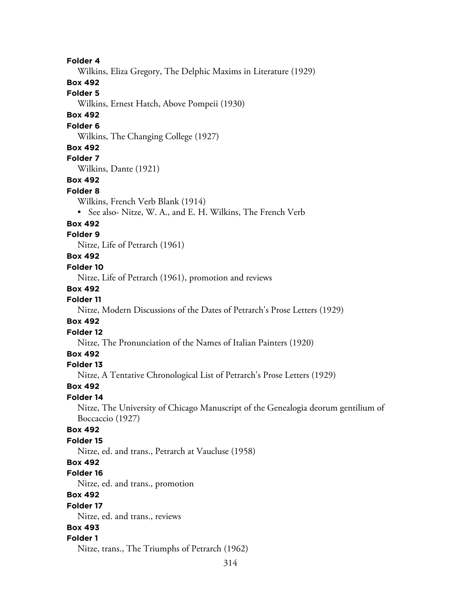**Folder 4**

Wilkins, Eliza Gregory, The Delphic Maxims in Literature (1929)

**Box 492**

**Folder 5**

Wilkins, Ernest Hatch, Above Pompeii (1930)

## **Box 492**

#### **Folder 6**

Wilkins, The Changing College (1927)

## **Box 492**

## **Folder 7**

Wilkins, Dante (1921)

### **Box 492**

#### **Folder 8**

Wilkins, French Verb Blank (1914)

• See also- Nitze, W. A., and E. H. Wilkins, The French Verb

#### **Box 492**

### **Folder 9**

Nitze, Life of Petrarch (1961)

## **Box 492**

#### **Folder 10**

Nitze, Life of Petrarch (1961), promotion and reviews

#### **Box 492**

## **Folder 11**

Nitze, Modern Discussions of the Dates of Petrarch's Prose Letters (1929)

#### **Box 492**

#### **Folder 12**

Nitze, The Pronunciation of the Names of Italian Painters (1920)

## **Box 492**

#### **Folder 13**

Nitze, A Tentative Chronological List of Petrarch's Prose Letters (1929)

#### **Box 492**

### **Folder 14**

Nitze, The University of Chicago Manuscript of the Genealogia deorum gentilium of Boccaccio (1927)

## **Box 492**

## **Folder 15**

Nitze, ed. and trans., Petrarch at Vaucluse (1958)

## **Box 492**

#### **Folder 16**

Nitze, ed. and trans., promotion

## **Box 492**

#### **Folder 17**

Nitze, ed. and trans., reviews

## **Box 493**

### **Folder 1**

Nitze, trans., The Triumphs of Petrarch (1962)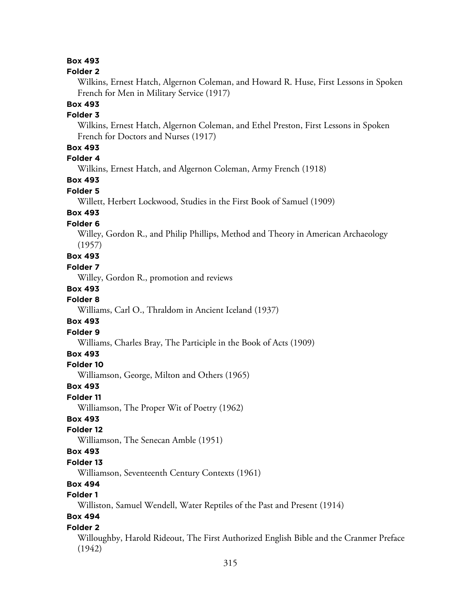## **Box 493**

#### **Folder 2**

Wilkins, Ernest Hatch, Algernon Coleman, and Howard R. Huse, First Lessons in Spoken French for Men in Military Service (1917)

#### **Box 493**

#### **Folder 3**

Wilkins, Ernest Hatch, Algernon Coleman, and Ethel Preston, First Lessons in Spoken French for Doctors and Nurses (1917)

## **Box 493**

# **Folder 4**

Wilkins, Ernest Hatch, and Algernon Coleman, Army French (1918)

### **Box 493**

### **Folder 5**

Willett, Herbert Lockwood, Studies in the First Book of Samuel (1909)

## **Box 493**

#### **Folder 6**

Willey, Gordon R., and Philip Phillips, Method and Theory in American Archaeology (1957)

### **Box 493**

#### **Folder 7**

Willey, Gordon R., promotion and reviews

#### **Box 493**

#### **Folder 8**

Williams, Carl O., Thraldom in Ancient Iceland (1937)

## **Box 493**

#### **Folder 9**

Williams, Charles Bray, The Participle in the Book of Acts (1909)

#### **Box 493**

#### **Folder 10**

Williamson, George, Milton and Others (1965)

#### **Box 493**

#### **Folder 11**

Williamson, The Proper Wit of Poetry (1962)

### **Box 493**

### **Folder 12**

Williamson, The Senecan Amble (1951)

#### **Box 493**

### **Folder 13**

Williamson, Seventeenth Century Contexts (1961)

# **Box 494**

## **Folder 1**

Williston, Samuel Wendell, Water Reptiles of the Past and Present (1914)

## **Box 494**

#### **Folder 2**

Willoughby, Harold Rideout, The First Authorized English Bible and the Cranmer Preface (1942)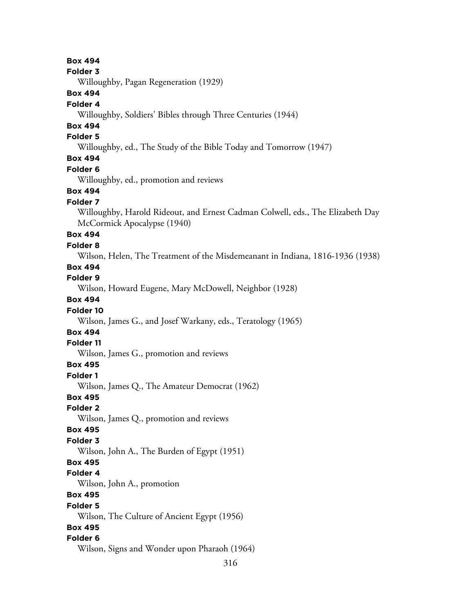**Box 494**

**Folder 3**

Willoughby, Pagan Regeneration (1929)

## **Box 494**

### **Folder 4**

Willoughby, Soldiers' Bibles through Three Centuries (1944)

## **Box 494**

#### **Folder 5**

Willoughby, ed., The Study of the Bible Today and Tomorrow (1947)

## **Box 494**

#### **Folder 6**

Willoughby, ed., promotion and reviews

## **Box 494**

### **Folder 7**

Willoughby, Harold Rideout, and Ernest Cadman Colwell, eds., The Elizabeth Day McCormick Apocalypse (1940)

## **Box 494**

### **Folder 8**

Wilson, Helen, The Treatment of the Misdemeanant in Indiana, 1816-1936 (1938)

## **Box 494**

**Folder 9**

Wilson, Howard Eugene, Mary McDowell, Neighbor (1928)

## **Box 494**

#### **Folder 10**

Wilson, James G., and Josef Warkany, eds., Teratology (1965)

# **Box 494**

## **Folder 11**

Wilson, James G., promotion and reviews

### **Box 495**

**Folder 1**

Wilson, James Q., The Amateur Democrat (1962)

### **Box 495**

**Folder 2**

Wilson, James Q., promotion and reviews

#### **Box 495**

## **Folder 3**

Wilson, John A., The Burden of Egypt (1951)

### **Box 495**

#### **Folder 4**

Wilson, John A., promotion

## **Box 495**

#### **Folder 5**

Wilson, The Culture of Ancient Egypt (1956)

## **Box 495**

## **Folder 6**

Wilson, Signs and Wonder upon Pharaoh (1964)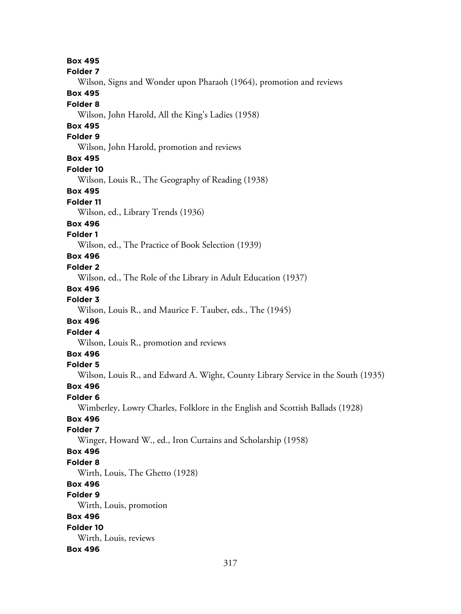**Box 495 Folder 7** Wilson, Signs and Wonder upon Pharaoh (1964), promotion and reviews **Box 495 Folder 8** Wilson, John Harold, All the King's Ladies (1958) **Box 495 Folder 9** Wilson, John Harold, promotion and reviews **Box 495 Folder 10** Wilson, Louis R., The Geography of Reading (1938) **Box 495 Folder 11** Wilson, ed., Library Trends (1936) **Box 496 Folder 1** Wilson, ed., The Practice of Book Selection (1939) **Box 496 Folder 2** Wilson, ed., The Role of the Library in Adult Education (1937) **Box 496 Folder 3** Wilson, Louis R., and Maurice F. Tauber, eds., The (1945) **Box 496 Folder 4** Wilson, Louis R., promotion and reviews **Box 496 Folder 5** Wilson, Louis R., and Edward A. Wight, County Library Service in the South (1935) **Box 496 Folder 6** Wimberley, Lowry Charles, Folklore in the English and Scottish Ballads (1928) **Box 496 Folder 7** Winger, Howard W., ed., Iron Curtains and Scholarship (1958) **Box 496 Folder 8** Wirth, Louis, The Ghetto (1928) **Box 496 Folder 9** Wirth, Louis, promotion **Box 496 Folder 10** Wirth, Louis, reviews **Box 496**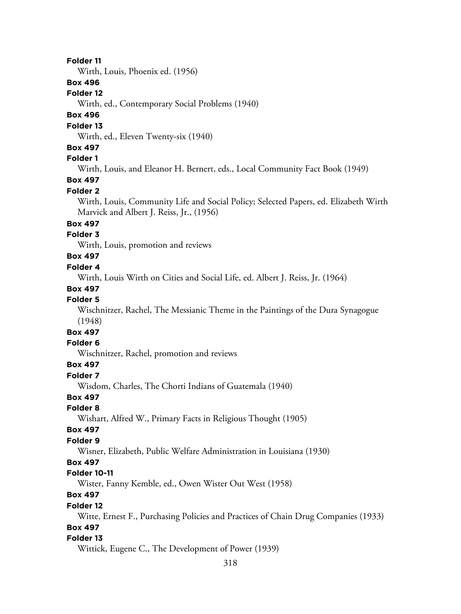#### **Folder 11**

Wirth, Louis, Phoenix ed. (1956)

## **Box 496**

### **Folder 12**

Wirth, ed., Contemporary Social Problems (1940)

## **Box 496**

#### **Folder 13**

Wirth, ed., Eleven Twenty-six (1940)

### **Box 497**

### **Folder 1**

Wirth, Louis, and Eleanor H. Bernert, eds., Local Community Fact Book (1949)

## **Box 497**

## **Folder 2**

Wirth, Louis, Community Life and Social Policy; Selected Papers, ed. Elizabeth Wirth Marvick and Albert J. Reiss, Jr., (1956)

## **Box 497**

## **Folder 3**

Wirth, Louis, promotion and reviews

## **Box 497**

### **Folder 4**

Wirth, Louis Wirth on Cities and Social Life, ed. Albert J. Reiss, Jr. (1964)

### **Box 497**

### **Folder 5**

Wischnitzer, Rachel, The Messianic Theme in the Paintings of the Dura Synagogue (1948)

# **Box 497**

# **Folder 6**

Wischnitzer, Rachel, promotion and reviews

## **Box 497**

**Folder 7**

Wisdom, Charles, The Chorti Indians of Guatemala (1940)

## **Box 497**

## **Folder 8**

Wishart, Alfred W., Primary Facts in Religious Thought (1905)

### **Box 497**

### **Folder 9**

Wisner, Elizabeth, Public Welfare Administration in Louisiana (1930)

## **Box 497**

## **Folder 10-11**

Wister, Fanny Kemble, ed., Owen Wister Out West (1958)

# **Box 497**

#### **Folder 12**

Witte, Ernest F., Purchasing Policies and Practices of Chain Drug Companies (1933)

## **Box 497**

#### **Folder 13**

Wittick, Eugene C., The Development of Power (1939)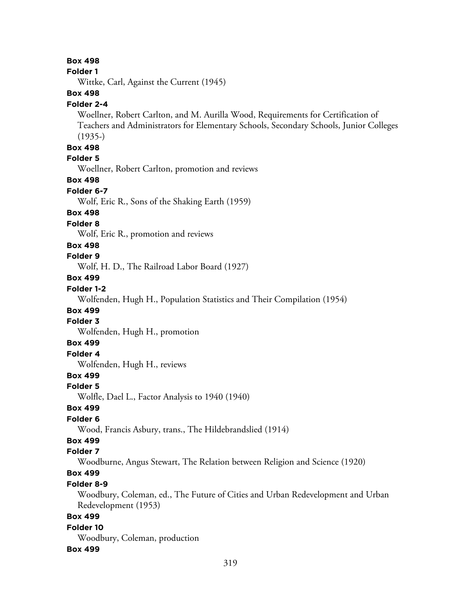#### **Box 498**

#### **Folder 1**

Wittke, Carl, Against the Current (1945)

## **Box 498**

#### **Folder 2-4**

Woellner, Robert Carlton, and M. Aurilla Wood, Requirements for Certification of Teachers and Administrators for Elementary Schools, Secondary Schools, Junior Colleges (1935-)

#### **Box 498**

### **Folder 5**

Woellner, Robert Carlton, promotion and reviews

#### **Box 498**

## **Folder 6-7**

Wolf, Eric R., Sons of the Shaking Earth (1959)

### **Box 498**

#### **Folder 8**

Wolf, Eric R., promotion and reviews

#### **Box 498**

## **Folder 9**

Wolf, H. D., The Railroad Labor Board (1927)

## **Box 499**

## **Folder 1-2**

Wolfenden, Hugh H., Population Statistics and Their Compilation (1954)

## **Box 499**

## **Folder 3**

Wolfenden, Hugh H., promotion

## **Box 499**

## **Folder 4**

Wolfenden, Hugh H., reviews

## **Box 499**

#### **Folder 5**

Wolfle, Dael L., Factor Analysis to 1940 (1940)

### **Box 499**

### **Folder 6**

Wood, Francis Asbury, trans., The Hildebrandslied (1914)

## **Box 499**

#### **Folder 7**

Woodburne, Angus Stewart, The Relation between Religion and Science (1920)

## **Box 499**

### **Folder 8-9**

Woodbury, Coleman, ed., The Future of Cities and Urban Redevelopment and Urban Redevelopment (1953)

## **Box 499**

#### **Folder 10** Woodbury, Coleman, production

#### **Box 499**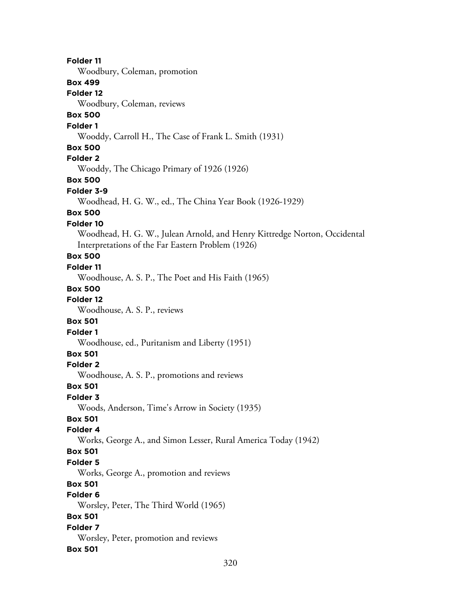**Folder 11** Woodbury, Coleman, promotion **Box 499 Folder 12** Woodbury, Coleman, reviews **Box 500 Folder 1** Wooddy, Carroll H., The Case of Frank L. Smith (1931) **Box 500 Folder 2** Wooddy, The Chicago Primary of 1926 (1926) **Box 500 Folder 3-9** Woodhead, H. G. W., ed., The China Year Book (1926-1929) **Box 500 Folder 10** Woodhead, H. G. W., Julean Arnold, and Henry Kittredge Norton, Occidental Interpretations of the Far Eastern Problem (1926) **Box 500 Folder 11** Woodhouse, A. S. P., The Poet and His Faith (1965) **Box 500 Folder 12** Woodhouse, A. S. P., reviews **Box 501 Folder 1** Woodhouse, ed., Puritanism and Liberty (1951) **Box 501 Folder 2** Woodhouse, A. S. P., promotions and reviews **Box 501 Folder 3** Woods, Anderson, Time's Arrow in Society (1935) **Box 501 Folder 4** Works, George A., and Simon Lesser, Rural America Today (1942) **Box 501 Folder 5** Works, George A., promotion and reviews **Box 501 Folder 6** Worsley, Peter, The Third World (1965) **Box 501 Folder 7** Worsley, Peter, promotion and reviews **Box 501**

320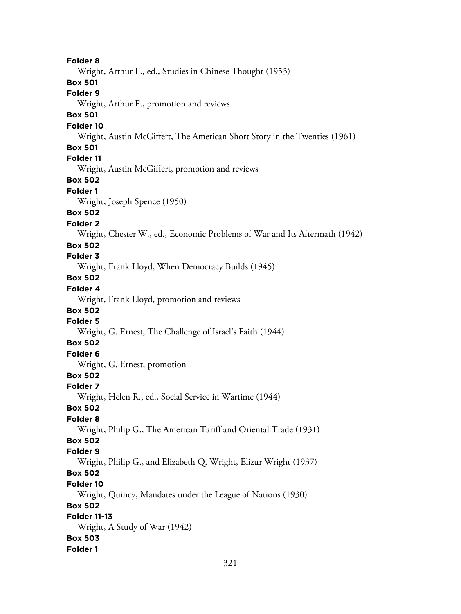**Folder 8** Wright, Arthur F., ed., Studies in Chinese Thought (1953) **Box 501 Folder 9** Wright, Arthur F., promotion and reviews **Box 501 Folder 10** Wright, Austin McGiffert, The American Short Story in the Twenties (1961) **Box 501 Folder 11** Wright, Austin McGiffert, promotion and reviews **Box 502 Folder 1** Wright, Joseph Spence (1950) **Box 502 Folder 2** Wright, Chester W., ed., Economic Problems of War and Its Aftermath (1942) **Box 502 Folder 3** Wright, Frank Lloyd, When Democracy Builds (1945) **Box 502 Folder 4** Wright, Frank Lloyd, promotion and reviews **Box 502 Folder 5** Wright, G. Ernest, The Challenge of Israel's Faith (1944) **Box 502 Folder 6** Wright, G. Ernest, promotion **Box 502 Folder 7** Wright, Helen R., ed., Social Service in Wartime (1944) **Box 502 Folder 8** Wright, Philip G., The American Tariff and Oriental Trade (1931) **Box 502 Folder 9** Wright, Philip G., and Elizabeth Q. Wright, Elizur Wright (1937) **Box 502 Folder 10** Wright, Quincy, Mandates under the League of Nations (1930) **Box 502 Folder 11-13** Wright, A Study of War (1942) **Box 503 Folder 1**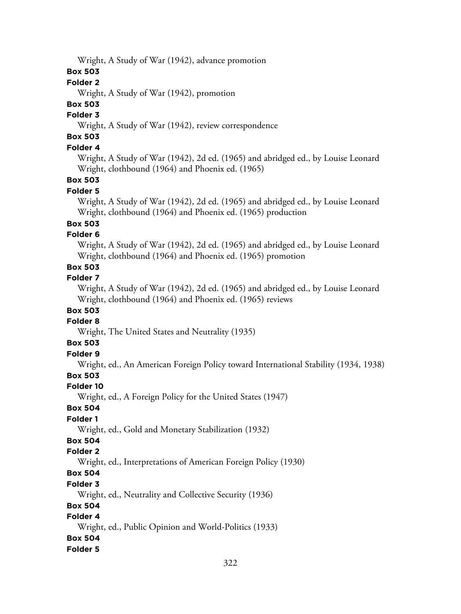Wright, A Study of War (1942), advance promotion

## **Box 503**

## **Folder 2**

Wright, A Study of War (1942), promotion

## **Box 503**

#### **Folder 3**

Wright, A Study of War (1942), review correspondence

# **Box 503**

## **Folder 4**

Wright, A Study of War (1942), 2d ed. (1965) and abridged ed., by Louise Leonard Wright, clothbound (1964) and Phoenix ed. (1965)

## **Box 503**

## **Folder 5**

Wright, A Study of War (1942), 2d ed. (1965) and abridged ed., by Louise Leonard Wright, clothbound (1964) and Phoenix ed. (1965) production

## **Box 503**

## **Folder 6**

Wright, A Study of War (1942), 2d ed. (1965) and abridged ed., by Louise Leonard Wright, clothbound (1964) and Phoenix ed. (1965) promotion

## **Box 503**

### **Folder 7**

Wright, A Study of War (1942), 2d ed. (1965) and abridged ed., by Louise Leonard Wright, clothbound (1964) and Phoenix ed. (1965) reviews

## **Box 503**

## **Folder 8**

Wright, The United States and Neutrality (1935)

## **Box 503**

## **Folder 9**

Wright, ed., An American Foreign Policy toward International Stability (1934, 1938)

## **Box 503**

## **Folder 10**

Wright, ed., A Foreign Policy for the United States (1947)

## **Box 504**

## **Folder 1**

Wright, ed., Gold and Monetary Stabilization (1932)

## **Box 504**

## **Folder 2**

Wright, ed., Interpretations of American Foreign Policy (1930)

# **Box 504**

## **Folder 3**

Wright, ed., Neutrality and Collective Security (1936)

## **Box 504**

## **Folder 4**

Wright, ed., Public Opinion and World-Politics (1933)

## **Box 504**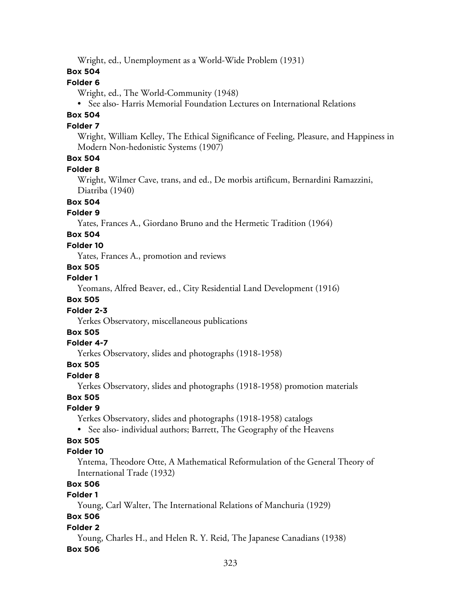Wright, ed., Unemployment as a World-Wide Problem (1931)

### **Box 504**

## **Folder 6**

Wright, ed., The World-Community (1948)

• See also- Harris Memorial Foundation Lectures on International Relations

# **Box 504**

### **Folder 7**

Wright, William Kelley, The Ethical Significance of Feeling, Pleasure, and Happiness in Modern Non-hedonistic Systems (1907)

# **Box 504**

#### **Folder 8**

Wright, Wilmer Cave, trans, and ed., De morbis artificum, Bernardini Ramazzini, Diatriba (1940)

**Box 504**

#### **Folder 9**

Yates, Frances A., Giordano Bruno and the Hermetic Tradition (1964)

# **Box 504**

### **Folder 10**

Yates, Frances A., promotion and reviews

## **Box 505**

**Folder 1**

Yeomans, Alfred Beaver, ed., City Residential Land Development (1916)

## **Box 505**

#### **Folder 2-3**

Yerkes Observatory, miscellaneous publications

# **Box 505**

#### **Folder 4-7**

Yerkes Observatory, slides and photographs (1918-1958)

## **Box 505**

#### **Folder 8**

Yerkes Observatory, slides and photographs (1918-1958) promotion materials

#### **Box 505**

## **Folder 9**

Yerkes Observatory, slides and photographs (1918-1958) catalogs

• See also- individual authors; Barrett, The Geography of the Heavens

## **Box 505**

#### **Folder 10**

Yntema, Theodore Otte, A Mathematical Reformulation of the General Theory of International Trade (1932)

## **Box 506**

## **Folder 1**

Young, Carl Walter, The International Relations of Manchuria (1929)

## **Box 506**

## **Folder 2**

Young, Charles H., and Helen R. Y. Reid, The Japanese Canadians (1938) **Box 506**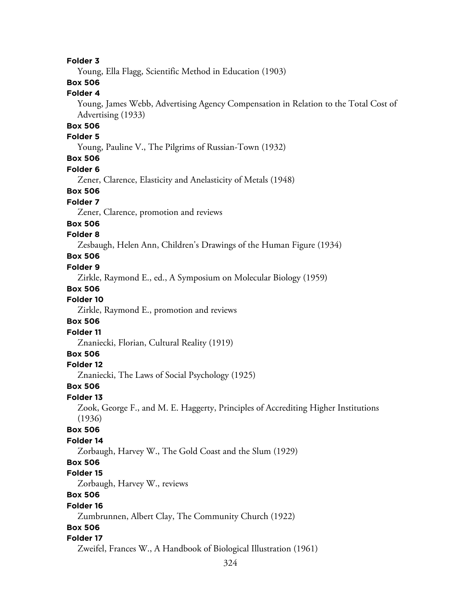### **Folder 3**

Young, Ella Flagg, Scientific Method in Education (1903)

# **Box 506**

## **Folder 4**

Young, James Webb, Advertising Agency Compensation in Relation to the Total Cost of Advertising (1933)

## **Box 506**

#### **Folder 5**

Young, Pauline V., The Pilgrims of Russian-Town (1932)

#### **Box 506**

#### **Folder 6**

Zener, Clarence, Elasticity and Anelasticity of Metals (1948)

#### **Box 506**

## **Folder 7**

Zener, Clarence, promotion and reviews

#### **Box 506**

#### **Folder 8**

Zesbaugh, Helen Ann, Children's Drawings of the Human Figure (1934)

## **Box 506**

### **Folder 9**

Zirkle, Raymond E., ed., A Symposium on Molecular Biology (1959)

#### **Box 506**

## **Folder 10**

Zirkle, Raymond E., promotion and reviews

#### **Box 506**

#### **Folder 11**

Znaniecki, Florian, Cultural Reality (1919)

## **Box 506**

## **Folder 12**

Znaniecki, The Laws of Social Psychology (1925)

### **Box 506**

### **Folder 13**

Zook, George F., and M. E. Haggerty, Principles of Accrediting Higher Institutions (1936)

### **Box 506**

#### **Folder 14**

Zorbaugh, Harvey W., The Gold Coast and the Slum (1929)

## **Box 506**

#### **Folder 15**

Zorbaugh, Harvey W., reviews

## **Box 506**

#### **Folder 16**

Zumbrunnen, Albert Clay, The Community Church (1922)

## **Box 506**

#### **Folder 17**

Zweifel, Frances W., A Handbook of Biological Illustration (1961)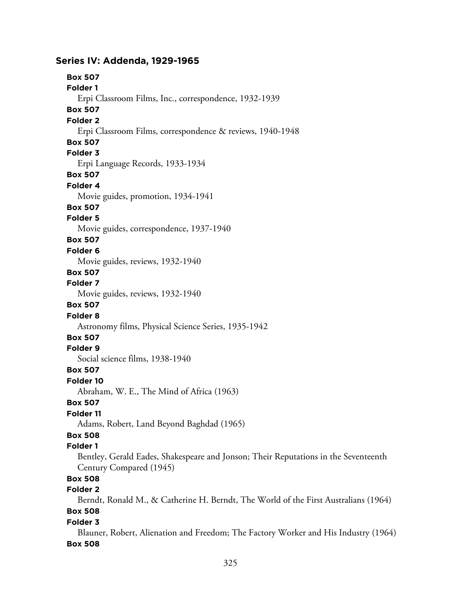### **Series IV: Addenda, 1929-1965**

**Box 507 Folder 1** Erpi Classroom Films, Inc., correspondence, 1932-1939 **Box 507 Folder 2** Erpi Classroom Films, correspondence & reviews, 1940-1948 **Box 507 Folder 3** Erpi Language Records, 1933-1934 **Box 507 Folder 4** Movie guides, promotion, 1934-1941 **Box 507 Folder 5** Movie guides, correspondence, 1937-1940 **Box 507 Folder 6** Movie guides, reviews, 1932-1940 **Box 507 Folder 7** Movie guides, reviews, 1932-1940 **Box 507 Folder 8** Astronomy films, Physical Science Series, 1935-1942 **Box 507 Folder 9** Social science films, 1938-1940 **Box 507 Folder 10** Abraham, W. E., The Mind of Africa (1963) **Box 507 Folder 11** Adams, Robert, Land Beyond Baghdad (1965) **Box 508 Folder 1** Bentley, Gerald Eades, Shakespeare and Jonson; Their Reputations in the Seventeenth Century Compared (1945) **Box 508 Folder 2** Berndt, Ronald M., & Catherine H. Berndt, The World of the First Australians (1964) **Box 508 Folder 3**

Blauner, Robert, Alienation and Freedom; The Factory Worker and His Industry (1964) **Box 508**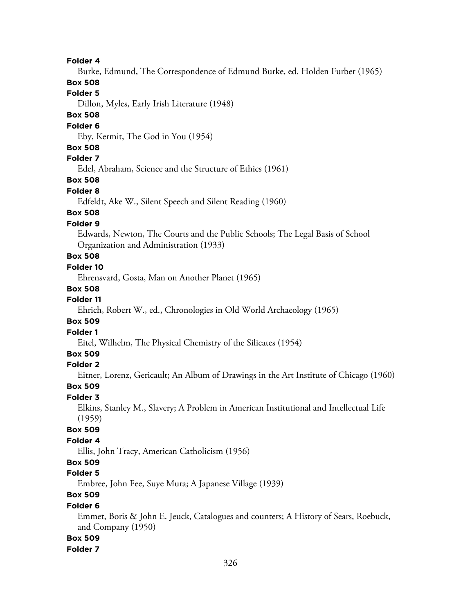**Folder 4**

Burke, Edmund, The Correspondence of Edmund Burke, ed. Holden Furber (1965)

## **Box 508**

**Folder 5**

Dillon, Myles, Early Irish Literature (1948)

## **Box 508**

#### **Folder 6**

Eby, Kermit, The God in You (1954)

### **Box 508**

## **Folder 7**

Edel, Abraham, Science and the Structure of Ethics (1961)

## **Box 508**

#### **Folder 8**

Edfeldt, Ake W., Silent Speech and Silent Reading (1960)

## **Box 508**

## **Folder 9**

Edwards, Newton, The Courts and the Public Schools; The Legal Basis of School Organization and Administration (1933)

# **Box 508**

## **Folder 10**

Ehrensvard, Gosta, Man on Another Planet (1965)

#### **Box 508**

## **Folder 11**

Ehrich, Robert W., ed., Chronologies in Old World Archaeology (1965)

#### **Box 509**

# **Folder 1**

Eitel, Wilhelm, The Physical Chemistry of the Silicates (1954)

## **Box 509**

## **Folder 2**

Eitner, Lorenz, Gericault; An Album of Drawings in the Art Institute of Chicago (1960)

#### **Box 509**

#### **Folder 3**

Elkins, Stanley M., Slavery; A Problem in American Institutional and Intellectual Life (1959)

## **Box 509**

## **Folder 4**

Ellis, John Tracy, American Catholicism (1956)

# **Box 509**

## **Folder 5**

Embree, John Fee, Suye Mura; A Japanese Village (1939)

# **Box 509**

### **Folder 6**

Emmet, Boris & John E. Jeuck, Catalogues and counters; A History of Sears, Roebuck, and Company (1950)

#### **Box 509**

#### **Folder 7**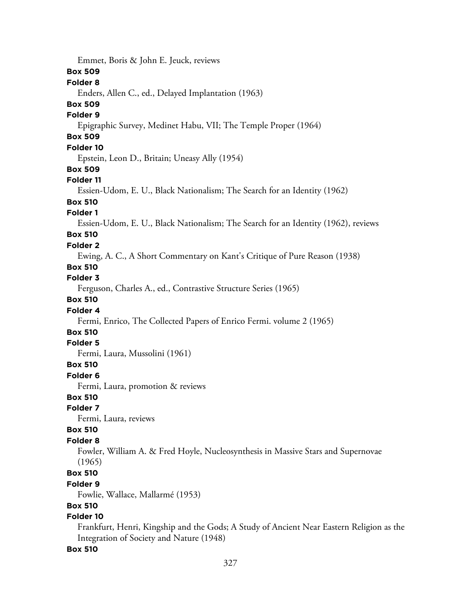Emmet, Boris & John E. Jeuck, reviews **Box 509 Folder 8** Enders, Allen C., ed., Delayed Implantation (1963) **Box 509 Folder 9** Epigraphic Survey, Medinet Habu, VII; The Temple Proper (1964) **Box 509 Folder 10** Epstein, Leon D., Britain; Uneasy Ally (1954) **Box 509 Folder 11** Essien-Udom, E. U., Black Nationalism; The Search for an Identity (1962) **Box 510 Folder 1** Essien-Udom, E. U., Black Nationalism; The Search for an Identity (1962), reviews **Box 510 Folder 2** Ewing, A. C., A Short Commentary on Kant's Critique of Pure Reason (1938) **Box 510 Folder 3** Ferguson, Charles A., ed., Contrastive Structure Series (1965) **Box 510 Folder 4** Fermi, Enrico, The Collected Papers of Enrico Fermi. volume 2 (1965) **Box 510 Folder 5** Fermi, Laura, Mussolini (1961) **Box 510 Folder 6** Fermi, Laura, promotion & reviews **Box 510 Folder 7** Fermi, Laura, reviews **Box 510 Folder 8** Fowler, William A. & Fred Hoyle, Nucleosynthesis in Massive Stars and Supernovae (1965) **Box 510 Folder 9** Fowlie, Wallace, Mallarmé (1953) **Box 510 Folder 10** Frankfurt, Henri, Kingship and the Gods; A Study of Ancient Near Eastern Religion as the Integration of Society and Nature (1948) **Box 510**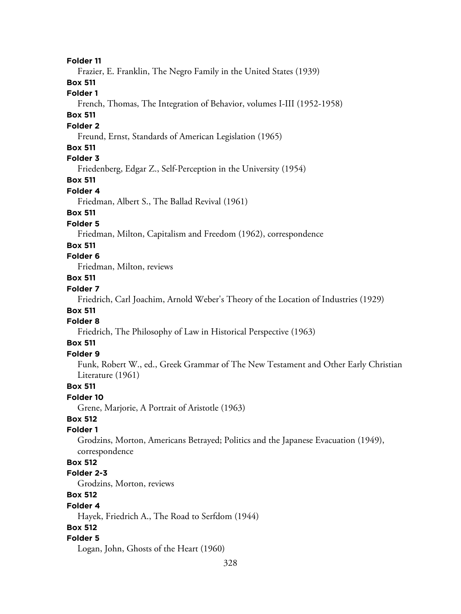**Folder 11**

Frazier, E. Franklin, The Negro Family in the United States (1939)

**Box 511**

**Folder 1**

French, Thomas, The Integration of Behavior, volumes I-III (1952-1958)

# **Box 511**

### **Folder 2**

Freund, Ernst, Standards of American Legislation (1965)

### **Box 511**

## **Folder 3**

Friedenberg, Edgar Z., Self-Perception in the University (1954)

**Box 511**

#### **Folder 4**

Friedman, Albert S., The Ballad Revival (1961)

### **Box 511**

#### **Folder 5**

Friedman, Milton, Capitalism and Freedom (1962), correspondence

#### **Box 511**

## **Folder 6**

Friedman, Milton, reviews

### **Box 511**

## **Folder 7**

Friedrich, Carl Joachim, Arnold Weber's Theory of the Location of Industries (1929)

## **Box 511**

## **Folder 8**

Friedrich, The Philosophy of Law in Historical Perspective (1963)

## **Box 511**

## **Folder 9**

Funk, Robert W., ed., Greek Grammar of The New Testament and Other Early Christian Literature (1961)

### **Box 511**

## **Folder 10**

Grene, Marjorie, A Portrait of Aristotle (1963)

## **Box 512**

## **Folder 1**

Grodzins, Morton, Americans Betrayed; Politics and the Japanese Evacuation (1949), correspondence

## **Box 512**

#### **Folder 2-3**

Grodzins, Morton, reviews

## **Box 512**

#### **Folder 4**

Hayek, Friedrich A., The Road to Serfdom (1944)

### **Box 512**

#### **Folder 5**

Logan, John, Ghosts of the Heart (1960)